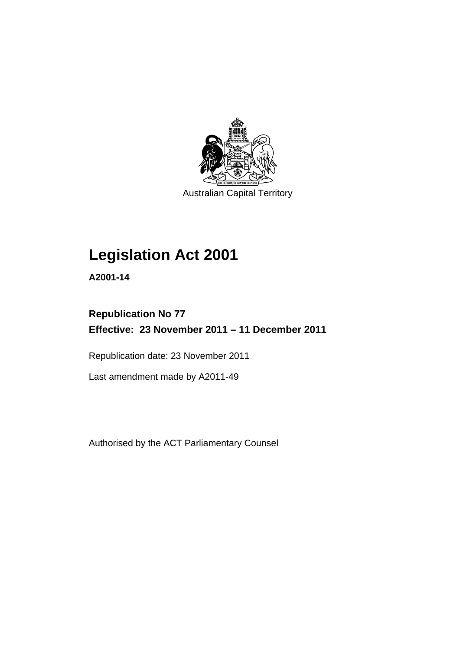

Australian Capital Territory

# **Legislation Act 2001**

**A2001-14** 

## **Republication No 77 Effective: 23 November 2011 – 11 December 2011**

Republication date: 23 November 2011

Last amendment made by A2011-49

Authorised by the ACT Parliamentary Counsel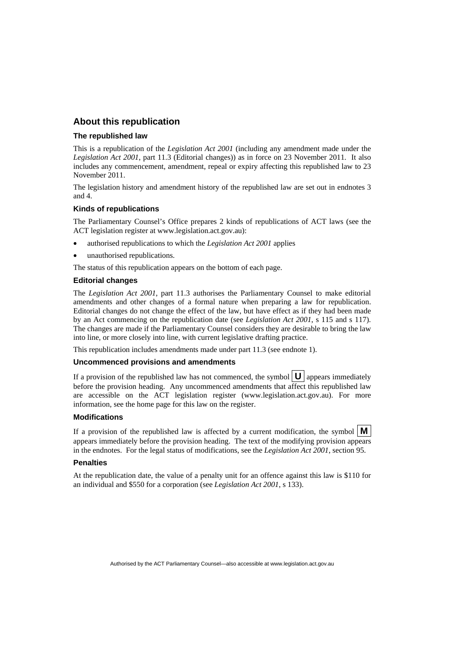## **About this republication**

#### **The republished law**

This is a republication of the *Legislation Act 2001* (including any amendment made under the *Legislation Act 2001*, part 11.3 (Editorial changes)) as in force on 23 November 2011*.* It also includes any commencement, amendment, repeal or expiry affecting this republished law to 23 November 2011.

The legislation history and amendment history of the republished law are set out in endnotes 3 and 4.

#### **Kinds of republications**

The Parliamentary Counsel's Office prepares 2 kinds of republications of ACT laws (see the ACT legislation register at www.legislation.act.gov.au):

- authorised republications to which the *Legislation Act 2001* applies
- unauthorised republications.

The status of this republication appears on the bottom of each page.

#### **Editorial changes**

The *Legislation Act 2001*, part 11.3 authorises the Parliamentary Counsel to make editorial amendments and other changes of a formal nature when preparing a law for republication. Editorial changes do not change the effect of the law, but have effect as if they had been made by an Act commencing on the republication date (see *Legislation Act 2001*, s 115 and s 117). The changes are made if the Parliamentary Counsel considers they are desirable to bring the law into line, or more closely into line, with current legislative drafting practice.

This republication includes amendments made under part 11.3 (see endnote 1).

#### **Uncommenced provisions and amendments**

If a provision of the republished law has not commenced, the symbol  $\mathbf{U}$  appears immediately before the provision heading. Any uncommenced amendments that affect this republished law are accessible on the ACT legislation register (www.legislation.act.gov.au). For more information, see the home page for this law on the register.

#### **Modifications**

If a provision of the republished law is affected by a current modification, the symbol  $\mathbf{M}$ appears immediately before the provision heading. The text of the modifying provision appears in the endnotes. For the legal status of modifications, see the *Legislation Act 2001*, section 95.

#### **Penalties**

At the republication date, the value of a penalty unit for an offence against this law is \$110 for an individual and \$550 for a corporation (see *Legislation Act 2001*, s 133).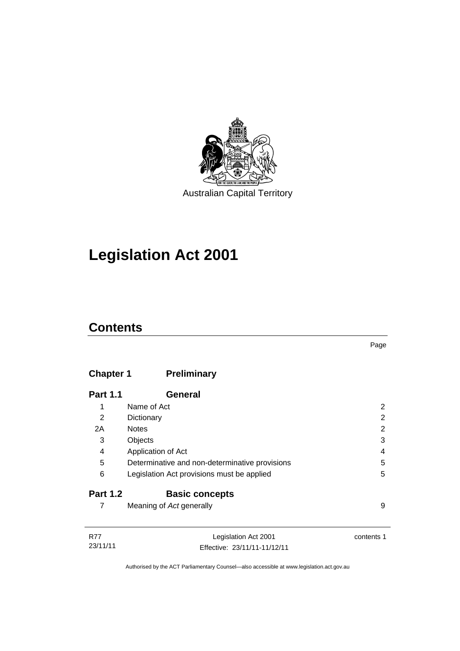

# **Legislation Act 2001**

## **Contents**

## **Chapter 1 [Preliminary](#page-17-0)**

| <b>Part 1.1</b> | General                                        |   |
|-----------------|------------------------------------------------|---|
| 1               | Name of Act                                    |   |
| 2               | Dictionary                                     | 2 |
| 2A              | <b>Notes</b>                                   | 2 |
| 3               | Objects                                        | 3 |
| 4               | Application of Act                             | 4 |
| 5               | Determinative and non-determinative provisions | 5 |
| 6               | Legislation Act provisions must be applied     | 5 |
| <b>Part 1.2</b> | <b>Basic concepts</b>                          |   |
|                 | Meaning of Act generally                       | 9 |

| <b>R77</b> | Legislation Act 2001         | contents 1 |
|------------|------------------------------|------------|
| 23/11/11   | Effective: 23/11/11-11/12/11 |            |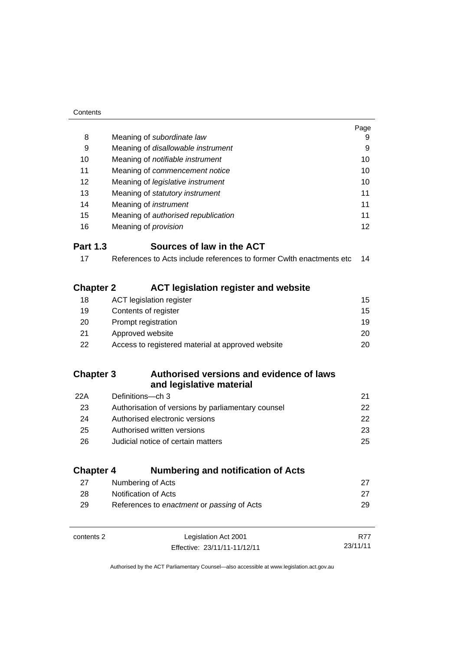| Contents         |                                                                      |          |
|------------------|----------------------------------------------------------------------|----------|
|                  |                                                                      | Page     |
| 8                | Meaning of subordinate law                                           | 9        |
| 9                | Meaning of disallowable instrument                                   | 9        |
| 10               | Meaning of notifiable instrument                                     | 10       |
| 11               | Meaning of commencement notice                                       | 10       |
| 12               | Meaning of legislative instrument                                    | 10       |
| 13               | Meaning of statutory instrument                                      | 11       |
| 14               | Meaning of <i>instrument</i>                                         | 11       |
| 15               | Meaning of authorised republication                                  | 11       |
| 16               | Meaning of <i>provision</i>                                          | 12       |
| <b>Part 1.3</b>  | Sources of law in the ACT                                            |          |
| 17               | References to Acts include references to former Cwlth enactments etc | 14       |
|                  |                                                                      |          |
| <b>Chapter 2</b> | <b>ACT legislation register and website</b>                          |          |
| 18               | <b>ACT</b> legislation register                                      | 15       |
| 19               | Contents of register                                                 | 15       |
| 20               | Prompt registration                                                  | 19       |
| 21               | Approved website                                                     | 20       |
| 22               | Access to registered material at approved website                    | 20       |
|                  |                                                                      |          |
| <b>Chapter 3</b> | Authorised versions and evidence of laws                             |          |
|                  | and legislative material                                             |          |
| 22A              | Definitions-ch 3                                                     | 21       |
| 23               | Authorisation of versions by parliamentary counsel                   | 22       |
| 24               | Authorised electronic versions                                       | 22       |
| 25               | Authorised written versions                                          | 23       |
| 26               | Judicial notice of certain matters                                   | 25       |
|                  |                                                                      |          |
| <b>Chapter 4</b> | <b>Numbering and notification of Acts</b>                            |          |
| 27               | Numbering of Acts                                                    | 27       |
| 28               | Notification of Acts                                                 | 27       |
| 29               | References to enactment or passing of Acts                           | 29       |
|                  |                                                                      |          |
|                  |                                                                      |          |
| contents 2       | Legislation Act 2001                                                 | R77      |
|                  | Effective: 23/11/11-11/12/11                                         | 23/11/11 |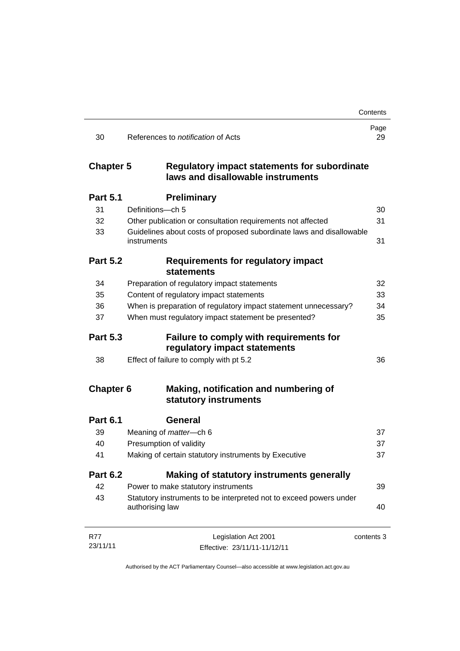|                  |                                                                                          | Contents   |
|------------------|------------------------------------------------------------------------------------------|------------|
| 30               | References to <i>notification</i> of Acts                                                | Page<br>29 |
| <b>Chapter 5</b> | <b>Regulatory impact statements for subordinate</b><br>laws and disallowable instruments |            |
| <b>Part 5.1</b>  | <b>Preliminary</b>                                                                       |            |
| 31               | Definitions-ch 5                                                                         | 30         |
| 32               | Other publication or consultation requirements not affected                              | 31         |
| 33               | Guidelines about costs of proposed subordinate laws and disallowable<br>instruments      | 31         |
| <b>Part 5.2</b>  | <b>Requirements for regulatory impact</b><br><b>statements</b>                           |            |
| 34               | Preparation of regulatory impact statements                                              | 32         |
| 35               | Content of regulatory impact statements                                                  | 33         |
| 36               | When is preparation of regulatory impact statement unnecessary?                          | 34         |
| 37               | When must regulatory impact statement be presented?                                      | 35         |
| <b>Part 5.3</b>  | <b>Failure to comply with requirements for</b><br>regulatory impact statements           |            |
| 38               | Effect of failure to comply with pt 5.2                                                  | 36         |
| <b>Chapter 6</b> | Making, notification and numbering of<br>statutory instruments                           |            |
| <b>Part 6.1</b>  | General                                                                                  |            |
| 39               | Meaning of matter-ch 6                                                                   | 37         |
| 40               | Presumption of validity                                                                  | 37         |
| 41               | Making of certain statutory instruments by Executive                                     | 37         |
| <b>Part 6.2</b>  | Making of statutory instruments generally                                                |            |
| 42               | Power to make statutory instruments                                                      | 39         |
| 43               | Statutory instruments to be interpreted not to exceed powers under<br>authorising law    | 40         |
| <b>R77</b>       | Legislation Act 2001                                                                     | contents 3 |
| 23/11/11         | Effective: 23/11/11-11/12/11                                                             |            |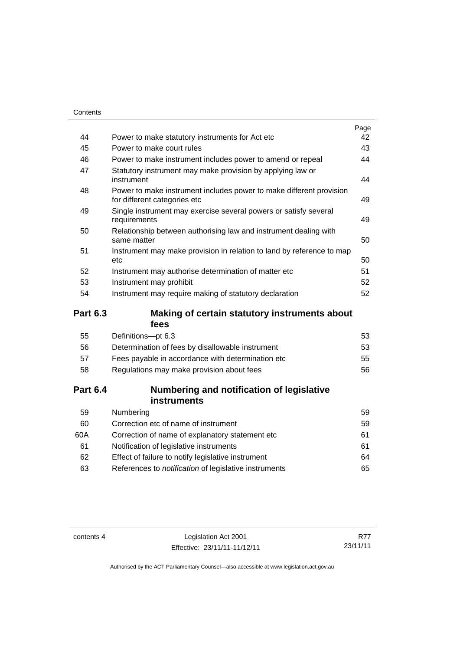| Contents        |                                                                                                     |      |
|-----------------|-----------------------------------------------------------------------------------------------------|------|
|                 |                                                                                                     | Page |
| 44              | Power to make statutory instruments for Act etc                                                     | 42   |
| 45              | Power to make court rules                                                                           | 43   |
| 46              | Power to make instrument includes power to amend or repeal                                          | 44   |
| 47              | Statutory instrument may make provision by applying law or<br>instrument                            | 44   |
| 48              | Power to make instrument includes power to make different provision<br>for different categories etc | 49   |
| 49              | Single instrument may exercise several powers or satisfy several<br>requirements                    | 49   |
| 50              | Relationship between authorising law and instrument dealing with<br>same matter                     | 50   |
| 51              | Instrument may make provision in relation to land by reference to map<br>etc                        | 50   |
| 52              | Instrument may authorise determination of matter etc                                                | 51   |
| 53              | Instrument may prohibit                                                                             | 52   |
| 54              | Instrument may require making of statutory declaration                                              | 52   |
| <b>Part 6.3</b> | Making of certain statutory instruments about<br>fees                                               |      |
| 55              | Definitions-pt 6.3                                                                                  | 53   |
| 56              | Determination of fees by disallowable instrument                                                    | 53   |
| 57              | Fees payable in accordance with determination etc                                                   | 55   |
| 58              | Regulations may make provision about fees                                                           | 56   |
| <b>Part 6.4</b> | Numbering and notification of legislative<br>instruments                                            |      |

| 59  | Numbering                                                    | 59 |
|-----|--------------------------------------------------------------|----|
| 60  | Correction etc of name of instrument                         | 59 |
| 60A | Correction of name of explanatory statement etc.             | 61 |
| 61  | Notification of legislative instruments                      | 61 |
| 62  | Effect of failure to notify legislative instrument           | 64 |
| 63  | References to <i>notification</i> of legislative instruments | 65 |
|     |                                                              |    |

contents 4 Legislation Act 2001 Effective: 23/11/11-11/12/11

R77 23/11/11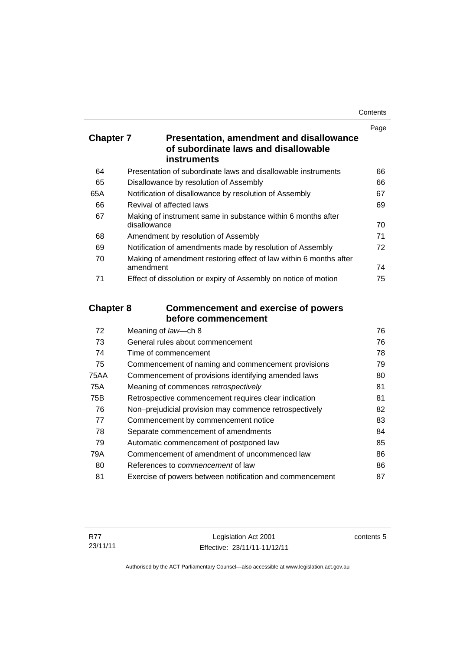| Contents |
|----------|
|----------|

|                  |                                                                                                               | Page |
|------------------|---------------------------------------------------------------------------------------------------------------|------|
| <b>Chapter 7</b> | <b>Presentation, amendment and disallowance</b><br>of subordinate laws and disallowable<br><b>instruments</b> |      |
| 64               | Presentation of subordinate laws and disallowable instruments                                                 | 66   |
| 65               | Disallowance by resolution of Assembly                                                                        | 66   |
| 65A              | Notification of disallowance by resolution of Assembly                                                        | 67   |
| 66               | Revival of affected laws                                                                                      | 69   |
| 67               | Making of instrument same in substance within 6 months after<br>disallowance                                  | 70   |
| 68               | Amendment by resolution of Assembly                                                                           | 71   |
| 69               | Notification of amendments made by resolution of Assembly                                                     | 72   |
| 70               | Making of amendment restoring effect of law within 6 months after<br>amendment                                | 74   |
| 71               | Effect of dissolution or expiry of Assembly on notice of motion                                               | 75   |
| <b>Chapter 8</b> | <b>Commencement and exercise of powers</b><br>before commencement                                             |      |
| 72               | Meaning of law-ch 8                                                                                           | 76   |
| 73               | General rules about commencement                                                                              | 76   |
| 74               | Time of commencement                                                                                          | 78   |
| 75               | Commencement of naming and commencement provisions                                                            | 79   |
| <b>75AA</b>      | Commencement of provisions identifying amended laws                                                           | 80   |
| <b>75A</b>       | Meaning of commences retrospectively                                                                          | 81   |
| 75B              | Retrospective commencement requires clear indication                                                          | 81   |
| 76               | Non-prejudicial provision may commence retrospectively                                                        | 82   |
| 77               | Commencement by commencement notice                                                                           | 83   |
| 78               | Separate commencement of amendments                                                                           | 84   |
| 79               | Automatic commencement of postponed law                                                                       | 85   |

| 80  | References to <i>commencement</i> of law                 | 86 |
|-----|----------------------------------------------------------|----|
| -81 | Exercise of powers between notification and commencement |    |

79A [Commencement of amendment of uncommenced law 86](#page-101-0)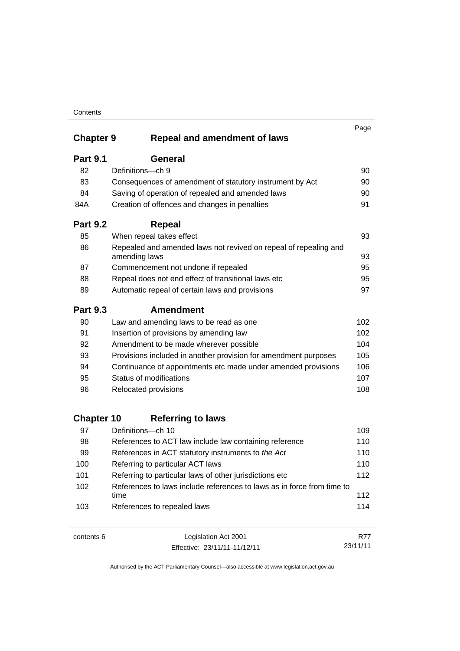|                         |                                                                                   | Page       |
|-------------------------|-----------------------------------------------------------------------------------|------------|
| <b>Chapter 9</b>        | <b>Repeal and amendment of laws</b>                                               |            |
| <b>Part 9.1</b>         | <b>General</b>                                                                    |            |
| 82                      | Definitions-ch 9                                                                  | 90         |
| 83                      | Consequences of amendment of statutory instrument by Act                          | 90         |
| 84                      | Saving of operation of repealed and amended laws                                  | 90         |
| 84A                     | Creation of offences and changes in penalties                                     | 91         |
| <b>Part 9.2</b>         | <b>Repeal</b>                                                                     |            |
| 85                      | When repeal takes effect                                                          | 93         |
| 86                      | Repealed and amended laws not revived on repeal of repealing and<br>amending laws | 93         |
| 87                      | Commencement not undone if repealed                                               | 95         |
| 88                      | Repeal does not end effect of transitional laws etc                               | 95         |
| 89                      | Automatic repeal of certain laws and provisions                                   | 97         |
| <b>Part 9.3</b>         | <b>Amendment</b>                                                                  |            |
| 90                      | Law and amending laws to be read as one                                           | 102        |
| 91                      | Insertion of provisions by amending law                                           | 102        |
| 92                      | Amendment to be made wherever possible                                            | 104        |
| 93                      | Provisions included in another provision for amendment purposes                   | 105        |
| 94                      | Continuance of appointments etc made under amended provisions                     | 106        |
| 95                      | Status of modifications                                                           | 107        |
| 96                      | Relocated provisions                                                              | 108        |
|                         |                                                                                   |            |
| <b>Chapter 10</b><br>97 | <b>Referring to laws</b><br>Definitions-ch 10                                     | 109        |
|                         |                                                                                   | 110        |
| 98                      | References to ACT law include law containing reference                            |            |
| 99<br>100               | References in ACT statutory instruments to the Act                                | 110<br>110 |
| 101                     | Referring to particular ACT laws                                                  | 112        |
|                         | Referring to particular laws of other jurisdictions etc                           |            |
| 102                     | References to laws include references to laws as in force from time to<br>time    | 112        |
| 103                     | References to repealed laws                                                       | 114        |

| contents 6 | Legislation Act 2001         | R77      |
|------------|------------------------------|----------|
|            | Effective: 23/11/11-11/12/11 | 23/11/11 |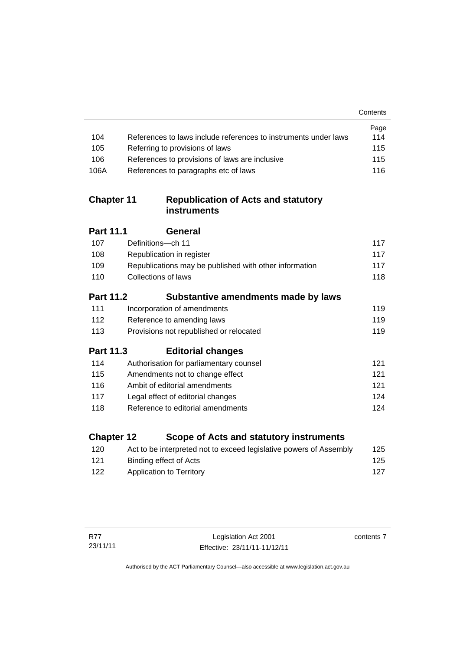|                   |                                                                    | Contents |
|-------------------|--------------------------------------------------------------------|----------|
|                   |                                                                    | Page     |
| 104               | References to laws include references to instruments under laws    | 114      |
| 105               | Referring to provisions of laws                                    | 115      |
| 106               | References to provisions of laws are inclusive                     | 115      |
| 106A              | References to paragraphs etc of laws                               | 116      |
| <b>Chapter 11</b> | <b>Republication of Acts and statutory</b><br>instruments          |          |
| Part 11.1         | General                                                            |          |
| 107               | Definitions-ch 11                                                  | 117      |
| 108               | Republication in register                                          | 117      |
| 109               | Republications may be published with other information             | 117      |
| 110               | Collections of laws                                                | 118      |
| <b>Part 11.2</b>  | Substantive amendments made by laws                                |          |
| 111               | Incorporation of amendments                                        | 119      |
| 112               | Reference to amending laws                                         | 119      |
| 113               | Provisions not republished or relocated                            | 119      |
| Part 11.3         | <b>Editorial changes</b>                                           |          |
| 114               | Authorisation for parliamentary counsel                            | 121      |
| 115               | Amendments not to change effect                                    | 121      |
| 116               | Ambit of editorial amendments                                      | 121      |
| 117               | Legal effect of editorial changes                                  | 124      |
| 118               | Reference to editorial amendments                                  | 124      |
| <b>Chapter 12</b> | Scope of Acts and statutory instruments                            |          |
| 120               | Act to be interpreted not to exceed legislative powers of Assembly | 125      |

contents 7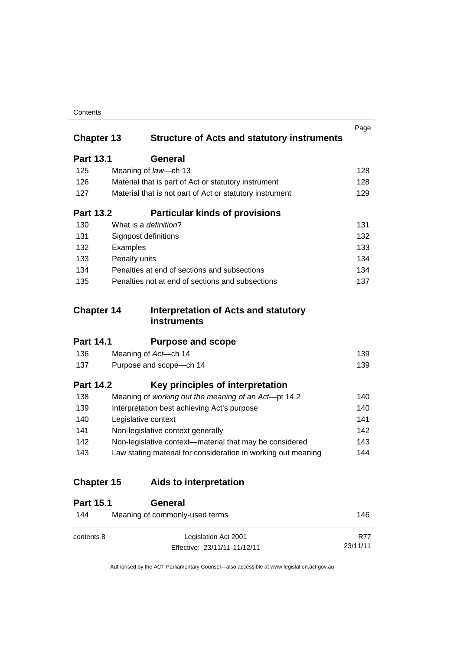| Contents |
|----------|
|----------|

| <b>Chapter 13</b> | <b>Structure of Acts and statutory instruments</b>            | Page |
|-------------------|---------------------------------------------------------------|------|
| <b>Part 13.1</b>  | General                                                       |      |
| 125               | Meaning of law-ch 13                                          | 128  |
| 126               | Material that is part of Act or statutory instrument          | 128  |
| 127               | Material that is not part of Act or statutory instrument      | 129  |
| <b>Part 13.2</b>  | <b>Particular kinds of provisions</b>                         |      |
| 130               | What is a <i>definition</i> ?                                 | 131  |
| 131               | Signpost definitions                                          | 132  |
| 132               | Examples                                                      | 133  |
| 133               | Penalty units                                                 | 134  |
| 134               | Penalties at end of sections and subsections                  | 134  |
| 135               | Penalties not at end of sections and subsections              | 137  |
| <b>Chapter 14</b> | Interpretation of Acts and statutory<br>instruments           |      |
| <b>Part 14.1</b>  | <b>Purpose and scope</b>                                      |      |
| 136               | Meaning of Act-ch 14                                          | 139  |
| 137               | Purpose and scope-ch 14                                       | 139  |
| <b>Part 14.2</b>  | Key principles of interpretation                              |      |
| 138               | Meaning of working out the meaning of an Act-pt 14.2          | 140  |
| 139               | Interpretation best achieving Act's purpose                   | 140  |
| 140               | Legislative context                                           | 141  |
| 141               | Non-legislative context generally                             | 142  |
| 142               | Non-legislative context-material that may be considered       | 143  |
| 143               | Law stating material for consideration in working out meaning | 144  |
| <b>Chapter 15</b> | Aids to interpretation                                        |      |
| <b>Part 15.1</b>  | General                                                       |      |
| 144               | Meaning of commonly-used terms                                | 146  |

Authorised by the ACT Parliamentary Counsel—also accessible at www.legislation.act.gov.au

R77 23/11/11

Effective: 23/11/11-11/12/11

contents 8 Legislation Act 2001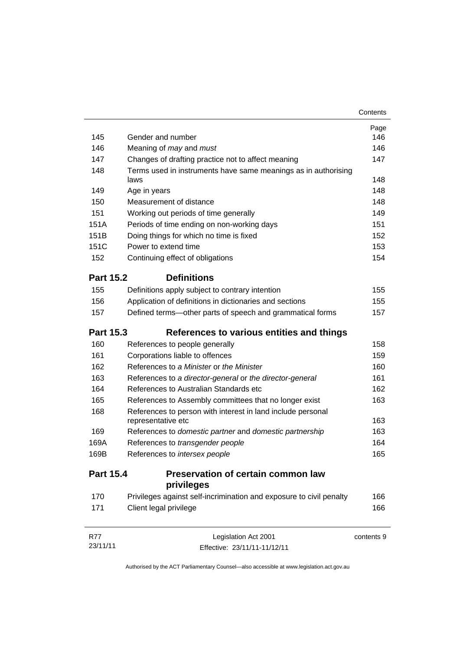|                  |                                                                                   | Contents   |
|------------------|-----------------------------------------------------------------------------------|------------|
|                  |                                                                                   | Page       |
| 145              | Gender and number                                                                 | 146        |
| 146              | Meaning of may and must                                                           | 146        |
| 147              | Changes of drafting practice not to affect meaning                                | 147        |
| 148              | Terms used in instruments have same meanings as in authorising<br>laws            | 148        |
| 149              | Age in years                                                                      | 148        |
| 150              | Measurement of distance                                                           | 148        |
| 151              | Working out periods of time generally                                             | 149        |
| 151A             | Periods of time ending on non-working days                                        | 151        |
| 151B             | Doing things for which no time is fixed                                           | 152        |
| 151C             | Power to extend time                                                              | 153        |
| 152              | Continuing effect of obligations                                                  | 154        |
| <b>Part 15.2</b> | <b>Definitions</b>                                                                |            |
| 155              | Definitions apply subject to contrary intention                                   | 155        |
| 156              | Application of definitions in dictionaries and sections                           | 155        |
| 157              | Defined terms-other parts of speech and grammatical forms                         | 157        |
| <b>Part 15.3</b> | References to various entities and things                                         |            |
| 160              | References to people generally                                                    | 158        |
| 161              | Corporations liable to offences                                                   | 159        |
| 162              | References to a Minister or the Minister                                          | 160        |
| 163              | References to a director-general or the director-general                          | 161        |
| 164              | References to Australian Standards etc                                            | 162        |
| 165              | References to Assembly committees that no longer exist                            | 163        |
| 168              | References to person with interest in land include personal<br>representative etc | 163        |
| 169              | References to domestic partner and domestic partnership                           | 163        |
| 169A             | References to transgender people                                                  | 164        |
| 169B             | References to intersex people                                                     | 165        |
| <b>Part 15.4</b> | Preservation of certain common law<br>privileges                                  |            |
| 170              | Privileges against self-incrimination and exposure to civil penalty               | 166        |
| 171              | Client legal privilege                                                            | 166        |
| <b>R77</b>       | Legislation Act 2001                                                              | contents 9 |
| 23/11/11         | Effective: 23/11/11-11/12/11                                                      |            |

Authorised by the ACT Parliamentary Counsel—also accessible at www.legislation.act.gov.au

Effective: 23/11/11-11/12/11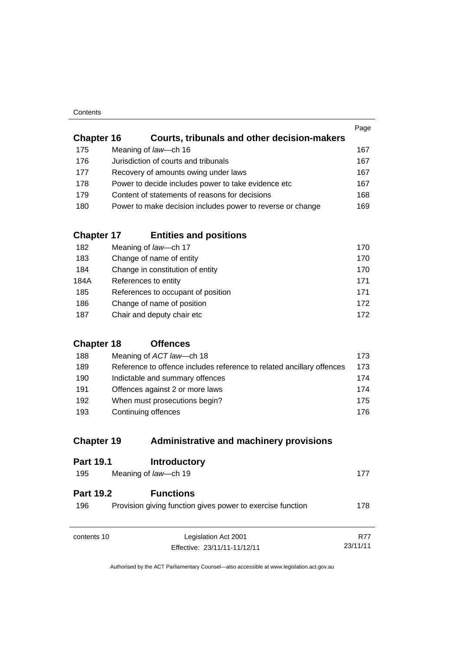| Contents |
|----------|
|----------|

| <b>Chapter 16</b> | Courts, tribunals and other decision-makers                | Page |
|-------------------|------------------------------------------------------------|------|
|                   |                                                            |      |
| 175               | Meaning of law-ch 16                                       | 167  |
| 176               | Jurisdiction of courts and tribunals                       | 167  |
| 177               | Recovery of amounts owing under laws                       | 167  |
| 178               | Power to decide includes power to take evidence etc        | 167  |
| 179               | Content of statements of reasons for decisions             | 168  |
| 180               | Power to make decision includes power to reverse or change | 169  |
|                   |                                                            |      |

## **Chapter 17 [Entities and positions](#page-185-0)**

| 182  | Meaning of law-ch 17               | 170 |
|------|------------------------------------|-----|
| 183  | Change of name of entity           | 170 |
| 184  | Change in constitution of entity   | 170 |
| 184A | References to entity               | 171 |
| 185  | References to occupant of position | 171 |
| 186  | Change of name of position         | 172 |
| 187  | Chair and deputy chair etc         | 172 |

## **[Chapter 18](#page-188-0) Offences**

| 188 | Meaning of ACT law—ch 18                                              | 173  |
|-----|-----------------------------------------------------------------------|------|
| 189 | Reference to offence includes reference to related ancillary offences | 173  |
| 190 | Indictable and summary offences                                       | 174  |
| 191 | Offences against 2 or more laws                                       | 174  |
| 192 | When must prosecutions begin?                                         | 175  |
| 193 | Continuing offences                                                   | 176. |

## **Chapter 19 [Administrative and machinery provisions](#page-192-0)**

| <b>Part 19.1</b>        | <b>Introductory</b>                                                            |            |
|-------------------------|--------------------------------------------------------------------------------|------------|
| 195                     | Meaning of law-ch 19                                                           | 177        |
| <b>Part 19.2</b><br>196 | <b>Functions</b><br>Provision giving function gives power to exercise function | 178        |
| contents 10             | Legislation Act 2001                                                           | <b>R77</b> |
|                         | Effective: 23/11/11-11/12/11                                                   | 23/11/11   |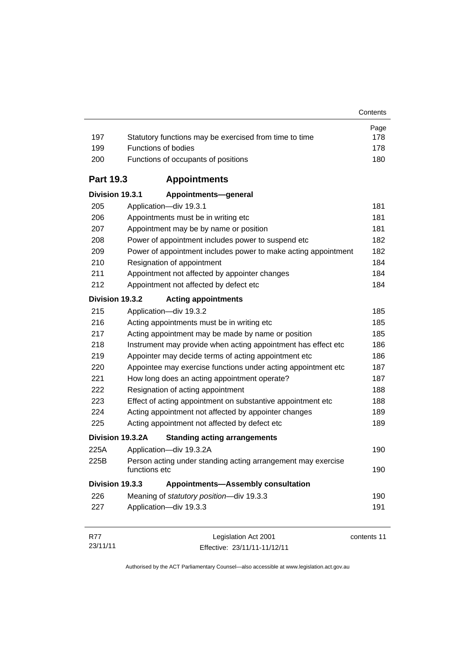| 197              | Statutory functions may be exercised from time to time                        | Page<br>178 |
|------------------|-------------------------------------------------------------------------------|-------------|
| 199              | <b>Functions of bodies</b>                                                    | 178         |
| 200              | Functions of occupants of positions                                           | 180         |
| <b>Part 19.3</b> | <b>Appointments</b>                                                           |             |
| Division 19.3.1  | Appointments-general                                                          |             |
| 205              | Application-div 19.3.1                                                        | 181         |
| 206              | Appointments must be in writing etc                                           | 181         |
| 207              | Appointment may be by name or position                                        | 181         |
| 208              | Power of appointment includes power to suspend etc                            | 182         |
| 209              | Power of appointment includes power to make acting appointment                | 182         |
| 210              | Resignation of appointment                                                    | 184         |
| 211              | Appointment not affected by appointer changes                                 | 184         |
| 212              | Appointment not affected by defect etc                                        | 184         |
| Division 19.3.2  | <b>Acting appointments</b>                                                    |             |
| 215              | Application-div 19.3.2                                                        | 185         |
| 216              | Acting appointments must be in writing etc                                    | 185         |
| 217              | Acting appointment may be made by name or position                            | 185         |
| 218              | Instrument may provide when acting appointment has effect etc                 | 186         |
| 219              | Appointer may decide terms of acting appointment etc                          | 186         |
| 220              | Appointee may exercise functions under acting appointment etc                 | 187         |
| 221              | How long does an acting appointment operate?                                  | 187         |
| 222              | Resignation of acting appointment                                             | 188         |
| 223              | Effect of acting appointment on substantive appointment etc                   | 188         |
| 224              | Acting appointment not affected by appointer changes                          | 189         |
| 225              | Acting appointment not affected by defect etc                                 | 189         |
| Division 19.3.2A | <b>Standing acting arrangements</b>                                           |             |
| 225A             | Application-div 19.3.2A                                                       | 190         |
| 225B             | Person acting under standing acting arrangement may exercise<br>functions etc | 190         |
| Division 19.3.3  | <b>Appointments-Assembly consultation</b>                                     |             |
| 226              | Meaning of statutory position-div 19.3.3                                      | 190         |
| 227              | Application-div 19.3.3                                                        | 191         |
| <b>R77</b>       | Legislation Act 2001                                                          | contents 11 |

23/11/11 Effective: 23/11/11-11/12/11 contents 11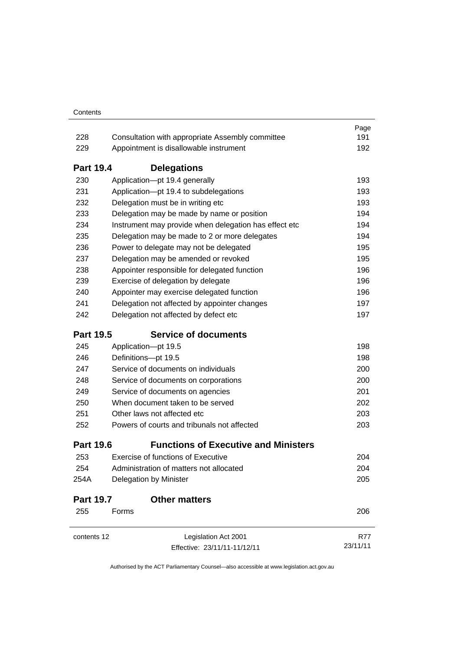|                  |                                                                                                                 | Page     |  |
|------------------|-----------------------------------------------------------------------------------------------------------------|----------|--|
| 228              | Consultation with appropriate Assembly committee                                                                | 191      |  |
| 229              | Appointment is disallowable instrument                                                                          | 192      |  |
| <b>Part 19.4</b> | <b>Delegations</b>                                                                                              |          |  |
| 230              | Application-pt 19.4 generally                                                                                   | 193      |  |
| 231              | Application-pt 19.4 to subdelegations                                                                           |          |  |
| 232              | Delegation must be in writing etc                                                                               |          |  |
| 233              | Delegation may be made by name or position                                                                      |          |  |
| 234              | Instrument may provide when delegation has effect etc                                                           | 194      |  |
| 235              | Delegation may be made to 2 or more delegates                                                                   | 194      |  |
| 236              | Power to delegate may not be delegated                                                                          | 195      |  |
| 237              | Delegation may be amended or revoked                                                                            | 195      |  |
| 238              | Appointer responsible for delegated function                                                                    | 196      |  |
| 239              | Exercise of delegation by delegate                                                                              | 196      |  |
| 240              | Appointer may exercise delegated function                                                                       |          |  |
| 241              | Delegation not affected by appointer changes                                                                    | 197      |  |
| 242              | Delegation not affected by defect etc                                                                           | 197      |  |
| <b>Part 19.5</b> | <b>Service of documents</b>                                                                                     |          |  |
| 245              | Application-pt 19.5                                                                                             | 198      |  |
| 246              | Definitions-pt 19.5                                                                                             |          |  |
| 247              | Service of documents on individuals<br>Service of documents on corporations<br>Service of documents on agencies |          |  |
| 248              |                                                                                                                 |          |  |
| 249              |                                                                                                                 |          |  |
| 250              | When document taken to be served                                                                                |          |  |
| 251              | Other laws not affected etc                                                                                     |          |  |
| 252              | Powers of courts and tribunals not affected                                                                     | 203      |  |
| <b>Part 19.6</b> | <b>Functions of Executive and Ministers</b>                                                                     |          |  |
| 253              | Exercise of functions of Executive                                                                              | 204      |  |
| 254              | Administration of matters not allocated                                                                         | 204      |  |
| 254A             | Delegation by Minister                                                                                          | 205      |  |
| <b>Part 19.7</b> | <b>Other matters</b>                                                                                            |          |  |
| 255              | Forms                                                                                                           | 206      |  |
| contents 12      | Legislation Act 2001                                                                                            | R77      |  |
|                  | Effective: 23/11/11-11/12/11                                                                                    | 23/11/11 |  |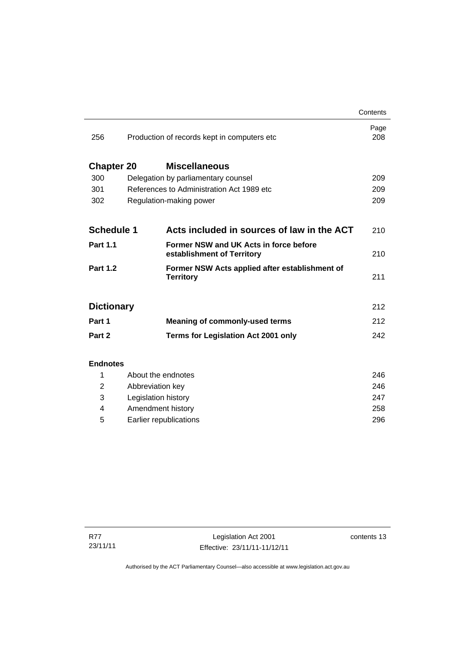|                                              |                                                                                | Contents                                                      |
|----------------------------------------------|--------------------------------------------------------------------------------|---------------------------------------------------------------|
| Production of records kept in computers etc. |                                                                                | Page<br>208                                                   |
|                                              | <b>Miscellaneous</b>                                                           |                                                               |
| Delegation by parliamentary counsel          |                                                                                |                                                               |
| References to Administration Act 1989 etc.   |                                                                                |                                                               |
| Regulation-making power                      |                                                                                | 209                                                           |
|                                              |                                                                                |                                                               |
|                                              | Acts included in sources of law in the ACT                                     | 210                                                           |
|                                              | Former NSW and UK Acts in force before<br>establishment of Territory           | 210                                                           |
|                                              | Former NSW Acts applied after establishment of<br><b>Territory</b>             | 211                                                           |
|                                              |                                                                                | 212                                                           |
|                                              | <b>Meaning of commonly-used terms</b>                                          | 212                                                           |
|                                              | <b>Terms for Legislation Act 2001 only</b>                                     | 242                                                           |
|                                              |                                                                                |                                                               |
|                                              |                                                                                | 246                                                           |
|                                              |                                                                                | 246                                                           |
|                                              |                                                                                |                                                               |
| Amendment history                            |                                                                                |                                                               |
|                                              | <b>Chapter 20</b><br><b>Schedule 1</b><br><b>Dictionary</b><br><b>Endnotes</b> | About the endnotes<br>Abbreviation key<br>Legislation history |

5 [Earlier republications 296](#page-311-0)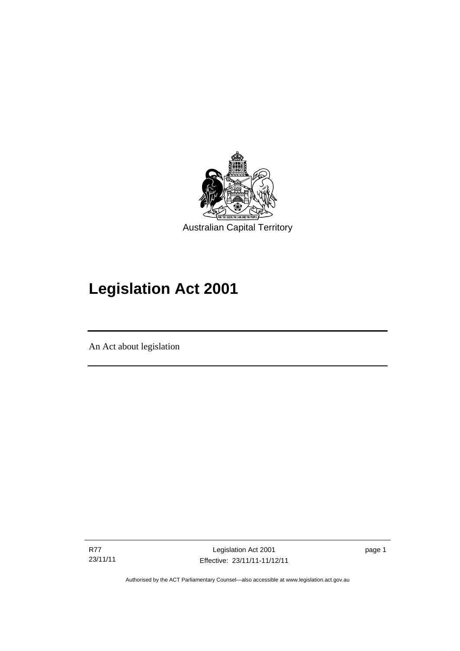

# **Legislation Act 2001**

An Act about legislation

R77 23/11/11

l

Legislation Act 2001 Effective: 23/11/11-11/12/11 page 1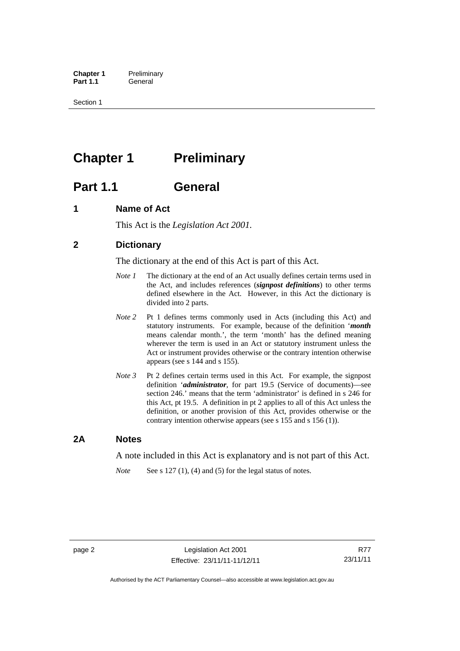**Chapter 1** Preliminary<br>**Part 1.1** General General

Section 1

## <span id="page-17-0"></span>**Chapter 1** Preliminary

## <span id="page-17-1"></span>**Part 1.1 General**

## <span id="page-17-2"></span>**1 Name of Act**

This Act is the *Legislation Act 2001.* 

## <span id="page-17-3"></span>**2 Dictionary**

The dictionary at the end of this Act is part of this Act.

- *Note 1* The dictionary at the end of an Act usually defines certain terms used in the Act, and includes references (*signpost definitions*) to other terms defined elsewhere in the Act. However, in this Act the dictionary is divided into 2 parts.
- *Note 2* Pt 1 defines terms commonly used in Acts (including this Act) and statutory instruments. For example, because of the definition '*month* means calendar month.', the term 'month' has the defined meaning wherever the term is used in an Act or statutory instrument unless the Act or instrument provides otherwise or the contrary intention otherwise appears (see s 144 and s 155).
- *Note 3* Pt 2 defines certain terms used in this Act. For example, the signpost definition '*administrator*, for part 19.5 (Service of documents)—see section 246.' means that the term 'administrator' is defined in s 246 for this Act, pt 19.5. A definition in pt 2 applies to all of this Act unless the definition, or another provision of this Act, provides otherwise or the contrary intention otherwise appears (see s 155 and s 156 (1)).

### <span id="page-17-4"></span>**2A Notes**

A note included in this Act is explanatory and is not part of this Act.

*Note* See s 127 (1), (4) and (5) for the legal status of notes.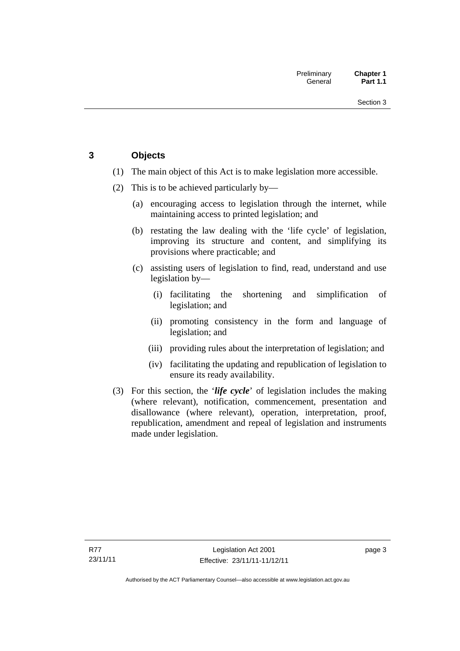## <span id="page-18-0"></span>**3 Objects**

- (1) The main object of this Act is to make legislation more accessible.
- (2) This is to be achieved particularly by—
	- (a) encouraging access to legislation through the internet, while maintaining access to printed legislation; and
	- (b) restating the law dealing with the 'life cycle' of legislation, improving its structure and content, and simplifying its provisions where practicable; and
	- (c) assisting users of legislation to find, read, understand and use legislation by—
		- (i) facilitating the shortening and simplification of legislation; and
		- (ii) promoting consistency in the form and language of legislation; and
		- (iii) providing rules about the interpretation of legislation; and
		- (iv) facilitating the updating and republication of legislation to ensure its ready availability.
- (3) For this section, the '*life cycle*' of legislation includes the making (where relevant), notification, commencement, presentation and disallowance (where relevant), operation, interpretation, proof, republication, amendment and repeal of legislation and instruments made under legislation.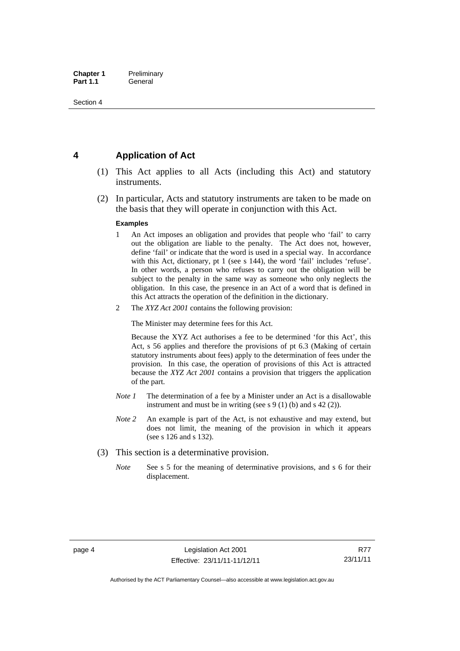## <span id="page-19-0"></span>**4 Application of Act**

- (1) This Act applies to all Acts (including this Act) and statutory instruments.
- (2) In particular, Acts and statutory instruments are taken to be made on the basis that they will operate in conjunction with this Act.

#### **Examples**

- 1 An Act imposes an obligation and provides that people who 'fail' to carry out the obligation are liable to the penalty. The Act does not, however, define 'fail' or indicate that the word is used in a special way. In accordance with this Act, dictionary, pt 1 (see s 144), the word 'fail' includes 'refuse'. In other words, a person who refuses to carry out the obligation will be subject to the penalty in the same way as someone who only neglects the obligation. In this case, the presence in an Act of a word that is defined in this Act attracts the operation of the definition in the dictionary.
- 2 The *XYZ Act 2001* contains the following provision:

The Minister may determine fees for this Act.

Because the XYZ Act authorises a fee to be determined 'for this Act', this Act, s 56 applies and therefore the provisions of pt 6.3 (Making of certain statutory instruments about fees) apply to the determination of fees under the provision. In this case, the operation of provisions of this Act is attracted because the *XYZ Act 2001* contains a provision that triggers the application of the part.

- *Note 1* The determination of a fee by a Minister under an Act is a disallowable instrument and must be in writing (see s 9 (1) (b) and s 42 (2)).
- *Note 2* An example is part of the Act, is not exhaustive and may extend, but does not limit, the meaning of the provision in which it appears (see s 126 and s 132).
- (3) This section is a determinative provision.
	- *Note* See s 5 for the meaning of determinative provisions, and s 6 for their displacement.

R77 23/11/11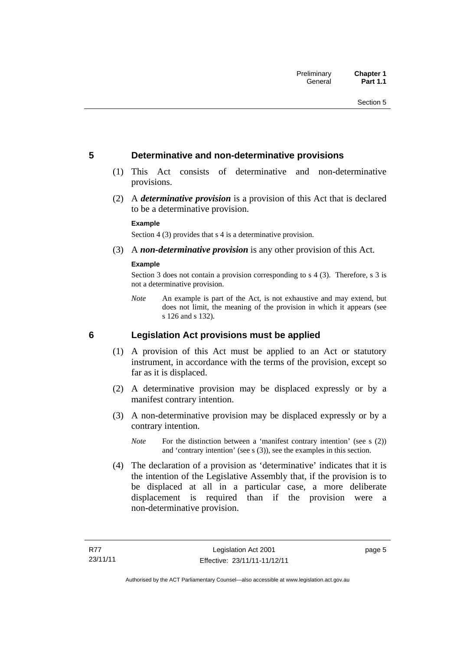### <span id="page-20-0"></span>**5 Determinative and non-determinative provisions**

- (1) This Act consists of determinative and non-determinative provisions.
- (2) A *determinative provision* is a provision of this Act that is declared to be a determinative provision.

#### **Example**

Section 4 (3) provides that s 4 is a determinative provision.

(3) A *non-determinative provision* is any other provision of this Act.

#### **Example**

Section 3 does not contain a provision corresponding to s 4 (3). Therefore, s 3 is not a determinative provision.

*Note* An example is part of the Act, is not exhaustive and may extend, but does not limit, the meaning of the provision in which it appears (see s 126 and s 132).

### <span id="page-20-1"></span>**6 Legislation Act provisions must be applied**

- (1) A provision of this Act must be applied to an Act or statutory instrument, in accordance with the terms of the provision, except so far as it is displaced.
- (2) A determinative provision may be displaced expressly or by a manifest contrary intention.
- (3) A non-determinative provision may be displaced expressly or by a contrary intention.
	- *Note* For the distinction between a 'manifest contrary intention' (see s (2)) and 'contrary intention' (see s (3)), see the examples in this section.
- (4) The declaration of a provision as 'determinative' indicates that it is the intention of the Legislative Assembly that, if the provision is to be displaced at all in a particular case, a more deliberate displacement is required than if the provision were a non-determinative provision.

page 5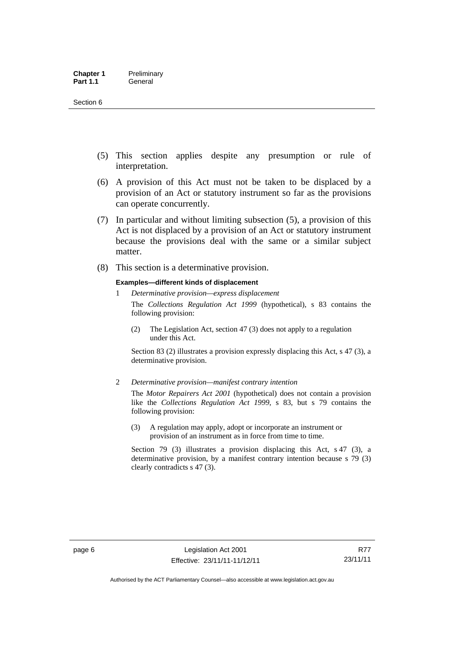- (5) This section applies despite any presumption or rule of interpretation.
- (6) A provision of this Act must not be taken to be displaced by a provision of an Act or statutory instrument so far as the provisions can operate concurrently.
- (7) In particular and without limiting subsection (5), a provision of this Act is not displaced by a provision of an Act or statutory instrument because the provisions deal with the same or a similar subject matter.
- (8) This section is a determinative provision.

#### **Examples—different kinds of displacement**

- 1 *Determinative provision—express displacement* The *Collections Regulation Act 1999* (hypothetical), s 83 contains the following provision:
	- (2) The Legislation Act, section 47 (3) does not apply to a regulation under this Act.

Section 83 (2) illustrates a provision expressly displacing this Act, s 47 (3), a determinative provision.

2 *Determinative provision—manifest contrary intention*

The *Motor Repairers Act 2001* (hypothetical) does not contain a provision like the *Collections Regulation Act 1999*, s 83, but s 79 contains the following provision:

(3) A regulation may apply, adopt or incorporate an instrument or provision of an instrument as in force from time to time.

Section 79 (3) illustrates a provision displacing this Act, s 47 (3), a determinative provision, by a manifest contrary intention because s 79 (3) clearly contradicts s 47 (3).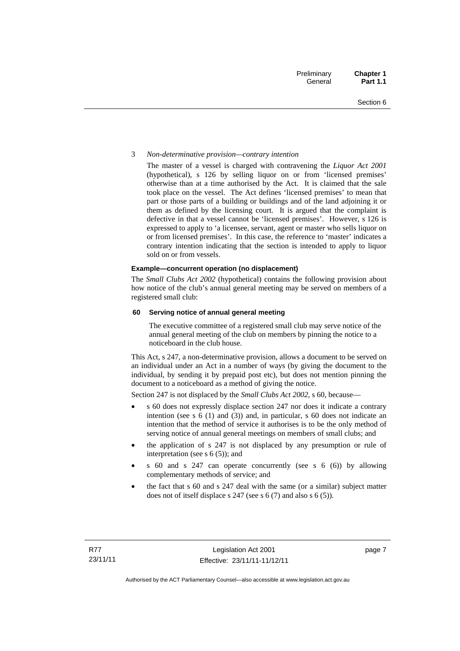#### 3 *Non-determinative provision—contrary intention*

The master of a vessel is charged with contravening the *Liquor Act 2001* (hypothetical), s 126 by selling liquor on or from 'licensed premises' otherwise than at a time authorised by the Act. It is claimed that the sale took place on the vessel. The Act defines 'licensed premises' to mean that part or those parts of a building or buildings and of the land adjoining it or them as defined by the licensing court. It is argued that the complaint is defective in that a vessel cannot be 'licensed premises'. However, s 126 is expressed to apply to 'a licensee, servant, agent or master who sells liquor on or from licensed premises'. In this case, the reference to 'master' indicates a contrary intention indicating that the section is intended to apply to liquor sold on or from vessels.

#### **Example—concurrent operation (no displacement)**

The *Small Clubs Act 2002* (hypothetical) contains the following provision about how notice of the club's annual general meeting may be served on members of a registered small club:

#### **60 Serving notice of annual general meeting**

The executive committee of a registered small club may serve notice of the annual general meeting of the club on members by pinning the notice to a noticeboard in the club house.

This Act, s 247, a non-determinative provision, allows a document to be served on an individual under an Act in a number of ways (by giving the document to the individual, by sending it by prepaid post etc), but does not mention pinning the document to a noticeboard as a method of giving the notice.

Section 247 is not displaced by the *Small Clubs Act 2002*, s 60, because—

- s 60 does not expressly displace section 247 nor does it indicate a contrary intention (see s 6 (1) and (3)) and, in particular, s 60 does not indicate an intention that the method of service it authorises is to be the only method of serving notice of annual general meetings on members of small clubs; and
- the application of s 247 is not displaced by any presumption or rule of interpretation (see s 6 (5)); and
- s 60 and s 247 can operate concurrently (see s 6 (6)) by allowing complementary methods of service; and
- the fact that s 60 and s 247 deal with the same (or a similar) subject matter does not of itself displace s 247 (see s 6 (7) and also s 6 (5)).

page 7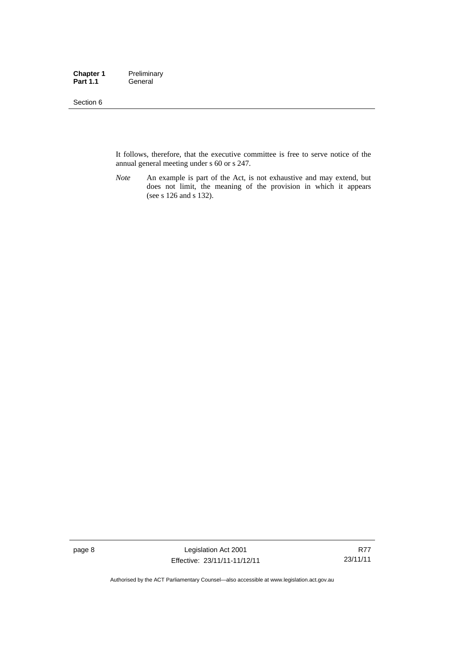#### Section 6

It follows, therefore, that the executive committee is free to serve notice of the annual general meeting under s 60 or s 247.

*Note* An example is part of the Act, is not exhaustive and may extend, but does not limit, the meaning of the provision in which it appears (see s 126 and s 132).

page 8 Legislation Act 2001 Effective: 23/11/11-11/12/11

R77 23/11/11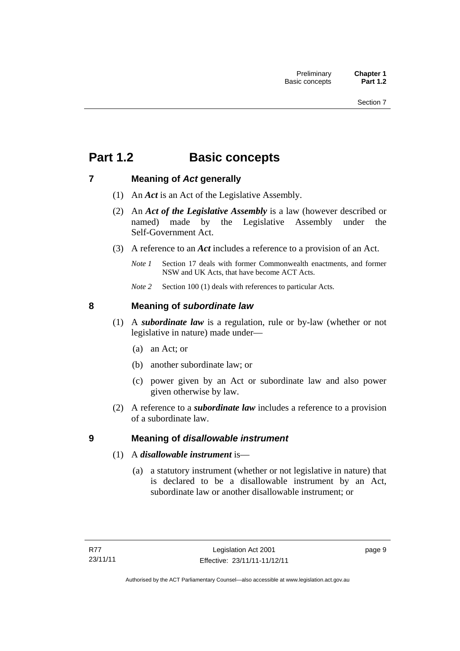## <span id="page-24-0"></span>**Part 1.2 Basic concepts**

## <span id="page-24-1"></span>**7 Meaning of** *Act* **generally**

- (1) An *Act* is an Act of the Legislative Assembly.
- (2) An *Act of the Legislative Assembly* is a law (however described or named) made by the Legislative Assembly under the Self-Government Act.
- (3) A reference to an *Act* includes a reference to a provision of an Act.
	- *Note 1* Section 17 deals with former Commonwealth enactments, and former NSW and UK Acts, that have become ACT Acts.
	- *Note 2* Section 100 (1) deals with references to particular Acts.

## <span id="page-24-2"></span>**8 Meaning of** *subordinate law*

- (1) A *subordinate law* is a regulation, rule or by-law (whether or not legislative in nature) made under—
	- (a) an Act; or
	- (b) another subordinate law; or
	- (c) power given by an Act or subordinate law and also power given otherwise by law.
- (2) A reference to a *subordinate law* includes a reference to a provision of a subordinate law.

## <span id="page-24-3"></span>**9 Meaning of** *disallowable instrument*

- (1) A *disallowable instrument* is—
	- (a) a statutory instrument (whether or not legislative in nature) that is declared to be a disallowable instrument by an Act, subordinate law or another disallowable instrument; or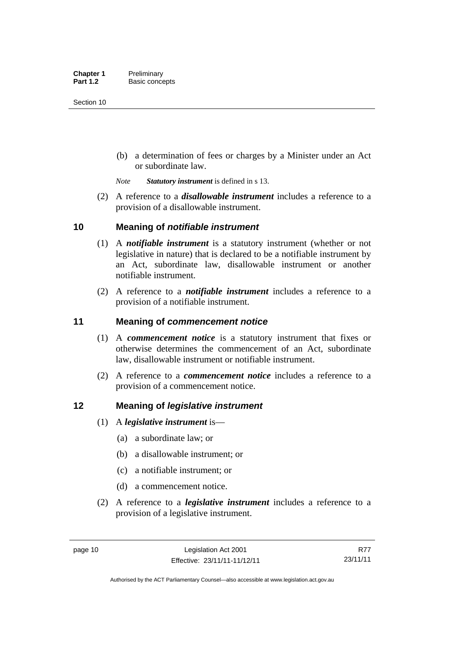(b) a determination of fees or charges by a Minister under an Act or subordinate law.

*Note Statutory instrument* is defined in s 13.

 (2) A reference to a *disallowable instrument* includes a reference to a provision of a disallowable instrument.

### <span id="page-25-0"></span>**10 Meaning of** *notifiable instrument*

- (1) A *notifiable instrument* is a statutory instrument (whether or not legislative in nature) that is declared to be a notifiable instrument by an Act, subordinate law, disallowable instrument or another notifiable instrument.
- (2) A reference to a *notifiable instrument* includes a reference to a provision of a notifiable instrument.

### <span id="page-25-1"></span>**11 Meaning of** *commencement notice*

- (1) A *commencement notice* is a statutory instrument that fixes or otherwise determines the commencement of an Act, subordinate law, disallowable instrument or notifiable instrument.
- (2) A reference to a *commencement notice* includes a reference to a provision of a commencement notice.

### <span id="page-25-2"></span>**12 Meaning of** *legislative instrument*

- (1) A *legislative instrument* is—
	- (a) a subordinate law; or
	- (b) a disallowable instrument; or
	- (c) a notifiable instrument; or
	- (d) a commencement notice.
- (2) A reference to a *legislative instrument* includes a reference to a provision of a legislative instrument.

R77 23/11/11

Authorised by the ACT Parliamentary Counsel—also accessible at www.legislation.act.gov.au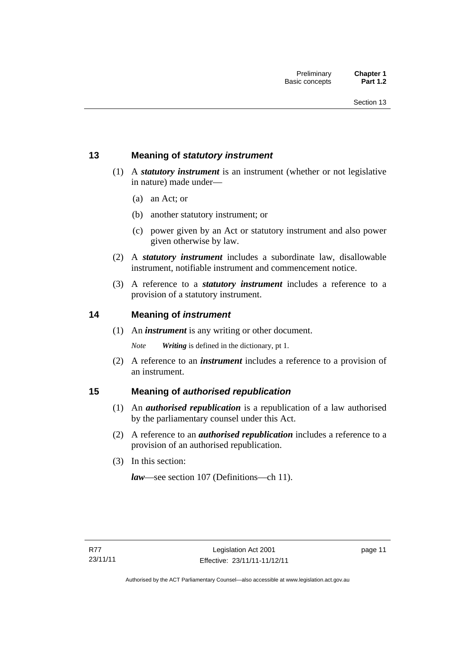## <span id="page-26-0"></span>**13 Meaning of** *statutory instrument*

- (1) A *statutory instrument* is an instrument (whether or not legislative in nature) made under—
	- (a) an Act; or
	- (b) another statutory instrument; or
	- (c) power given by an Act or statutory instrument and also power given otherwise by law.
- (2) A *statutory instrument* includes a subordinate law, disallowable instrument, notifiable instrument and commencement notice.
- (3) A reference to a *statutory instrument* includes a reference to a provision of a statutory instrument.

### <span id="page-26-1"></span>**14 Meaning of** *instrument*

(1) An *instrument* is any writing or other document.

*Note Writing* is defined in the dictionary, pt 1.

 (2) A reference to an *instrument* includes a reference to a provision of an instrument.

### <span id="page-26-2"></span>**15 Meaning of** *authorised republication*

- (1) An *authorised republication* is a republication of a law authorised by the parliamentary counsel under this Act.
- (2) A reference to an *authorised republication* includes a reference to a provision of an authorised republication.
- (3) In this section:

*law*—see section 107 (Definitions—ch 11).

page 11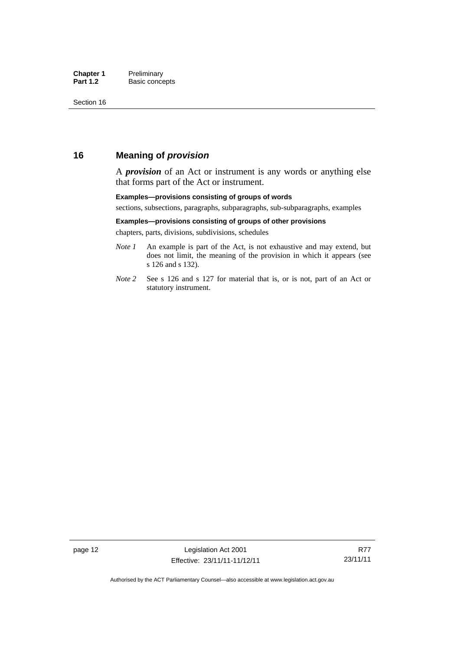### <span id="page-27-0"></span>**16 Meaning of** *provision*

A *provision* of an Act or instrument is any words or anything else that forms part of the Act or instrument.

#### **Examples—provisions consisting of groups of words**

sections, subsections, paragraphs, subparagraphs, sub-subparagraphs, examples

#### **Examples—provisions consisting of groups of other provisions**

chapters, parts, divisions, subdivisions, schedules

- *Note 1* An example is part of the Act, is not exhaustive and may extend, but does not limit, the meaning of the provision in which it appears (see s 126 and s 132).
- *Note 2* See s 126 and s 127 for material that is, or is not, part of an Act or statutory instrument.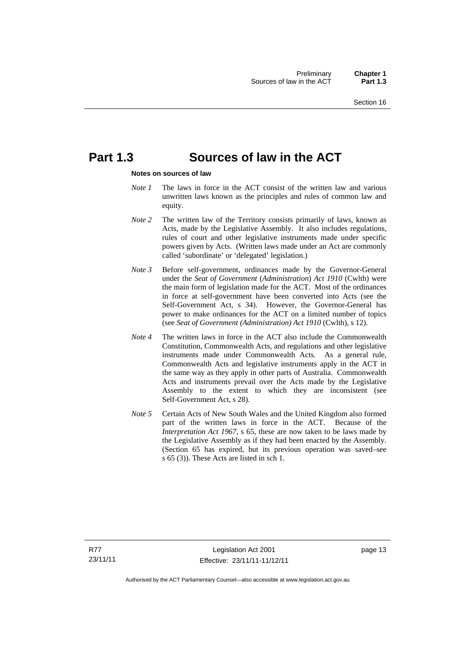## <span id="page-28-0"></span>**Part 1.3 Sources of law in the ACT**

#### **Notes on sources of law**

- *Note 1* The laws in force in the ACT consist of the written law and various unwritten laws known as the principles and rules of common law and equity.
- *Note* 2 The written law of the Territory consists primarily of laws, known as Acts, made by the Legislative Assembly. It also includes regulations, rules of court and other legislative instruments made under specific powers given by Acts. (Written laws made under an Act are commonly called 'subordinate' or 'delegated' legislation.)
- *Note 3* Before self-government, ordinances made by the Governor-General under the *Seat of Government* (*Administration*) *Act 1910* (Cwlth) were the main form of legislation made for the ACT. Most of the ordinances in force at self-government have been converted into Acts (see the Self-Government Act, s 34). However, the Governor-General has power to make ordinances for the ACT on a limited number of topics (see *Seat of Government (Administration) Act 1910* (Cwlth), s 12).
- *Note 4* The written laws in force in the ACT also include the Commonwealth Constitution, Commonwealth Acts, and regulations and other legislative instruments made under Commonwealth Acts. As a general rule, Commonwealth Acts and legislative instruments apply in the ACT in the same way as they apply in other parts of Australia. Commonwealth Acts and instruments prevail over the Acts made by the Legislative Assembly to the extent to which they are inconsistent (see Self-Government Act, s 28).
- *Note 5* Certain Acts of New South Wales and the United Kingdom also formed part of the written laws in force in the ACT. Because of the *Interpretation Act 1967*, s 65, these are now taken to be laws made by the Legislative Assembly as if they had been enacted by the Assembly. (Section 65 has expired, but its previous operation was saved–see s 65 (3)). These Acts are listed in sch 1.

page 13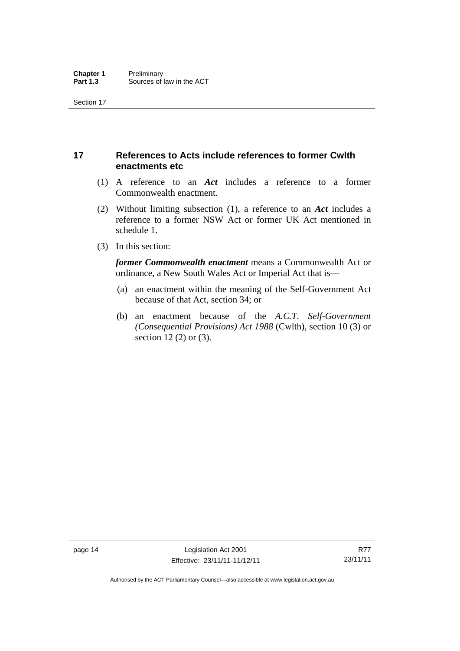## <span id="page-29-0"></span>**17 References to Acts include references to former Cwlth enactments etc**

- (1) A reference to an *Act* includes a reference to a former Commonwealth enactment.
- (2) Without limiting subsection (1), a reference to an *Act* includes a reference to a former NSW Act or former UK Act mentioned in schedule 1.
- (3) In this section:

*former Commonwealth enactment* means a Commonwealth Act or ordinance, a New South Wales Act or Imperial Act that is—

- (a) an enactment within the meaning of the Self-Government Act because of that Act, section 34; or
- (b) an enactment because of the *A.C.T*. *Self-Government (Consequential Provisions) Act 1988* (Cwlth), section 10 (3) or section 12 (2) or (3).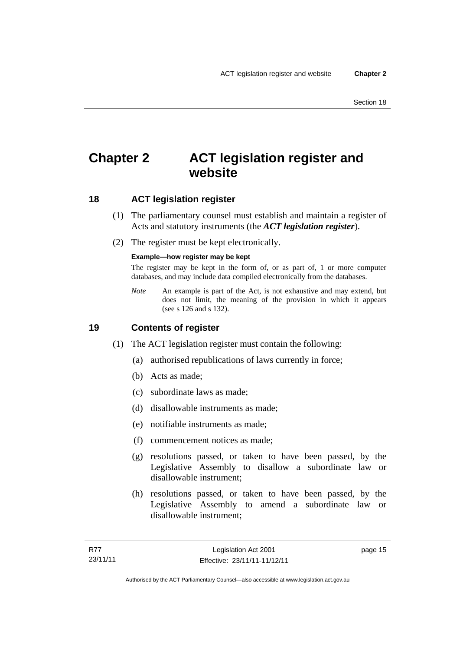## <span id="page-30-0"></span>**Chapter 2 ACT legislation register and website**

## <span id="page-30-1"></span>**18 ACT legislation register**

- (1) The parliamentary counsel must establish and maintain a register of Acts and statutory instruments (the *ACT legislation register*).
- (2) The register must be kept electronically.

#### **Example—how register may be kept**

The register may be kept in the form of, or as part of, 1 or more computer databases, and may include data compiled electronically from the databases.

*Note* An example is part of the Act, is not exhaustive and may extend, but does not limit, the meaning of the provision in which it appears (see s 126 and s 132).

### <span id="page-30-2"></span>**19 Contents of register**

- (1) The ACT legislation register must contain the following:
	- (a) authorised republications of laws currently in force;
	- (b) Acts as made;
	- (c) subordinate laws as made;
	- (d) disallowable instruments as made;
	- (e) notifiable instruments as made;
	- (f) commencement notices as made;
	- (g) resolutions passed, or taken to have been passed, by the Legislative Assembly to disallow a subordinate law or disallowable instrument;
	- (h) resolutions passed, or taken to have been passed, by the Legislative Assembly to amend a subordinate law or disallowable instrument;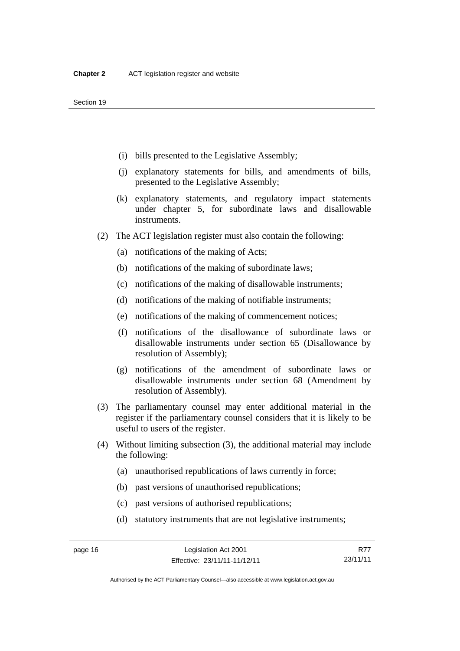- (i) bills presented to the Legislative Assembly;
- (j) explanatory statements for bills, and amendments of bills, presented to the Legislative Assembly;
- (k) explanatory statements, and regulatory impact statements under chapter 5, for subordinate laws and disallowable instruments.
- (2) The ACT legislation register must also contain the following:
	- (a) notifications of the making of Acts;
	- (b) notifications of the making of subordinate laws;
	- (c) notifications of the making of disallowable instruments;
	- (d) notifications of the making of notifiable instruments;
	- (e) notifications of the making of commencement notices;
	- (f) notifications of the disallowance of subordinate laws or disallowable instruments under section 65 (Disallowance by resolution of Assembly);
	- (g) notifications of the amendment of subordinate laws or disallowable instruments under section 68 (Amendment by resolution of Assembly).
- (3) The parliamentary counsel may enter additional material in the register if the parliamentary counsel considers that it is likely to be useful to users of the register.
- (4) Without limiting subsection (3), the additional material may include the following:
	- (a) unauthorised republications of laws currently in force;
	- (b) past versions of unauthorised republications;
	- (c) past versions of authorised republications;
	- (d) statutory instruments that are not legislative instruments;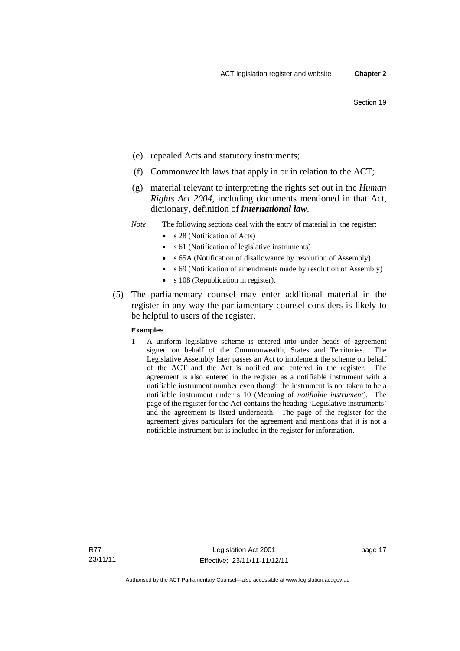- (e) repealed Acts and statutory instruments;
- (f) Commonwealth laws that apply in or in relation to the ACT;
- (g) material relevant to interpreting the rights set out in the *Human Rights Act 2004*, including documents mentioned in that Act, dictionary, definition of *international law*.
- *Note* The following sections deal with the entry of material in the register:
	- s 28 (Notification of Acts)
	- s 61 (Notification of legislative instruments)
	- s 65A (Notification of disallowance by resolution of Assembly)
	- s 69 (Notification of amendments made by resolution of Assembly)
		- s 108 (Republication in register).
- (5) The parliamentary counsel may enter additional material in the register in any way the parliamentary counsel considers is likely to be helpful to users of the register.

#### **Examples**

1 A uniform legislative scheme is entered into under heads of agreement signed on behalf of the Commonwealth, States and Territories. The Legislative Assembly later passes an Act to implement the scheme on behalf of the ACT and the Act is notified and entered in the register. The agreement is also entered in the register as a notifiable instrument with a notifiable instrument number even though the instrument is not taken to be a notifiable instrument under s 10 (Meaning of *notifiable instrument*). The page of the register for the Act contains the heading 'Legislative instruments' and the agreement is listed underneath. The page of the register for the agreement gives particulars for the agreement and mentions that it is not a notifiable instrument but is included in the register for information.

R77 23/11/11 page 17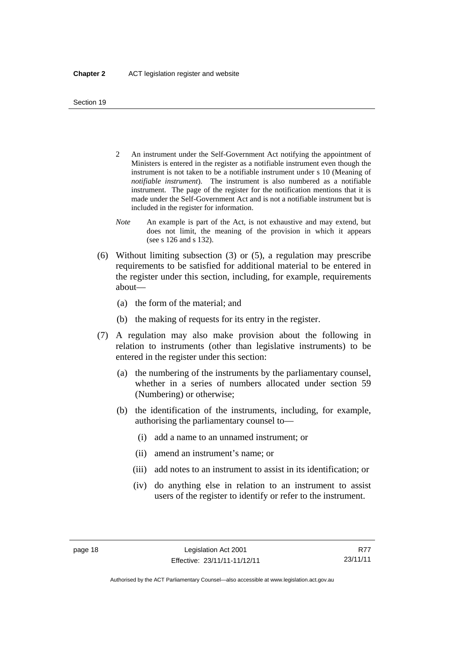- 2 An instrument under the Self-Government Act notifying the appointment of Ministers is entered in the register as a notifiable instrument even though the instrument is not taken to be a notifiable instrument under s 10 (Meaning of *notifiable instrument*). The instrument is also numbered as a notifiable instrument. The page of the register for the notification mentions that it is made under the Self-Government Act and is not a notifiable instrument but is included in the register for information.
- *Note* An example is part of the Act, is not exhaustive and may extend, but does not limit, the meaning of the provision in which it appears (see s 126 and s 132).
- (6) Without limiting subsection (3) or (5), a regulation may prescribe requirements to be satisfied for additional material to be entered in the register under this section, including, for example, requirements about—
	- (a) the form of the material; and
	- (b) the making of requests for its entry in the register.
- (7) A regulation may also make provision about the following in relation to instruments (other than legislative instruments) to be entered in the register under this section:
	- (a) the numbering of the instruments by the parliamentary counsel, whether in a series of numbers allocated under section 59 (Numbering) or otherwise;
	- (b) the identification of the instruments, including, for example, authorising the parliamentary counsel to—
		- (i) add a name to an unnamed instrument; or
		- (ii) amend an instrument's name; or
		- (iii) add notes to an instrument to assist in its identification; or
		- (iv) do anything else in relation to an instrument to assist users of the register to identify or refer to the instrument.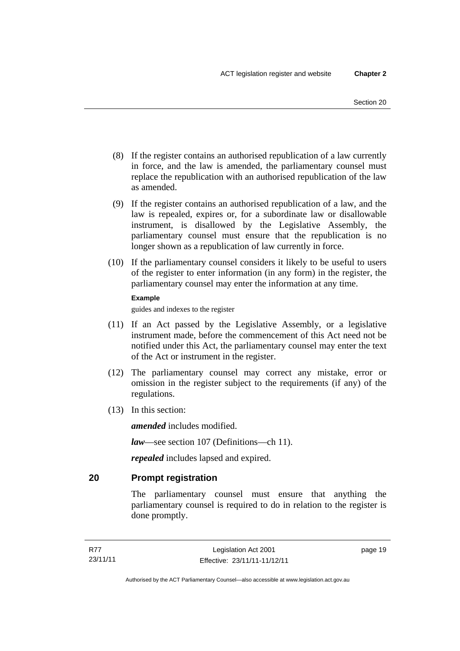- (8) If the register contains an authorised republication of a law currently in force, and the law is amended, the parliamentary counsel must replace the republication with an authorised republication of the law as amended.
- (9) If the register contains an authorised republication of a law, and the law is repealed, expires or, for a subordinate law or disallowable instrument, is disallowed by the Legislative Assembly, the parliamentary counsel must ensure that the republication is no longer shown as a republication of law currently in force.
- (10) If the parliamentary counsel considers it likely to be useful to users of the register to enter information (in any form) in the register, the parliamentary counsel may enter the information at any time.

#### **Example**

guides and indexes to the register

- (11) If an Act passed by the Legislative Assembly, or a legislative instrument made, before the commencement of this Act need not be notified under this Act, the parliamentary counsel may enter the text of the Act or instrument in the register.
- (12) The parliamentary counsel may correct any mistake, error or omission in the register subject to the requirements (if any) of the regulations.
- (13) In this section:

*amended* includes modified.

*law*—see section 107 (Definitions—ch 11).

*repealed* includes lapsed and expired.

## <span id="page-34-0"></span>**20 Prompt registration**

The parliamentary counsel must ensure that anything the parliamentary counsel is required to do in relation to the register is done promptly.

page 19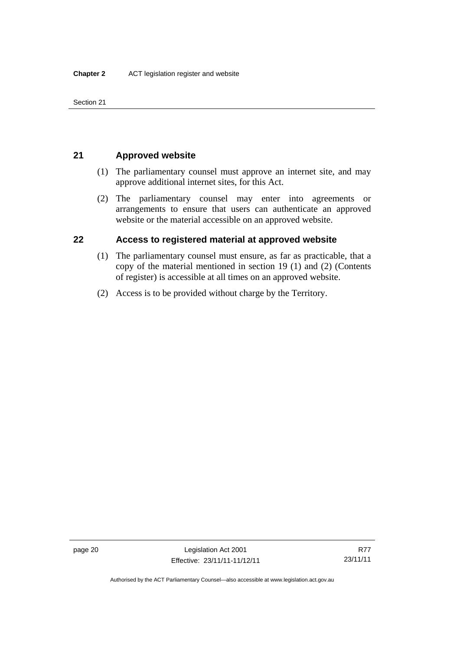Section 21

## <span id="page-35-0"></span>**21 Approved website**

- (1) The parliamentary counsel must approve an internet site, and may approve additional internet sites, for this Act.
- (2) The parliamentary counsel may enter into agreements or arrangements to ensure that users can authenticate an approved website or the material accessible on an approved website.

## <span id="page-35-1"></span>**22 Access to registered material at approved website**

- (1) The parliamentary counsel must ensure, as far as practicable, that a copy of the material mentioned in section 19 (1) and (2) (Contents of register) is accessible at all times on an approved website.
- (2) Access is to be provided without charge by the Territory.

Authorised by the ACT Parliamentary Counsel—also accessible at www.legislation.act.gov.au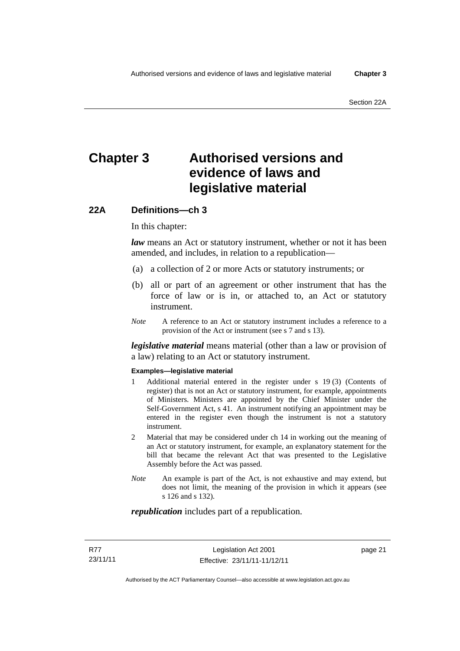# **Chapter 3 Authorised versions and evidence of laws and legislative material**

# **22A Definitions—ch 3**

In this chapter:

*law* means an Act or statutory instrument, whether or not it has been amended, and includes, in relation to a republication—

- (a) a collection of 2 or more Acts or statutory instruments; or
- (b) all or part of an agreement or other instrument that has the force of law or is in, or attached to, an Act or statutory instrument.
- *Note* A reference to an Act or statutory instrument includes a reference to a provision of the Act or instrument (see s 7 and s 13).

*legislative material* means material (other than a law or provision of a law) relating to an Act or statutory instrument.

#### **Examples—legislative material**

- 1 Additional material entered in the register under s 19 (3) (Contents of register) that is not an Act or statutory instrument, for example, appointments of Ministers. Ministers are appointed by the Chief Minister under the Self-Government Act, s 41. An instrument notifying an appointment may be entered in the register even though the instrument is not a statutory instrument.
- 2 Material that may be considered under ch 14 in working out the meaning of an Act or statutory instrument, for example, an explanatory statement for the bill that became the relevant Act that was presented to the Legislative Assembly before the Act was passed.
- *Note* An example is part of the Act, is not exhaustive and may extend, but does not limit, the meaning of the provision in which it appears (see s 126 and s 132).

#### *republication* includes part of a republication.

page 21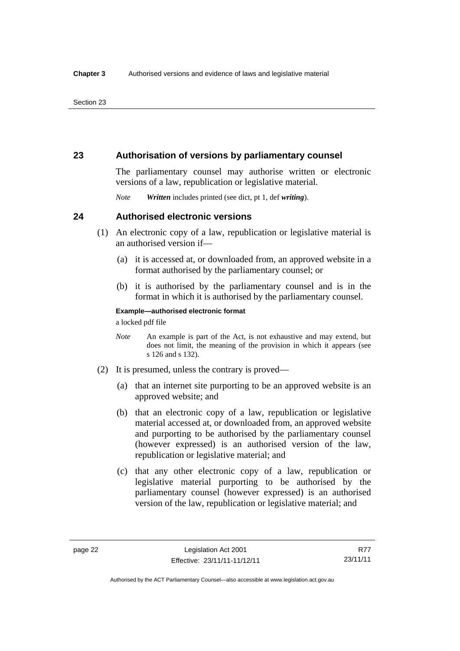# **23 Authorisation of versions by parliamentary counsel**

The parliamentary counsel may authorise written or electronic versions of a law, republication or legislative material.

*Note Written* includes printed (see dict, pt 1, def *writing*).

## **24 Authorised electronic versions**

- (1) An electronic copy of a law, republication or legislative material is an authorised version if—
	- (a) it is accessed at, or downloaded from, an approved website in a format authorised by the parliamentary counsel; or
	- (b) it is authorised by the parliamentary counsel and is in the format in which it is authorised by the parliamentary counsel.

**Example—authorised electronic format**  a locked pdf file

*Note* An example is part of the Act, is not exhaustive and may extend, but does not limit, the meaning of the provision in which it appears (see s 126 and s 132).

- (2) It is presumed, unless the contrary is proved—
	- (a) that an internet site purporting to be an approved website is an approved website; and
	- (b) that an electronic copy of a law, republication or legislative material accessed at, or downloaded from, an approved website and purporting to be authorised by the parliamentary counsel (however expressed) is an authorised version of the law, republication or legislative material; and
	- (c) that any other electronic copy of a law, republication or legislative material purporting to be authorised by the parliamentary counsel (however expressed) is an authorised version of the law, republication or legislative material; and

R77 23/11/11

Authorised by the ACT Parliamentary Counsel—also accessible at www.legislation.act.gov.au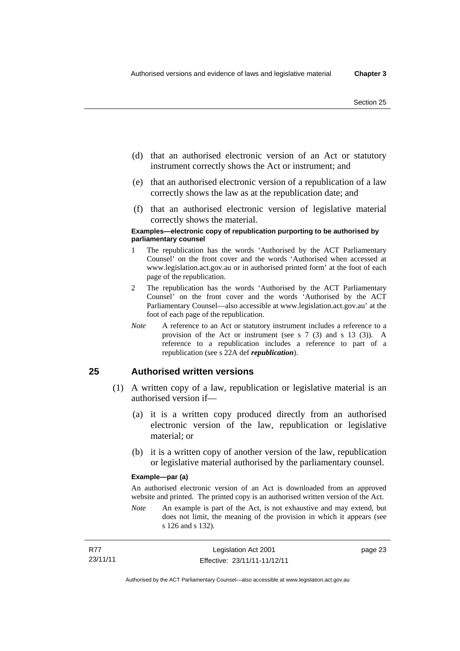page 23

- (d) that an authorised electronic version of an Act or statutory instrument correctly shows the Act or instrument; and
- (e) that an authorised electronic version of a republication of a law correctly shows the law as at the republication date; and
- (f) that an authorised electronic version of legislative material correctly shows the material.

#### **Examples—electronic copy of republication purporting to be authorised by parliamentary counsel**

- 1 The republication has the words 'Authorised by the ACT Parliamentary Counsel' on the front cover and the words 'Authorised when accessed at www.legislation.act.gov.au or in authorised printed form' at the foot of each page of the republication.
- 2 The republication has the words 'Authorised by the ACT Parliamentary Counsel' on the front cover and the words 'Authorised by the ACT Parliamentary Counsel—also accessible at www.legislation.act.gov.au' at the foot of each page of the republication.
- *Note* A reference to an Act or statutory instrument includes a reference to a provision of the Act or instrument (see s 7 (3) and s 13 (3)). A reference to a republication includes a reference to part of a republication (see s 22A def *republication*).

## **25 Authorised written versions**

- (1) A written copy of a law, republication or legislative material is an authorised version if—
	- (a) it is a written copy produced directly from an authorised electronic version of the law, republication or legislative material; or
	- (b) it is a written copy of another version of the law, republication or legislative material authorised by the parliamentary counsel.

#### **Example—par (a)**

An authorised electronic version of an Act is downloaded from an approved website and printed. The printed copy is an authorised written version of the Act.

*Note* An example is part of the Act, is not exhaustive and may extend, but does not limit, the meaning of the provision in which it appears (see s 126 and s 132).

| <b>R77</b> | Legislation Act 2001         |
|------------|------------------------------|
| 23/11/11   | Effective: 23/11/11-11/12/11 |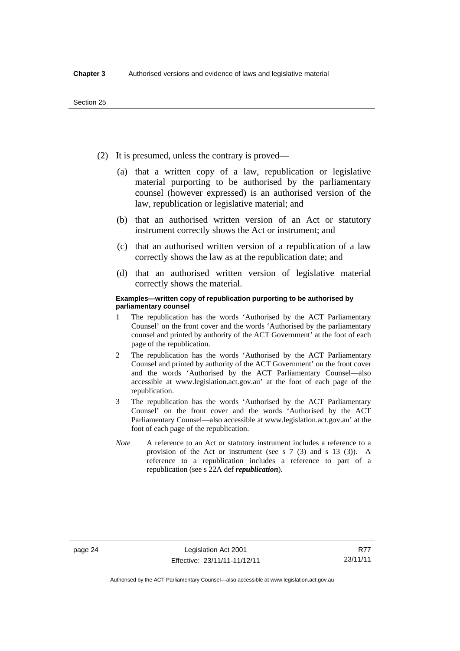- (2) It is presumed, unless the contrary is proved—
	- (a) that a written copy of a law, republication or legislative material purporting to be authorised by the parliamentary counsel (however expressed) is an authorised version of the law, republication or legislative material; and
	- (b) that an authorised written version of an Act or statutory instrument correctly shows the Act or instrument; and
	- (c) that an authorised written version of a republication of a law correctly shows the law as at the republication date; and
	- (d) that an authorised written version of legislative material correctly shows the material.

#### **Examples—written copy of republication purporting to be authorised by parliamentary counsel**

- 1 The republication has the words 'Authorised by the ACT Parliamentary Counsel' on the front cover and the words 'Authorised by the parliamentary counsel and printed by authority of the ACT Government' at the foot of each page of the republication.
- 2 The republication has the words 'Authorised by the ACT Parliamentary Counsel and printed by authority of the ACT Government' on the front cover and the words 'Authorised by the ACT Parliamentary Counsel—also accessible at www.legislation.act.gov.au' at the foot of each page of the republication.
- 3 The republication has the words 'Authorised by the ACT Parliamentary Counsel' on the front cover and the words 'Authorised by the ACT Parliamentary Counsel—also accessible at www.legislation.act.gov.au' at the foot of each page of the republication.
- *Note* A reference to an Act or statutory instrument includes a reference to a provision of the Act or instrument (see s 7 (3) and s 13 (3)). A reference to a republication includes a reference to part of a republication (see s 22A def *republication*).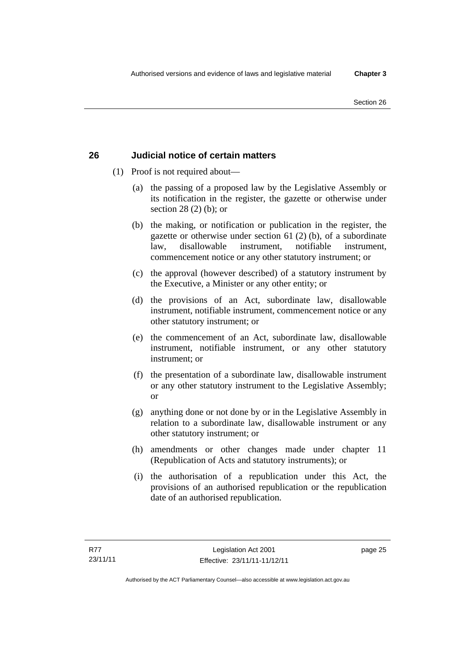# **26 Judicial notice of certain matters**

- (1) Proof is not required about—
	- (a) the passing of a proposed law by the Legislative Assembly or its notification in the register, the gazette or otherwise under section 28 (2) (b); or
	- (b) the making, or notification or publication in the register, the gazette or otherwise under section 61 (2) (b), of a subordinate law, disallowable instrument, notifiable instrument, commencement notice or any other statutory instrument; or
	- (c) the approval (however described) of a statutory instrument by the Executive, a Minister or any other entity; or
	- (d) the provisions of an Act, subordinate law, disallowable instrument, notifiable instrument, commencement notice or any other statutory instrument; or
	- (e) the commencement of an Act, subordinate law, disallowable instrument, notifiable instrument, or any other statutory instrument; or
	- (f) the presentation of a subordinate law, disallowable instrument or any other statutory instrument to the Legislative Assembly; or
	- (g) anything done or not done by or in the Legislative Assembly in relation to a subordinate law, disallowable instrument or any other statutory instrument; or
	- (h) amendments or other changes made under chapter 11 (Republication of Acts and statutory instruments); or
	- (i) the authorisation of a republication under this Act, the provisions of an authorised republication or the republication date of an authorised republication.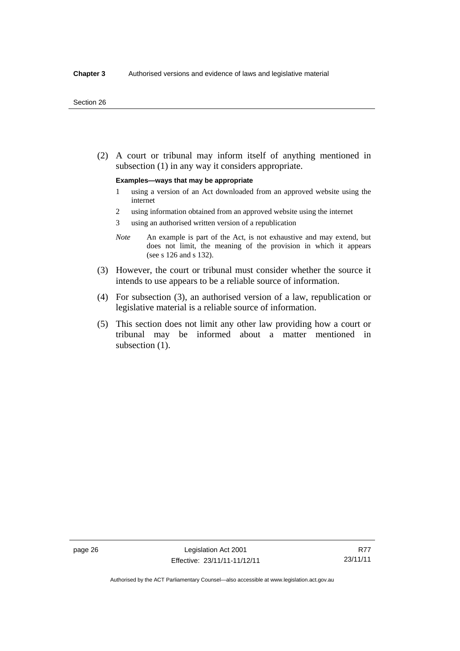(2) A court or tribunal may inform itself of anything mentioned in subsection (1) in any way it considers appropriate.

#### **Examples—ways that may be appropriate**

- 1 using a version of an Act downloaded from an approved website using the internet
- 2 using information obtained from an approved website using the internet
- 3 using an authorised written version of a republication
- *Note* An example is part of the Act, is not exhaustive and may extend, but does not limit, the meaning of the provision in which it appears (see s 126 and s 132).
- (3) However, the court or tribunal must consider whether the source it intends to use appears to be a reliable source of information.
- (4) For subsection (3), an authorised version of a law, republication or legislative material is a reliable source of information.
- (5) This section does not limit any other law providing how a court or tribunal may be informed about a matter mentioned in subsection  $(1)$ .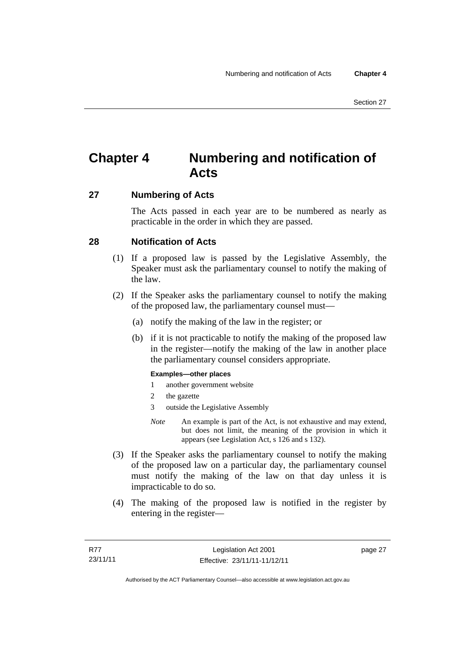# **Chapter 4 Numbering and notification of Acts**

# **27 Numbering of Acts**

The Acts passed in each year are to be numbered as nearly as practicable in the order in which they are passed.

# **28 Notification of Acts**

- (1) If a proposed law is passed by the Legislative Assembly, the Speaker must ask the parliamentary counsel to notify the making of the law.
- (2) If the Speaker asks the parliamentary counsel to notify the making of the proposed law, the parliamentary counsel must—
	- (a) notify the making of the law in the register; or
	- (b) if it is not practicable to notify the making of the proposed law in the register—notify the making of the law in another place the parliamentary counsel considers appropriate.

#### **Examples—other places**

- 1 another government website
- 2 the gazette
- 3 outside the Legislative Assembly
- *Note* An example is part of the Act, is not exhaustive and may extend, but does not limit, the meaning of the provision in which it appears (see Legislation Act, s 126 and s 132).
- (3) If the Speaker asks the parliamentary counsel to notify the making of the proposed law on a particular day, the parliamentary counsel must notify the making of the law on that day unless it is impracticable to do so.
- (4) The making of the proposed law is notified in the register by entering in the register—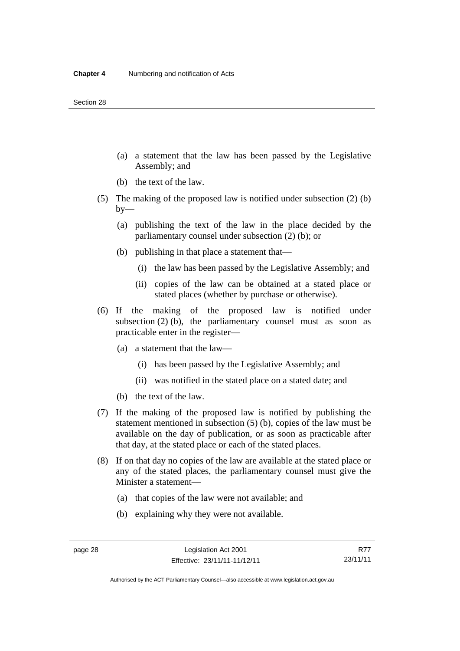- (a) a statement that the law has been passed by the Legislative Assembly; and
- (b) the text of the law.
- (5) The making of the proposed law is notified under subsection (2) (b)  $by-$ 
	- (a) publishing the text of the law in the place decided by the parliamentary counsel under subsection (2) (b); or
	- (b) publishing in that place a statement that—
		- (i) the law has been passed by the Legislative Assembly; and
		- (ii) copies of the law can be obtained at a stated place or stated places (whether by purchase or otherwise).
- (6) If the making of the proposed law is notified under subsection  $(2)$  (b), the parliamentary counsel must as soon as practicable enter in the register—
	- (a) a statement that the law—
		- (i) has been passed by the Legislative Assembly; and
		- (ii) was notified in the stated place on a stated date; and
	- (b) the text of the law.
- (7) If the making of the proposed law is notified by publishing the statement mentioned in subsection (5) (b), copies of the law must be available on the day of publication, or as soon as practicable after that day, at the stated place or each of the stated places.
- (8) If on that day no copies of the law are available at the stated place or any of the stated places, the parliamentary counsel must give the Minister a statement—
	- (a) that copies of the law were not available; and
	- (b) explaining why they were not available.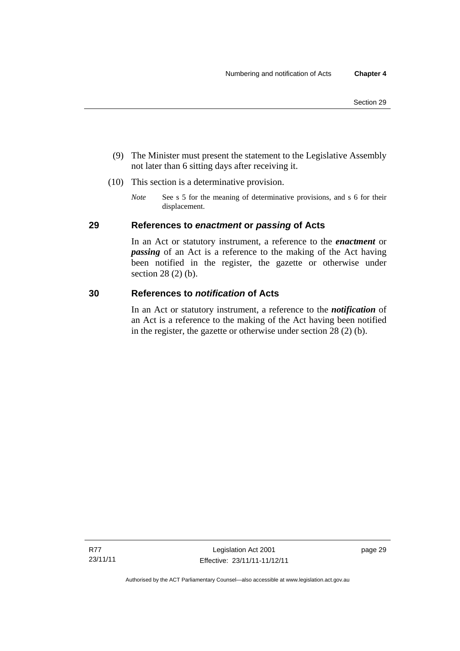- (9) The Minister must present the statement to the Legislative Assembly not later than 6 sitting days after receiving it.
- (10) This section is a determinative provision.
	- *Note* See s 5 for the meaning of determinative provisions, and s 6 for their displacement.

# **29 References to** *enactment* **or** *passing* **of Acts**

In an Act or statutory instrument, a reference to the *enactment* or *passing* of an Act is a reference to the making of the Act having been notified in the register, the gazette or otherwise under section 28 (2) (b).

### **30 References to** *notification* **of Acts**

In an Act or statutory instrument, a reference to the *notification* of an Act is a reference to the making of the Act having been notified in the register, the gazette or otherwise under section 28 (2) (b).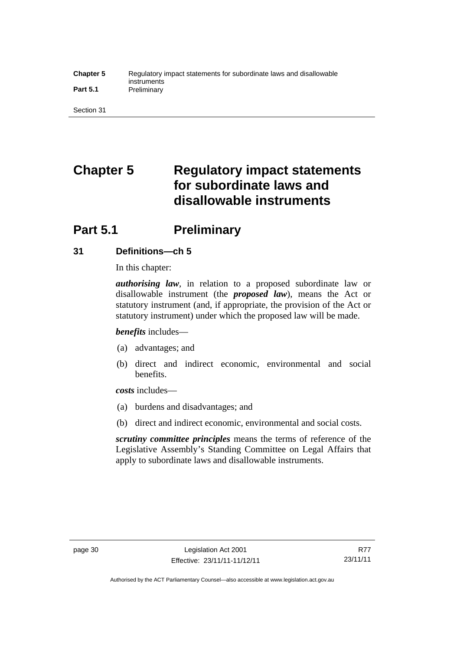#### **Chapter 5** Regulatory impact statements for subordinate laws and disallowable instruments Part 5.1 **Preliminary**

Section 31

# **Chapter 5 Regulatory impact statements for subordinate laws and disallowable instruments**

# **Part 5.1** Preliminary

# **31 Definitions—ch 5**

In this chapter:

*authorising law*, in relation to a proposed subordinate law or disallowable instrument (the *proposed law*), means the Act or statutory instrument (and, if appropriate, the provision of the Act or statutory instrument) under which the proposed law will be made.

*benefits* includes—

- (a) advantages; and
- (b) direct and indirect economic, environmental and social benefits.

*costs* includes—

- (a) burdens and disadvantages; and
- (b) direct and indirect economic, environmental and social costs.

*scrutiny committee principles* means the terms of reference of the Legislative Assembly's Standing Committee on Legal Affairs that apply to subordinate laws and disallowable instruments.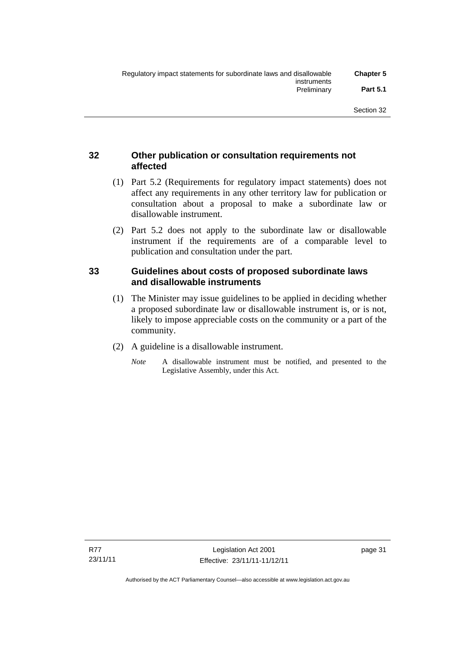# **32 Other publication or consultation requirements not affected**

- (1) Part 5.2 (Requirements for regulatory impact statements) does not affect any requirements in any other territory law for publication or consultation about a proposal to make a subordinate law or disallowable instrument.
- (2) Part 5.2 does not apply to the subordinate law or disallowable instrument if the requirements are of a comparable level to publication and consultation under the part.

# **33 Guidelines about costs of proposed subordinate laws and disallowable instruments**

- (1) The Minister may issue guidelines to be applied in deciding whether a proposed subordinate law or disallowable instrument is, or is not, likely to impose appreciable costs on the community or a part of the community.
- (2) A guideline is a disallowable instrument.
	- *Note* A disallowable instrument must be notified, and presented to the Legislative Assembly, under this Act.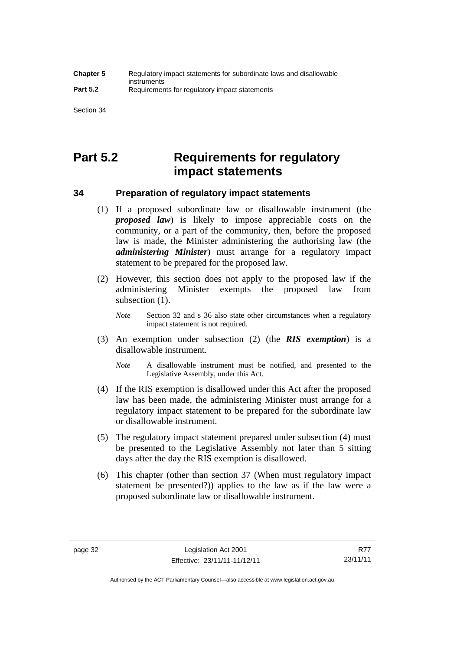# **Part 5.2 Requirements for regulatory impact statements**

## **34 Preparation of regulatory impact statements**

- (1) If a proposed subordinate law or disallowable instrument (the *proposed law*) is likely to impose appreciable costs on the community, or a part of the community, then, before the proposed law is made, the Minister administering the authorising law (the *administering Minister*) must arrange for a regulatory impact statement to be prepared for the proposed law.
- (2) However, this section does not apply to the proposed law if the administering Minister exempts the proposed law from subsection  $(1)$ .

*Note* Section 32 and s 36 also state other circumstances when a regulatory impact statement is not required.

- (3) An exemption under subsection (2) (the *RIS exemption*) is a disallowable instrument.
	- *Note* A disallowable instrument must be notified, and presented to the Legislative Assembly, under this Act.
- (4) If the RIS exemption is disallowed under this Act after the proposed law has been made, the administering Minister must arrange for a regulatory impact statement to be prepared for the subordinate law or disallowable instrument.
- (5) The regulatory impact statement prepared under subsection (4) must be presented to the Legislative Assembly not later than 5 sitting days after the day the RIS exemption is disallowed.
- (6) This chapter (other than section 37 (When must regulatory impact statement be presented?)) applies to the law as if the law were a proposed subordinate law or disallowable instrument.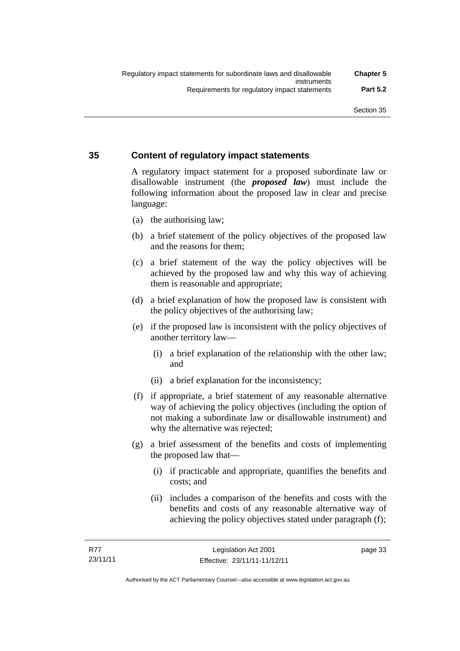# **35 Content of regulatory impact statements**

A regulatory impact statement for a proposed subordinate law or disallowable instrument (the *proposed law*) must include the following information about the proposed law in clear and precise language:

- (a) the authorising law;
- (b) a brief statement of the policy objectives of the proposed law and the reasons for them;
- (c) a brief statement of the way the policy objectives will be achieved by the proposed law and why this way of achieving them is reasonable and appropriate;
- (d) a brief explanation of how the proposed law is consistent with the policy objectives of the authorising law;
- (e) if the proposed law is inconsistent with the policy objectives of another territory law—
	- (i) a brief explanation of the relationship with the other law; and
	- (ii) a brief explanation for the inconsistency;
- (f) if appropriate, a brief statement of any reasonable alternative way of achieving the policy objectives (including the option of not making a subordinate law or disallowable instrument) and why the alternative was rejected;
- (g) a brief assessment of the benefits and costs of implementing the proposed law that—
	- (i) if practicable and appropriate, quantifies the benefits and costs; and
	- (ii) includes a comparison of the benefits and costs with the benefits and costs of any reasonable alternative way of achieving the policy objectives stated under paragraph (f);

page 33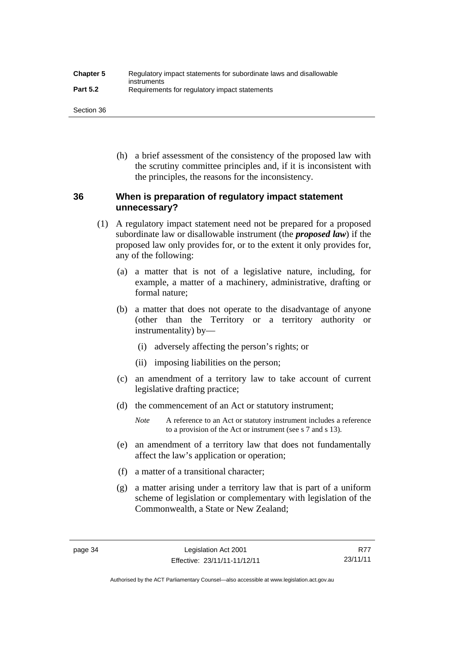| <b>Chapter 5</b> | Regulatory impact statements for subordinate laws and disallowable |
|------------------|--------------------------------------------------------------------|
| <b>Part 5.2</b>  | instruments<br>Requirements for regulatory impact statements       |

Section 36

 (h) a brief assessment of the consistency of the proposed law with the scrutiny committee principles and, if it is inconsistent with the principles, the reasons for the inconsistency.

# **36 When is preparation of regulatory impact statement unnecessary?**

- (1) A regulatory impact statement need not be prepared for a proposed subordinate law or disallowable instrument (the *proposed law*) if the proposed law only provides for, or to the extent it only provides for, any of the following:
	- (a) a matter that is not of a legislative nature, including, for example, a matter of a machinery, administrative, drafting or formal nature;
	- (b) a matter that does not operate to the disadvantage of anyone (other than the Territory or a territory authority or instrumentality) by—
		- (i) adversely affecting the person's rights; or
		- (ii) imposing liabilities on the person;
	- (c) an amendment of a territory law to take account of current legislative drafting practice;
	- (d) the commencement of an Act or statutory instrument;
		- *Note* A reference to an Act or statutory instrument includes a reference to a provision of the Act or instrument (see s 7 and s 13).
	- (e) an amendment of a territory law that does not fundamentally affect the law's application or operation;
	- (f) a matter of a transitional character;
	- (g) a matter arising under a territory law that is part of a uniform scheme of legislation or complementary with legislation of the Commonwealth, a State or New Zealand;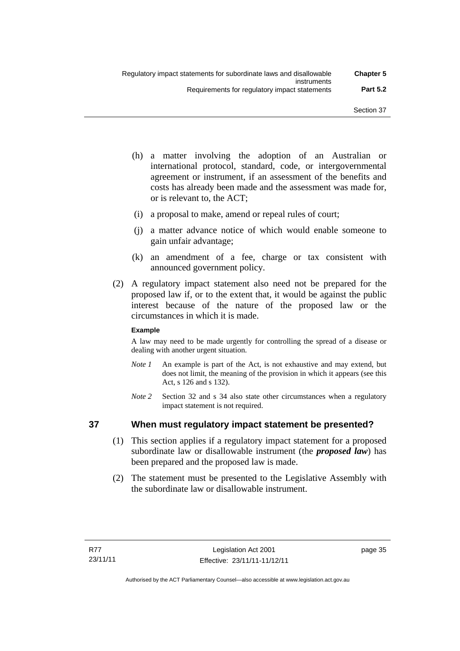- (h) a matter involving the adoption of an Australian or international protocol, standard, code, or intergovernmental agreement or instrument, if an assessment of the benefits and costs has already been made and the assessment was made for, or is relevant to, the ACT;
- (i) a proposal to make, amend or repeal rules of court;
- (j) a matter advance notice of which would enable someone to gain unfair advantage;
- (k) an amendment of a fee, charge or tax consistent with announced government policy.
- (2) A regulatory impact statement also need not be prepared for the proposed law if, or to the extent that, it would be against the public interest because of the nature of the proposed law or the circumstances in which it is made.

#### **Example**

A law may need to be made urgently for controlling the spread of a disease or dealing with another urgent situation.

- *Note 1* An example is part of the Act, is not exhaustive and may extend, but does not limit, the meaning of the provision in which it appears (see this Act, s 126 and s 132).
- *Note* 2 Section 32 and s 34 also state other circumstances when a regulatory impact statement is not required.

# **37 When must regulatory impact statement be presented?**

- (1) This section applies if a regulatory impact statement for a proposed subordinate law or disallowable instrument (the *proposed law*) has been prepared and the proposed law is made.
- (2) The statement must be presented to the Legislative Assembly with the subordinate law or disallowable instrument.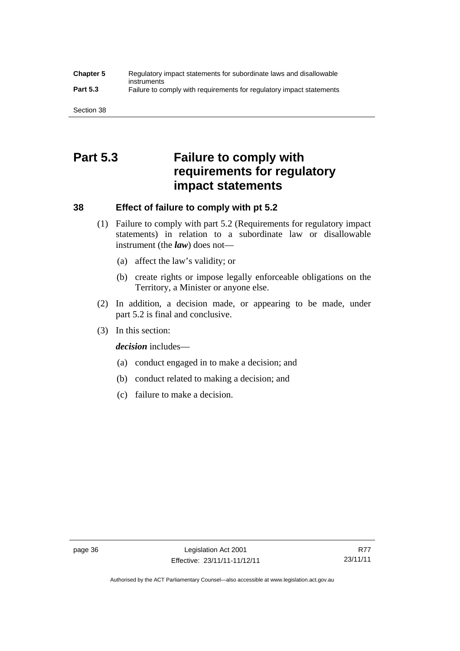#### **Chapter 5** Regulatory impact statements for subordinate laws and disallowable instruments **Part 5.3** Failure to comply with requirements for regulatory impact statements

Section 38

# **Part 5.3 Failure to comply with requirements for regulatory impact statements**

# **38 Effect of failure to comply with pt 5.2**

- (1) Failure to comply with part 5.2 (Requirements for regulatory impact statements) in relation to a subordinate law or disallowable instrument (the *law*) does not—
	- (a) affect the law's validity; or
	- (b) create rights or impose legally enforceable obligations on the Territory, a Minister or anyone else.
- (2) In addition, a decision made, or appearing to be made, under part 5.2 is final and conclusive.
- (3) In this section:

*decision* includes—

- (a) conduct engaged in to make a decision; and
- (b) conduct related to making a decision; and
- (c) failure to make a decision.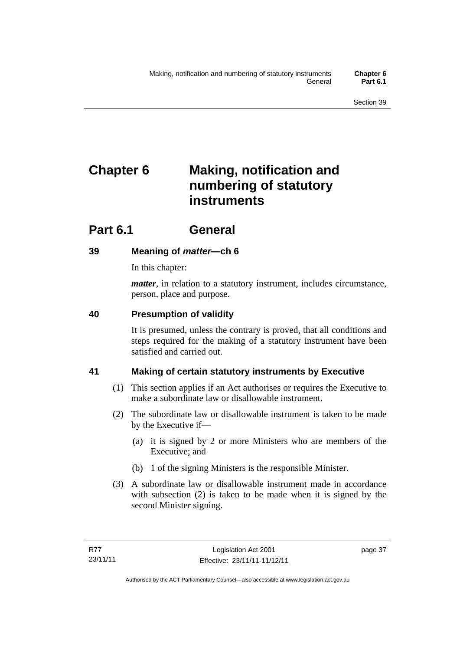# **Chapter 6 Making, notification and numbering of statutory instruments**

# **Part 6.1 General**

# **39 Meaning of** *matter***—ch 6**

In this chapter:

*matter*, in relation to a statutory instrument, includes circumstance, person, place and purpose.

# **40 Presumption of validity**

It is presumed, unless the contrary is proved, that all conditions and steps required for the making of a statutory instrument have been satisfied and carried out.

# **41 Making of certain statutory instruments by Executive**

- (1) This section applies if an Act authorises or requires the Executive to make a subordinate law or disallowable instrument.
- (2) The subordinate law or disallowable instrument is taken to be made by the Executive if—
	- (a) it is signed by 2 or more Ministers who are members of the Executive; and
	- (b) 1 of the signing Ministers is the responsible Minister.
- (3) A subordinate law or disallowable instrument made in accordance with subsection (2) is taken to be made when it is signed by the second Minister signing.

page 37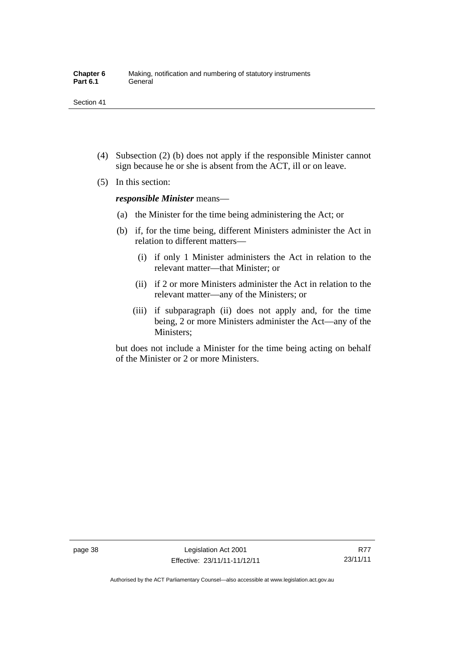- (4) Subsection (2) (b) does not apply if the responsible Minister cannot sign because he or she is absent from the ACT, ill or on leave.
- (5) In this section:

*responsible Minister* means—

- (a) the Minister for the time being administering the Act; or
- (b) if, for the time being, different Ministers administer the Act in relation to different matters—
	- (i) if only 1 Minister administers the Act in relation to the relevant matter—that Minister; or
	- (ii) if 2 or more Ministers administer the Act in relation to the relevant matter—any of the Ministers; or
	- (iii) if subparagraph (ii) does not apply and, for the time being, 2 or more Ministers administer the Act—any of the Ministers;

but does not include a Minister for the time being acting on behalf of the Minister or 2 or more Ministers.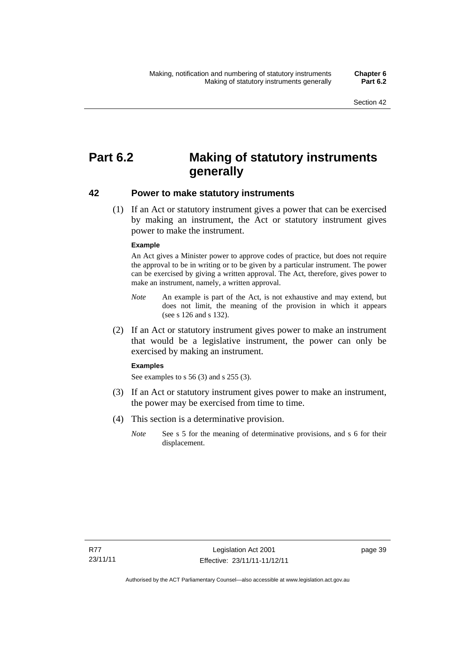# **Part 6.2 Making of statutory instruments generally**

#### **42 Power to make statutory instruments**

 (1) If an Act or statutory instrument gives a power that can be exercised by making an instrument, the Act or statutory instrument gives power to make the instrument.

#### **Example**

An Act gives a Minister power to approve codes of practice, but does not require the approval to be in writing or to be given by a particular instrument. The power can be exercised by giving a written approval. The Act, therefore, gives power to make an instrument, namely, a written approval.

- *Note* An example is part of the Act, is not exhaustive and may extend, but does not limit, the meaning of the provision in which it appears (see s 126 and s 132).
- (2) If an Act or statutory instrument gives power to make an instrument that would be a legislative instrument, the power can only be exercised by making an instrument.

#### **Examples**

See examples to s 56 (3) and s 255 (3).

- (3) If an Act or statutory instrument gives power to make an instrument, the power may be exercised from time to time.
- (4) This section is a determinative provision.
	- *Note* See s 5 for the meaning of determinative provisions, and s 6 for their displacement.

page 39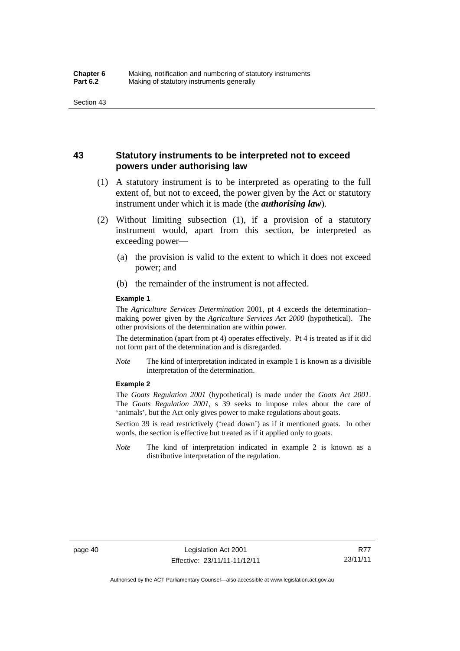## **43 Statutory instruments to be interpreted not to exceed powers under authorising law**

- (1) A statutory instrument is to be interpreted as operating to the full extent of, but not to exceed, the power given by the Act or statutory instrument under which it is made (the *authorising law*).
- (2) Without limiting subsection (1), if a provision of a statutory instrument would, apart from this section, be interpreted as exceeding power—
	- (a) the provision is valid to the extent to which it does not exceed power; and
	- (b) the remainder of the instrument is not affected.

#### **Example 1**

The *Agriculture Services Determination* 2001, pt 4 exceeds the determination– making power given by the *Agriculture Services Act 2000* (hypothetical). The other provisions of the determination are within power.

The determination (apart from pt 4) operates effectively. Pt 4 is treated as if it did not form part of the determination and is disregarded.

*Note* The kind of interpretation indicated in example 1 is known as a divisible interpretation of the determination.

#### **Example 2**

The *Goats Regulation 2001* (hypothetical) is made under the *Goats Act 2001*. The *Goats Regulation 2001*, s 39 seeks to impose rules about the care of 'animals', but the Act only gives power to make regulations about goats.

Section 39 is read restrictively ('read down') as if it mentioned goats. In other words, the section is effective but treated as if it applied only to goats.

*Note* The kind of interpretation indicated in example 2 is known as a distributive interpretation of the regulation.

R77 23/11/11

Authorised by the ACT Parliamentary Counsel—also accessible at www.legislation.act.gov.au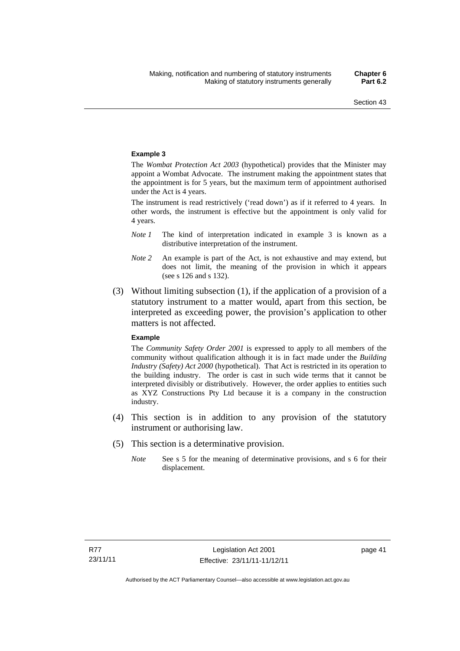#### **Example 3**

The *Wombat Protection Act 2003* (hypothetical) provides that the Minister may appoint a Wombat Advocate. The instrument making the appointment states that the appointment is for 5 years, but the maximum term of appointment authorised under the Act is 4 years.

The instrument is read restrictively ('read down') as if it referred to 4 years. In other words, the instrument is effective but the appointment is only valid for 4 years.

- *Note 1* The kind of interpretation indicated in example 3 is known as a distributive interpretation of the instrument.
- *Note 2* An example is part of the Act, is not exhaustive and may extend, but does not limit, the meaning of the provision in which it appears (see s 126 and s 132).
- (3) Without limiting subsection (1), if the application of a provision of a statutory instrument to a matter would, apart from this section, be interpreted as exceeding power, the provision's application to other matters is not affected.

#### **Example**

The *Community Safety Order 2001* is expressed to apply to all members of the community without qualification although it is in fact made under the *Building Industry (Safety) Act 2000* (hypothetical). That Act is restricted in its operation to the building industry. The order is cast in such wide terms that it cannot be interpreted divisibly or distributively. However, the order applies to entities such as XYZ Constructions Pty Ltd because it is a company in the construction industry.

- (4) This section is in addition to any provision of the statutory instrument or authorising law.
- (5) This section is a determinative provision.
	- *Note* See s 5 for the meaning of determinative provisions, and s 6 for their displacement.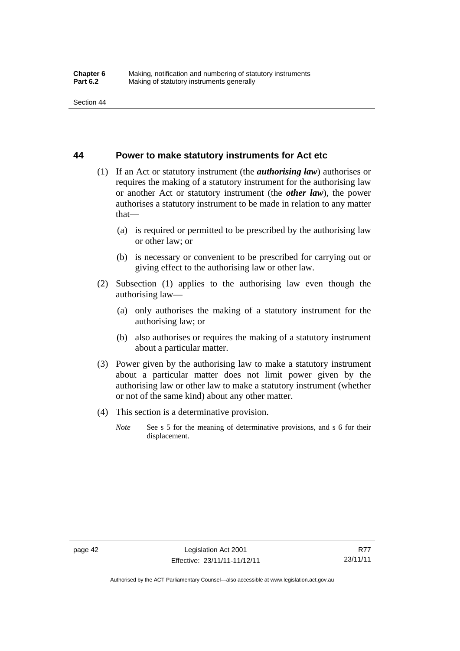#### **44 Power to make statutory instruments for Act etc**

- (1) If an Act or statutory instrument (the *authorising law*) authorises or requires the making of a statutory instrument for the authorising law or another Act or statutory instrument (the *other law*), the power authorises a statutory instrument to be made in relation to any matter that—
	- (a) is required or permitted to be prescribed by the authorising law or other law; or
	- (b) is necessary or convenient to be prescribed for carrying out or giving effect to the authorising law or other law.
- (2) Subsection (1) applies to the authorising law even though the authorising law—
	- (a) only authorises the making of a statutory instrument for the authorising law; or
	- (b) also authorises or requires the making of a statutory instrument about a particular matter.
- (3) Power given by the authorising law to make a statutory instrument about a particular matter does not limit power given by the authorising law or other law to make a statutory instrument (whether or not of the same kind) about any other matter.
- (4) This section is a determinative provision.
	- *Note* See s 5 for the meaning of determinative provisions, and s 6 for their displacement.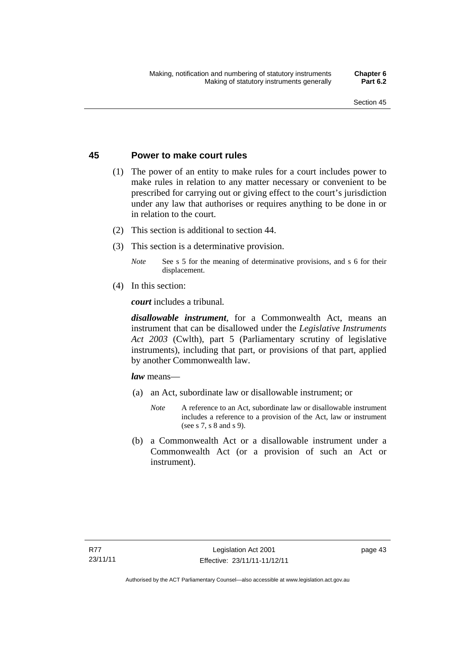### **45 Power to make court rules**

- (1) The power of an entity to make rules for a court includes power to make rules in relation to any matter necessary or convenient to be prescribed for carrying out or giving effect to the court's jurisdiction under any law that authorises or requires anything to be done in or in relation to the court.
- (2) This section is additional to section 44.
- (3) This section is a determinative provision.
	- *Note* See s 5 for the meaning of determinative provisions, and s 6 for their displacement.
- (4) In this section:

*court* includes a tribunal*.*

*disallowable instrument*, for a Commonwealth Act, means an instrument that can be disallowed under the *Legislative Instruments Act 2003* (Cwlth), part 5 (Parliamentary scrutiny of legislative instruments), including that part, or provisions of that part, applied by another Commonwealth law.

*law* means—

- (a) an Act, subordinate law or disallowable instrument; or
	- *Note* A reference to an Act, subordinate law or disallowable instrument includes a reference to a provision of the Act, law or instrument (see s 7, s 8 and s 9).
- (b) a Commonwealth Act or a disallowable instrument under a Commonwealth Act (or a provision of such an Act or instrument).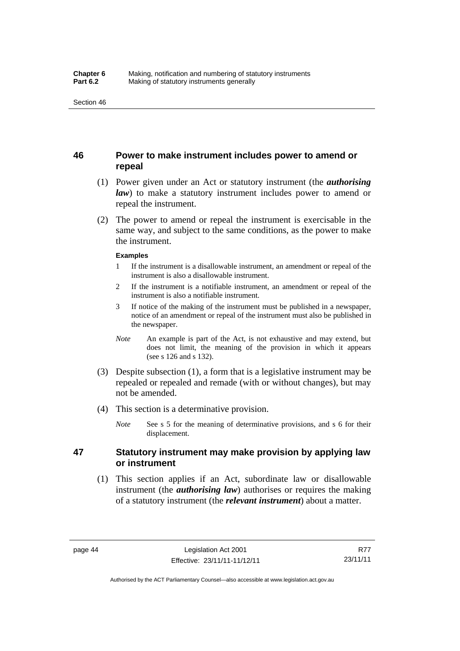# **46 Power to make instrument includes power to amend or repeal**

- (1) Power given under an Act or statutory instrument (the *authorising law*) to make a statutory instrument includes power to amend or repeal the instrument.
- (2) The power to amend or repeal the instrument is exercisable in the same way, and subject to the same conditions, as the power to make the instrument.

#### **Examples**

- 1 If the instrument is a disallowable instrument, an amendment or repeal of the instrument is also a disallowable instrument.
- 2 If the instrument is a notifiable instrument, an amendment or repeal of the instrument is also a notifiable instrument.
- 3 If notice of the making of the instrument must be published in a newspaper, notice of an amendment or repeal of the instrument must also be published in the newspaper.
- *Note* An example is part of the Act, is not exhaustive and may extend, but does not limit, the meaning of the provision in which it appears (see s 126 and s 132).
- (3) Despite subsection (1), a form that is a legislative instrument may be repealed or repealed and remade (with or without changes), but may not be amended.
- (4) This section is a determinative provision.
	- *Note* See s 5 for the meaning of determinative provisions, and s 6 for their displacement.

# **47 Statutory instrument may make provision by applying law or instrument**

 (1) This section applies if an Act, subordinate law or disallowable instrument (the *authorising law*) authorises or requires the making of a statutory instrument (the *relevant instrument*) about a matter.

Authorised by the ACT Parliamentary Counsel—also accessible at www.legislation.act.gov.au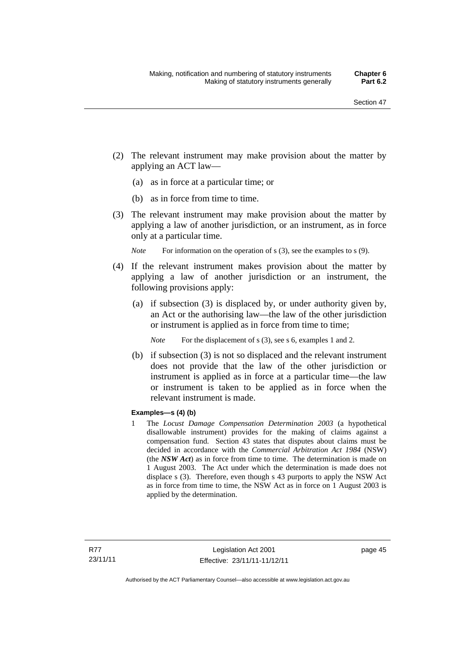- (2) The relevant instrument may make provision about the matter by applying an ACT law—
	- (a) as in force at a particular time; or
	- (b) as in force from time to time.
- (3) The relevant instrument may make provision about the matter by applying a law of another jurisdiction, or an instrument, as in force only at a particular time.

*Note* For information on the operation of s (3), see the examples to s (9).

- (4) If the relevant instrument makes provision about the matter by applying a law of another jurisdiction or an instrument, the following provisions apply:
	- (a) if subsection (3) is displaced by, or under authority given by, an Act or the authorising law—the law of the other jurisdiction or instrument is applied as in force from time to time;
		- *Note* For the displacement of s (3), see s 6, examples 1 and 2.
	- (b) if subsection (3) is not so displaced and the relevant instrument does not provide that the law of the other jurisdiction or instrument is applied as in force at a particular time—the law or instrument is taken to be applied as in force when the relevant instrument is made.

#### **Examples—s (4) (b)**

1 The *Locust Damage Compensation Determination 2003* (a hypothetical disallowable instrument) provides for the making of claims against a compensation fund. Section 43 states that disputes about claims must be decided in accordance with the *Commercial Arbitration Act 1984* (NSW) (the *NSW Act*) as in force from time to time. The determination is made on 1 August 2003. The Act under which the determination is made does not displace s (3). Therefore, even though s 43 purports to apply the NSW Act as in force from time to time, the NSW Act as in force on 1 August 2003 is applied by the determination.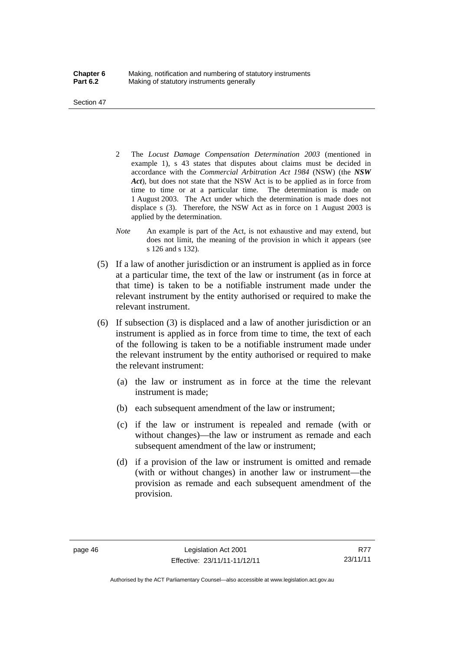Section 47

- 2 The *Locust Damage Compensation Determination 2003* (mentioned in example 1), s 43 states that disputes about claims must be decided in accordance with the *Commercial Arbitration Act 1984* (NSW) (the *NSW Act*), but does not state that the NSW Act is to be applied as in force from time to time or at a particular time. The determination is made on 1 August 2003. The Act under which the determination is made does not displace s (3). Therefore, the NSW Act as in force on 1 August 2003 is applied by the determination.
- *Note* An example is part of the Act, is not exhaustive and may extend, but does not limit, the meaning of the provision in which it appears (see s 126 and s 132).
- (5) If a law of another jurisdiction or an instrument is applied as in force at a particular time, the text of the law or instrument (as in force at that time) is taken to be a notifiable instrument made under the relevant instrument by the entity authorised or required to make the relevant instrument.
- (6) If subsection (3) is displaced and a law of another jurisdiction or an instrument is applied as in force from time to time, the text of each of the following is taken to be a notifiable instrument made under the relevant instrument by the entity authorised or required to make the relevant instrument:
	- (a) the law or instrument as in force at the time the relevant instrument is made;
	- (b) each subsequent amendment of the law or instrument;
	- (c) if the law or instrument is repealed and remade (with or without changes)—the law or instrument as remade and each subsequent amendment of the law or instrument;
	- (d) if a provision of the law or instrument is omitted and remade (with or without changes) in another law or instrument—the provision as remade and each subsequent amendment of the provision.

Authorised by the ACT Parliamentary Counsel—also accessible at www.legislation.act.gov.au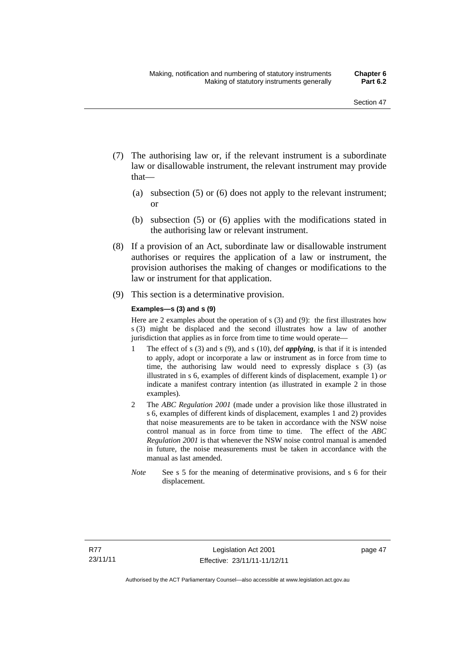- (7) The authorising law or, if the relevant instrument is a subordinate law or disallowable instrument, the relevant instrument may provide that—
	- (a) subsection (5) or (6) does not apply to the relevant instrument; or
	- (b) subsection (5) or (6) applies with the modifications stated in the authorising law or relevant instrument.
- (8) If a provision of an Act, subordinate law or disallowable instrument authorises or requires the application of a law or instrument, the provision authorises the making of changes or modifications to the law or instrument for that application.
- (9) This section is a determinative provision.

#### **Examples—s (3) and s (9)**

Here are 2 examples about the operation of s (3) and (9): the first illustrates how s (3) might be displaced and the second illustrates how a law of another jurisdiction that applies as in force from time to time would operate—

- 1 The effect of s (3) and s (9), and s (10), def *applying*, is that if it is intended to apply, adopt or incorporate a law or instrument as in force from time to time, the authorising law would need to expressly displace s (3) (as illustrated in s 6, examples of different kinds of displacement, example 1) *or* indicate a manifest contrary intention (as illustrated in example 2 in those examples).
- 2 The *ABC Regulation 2001* (made under a provision like those illustrated in s 6, examples of different kinds of displacement, examples 1 and 2) provides that noise measurements are to be taken in accordance with the NSW noise control manual as in force from time to time. The effect of the *ABC Regulation 2001* is that whenever the NSW noise control manual is amended in future, the noise measurements must be taken in accordance with the manual as last amended.
- *Note* See s 5 for the meaning of determinative provisions, and s 6 for their displacement.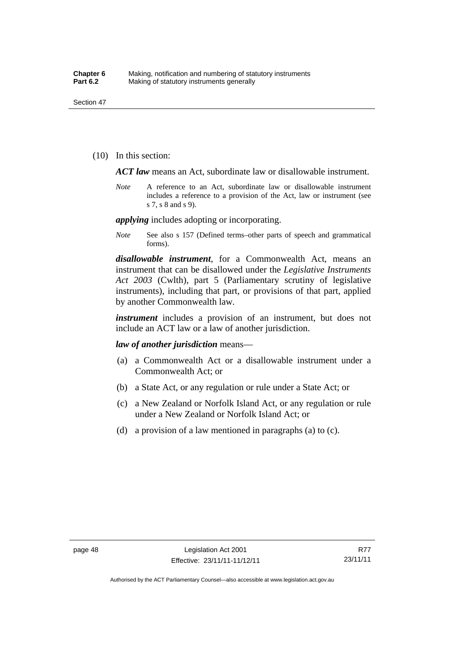(10) In this section:

*ACT law* means an Act, subordinate law or disallowable instrument.

*Note* A reference to an Act, subordinate law or disallowable instrument includes a reference to a provision of the Act, law or instrument (see s 7, s 8 and s 9).

*applying* includes adopting or incorporating.

*Note* See also s 157 (Defined terms–other parts of speech and grammatical forms).

*disallowable instrument*, for a Commonwealth Act, means an instrument that can be disallowed under the *Legislative Instruments Act 2003* (Cwlth), part 5 (Parliamentary scrutiny of legislative instruments), including that part, or provisions of that part, applied by another Commonwealth law.

*instrument* includes a provision of an instrument, but does not include an ACT law or a law of another jurisdiction.

*law of another jurisdiction* means—

- (a) a Commonwealth Act or a disallowable instrument under a Commonwealth Act; or
- (b) a State Act, or any regulation or rule under a State Act; or
- (c) a New Zealand or Norfolk Island Act, or any regulation or rule under a New Zealand or Norfolk Island Act; or
- (d) a provision of a law mentioned in paragraphs (a) to (c).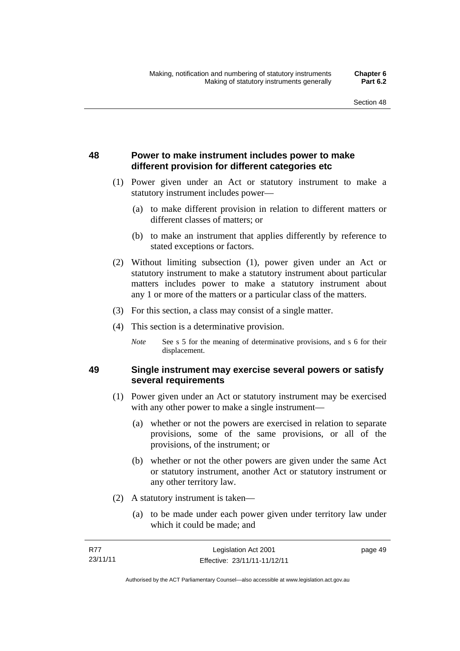# **48 Power to make instrument includes power to make different provision for different categories etc**

- (1) Power given under an Act or statutory instrument to make a statutory instrument includes power—
	- (a) to make different provision in relation to different matters or different classes of matters; or
	- (b) to make an instrument that applies differently by reference to stated exceptions or factors.
- (2) Without limiting subsection (1), power given under an Act or statutory instrument to make a statutory instrument about particular matters includes power to make a statutory instrument about any 1 or more of the matters or a particular class of the matters.
- (3) For this section, a class may consist of a single matter.
- (4) This section is a determinative provision.
	- *Note* See s 5 for the meaning of determinative provisions, and s 6 for their displacement.

# **49 Single instrument may exercise several powers or satisfy several requirements**

- (1) Power given under an Act or statutory instrument may be exercised with any other power to make a single instrument—
	- (a) whether or not the powers are exercised in relation to separate provisions, some of the same provisions, or all of the provisions, of the instrument; or
	- (b) whether or not the other powers are given under the same Act or statutory instrument, another Act or statutory instrument or any other territory law.
- (2) A statutory instrument is taken—
	- (a) to be made under each power given under territory law under which it could be made; and

| R77      | Legislation Act 2001         | page 49 |
|----------|------------------------------|---------|
| 23/11/11 | Effective: 23/11/11-11/12/11 |         |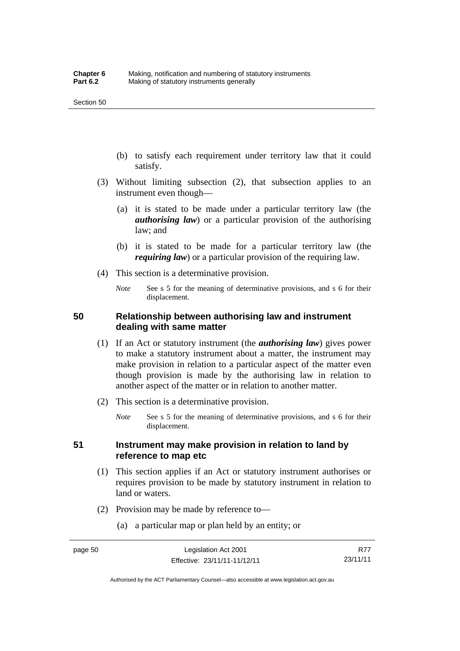- (b) to satisfy each requirement under territory law that it could satisfy.
- (3) Without limiting subsection (2), that subsection applies to an instrument even though—
	- (a) it is stated to be made under a particular territory law (the *authorising law*) or a particular provision of the authorising law; and
	- (b) it is stated to be made for a particular territory law (the *requiring law*) or a particular provision of the requiring law.
- (4) This section is a determinative provision.
	- *Note* See s 5 for the meaning of determinative provisions, and s 6 for their displacement.

## **50 Relationship between authorising law and instrument dealing with same matter**

- (1) If an Act or statutory instrument (the *authorising law*) gives power to make a statutory instrument about a matter, the instrument may make provision in relation to a particular aspect of the matter even though provision is made by the authorising law in relation to another aspect of the matter or in relation to another matter.
- (2) This section is a determinative provision.
	- *Note* See s 5 for the meaning of determinative provisions, and s 6 for their displacement.

## **51 Instrument may make provision in relation to land by reference to map etc**

- (1) This section applies if an Act or statutory instrument authorises or requires provision to be made by statutory instrument in relation to land or waters.
- (2) Provision may be made by reference to—
	- (a) a particular map or plan held by an entity; or

R77 23/11/11

Authorised by the ACT Parliamentary Counsel—also accessible at www.legislation.act.gov.au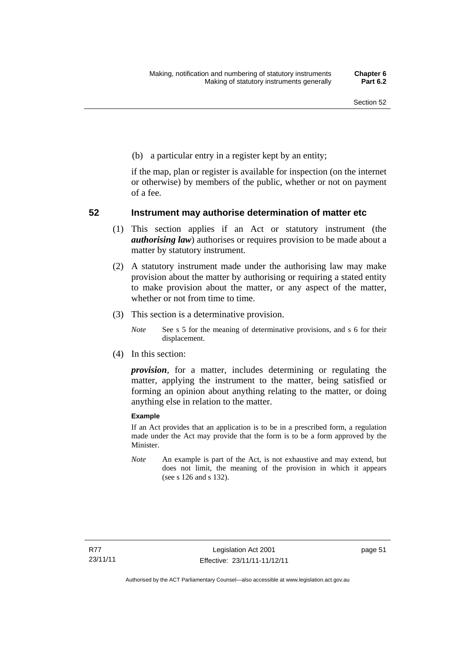(b) a particular entry in a register kept by an entity;

if the map, plan or register is available for inspection (on the internet or otherwise) by members of the public, whether or not on payment of a fee.

### **52 Instrument may authorise determination of matter etc**

- (1) This section applies if an Act or statutory instrument (the *authorising law*) authorises or requires provision to be made about a matter by statutory instrument.
- (2) A statutory instrument made under the authorising law may make provision about the matter by authorising or requiring a stated entity to make provision about the matter, or any aspect of the matter, whether or not from time to time.
- (3) This section is a determinative provision.
	- *Note* See s 5 for the meaning of determinative provisions, and s 6 for their displacement.
- (4) In this section:

*provision*, for a matter, includes determining or regulating the matter, applying the instrument to the matter, being satisfied or forming an opinion about anything relating to the matter, or doing anything else in relation to the matter.

#### **Example**

If an Act provides that an application is to be in a prescribed form, a regulation made under the Act may provide that the form is to be a form approved by the Minister.

*Note* An example is part of the Act, is not exhaustive and may extend, but does not limit, the meaning of the provision in which it appears (see s 126 and s 132).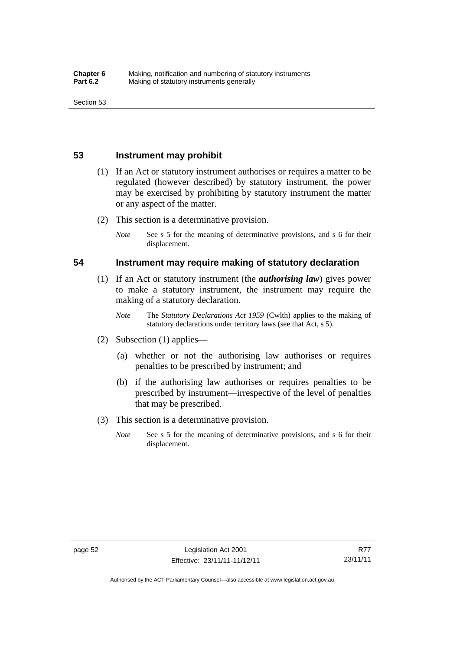### **53 Instrument may prohibit**

- (1) If an Act or statutory instrument authorises or requires a matter to be regulated (however described) by statutory instrument, the power may be exercised by prohibiting by statutory instrument the matter or any aspect of the matter.
- (2) This section is a determinative provision.
	- *Note* See s 5 for the meaning of determinative provisions, and s 6 for their displacement.

#### **54 Instrument may require making of statutory declaration**

- (1) If an Act or statutory instrument (the *authorising law*) gives power to make a statutory instrument, the instrument may require the making of a statutory declaration.
	- *Note* The *Statutory Declarations Act 1959* (Cwlth) applies to the making of statutory declarations under territory laws (see that Act, s 5).
- (2) Subsection (1) applies—
	- (a) whether or not the authorising law authorises or requires penalties to be prescribed by instrument; and
	- (b) if the authorising law authorises or requires penalties to be prescribed by instrument—irrespective of the level of penalties that may be prescribed.
- (3) This section is a determinative provision.
	- *Note* See s 5 for the meaning of determinative provisions, and s 6 for their displacement.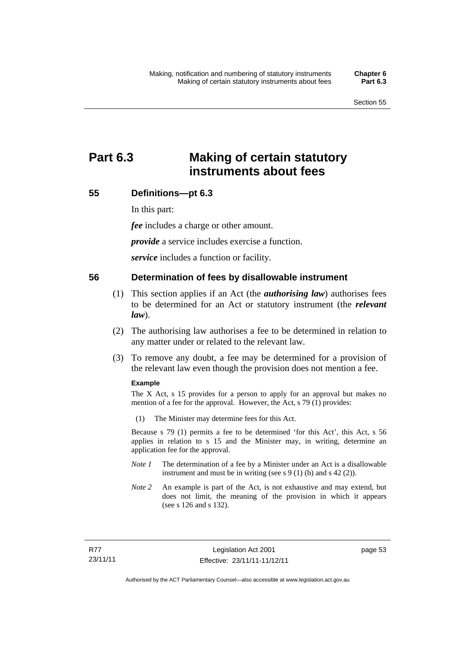# **Part 6.3 Making of certain statutory instruments about fees**

# **55 Definitions—pt 6.3**

In this part:

*fee* includes a charge or other amount.

*provide* a service includes exercise a function.

*service* includes a function or facility.

#### **56 Determination of fees by disallowable instrument**

- (1) This section applies if an Act (the *authorising law*) authorises fees to be determined for an Act or statutory instrument (the *relevant law*).
- (2) The authorising law authorises a fee to be determined in relation to any matter under or related to the relevant law.
- (3) To remove any doubt, a fee may be determined for a provision of the relevant law even though the provision does not mention a fee.

#### **Example**

The X Act, s 15 provides for a person to apply for an approval but makes no mention of a fee for the approval. However, the Act, s 79 (1) provides:

(1) The Minister may determine fees for this Act.

Because s 79 (1) permits a fee to be determined 'for this Act', this Act, s 56 applies in relation to s 15 and the Minister may, in writing, determine an application fee for the approval.

- *Note 1* The determination of a fee by a Minister under an Act is a disallowable instrument and must be in writing (see s 9 (1) (b) and s 42 (2)).
- *Note 2* An example is part of the Act, is not exhaustive and may extend, but does not limit, the meaning of the provision in which it appears (see s 126 and s 132).

page 53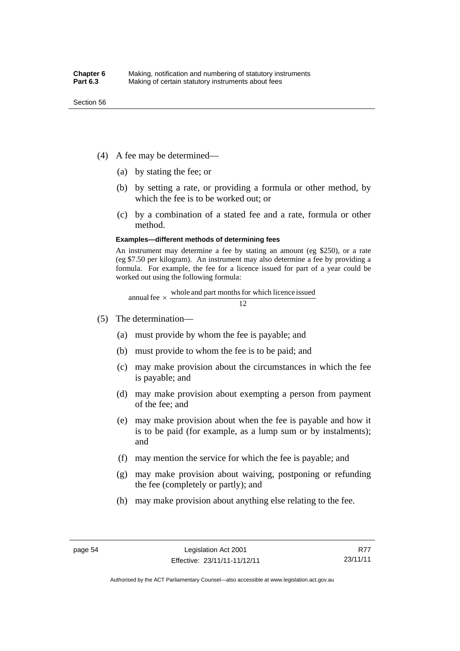- (4) A fee may be determined—
	- (a) by stating the fee; or
	- (b) by setting a rate, or providing a formula or other method, by which the fee is to be worked out; or
	- (c) by a combination of a stated fee and a rate, formula or other method.

#### **Examples—different methods of determining fees**

An instrument may determine a fee by stating an amount (eg \$250), or a rate (eg \$7.50 per kilogram). An instrument may also determine a fee by providing a formula. For example, the fee for a licence issued for part of a year could be worked out using the following formula:

annual fee  $\times$  whole and part months for which licence issued  $\frac{12}{\sqrt{12}}$ 

- (5) The determination—
	- (a) must provide by whom the fee is payable; and
	- (b) must provide to whom the fee is to be paid; and
	- (c) may make provision about the circumstances in which the fee is payable; and
	- (d) may make provision about exempting a person from payment of the fee; and
	- (e) may make provision about when the fee is payable and how it is to be paid (for example, as a lump sum or by instalments); and
	- (f) may mention the service for which the fee is payable; and
	- (g) may make provision about waiving, postponing or refunding the fee (completely or partly); and
	- (h) may make provision about anything else relating to the fee.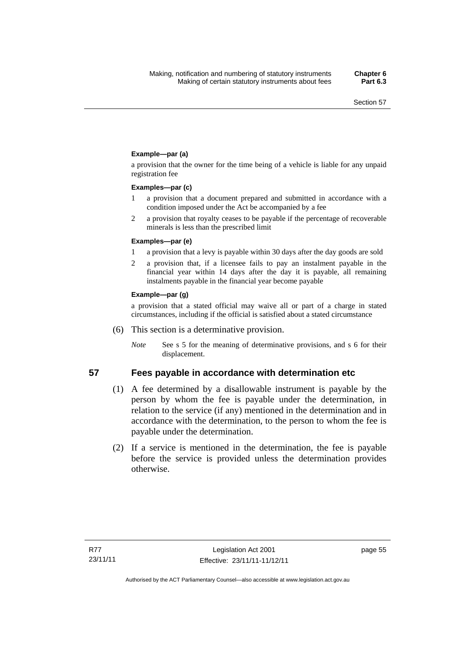#### **Example—par (a)**

a provision that the owner for the time being of a vehicle is liable for any unpaid registration fee

#### **Examples—par (c)**

- 1 a provision that a document prepared and submitted in accordance with a condition imposed under the Act be accompanied by a fee
- 2 a provision that royalty ceases to be payable if the percentage of recoverable minerals is less than the prescribed limit

#### **Examples—par (e)**

- 1 a provision that a levy is payable within 30 days after the day goods are sold
- 2 a provision that, if a licensee fails to pay an instalment payable in the financial year within 14 days after the day it is payable, all remaining instalments payable in the financial year become payable

#### **Example—par (g)**

a provision that a stated official may waive all or part of a charge in stated circumstances, including if the official is satisfied about a stated circumstance

- (6) This section is a determinative provision.
	- *Note* See s 5 for the meaning of determinative provisions, and s 6 for their displacement.

#### **57 Fees payable in accordance with determination etc**

- (1) A fee determined by a disallowable instrument is payable by the
- person by whom the fee is payable under the determination, in relation to the service (if any) mentioned in the determination and in accordance with the determination, to the person to whom the fee is payable under the determination.
- (2) If a service is mentioned in the determination, the fee is payable before the service is provided unless the determination provides otherwise.

page 55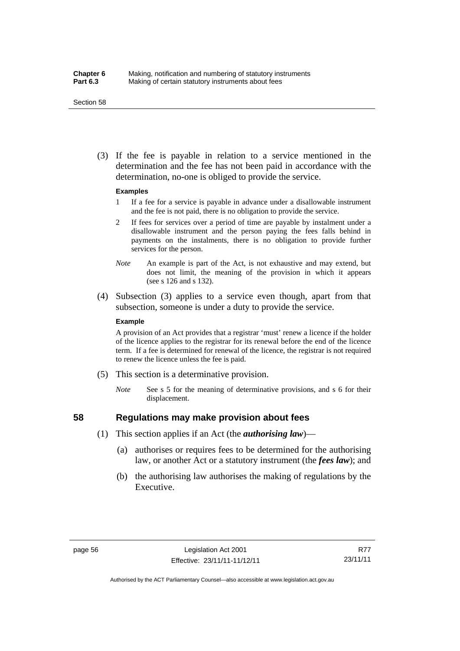#### Section 58

 (3) If the fee is payable in relation to a service mentioned in the determination and the fee has not been paid in accordance with the determination, no-one is obliged to provide the service.

#### **Examples**

- 1 If a fee for a service is payable in advance under a disallowable instrument and the fee is not paid, there is no obligation to provide the service.
- 2 If fees for services over a period of time are payable by instalment under a disallowable instrument and the person paying the fees falls behind in payments on the instalments, there is no obligation to provide further services for the person.
- *Note* An example is part of the Act, is not exhaustive and may extend, but does not limit, the meaning of the provision in which it appears (see s 126 and s 132).
- (4) Subsection (3) applies to a service even though, apart from that subsection, someone is under a duty to provide the service.

#### **Example**

A provision of an Act provides that a registrar 'must' renew a licence if the holder of the licence applies to the registrar for its renewal before the end of the licence term. If a fee is determined for renewal of the licence, the registrar is not required to renew the licence unless the fee is paid.

- (5) This section is a determinative provision.
	- *Note* See s 5 for the meaning of determinative provisions, and s 6 for their displacement.

# **58 Regulations may make provision about fees**

- (1) This section applies if an Act (the *authorising law*)—
	- (a) authorises or requires fees to be determined for the authorising law, or another Act or a statutory instrument (the *fees law*); and
	- (b) the authorising law authorises the making of regulations by the Executive.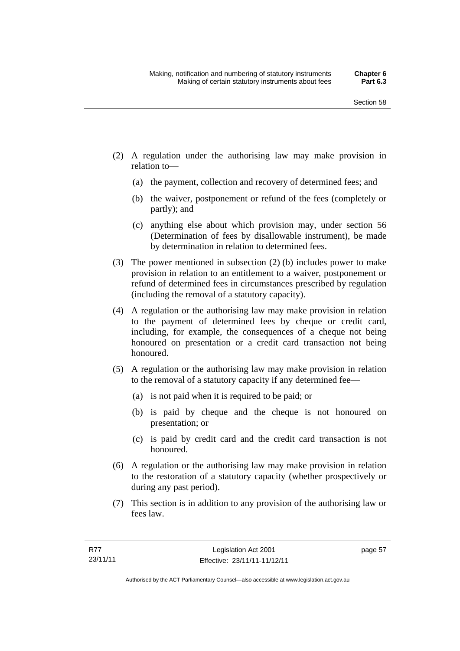- (2) A regulation under the authorising law may make provision in relation to—
	- (a) the payment, collection and recovery of determined fees; and
	- (b) the waiver, postponement or refund of the fees (completely or partly); and
	- (c) anything else about which provision may, under section 56 (Determination of fees by disallowable instrument), be made by determination in relation to determined fees.
- (3) The power mentioned in subsection (2) (b) includes power to make provision in relation to an entitlement to a waiver, postponement or refund of determined fees in circumstances prescribed by regulation (including the removal of a statutory capacity).
- (4) A regulation or the authorising law may make provision in relation to the payment of determined fees by cheque or credit card, including, for example, the consequences of a cheque not being honoured on presentation or a credit card transaction not being honoured.
- (5) A regulation or the authorising law may make provision in relation to the removal of a statutory capacity if any determined fee—
	- (a) is not paid when it is required to be paid; or
	- (b) is paid by cheque and the cheque is not honoured on presentation; or
	- (c) is paid by credit card and the credit card transaction is not honoured.
- (6) A regulation or the authorising law may make provision in relation to the restoration of a statutory capacity (whether prospectively or during any past period).
- (7) This section is in addition to any provision of the authorising law or fees law.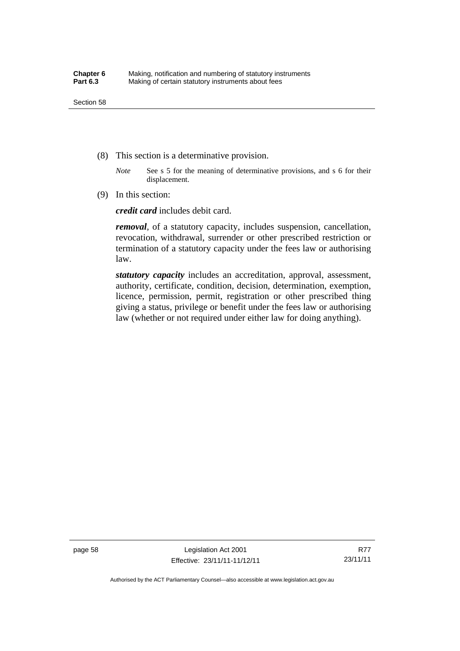- (8) This section is a determinative provision.
	- *Note* See s 5 for the meaning of determinative provisions, and s 6 for their displacement.
- (9) In this section:

*credit card* includes debit card.

*removal*, of a statutory capacity, includes suspension, cancellation, revocation, withdrawal, surrender or other prescribed restriction or termination of a statutory capacity under the fees law or authorising law.

*statutory capacity* includes an accreditation, approval, assessment, authority, certificate, condition, decision, determination, exemption, licence, permission, permit, registration or other prescribed thing giving a status, privilege or benefit under the fees law or authorising law (whether or not required under either law for doing anything).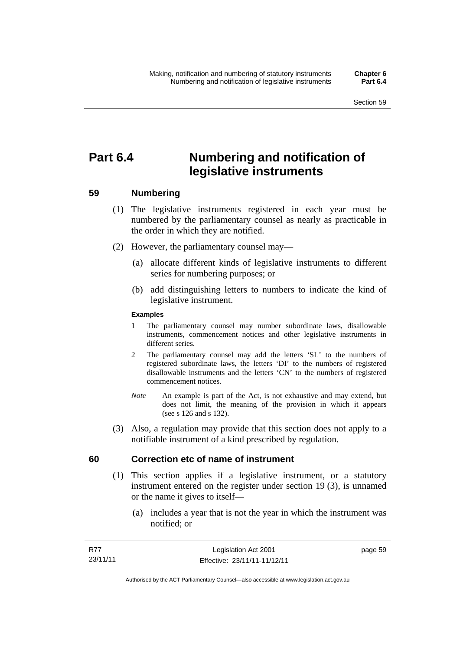# **Part 6.4 Numbering and notification of legislative instruments**

## **59 Numbering**

- (1) The legislative instruments registered in each year must be numbered by the parliamentary counsel as nearly as practicable in the order in which they are notified.
- (2) However, the parliamentary counsel may—
	- (a) allocate different kinds of legislative instruments to different series for numbering purposes; or
	- (b) add distinguishing letters to numbers to indicate the kind of legislative instrument.

## **Examples**

- 1 The parliamentary counsel may number subordinate laws, disallowable instruments, commencement notices and other legislative instruments in different series.
- 2 The parliamentary counsel may add the letters 'SL' to the numbers of registered subordinate laws, the letters 'DI' to the numbers of registered disallowable instruments and the letters 'CN' to the numbers of registered commencement notices.
- *Note* An example is part of the Act, is not exhaustive and may extend, but does not limit, the meaning of the provision in which it appears (see s 126 and s 132).
- (3) Also, a regulation may provide that this section does not apply to a notifiable instrument of a kind prescribed by regulation.

## **60 Correction etc of name of instrument**

- (1) This section applies if a legislative instrument, or a statutory instrument entered on the register under section 19 (3), is unnamed or the name it gives to itself—
	- (a) includes a year that is not the year in which the instrument was notified; or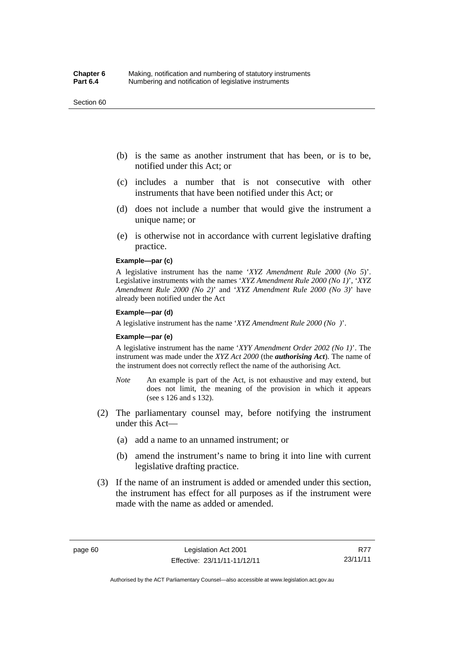#### Section 60

- (b) is the same as another instrument that has been, or is to be, notified under this Act; or
- (c) includes a number that is not consecutive with other instruments that have been notified under this Act; or
- (d) does not include a number that would give the instrument a unique name; or
- (e) is otherwise not in accordance with current legislative drafting practice.

## **Example—par (c)**

A legislative instrument has the name '*XYZ Amendment Rule 2000* (*No 5*)'. Legislative instruments with the names '*XYZ Amendment Rule 2000 (No 1)*', '*XYZ Amendment Rule 2000 (No 2)*' and '*XYZ Amendment Rule 2000 (No 3)*' have already been notified under the Act

#### **Example—par (d)**

A legislative instrument has the name '*XYZ Amendment Rule 2000 (No )*'.

#### **Example—par (e)**

A legislative instrument has the name '*XYY Amendment Order 2002 (No 1)*'. The instrument was made under the *XYZ Act 2000* (the *authorising Act*). The name of the instrument does not correctly reflect the name of the authorising Act.

- *Note* An example is part of the Act, is not exhaustive and may extend, but does not limit, the meaning of the provision in which it appears (see s 126 and s 132).
- (2) The parliamentary counsel may, before notifying the instrument under this Act—
	- (a) add a name to an unnamed instrument; or
	- (b) amend the instrument's name to bring it into line with current legislative drafting practice.
- (3) If the name of an instrument is added or amended under this section, the instrument has effect for all purposes as if the instrument were made with the name as added or amended.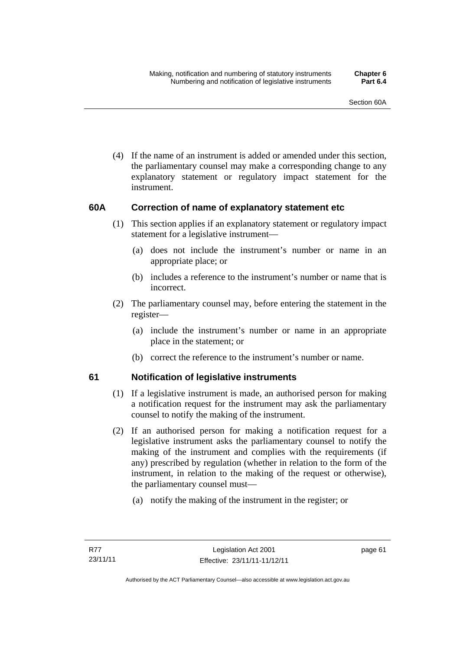(4) If the name of an instrument is added or amended under this section, the parliamentary counsel may make a corresponding change to any explanatory statement or regulatory impact statement for the instrument.

## **60A Correction of name of explanatory statement etc**

- (1) This section applies if an explanatory statement or regulatory impact statement for a legislative instrument—
	- (a) does not include the instrument's number or name in an appropriate place; or
	- (b) includes a reference to the instrument's number or name that is incorrect.
- (2) The parliamentary counsel may, before entering the statement in the register—
	- (a) include the instrument's number or name in an appropriate place in the statement; or
	- (b) correct the reference to the instrument's number or name.

## **61 Notification of legislative instruments**

- (1) If a legislative instrument is made, an authorised person for making a notification request for the instrument may ask the parliamentary counsel to notify the making of the instrument.
- (2) If an authorised person for making a notification request for a legislative instrument asks the parliamentary counsel to notify the making of the instrument and complies with the requirements (if any) prescribed by regulation (whether in relation to the form of the instrument, in relation to the making of the request or otherwise), the parliamentary counsel must—
	- (a) notify the making of the instrument in the register; or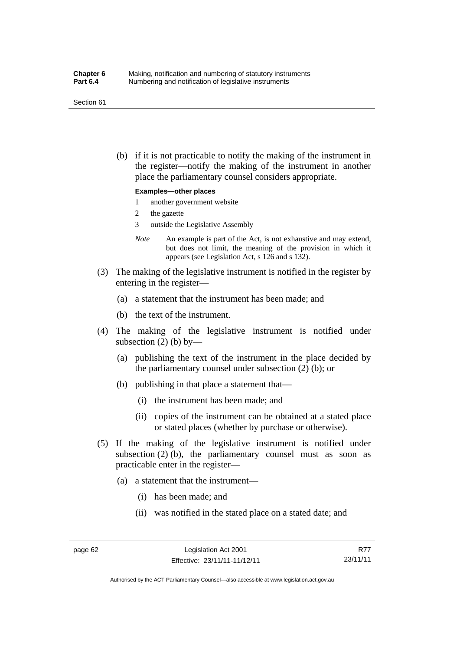#### Section 61

 (b) if it is not practicable to notify the making of the instrument in the register—notify the making of the instrument in another place the parliamentary counsel considers appropriate.

### **Examples—other places**

- 1 another government website
- 2 the gazette
- 3 outside the Legislative Assembly
- *Note* An example is part of the Act, is not exhaustive and may extend, but does not limit, the meaning of the provision in which it appears (see Legislation Act, s 126 and s 132).
- (3) The making of the legislative instrument is notified in the register by entering in the register—
	- (a) a statement that the instrument has been made; and
	- (b) the text of the instrument.
- (4) The making of the legislative instrument is notified under subsection  $(2)$  (b) by—
	- (a) publishing the text of the instrument in the place decided by the parliamentary counsel under subsection (2) (b); or
	- (b) publishing in that place a statement that—
		- (i) the instrument has been made; and
		- (ii) copies of the instrument can be obtained at a stated place or stated places (whether by purchase or otherwise).
- (5) If the making of the legislative instrument is notified under subsection  $(2)$  (b), the parliamentary counsel must as soon as practicable enter in the register—
	- (a) a statement that the instrument—
		- (i) has been made; and
		- (ii) was notified in the stated place on a stated date; and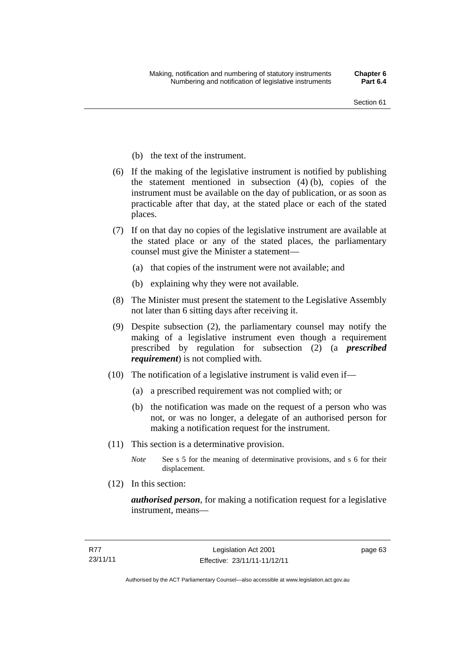- (b) the text of the instrument.
- (6) If the making of the legislative instrument is notified by publishing the statement mentioned in subsection (4) (b), copies of the instrument must be available on the day of publication, or as soon as practicable after that day, at the stated place or each of the stated places.
- (7) If on that day no copies of the legislative instrument are available at the stated place or any of the stated places, the parliamentary counsel must give the Minister a statement—
	- (a) that copies of the instrument were not available; and
	- (b) explaining why they were not available.
- (8) The Minister must present the statement to the Legislative Assembly not later than 6 sitting days after receiving it.
- (9) Despite subsection (2), the parliamentary counsel may notify the making of a legislative instrument even though a requirement prescribed by regulation for subsection (2) (a *prescribed requirement*) is not complied with.
- (10) The notification of a legislative instrument is valid even if—
	- (a) a prescribed requirement was not complied with; or
	- (b) the notification was made on the request of a person who was not, or was no longer, a delegate of an authorised person for making a notification request for the instrument.
- (11) This section is a determinative provision.
	- *Note* See s 5 for the meaning of determinative provisions, and s 6 for their displacement.
- (12) In this section:

*authorised person*, for making a notification request for a legislative instrument, means—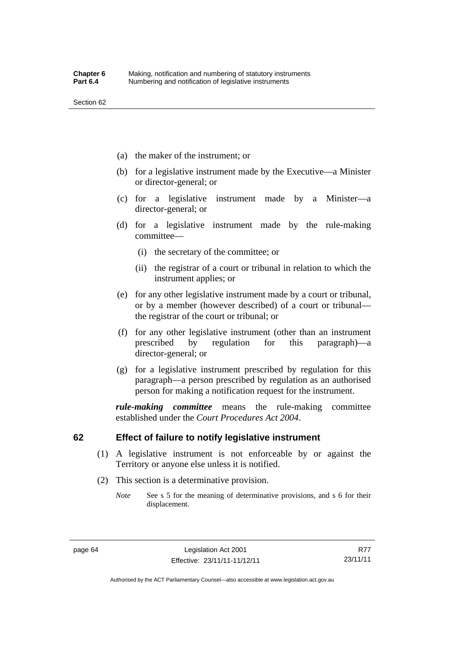- (a) the maker of the instrument; or
- (b) for a legislative instrument made by the Executive—a Minister or director-general; or
- (c) for a legislative instrument made by a Minister—a director-general; or
- (d) for a legislative instrument made by the rule-making committee—
	- (i) the secretary of the committee; or
	- (ii) the registrar of a court or tribunal in relation to which the instrument applies; or
- (e) for any other legislative instrument made by a court or tribunal, or by a member (however described) of a court or tribunal the registrar of the court or tribunal; or
- (f) for any other legislative instrument (other than an instrument prescribed by regulation for this paragraph)—a director-general; or
- (g) for a legislative instrument prescribed by regulation for this paragraph—a person prescribed by regulation as an authorised person for making a notification request for the instrument.

*rule-making committee* means the rule-making committee established under the *Court Procedures Act 2004*.

## **62 Effect of failure to notify legislative instrument**

- (1) A legislative instrument is not enforceable by or against the Territory or anyone else unless it is notified.
- (2) This section is a determinative provision.
	- *Note* See s 5 for the meaning of determinative provisions, and s 6 for their displacement.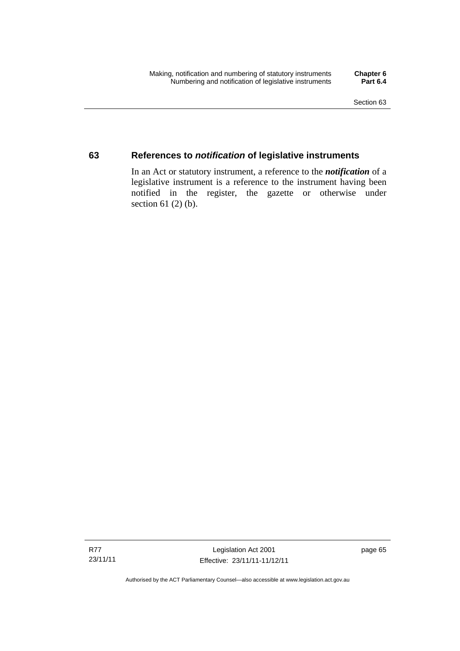## **63 References to** *notification* **of legislative instruments**

In an Act or statutory instrument, a reference to the *notification* of a legislative instrument is a reference to the instrument having been notified in the register, the gazette or otherwise under section  $61$  (2) (b).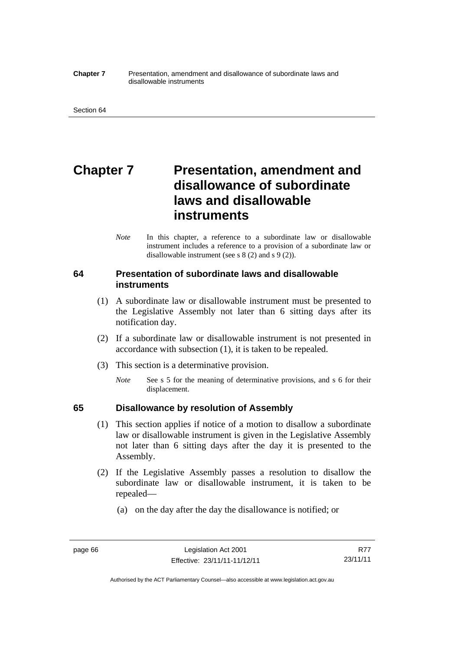#### **Chapter 7** Presentation, amendment and disallowance of subordinate laws and disallowable instruments

# **Chapter 7** Presentation, amendment and **disallowance of subordinate laws and disallowable instruments**

*Note* In this chapter, a reference to a subordinate law or disallowable instrument includes a reference to a provision of a subordinate law or disallowable instrument (see s 8 (2) and s 9 (2)).

## **64 Presentation of subordinate laws and disallowable instruments**

- (1) A subordinate law or disallowable instrument must be presented to the Legislative Assembly not later than 6 sitting days after its notification day.
- (2) If a subordinate law or disallowable instrument is not presented in accordance with subsection (1), it is taken to be repealed.
- (3) This section is a determinative provision.
	- *Note* See s 5 for the meaning of determinative provisions, and s 6 for their displacement.

## **65 Disallowance by resolution of Assembly**

- (1) This section applies if notice of a motion to disallow a subordinate law or disallowable instrument is given in the Legislative Assembly not later than 6 sitting days after the day it is presented to the Assembly.
- (2) If the Legislative Assembly passes a resolution to disallow the subordinate law or disallowable instrument, it is taken to be repealed—
	- (a) on the day after the day the disallowance is notified; or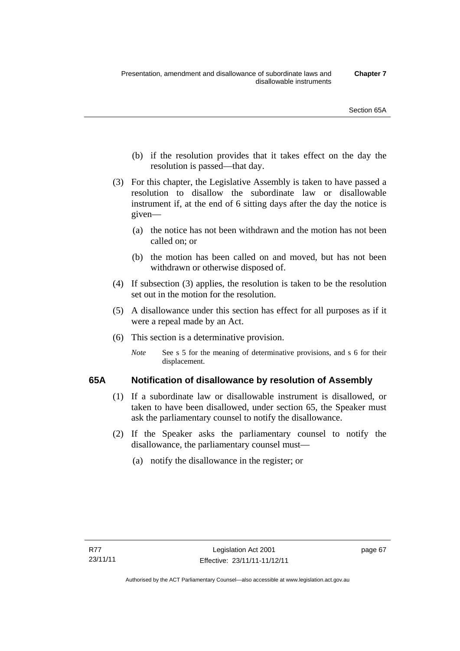- (b) if the resolution provides that it takes effect on the day the resolution is passed—that day.
- (3) For this chapter, the Legislative Assembly is taken to have passed a resolution to disallow the subordinate law or disallowable instrument if, at the end of 6 sitting days after the day the notice is given—
	- (a) the notice has not been withdrawn and the motion has not been called on; or
	- (b) the motion has been called on and moved, but has not been withdrawn or otherwise disposed of.
- (4) If subsection (3) applies, the resolution is taken to be the resolution set out in the motion for the resolution.
- (5) A disallowance under this section has effect for all purposes as if it were a repeal made by an Act.
- (6) This section is a determinative provision.
	- *Note* See s 5 for the meaning of determinative provisions, and s 6 for their displacement.

## **65A Notification of disallowance by resolution of Assembly**

- (1) If a subordinate law or disallowable instrument is disallowed, or taken to have been disallowed, under section 65, the Speaker must ask the parliamentary counsel to notify the disallowance.
- (2) If the Speaker asks the parliamentary counsel to notify the disallowance, the parliamentary counsel must—
	- (a) notify the disallowance in the register; or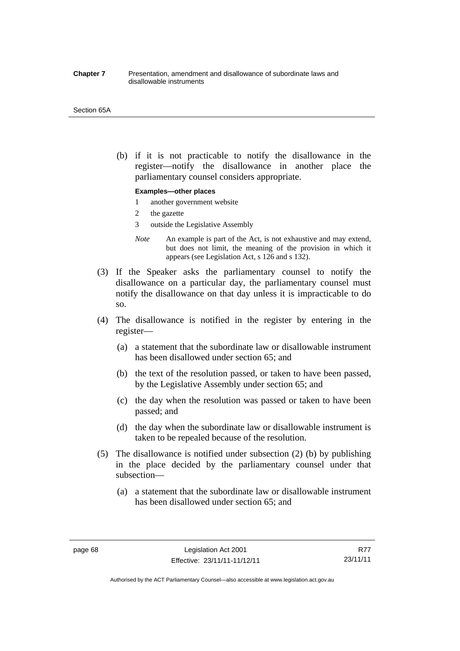#### **Chapter 7** Presentation, amendment and disallowance of subordinate laws and disallowable instruments

#### Section 65A

 (b) if it is not practicable to notify the disallowance in the register—notify the disallowance in another place the parliamentary counsel considers appropriate.

### **Examples—other places**

- 1 another government website
- 2 the gazette
- 3 outside the Legislative Assembly
- *Note* An example is part of the Act, is not exhaustive and may extend, but does not limit, the meaning of the provision in which it appears (see Legislation Act, s 126 and s 132).
- (3) If the Speaker asks the parliamentary counsel to notify the disallowance on a particular day, the parliamentary counsel must notify the disallowance on that day unless it is impracticable to do so.
- (4) The disallowance is notified in the register by entering in the register—
	- (a) a statement that the subordinate law or disallowable instrument has been disallowed under section 65; and
	- (b) the text of the resolution passed, or taken to have been passed, by the Legislative Assembly under section 65; and
	- (c) the day when the resolution was passed or taken to have been passed; and
	- (d) the day when the subordinate law or disallowable instrument is taken to be repealed because of the resolution.
- (5) The disallowance is notified under subsection (2) (b) by publishing in the place decided by the parliamentary counsel under that subsection—
	- (a) a statement that the subordinate law or disallowable instrument has been disallowed under section 65; and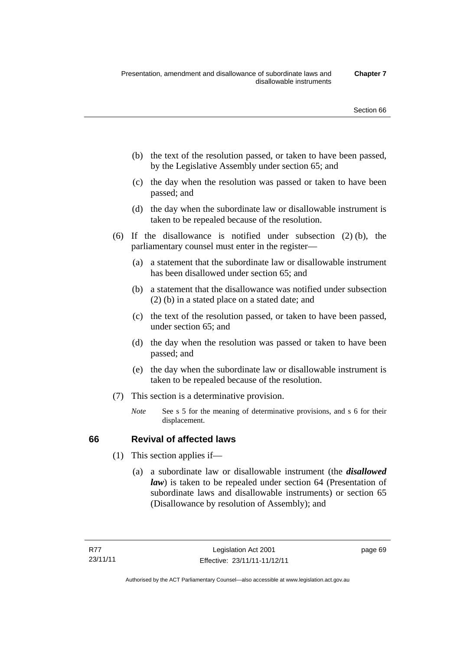- (b) the text of the resolution passed, or taken to have been passed, by the Legislative Assembly under section 65; and
- (c) the day when the resolution was passed or taken to have been passed; and
- (d) the day when the subordinate law or disallowable instrument is taken to be repealed because of the resolution.
- (6) If the disallowance is notified under subsection (2) (b), the parliamentary counsel must enter in the register—
	- (a) a statement that the subordinate law or disallowable instrument has been disallowed under section 65; and
	- (b) a statement that the disallowance was notified under subsection (2) (b) in a stated place on a stated date; and
	- (c) the text of the resolution passed, or taken to have been passed, under section 65; and
	- (d) the day when the resolution was passed or taken to have been passed; and
	- (e) the day when the subordinate law or disallowable instrument is taken to be repealed because of the resolution.
- (7) This section is a determinative provision.
	- *Note* See s 5 for the meaning of determinative provisions, and s 6 for their displacement.

## **66 Revival of affected laws**

- (1) This section applies if—
	- (a) a subordinate law or disallowable instrument (the *disallowed law*) is taken to be repealed under section 64 (Presentation of subordinate laws and disallowable instruments) or section 65 (Disallowance by resolution of Assembly); and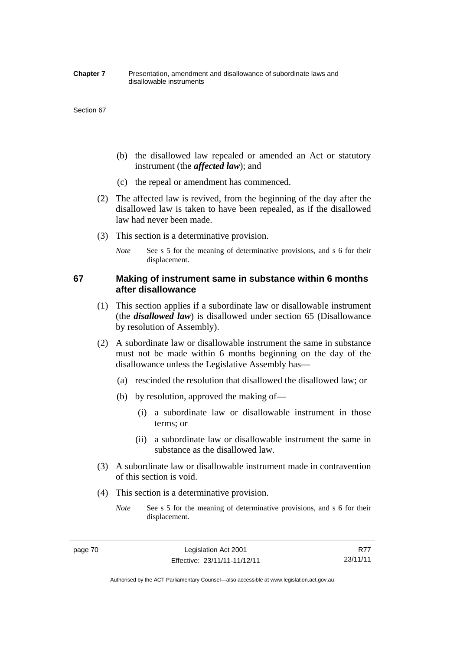#### **Chapter 7** Presentation, amendment and disallowance of subordinate laws and disallowable instruments

#### Section 67

- (b) the disallowed law repealed or amended an Act or statutory instrument (the *affected law*); and
- (c) the repeal or amendment has commenced.
- (2) The affected law is revived, from the beginning of the day after the disallowed law is taken to have been repealed, as if the disallowed law had never been made.
- (3) This section is a determinative provision.
	- *Note* See s 5 for the meaning of determinative provisions, and s 6 for their displacement.

## **67 Making of instrument same in substance within 6 months after disallowance**

- (1) This section applies if a subordinate law or disallowable instrument (the *disallowed law*) is disallowed under section 65 (Disallowance by resolution of Assembly).
- (2) A subordinate law or disallowable instrument the same in substance must not be made within 6 months beginning on the day of the disallowance unless the Legislative Assembly has—
	- (a) rescinded the resolution that disallowed the disallowed law; or
	- (b) by resolution, approved the making of—
		- (i) a subordinate law or disallowable instrument in those terms; or
		- (ii) a subordinate law or disallowable instrument the same in substance as the disallowed law.
- (3) A subordinate law or disallowable instrument made in contravention of this section is void.
- (4) This section is a determinative provision.
	- *Note* See s 5 for the meaning of determinative provisions, and s 6 for their displacement.

R77 23/11/11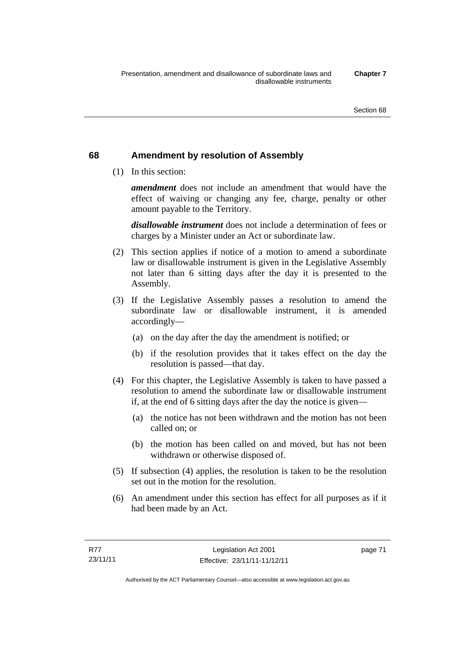## **68 Amendment by resolution of Assembly**

(1) In this section:

*amendment* does not include an amendment that would have the effect of waiving or changing any fee, charge, penalty or other amount payable to the Territory.

*disallowable instrument* does not include a determination of fees or charges by a Minister under an Act or subordinate law.

- (2) This section applies if notice of a motion to amend a subordinate law or disallowable instrument is given in the Legislative Assembly not later than 6 sitting days after the day it is presented to the Assembly.
- (3) If the Legislative Assembly passes a resolution to amend the subordinate law or disallowable instrument, it is amended accordingly—
	- (a) on the day after the day the amendment is notified; or
	- (b) if the resolution provides that it takes effect on the day the resolution is passed—that day.
- (4) For this chapter, the Legislative Assembly is taken to have passed a resolution to amend the subordinate law or disallowable instrument if, at the end of 6 sitting days after the day the notice is given—
	- (a) the notice has not been withdrawn and the motion has not been called on; or
	- (b) the motion has been called on and moved, but has not been withdrawn or otherwise disposed of.
- (5) If subsection (4) applies, the resolution is taken to be the resolution set out in the motion for the resolution.
- (6) An amendment under this section has effect for all purposes as if it had been made by an Act.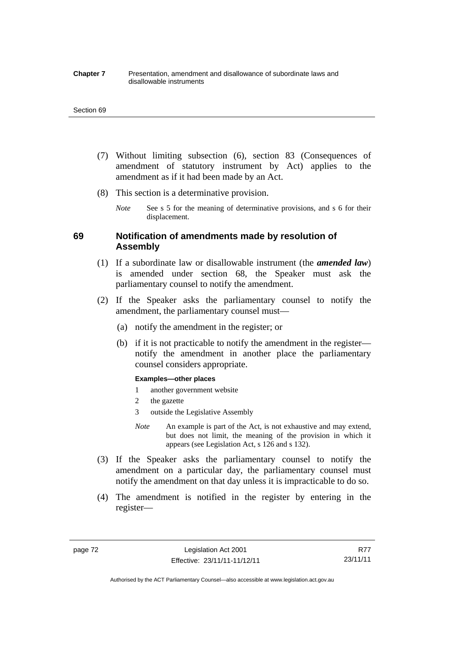#### **Chapter 7** Presentation, amendment and disallowance of subordinate laws and disallowable instruments

#### Section 69

- (7) Without limiting subsection (6), section 83 (Consequences of amendment of statutory instrument by Act) applies to the amendment as if it had been made by an Act.
- (8) This section is a determinative provision.
	- *Note* See s 5 for the meaning of determinative provisions, and s 6 for their displacement.

## **69 Notification of amendments made by resolution of Assembly**

- (1) If a subordinate law or disallowable instrument (the *amended law*) is amended under section 68, the Speaker must ask the parliamentary counsel to notify the amendment.
- (2) If the Speaker asks the parliamentary counsel to notify the amendment, the parliamentary counsel must—
	- (a) notify the amendment in the register; or
	- (b) if it is not practicable to notify the amendment in the register notify the amendment in another place the parliamentary counsel considers appropriate.

#### **Examples—other places**

- 1 another government website
- 2 the gazette
- 3 outside the Legislative Assembly
- *Note* An example is part of the Act, is not exhaustive and may extend, but does not limit, the meaning of the provision in which it appears (see Legislation Act, s 126 and s 132).
- (3) If the Speaker asks the parliamentary counsel to notify the amendment on a particular day, the parliamentary counsel must notify the amendment on that day unless it is impracticable to do so.
- (4) The amendment is notified in the register by entering in the register—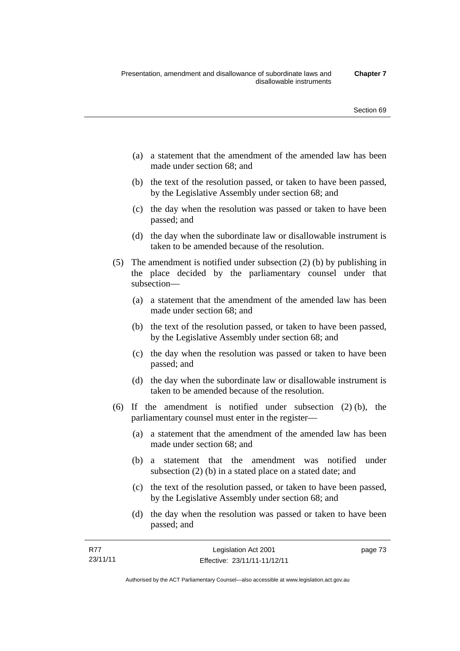- (a) a statement that the amendment of the amended law has been made under section 68; and
- (b) the text of the resolution passed, or taken to have been passed, by the Legislative Assembly under section 68; and
- (c) the day when the resolution was passed or taken to have been passed; and
- (d) the day when the subordinate law or disallowable instrument is taken to be amended because of the resolution.
- (5) The amendment is notified under subsection (2) (b) by publishing in the place decided by the parliamentary counsel under that subsection—
	- (a) a statement that the amendment of the amended law has been made under section 68; and
	- (b) the text of the resolution passed, or taken to have been passed, by the Legislative Assembly under section 68; and
	- (c) the day when the resolution was passed or taken to have been passed; and
	- (d) the day when the subordinate law or disallowable instrument is taken to be amended because of the resolution.
- (6) If the amendment is notified under subsection (2) (b), the parliamentary counsel must enter in the register—
	- (a) a statement that the amendment of the amended law has been made under section 68; and
	- (b) a statement that the amendment was notified under subsection (2) (b) in a stated place on a stated date; and
	- (c) the text of the resolution passed, or taken to have been passed, by the Legislative Assembly under section 68; and
	- (d) the day when the resolution was passed or taken to have been passed; and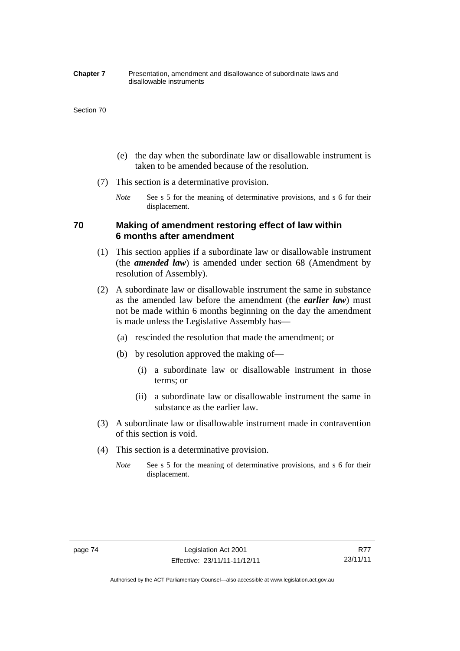#### **Chapter 7** Presentation, amendment and disallowance of subordinate laws and disallowable instruments

#### Section 70

- (e) the day when the subordinate law or disallowable instrument is taken to be amended because of the resolution.
- (7) This section is a determinative provision.
	- *Note* See s 5 for the meaning of determinative provisions, and s 6 for their displacement.

## **70 Making of amendment restoring effect of law within 6 months after amendment**

- (1) This section applies if a subordinate law or disallowable instrument (the *amended law*) is amended under section 68 (Amendment by resolution of Assembly).
- (2) A subordinate law or disallowable instrument the same in substance as the amended law before the amendment (the *earlier law*) must not be made within 6 months beginning on the day the amendment is made unless the Legislative Assembly has—
	- (a) rescinded the resolution that made the amendment; or
	- (b) by resolution approved the making of—
		- (i) a subordinate law or disallowable instrument in those terms; or
		- (ii) a subordinate law or disallowable instrument the same in substance as the earlier law.
- (3) A subordinate law or disallowable instrument made in contravention of this section is void.
- (4) This section is a determinative provision.
	- *Note* See s 5 for the meaning of determinative provisions, and s 6 for their displacement.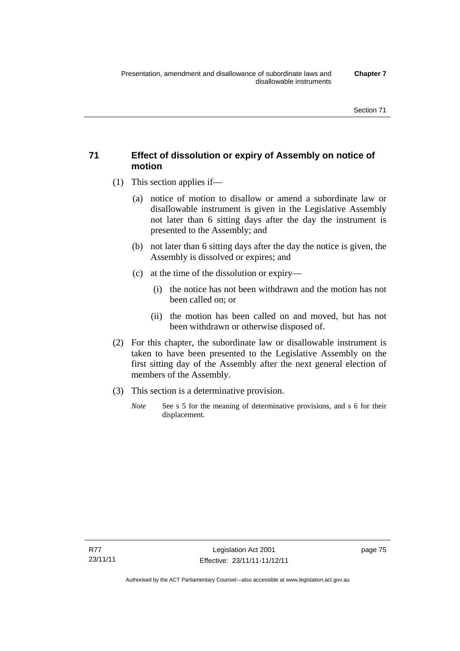## **71 Effect of dissolution or expiry of Assembly on notice of motion**

- (1) This section applies if—
	- (a) notice of motion to disallow or amend a subordinate law or disallowable instrument is given in the Legislative Assembly not later than 6 sitting days after the day the instrument is presented to the Assembly; and
	- (b) not later than 6 sitting days after the day the notice is given, the Assembly is dissolved or expires; and
	- (c) at the time of the dissolution or expiry—
		- (i) the notice has not been withdrawn and the motion has not been called on; or
		- (ii) the motion has been called on and moved, but has not been withdrawn or otherwise disposed of.
- (2) For this chapter, the subordinate law or disallowable instrument is taken to have been presented to the Legislative Assembly on the first sitting day of the Assembly after the next general election of members of the Assembly.
- (3) This section is a determinative provision.
	- *Note* See s 5 for the meaning of determinative provisions, and s 6 for their displacement.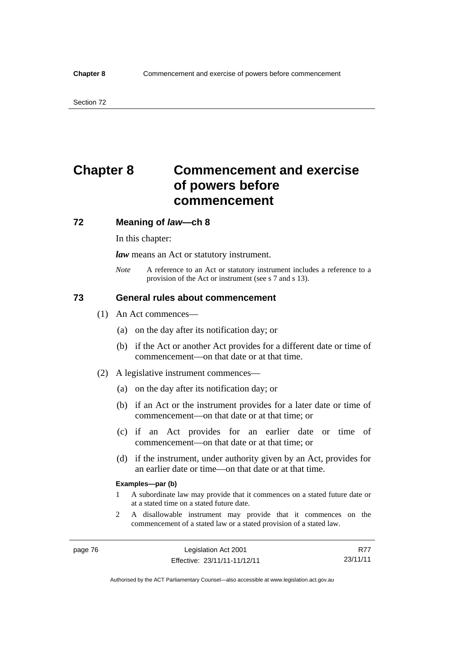# **Chapter 8 Commencement and exercise of powers before commencement**

## **72 Meaning of** *law***—ch 8**

In this chapter:

*law* means an Act or statutory instrument.

*Note* A reference to an Act or statutory instrument includes a reference to a provision of the Act or instrument (see s 7 and s 13).

## **73 General rules about commencement**

- (1) An Act commences—
	- (a) on the day after its notification day; or
	- (b) if the Act or another Act provides for a different date or time of commencement—on that date or at that time.
- (2) A legislative instrument commences—
	- (a) on the day after its notification day; or
	- (b) if an Act or the instrument provides for a later date or time of commencement—on that date or at that time; or
	- (c) if an Act provides for an earlier date or time of commencement—on that date or at that time; or
	- (d) if the instrument, under authority given by an Act, provides for an earlier date or time—on that date or at that time.

#### **Examples—par (b)**

- 1 A subordinate law may provide that it commences on a stated future date or at a stated time on a stated future date.
- 2 A disallowable instrument may provide that it commences on the commencement of a stated law or a stated provision of a stated law.

R77 23/11/11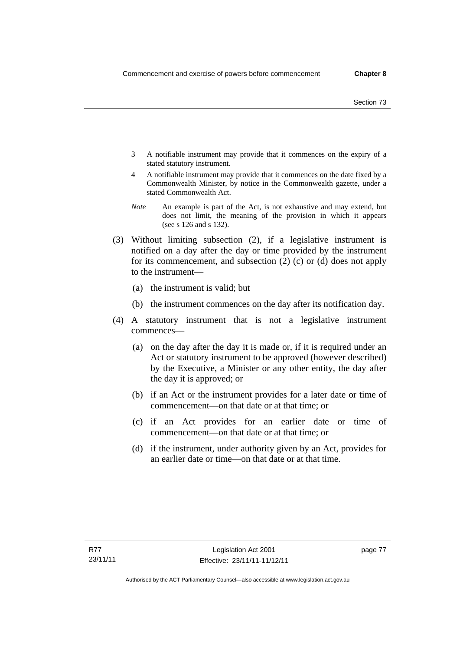- 3 A notifiable instrument may provide that it commences on the expiry of a stated statutory instrument.
- 4 A notifiable instrument may provide that it commences on the date fixed by a Commonwealth Minister, by notice in the Commonwealth gazette, under a stated Commonwealth Act.
- *Note* An example is part of the Act, is not exhaustive and may extend, but does not limit, the meaning of the provision in which it appears (see s 126 and s 132).
- (3) Without limiting subsection (2), if a legislative instrument is notified on a day after the day or time provided by the instrument for its commencement, and subsection (2) (c) or (d) does not apply to the instrument—
	- (a) the instrument is valid; but
	- (b) the instrument commences on the day after its notification day.
- (4) A statutory instrument that is not a legislative instrument commences—
	- (a) on the day after the day it is made or, if it is required under an Act or statutory instrument to be approved (however described) by the Executive, a Minister or any other entity, the day after the day it is approved; or
	- (b) if an Act or the instrument provides for a later date or time of commencement—on that date or at that time; or
	- (c) if an Act provides for an earlier date or time of commencement—on that date or at that time; or
	- (d) if the instrument, under authority given by an Act, provides for an earlier date or time—on that date or at that time.

page 77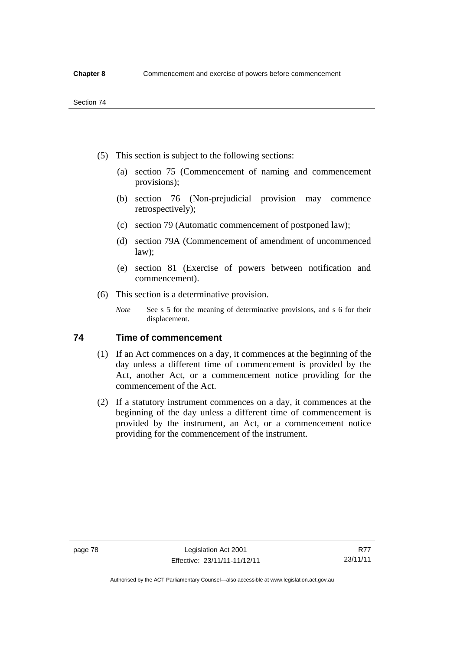- (5) This section is subject to the following sections:
	- (a) section 75 (Commencement of naming and commencement provisions);
	- (b) section 76 (Non-prejudicial provision may commence retrospectively);
	- (c) section 79 (Automatic commencement of postponed law);
	- (d) section 79A (Commencement of amendment of uncommenced law);
	- (e) section 81 (Exercise of powers between notification and commencement).
- (6) This section is a determinative provision.
	- *Note* See s 5 for the meaning of determinative provisions, and s 6 for their displacement.

## **74 Time of commencement**

- (1) If an Act commences on a day, it commences at the beginning of the day unless a different time of commencement is provided by the Act, another Act, or a commencement notice providing for the commencement of the Act.
- (2) If a statutory instrument commences on a day, it commences at the beginning of the day unless a different time of commencement is provided by the instrument, an Act, or a commencement notice providing for the commencement of the instrument.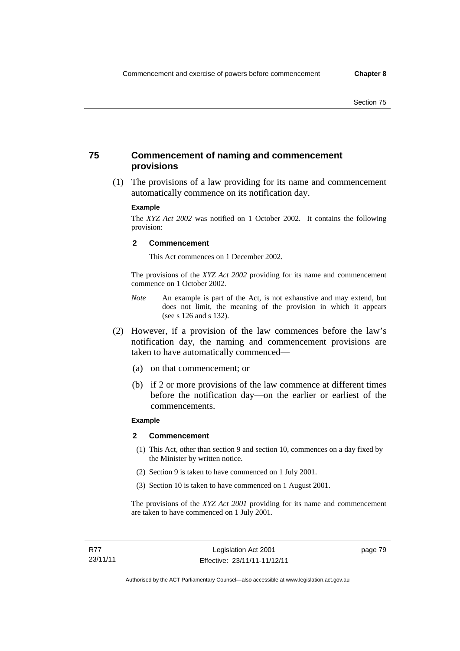## **75 Commencement of naming and commencement provisions**

 (1) The provisions of a law providing for its name and commencement automatically commence on its notification day.

#### **Example**

The *XYZ Act 2002* was notified on 1 October 2002. It contains the following provision:

#### **2 Commencement**

This Act commences on 1 December 2002.

The provisions of the *XYZ Act 2002* providing for its name and commencement commence on 1 October 2002.

- *Note* An example is part of the Act, is not exhaustive and may extend, but does not limit, the meaning of the provision in which it appears (see s 126 and s 132).
- (2) However, if a provision of the law commences before the law's notification day, the naming and commencement provisions are taken to have automatically commenced—
	- (a) on that commencement; or
	- (b) if 2 or more provisions of the law commence at different times before the notification day—on the earlier or earliest of the commencements.

### **Example**

#### **2 Commencement**

- (1) This Act, other than section 9 and section 10, commences on a day fixed by the Minister by written notice.
- (2) Section 9 is taken to have commenced on 1 July 2001.
- (3) Section 10 is taken to have commenced on 1 August 2001.

The provisions of the *XYZ Act 2001* providing for its name and commencement are taken to have commenced on 1 July 2001.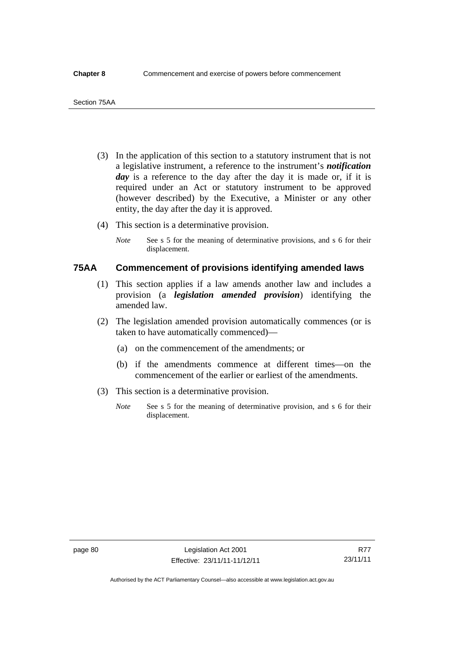- (3) In the application of this section to a statutory instrument that is not a legislative instrument, a reference to the instrument's *notification*  day is a reference to the day after the day it is made or, if it is required under an Act or statutory instrument to be approved (however described) by the Executive, a Minister or any other entity, the day after the day it is approved.
- (4) This section is a determinative provision.
	- *Note* See s 5 for the meaning of determinative provisions, and s 6 for their displacement.

## **75AA Commencement of provisions identifying amended laws**

- (1) This section applies if a law amends another law and includes a provision (a *legislation amended provision*) identifying the amended law.
- (2) The legislation amended provision automatically commences (or is taken to have automatically commenced)—
	- (a) on the commencement of the amendments; or
	- (b) if the amendments commence at different times—on the commencement of the earlier or earliest of the amendments.
- (3) This section is a determinative provision.
	- *Note* See s 5 for the meaning of determinative provision, and s 6 for their displacement.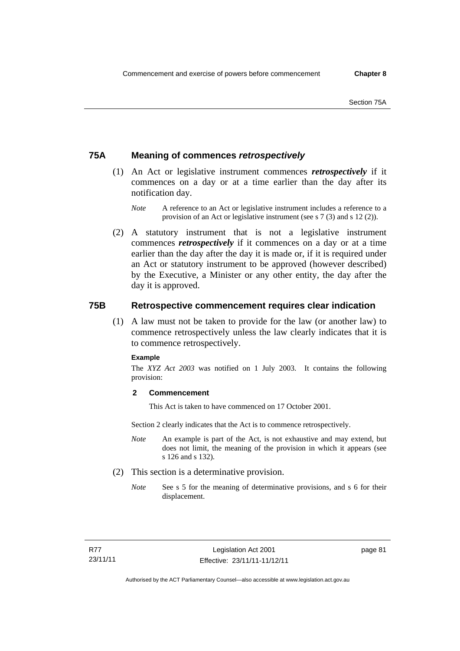## **75A Meaning of commences** *retrospectively*

- (1) An Act or legislative instrument commences *retrospectively* if it commences on a day or at a time earlier than the day after its notification day.
	- *Note* A reference to an Act or legislative instrument includes a reference to a provision of an Act or legislative instrument (see s 7 (3) and s 12 (2)).
- (2) A statutory instrument that is not a legislative instrument commences *retrospectively* if it commences on a day or at a time earlier than the day after the day it is made or, if it is required under an Act or statutory instrument to be approved (however described) by the Executive, a Minister or any other entity, the day after the day it is approved.

## **75B Retrospective commencement requires clear indication**

(1) A law must not be taken to provide for the law (or another law) to commence retrospectively unless the law clearly indicates that it is to commence retrospectively.

### **Example**

The *XYZ Act 2003* was notified on 1 July 2003. It contains the following provision:

## **2 Commencement**

This Act is taken to have commenced on 17 October 2001.

Section 2 clearly indicates that the Act is to commence retrospectively.

- *Note* An example is part of the Act, is not exhaustive and may extend, but does not limit, the meaning of the provision in which it appears (see s 126 and s 132).
- (2) This section is a determinative provision.
	- *Note* See s 5 for the meaning of determinative provisions, and s 6 for their displacement.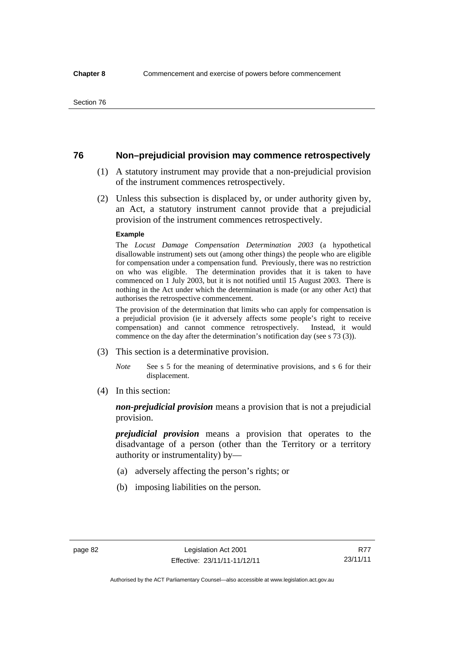## **76 Non–prejudicial provision may commence retrospectively**

- (1) A statutory instrument may provide that a non-prejudicial provision of the instrument commences retrospectively.
- (2) Unless this subsection is displaced by, or under authority given by, an Act, a statutory instrument cannot provide that a prejudicial provision of the instrument commences retrospectively.

#### **Example**

The *Locust Damage Compensation Determination 2003* (a hypothetical disallowable instrument) sets out (among other things) the people who are eligible for compensation under a compensation fund. Previously, there was no restriction on who was eligible. The determination provides that it is taken to have commenced on 1 July 2003, but it is not notified until 15 August 2003. There is nothing in the Act under which the determination is made (or any other Act) that authorises the retrospective commencement.

The provision of the determination that limits who can apply for compensation is a prejudicial provision (ie it adversely affects some people's right to receive compensation) and cannot commence retrospectively. Instead, it would commence on the day after the determination's notification day (see s 73 (3)).

- (3) This section is a determinative provision.
	- *Note* See s 5 for the meaning of determinative provisions, and s 6 for their displacement.
- (4) In this section:

*non-prejudicial provision* means a provision that is not a prejudicial provision.

*prejudicial provision* means a provision that operates to the disadvantage of a person (other than the Territory or a territory authority or instrumentality) by—

- (a) adversely affecting the person's rights; or
- (b) imposing liabilities on the person.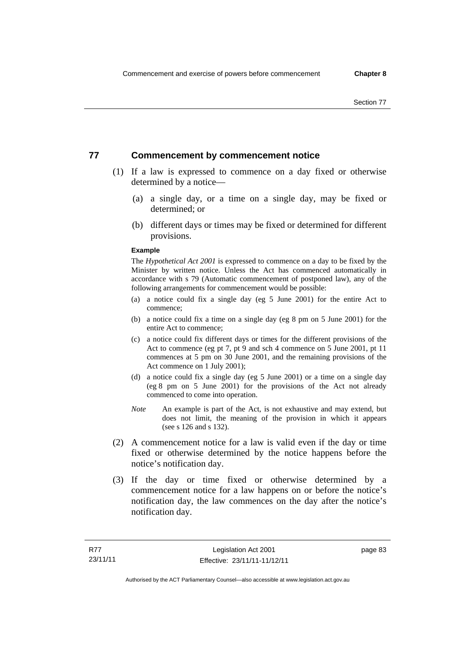## **77 Commencement by commencement notice**

- (1) If a law is expressed to commence on a day fixed or otherwise determined by a notice—
	- (a) a single day, or a time on a single day, may be fixed or determined; or
	- (b) different days or times may be fixed or determined for different provisions.

### **Example**

The *Hypothetical Act 2001* is expressed to commence on a day to be fixed by the Minister by written notice. Unless the Act has commenced automatically in accordance with s 79 (Automatic commencement of postponed law), any of the following arrangements for commencement would be possible:

- (a) a notice could fix a single day (eg 5 June 2001) for the entire Act to commence;
- (b) a notice could fix a time on a single day (eg 8 pm on 5 June 2001) for the entire Act to commence;
- (c) a notice could fix different days or times for the different provisions of the Act to commence (eg pt 7, pt 9 and sch 4 commence on 5 June 2001, pt 11 commences at 5 pm on 30 June 2001, and the remaining provisions of the Act commence on 1 July 2001);
- (d) a notice could fix a single day (eg 5 June 2001) or a time on a single day (eg 8 pm on 5 June 2001) for the provisions of the Act not already commenced to come into operation.
- *Note* An example is part of the Act, is not exhaustive and may extend, but does not limit, the meaning of the provision in which it appears (see s 126 and s 132).
- (2) A commencement notice for a law is valid even if the day or time fixed or otherwise determined by the notice happens before the notice's notification day.
- (3) If the day or time fixed or otherwise determined by a commencement notice for a law happens on or before the notice's notification day, the law commences on the day after the notice's notification day.

page 83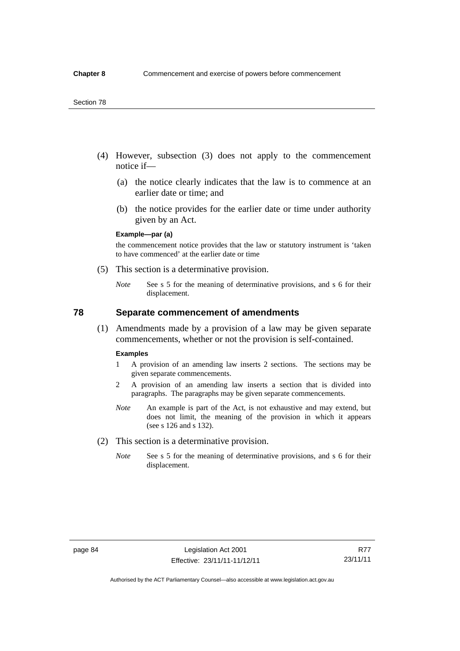- (4) However, subsection (3) does not apply to the commencement notice if—
	- (a) the notice clearly indicates that the law is to commence at an earlier date or time; and
	- (b) the notice provides for the earlier date or time under authority given by an Act.

### **Example—par (a)**

the commencement notice provides that the law or statutory instrument is 'taken to have commenced' at the earlier date or time

- (5) This section is a determinative provision.
	- *Note* See s 5 for the meaning of determinative provisions, and s 6 for their displacement.

## **78 Separate commencement of amendments**

 (1) Amendments made by a provision of a law may be given separate commencements, whether or not the provision is self-contained.

#### **Examples**

- 1 A provision of an amending law inserts 2 sections. The sections may be given separate commencements.
- 2 A provision of an amending law inserts a section that is divided into paragraphs. The paragraphs may be given separate commencements.
- *Note* An example is part of the Act, is not exhaustive and may extend, but does not limit, the meaning of the provision in which it appears (see s 126 and s 132).
- (2) This section is a determinative provision.
	- *Note* See s 5 for the meaning of determinative provisions, and s 6 for their displacement.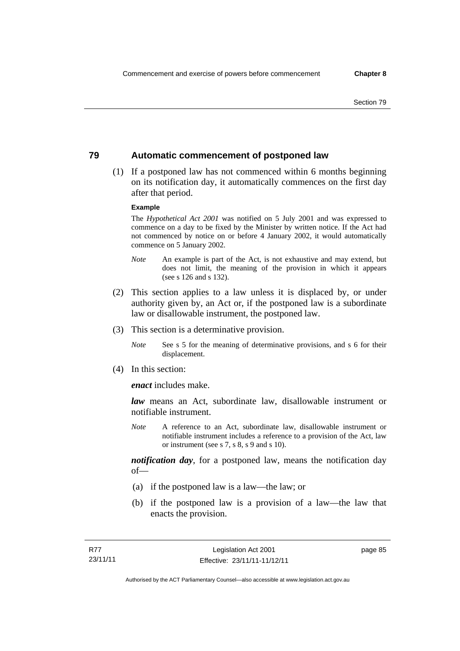## **79 Automatic commencement of postponed law**

 (1) If a postponed law has not commenced within 6 months beginning on its notification day, it automatically commences on the first day after that period.

### **Example**

The *Hypothetical Act 2001* was notified on 5 July 2001 and was expressed to commence on a day to be fixed by the Minister by written notice. If the Act had not commenced by notice on or before 4 January 2002, it would automatically commence on 5 January 2002.

- *Note* An example is part of the Act, is not exhaustive and may extend, but does not limit, the meaning of the provision in which it appears (see s 126 and s 132).
- (2) This section applies to a law unless it is displaced by, or under authority given by, an Act or, if the postponed law is a subordinate law or disallowable instrument, the postponed law.
- (3) This section is a determinative provision.
	- *Note* See s 5 for the meaning of determinative provisions, and s 6 for their displacement.
- (4) In this section:

*enact* includes make.

*law* means an Act, subordinate law, disallowable instrument or notifiable instrument.

*Note* A reference to an Act, subordinate law, disallowable instrument or notifiable instrument includes a reference to a provision of the Act, law or instrument (see s 7, s 8, s 9 and s 10).

*notification day*, for a postponed law, means the notification day  $of$ 

- (a) if the postponed law is a law—the law; or
- (b) if the postponed law is a provision of a law—the law that enacts the provision.

page 85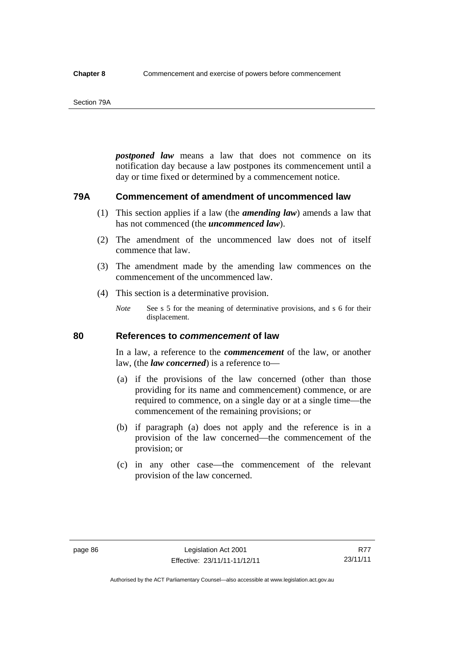#### Section 79A

*postponed law* means a law that does not commence on its notification day because a law postpones its commencement until a day or time fixed or determined by a commencement notice.

## **79A Commencement of amendment of uncommenced law**

- (1) This section applies if a law (the *amending law*) amends a law that has not commenced (the *uncommenced law*).
- (2) The amendment of the uncommenced law does not of itself commence that law.
- (3) The amendment made by the amending law commences on the commencement of the uncommenced law.
- (4) This section is a determinative provision.
	- *Note* See s 5 for the meaning of determinative provisions, and s 6 for their displacement.

## **80 References to** *commencement* **of law**

In a law, a reference to the *commencement* of the law, or another law, (the *law concerned*) is a reference to—

- (a) if the provisions of the law concerned (other than those providing for its name and commencement) commence, or are required to commence, on a single day or at a single time—the commencement of the remaining provisions; or
- (b) if paragraph (a) does not apply and the reference is in a provision of the law concerned—the commencement of the provision; or
- (c) in any other case—the commencement of the relevant provision of the law concerned.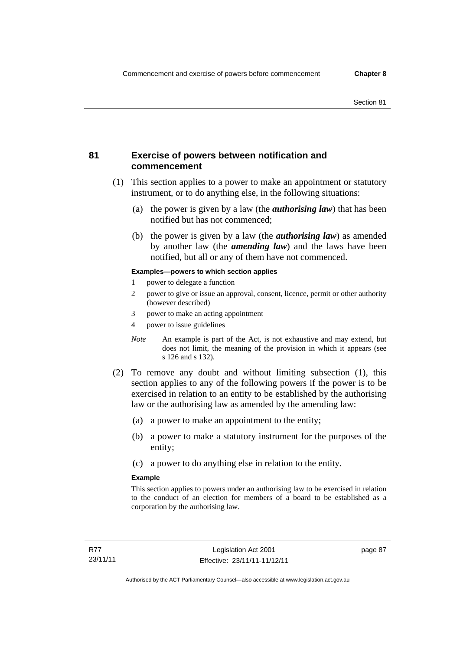## **81 Exercise of powers between notification and commencement**

- (1) This section applies to a power to make an appointment or statutory instrument, or to do anything else, in the following situations:
	- (a) the power is given by a law (the *authorising law*) that has been notified but has not commenced;
	- (b) the power is given by a law (the *authorising law*) as amended by another law (the *amending law*) and the laws have been notified, but all or any of them have not commenced.

### **Examples—powers to which section applies**

- 1 power to delegate a function
- 2 power to give or issue an approval, consent, licence, permit or other authority (however described)
- 3 power to make an acting appointment
- 4 power to issue guidelines
- *Note* An example is part of the Act, is not exhaustive and may extend, but does not limit, the meaning of the provision in which it appears (see s 126 and s 132).
- (2) To remove any doubt and without limiting subsection (1), this section applies to any of the following powers if the power is to be exercised in relation to an entity to be established by the authorising law or the authorising law as amended by the amending law:
	- (a) a power to make an appointment to the entity;
	- (b) a power to make a statutory instrument for the purposes of the entity;
	- (c) a power to do anything else in relation to the entity.

### **Example**

This section applies to powers under an authorising law to be exercised in relation to the conduct of an election for members of a board to be established as a corporation by the authorising law.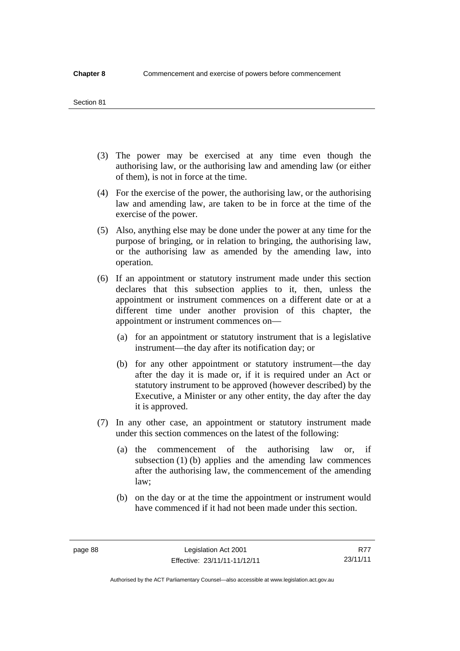#### Section 81

- (3) The power may be exercised at any time even though the authorising law, or the authorising law and amending law (or either of them), is not in force at the time.
- (4) For the exercise of the power, the authorising law, or the authorising law and amending law, are taken to be in force at the time of the exercise of the power.
- (5) Also, anything else may be done under the power at any time for the purpose of bringing, or in relation to bringing, the authorising law, or the authorising law as amended by the amending law, into operation.
- (6) If an appointment or statutory instrument made under this section declares that this subsection applies to it, then, unless the appointment or instrument commences on a different date or at a different time under another provision of this chapter, the appointment or instrument commences on—
	- (a) for an appointment or statutory instrument that is a legislative instrument—the day after its notification day; or
	- (b) for any other appointment or statutory instrument—the day after the day it is made or, if it is required under an Act or statutory instrument to be approved (however described) by the Executive, a Minister or any other entity, the day after the day it is approved.
- (7) In any other case, an appointment or statutory instrument made under this section commences on the latest of the following:
	- (a) the commencement of the authorising law or, if subsection (1) (b) applies and the amending law commences after the authorising law, the commencement of the amending law;
	- (b) on the day or at the time the appointment or instrument would have commenced if it had not been made under this section.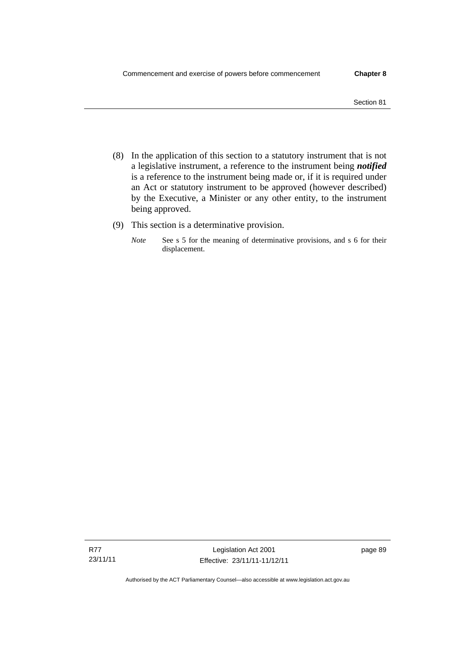- (8) In the application of this section to a statutory instrument that is not a legislative instrument, a reference to the instrument being *notified*  is a reference to the instrument being made or, if it is required under an Act or statutory instrument to be approved (however described) by the Executive, a Minister or any other entity, to the instrument being approved.
- (9) This section is a determinative provision.
	- *Note* See s 5 for the meaning of determinative provisions, and s 6 for their displacement.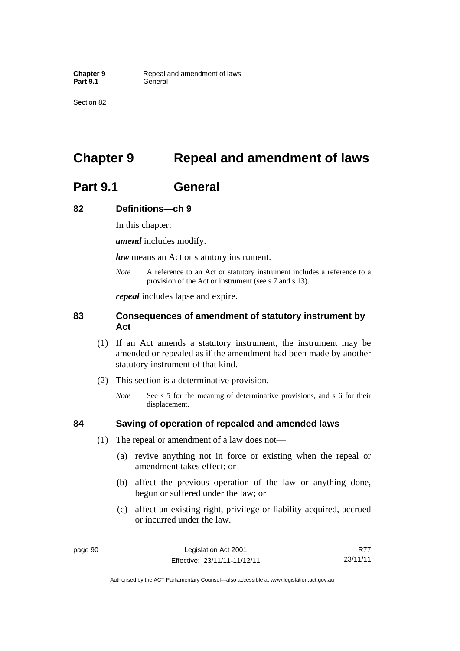Section 82

# **Chapter 9 Repeal and amendment of laws**

# **Part 9.1 General**

## **82 Definitions—ch 9**

In this chapter:

*amend* includes modify.

*law* means an Act or statutory instrument.

*Note* A reference to an Act or statutory instrument includes a reference to a provision of the Act or instrument (see s 7 and s 13).

*repeal* includes lapse and expire.

## **83 Consequences of amendment of statutory instrument by Act**

- (1) If an Act amends a statutory instrument, the instrument may be amended or repealed as if the amendment had been made by another statutory instrument of that kind.
- (2) This section is a determinative provision.
	- *Note* See s 5 for the meaning of determinative provisions, and s 6 for their displacement.

## **84 Saving of operation of repealed and amended laws**

- (1) The repeal or amendment of a law does not—
	- (a) revive anything not in force or existing when the repeal or amendment takes effect; or
	- (b) affect the previous operation of the law or anything done, begun or suffered under the law; or
	- (c) affect an existing right, privilege or liability acquired, accrued or incurred under the law.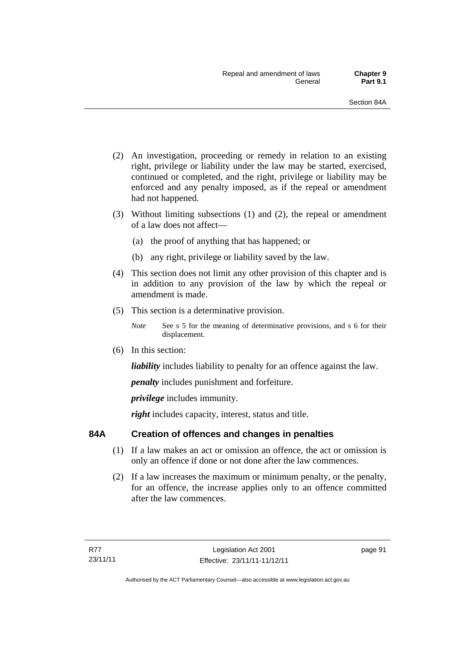- (2) An investigation, proceeding or remedy in relation to an existing right, privilege or liability under the law may be started, exercised, continued or completed, and the right, privilege or liability may be enforced and any penalty imposed, as if the repeal or amendment had not happened.
- (3) Without limiting subsections (1) and (2), the repeal or amendment of a law does not affect—
	- (a) the proof of anything that has happened; or
	- (b) any right, privilege or liability saved by the law.
- (4) This section does not limit any other provision of this chapter and is in addition to any provision of the law by which the repeal or amendment is made.
- (5) This section is a determinative provision.
	- *Note* See s 5 for the meaning of determinative provisions, and s 6 for their displacement.
- (6) In this section:

*liability* includes liability to penalty for an offence against the law.

*penalty* includes punishment and forfeiture.

*privilege* includes immunity.

right includes capacity, interest, status and title.

## **84A Creation of offences and changes in penalties**

- (1) If a law makes an act or omission an offence, the act or omission is only an offence if done or not done after the law commences.
- (2) If a law increases the maximum or minimum penalty, or the penalty, for an offence, the increase applies only to an offence committed after the law commences.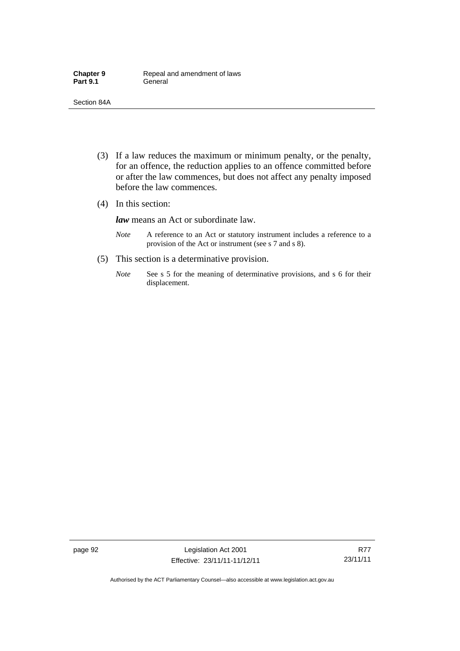- (3) If a law reduces the maximum or minimum penalty, or the penalty, for an offence, the reduction applies to an offence committed before or after the law commences, but does not affect any penalty imposed before the law commences.
- (4) In this section:

*law* means an Act or subordinate law.

- *Note* A reference to an Act or statutory instrument includes a reference to a provision of the Act or instrument (see s 7 and s 8).
- (5) This section is a determinative provision.
	- *Note* See s 5 for the meaning of determinative provisions, and s 6 for their displacement.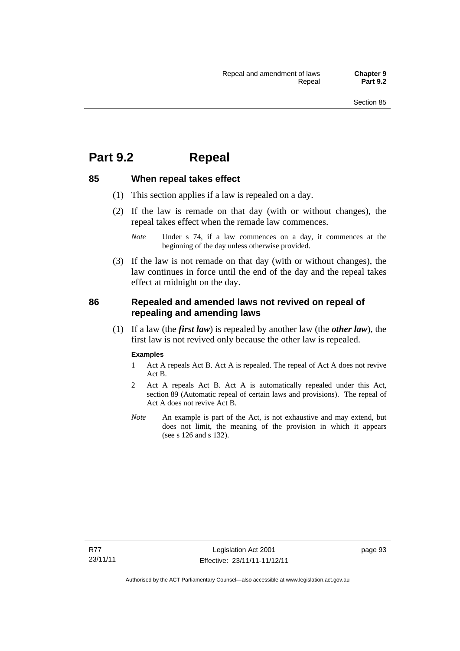## **Part 9.2 Repeal**

## **85 When repeal takes effect**

- (1) This section applies if a law is repealed on a day.
- (2) If the law is remade on that day (with or without changes), the repeal takes effect when the remade law commences.

 (3) If the law is not remade on that day (with or without changes), the law continues in force until the end of the day and the repeal takes effect at midnight on the day.

## **86 Repealed and amended laws not revived on repeal of repealing and amending laws**

 (1) If a law (the *first law*) is repealed by another law (the *other law*), the first law is not revived only because the other law is repealed.

#### **Examples**

- 1 Act A repeals Act B. Act A is repealed. The repeal of Act A does not revive Act B.
- 2 Act A repeals Act B. Act A is automatically repealed under this Act, section 89 (Automatic repeal of certain laws and provisions). The repeal of Act A does not revive Act B.
- *Note* An example is part of the Act, is not exhaustive and may extend, but does not limit, the meaning of the provision in which it appears (see s 126 and s 132).

page 93

*Note* Under s 74, if a law commences on a day, it commences at the beginning of the day unless otherwise provided.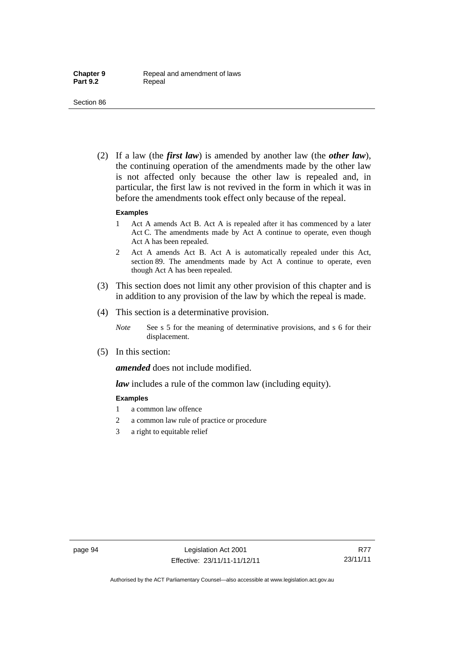(2) If a law (the *first law*) is amended by another law (the *other law*), the continuing operation of the amendments made by the other law is not affected only because the other law is repealed and, in particular, the first law is not revived in the form in which it was in before the amendments took effect only because of the repeal.

#### **Examples**

- 1 Act A amends Act B. Act A is repealed after it has commenced by a later Act C. The amendments made by Act A continue to operate, even though Act A has been repealed.
- 2 Act A amends Act B. Act A is automatically repealed under this Act, section 89. The amendments made by Act A continue to operate, even though Act A has been repealed.
- (3) This section does not limit any other provision of this chapter and is in addition to any provision of the law by which the repeal is made.
- (4) This section is a determinative provision.
	- *Note* See s 5 for the meaning of determinative provisions, and s 6 for their displacement.
- (5) In this section:

*amended* does not include modified.

*law* includes a rule of the common law (including equity).

#### **Examples**

- 1 a common law offence
- 2 a common law rule of practice or procedure
- 3 a right to equitable relief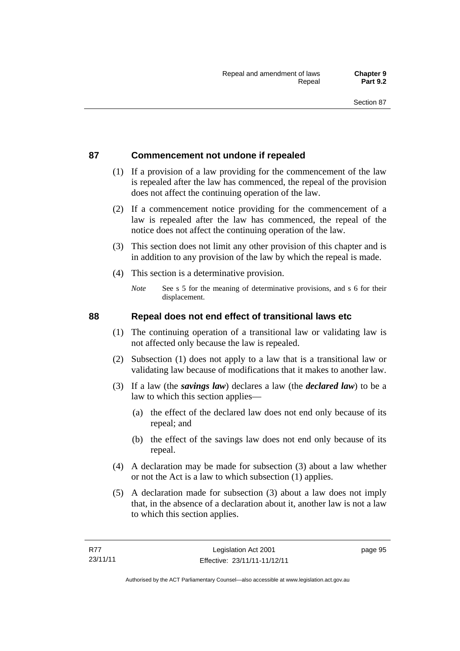## **87 Commencement not undone if repealed**

- (1) If a provision of a law providing for the commencement of the law is repealed after the law has commenced, the repeal of the provision does not affect the continuing operation of the law.
- (2) If a commencement notice providing for the commencement of a law is repealed after the law has commenced, the repeal of the notice does not affect the continuing operation of the law.
- (3) This section does not limit any other provision of this chapter and is in addition to any provision of the law by which the repeal is made.
- (4) This section is a determinative provision.
	- *Note* See s 5 for the meaning of determinative provisions, and s 6 for their displacement.

## **88 Repeal does not end effect of transitional laws etc**

- (1) The continuing operation of a transitional law or validating law is not affected only because the law is repealed.
- (2) Subsection (1) does not apply to a law that is a transitional law or validating law because of modifications that it makes to another law.
- (3) If a law (the *savings law*) declares a law (the *declared law*) to be a law to which this section applies—
	- (a) the effect of the declared law does not end only because of its repeal; and
	- (b) the effect of the savings law does not end only because of its repeal.
- (4) A declaration may be made for subsection (3) about a law whether or not the Act is a law to which subsection (1) applies.
- (5) A declaration made for subsection (3) about a law does not imply that, in the absence of a declaration about it, another law is not a law to which this section applies.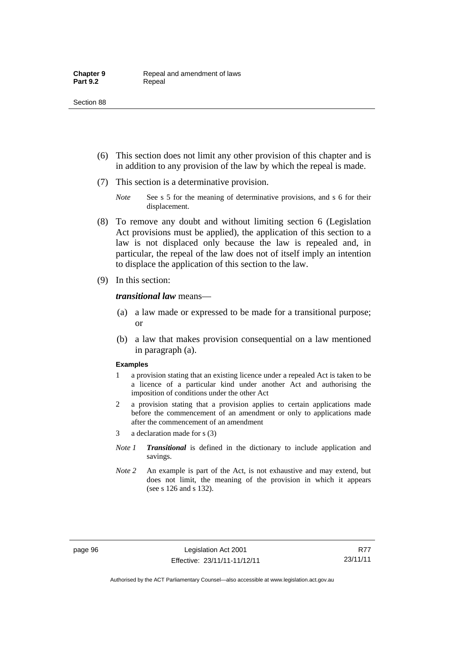- (6) This section does not limit any other provision of this chapter and is in addition to any provision of the law by which the repeal is made.
- (7) This section is a determinative provision.
	- *Note* See s 5 for the meaning of determinative provisions, and s 6 for their displacement.
- (8) To remove any doubt and without limiting section 6 (Legislation Act provisions must be applied), the application of this section to a law is not displaced only because the law is repealed and, in particular, the repeal of the law does not of itself imply an intention to displace the application of this section to the law.
- (9) In this section:

#### *transitional law* means—

- (a) a law made or expressed to be made for a transitional purpose; or
- (b) a law that makes provision consequential on a law mentioned in paragraph (a).

#### **Examples**

- 1 a provision stating that an existing licence under a repealed Act is taken to be a licence of a particular kind under another Act and authorising the imposition of conditions under the other Act
- 2 a provision stating that a provision applies to certain applications made before the commencement of an amendment or only to applications made after the commencement of an amendment
- 3 a declaration made for s (3)
- *Note 1 Transitional* is defined in the dictionary to include application and savings.
- *Note 2* An example is part of the Act, is not exhaustive and may extend, but does not limit, the meaning of the provision in which it appears (see s 126 and s 132).

R77 23/11/11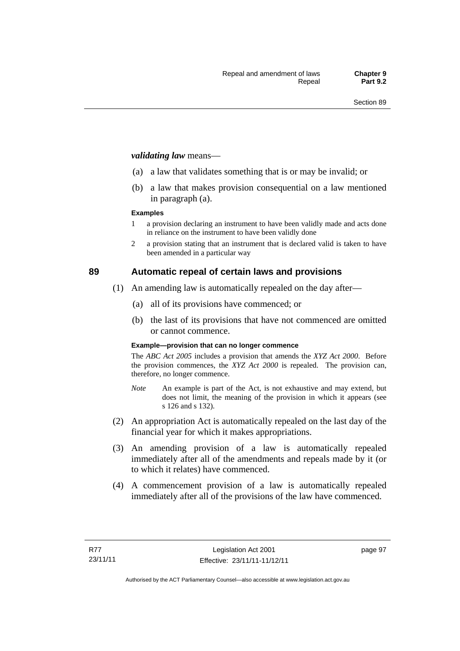#### *validating law* means—

- (a) a law that validates something that is or may be invalid; or
- (b) a law that makes provision consequential on a law mentioned in paragraph (a).

#### **Examples**

- 1 a provision declaring an instrument to have been validly made and acts done in reliance on the instrument to have been validly done
- 2 a provision stating that an instrument that is declared valid is taken to have been amended in a particular way

## **89 Automatic repeal of certain laws and provisions**

- (1) An amending law is automatically repealed on the day after—
	- (a) all of its provisions have commenced; or
	- (b) the last of its provisions that have not commenced are omitted or cannot commence.

#### **Example—provision that can no longer commence**

The *ABC Act 2005* includes a provision that amends the *XYZ Act 2000*. Before the provision commences, the *XYZ Act 2000* is repealed. The provision can, therefore, no longer commence.

- *Note* An example is part of the Act, is not exhaustive and may extend, but does not limit, the meaning of the provision in which it appears (see s 126 and s 132).
- (2) An appropriation Act is automatically repealed on the last day of the financial year for which it makes appropriations.
- (3) An amending provision of a law is automatically repealed immediately after all of the amendments and repeals made by it (or to which it relates) have commenced.
- (4) A commencement provision of a law is automatically repealed immediately after all of the provisions of the law have commenced.

page 97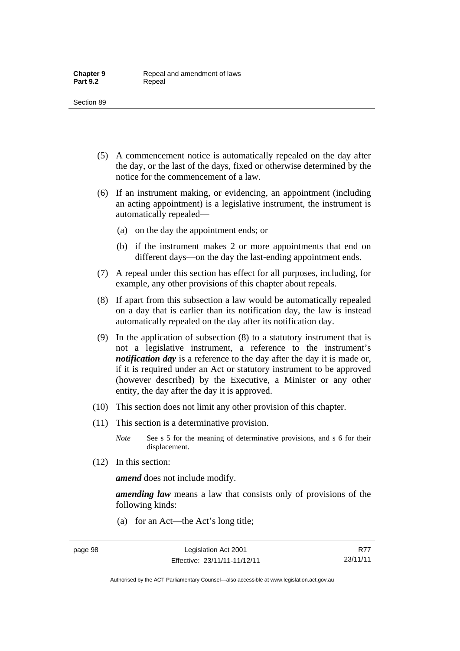- (5) A commencement notice is automatically repealed on the day after the day, or the last of the days, fixed or otherwise determined by the notice for the commencement of a law.
- (6) If an instrument making, or evidencing, an appointment (including an acting appointment) is a legislative instrument, the instrument is automatically repealed—
	- (a) on the day the appointment ends; or
	- (b) if the instrument makes 2 or more appointments that end on different days—on the day the last-ending appointment ends.
- (7) A repeal under this section has effect for all purposes, including, for example, any other provisions of this chapter about repeals.
- (8) If apart from this subsection a law would be automatically repealed on a day that is earlier than its notification day, the law is instead automatically repealed on the day after its notification day.
- (9) In the application of subsection (8) to a statutory instrument that is not a legislative instrument, a reference to the instrument's *notification day* is a reference to the day after the day it is made or, if it is required under an Act or statutory instrument to be approved (however described) by the Executive, a Minister or any other entity, the day after the day it is approved.
- (10) This section does not limit any other provision of this chapter.
- (11) This section is a determinative provision.
	- *Note* See s 5 for the meaning of determinative provisions, and s 6 for their displacement.
- (12) In this section:

*amend* does not include modify.

*amending law* means a law that consists only of provisions of the following kinds:

(a) for an Act—the Act's long title;

Authorised by the ACT Parliamentary Counsel—also accessible at www.legislation.act.gov.au

R77 23/11/11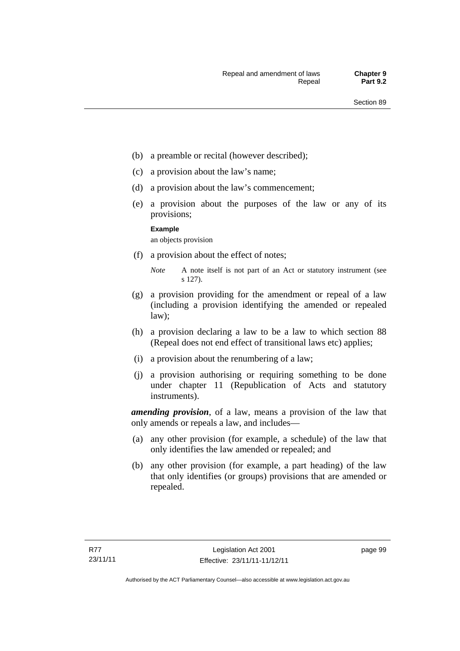- (b) a preamble or recital (however described);
- (c) a provision about the law's name;
- (d) a provision about the law's commencement;
- (e) a provision about the purposes of the law or any of its provisions;

#### **Example**

an objects provision

(f) a provision about the effect of notes;

- (g) a provision providing for the amendment or repeal of a law (including a provision identifying the amended or repealed law);
- (h) a provision declaring a law to be a law to which section 88 (Repeal does not end effect of transitional laws etc) applies;
- (i) a provision about the renumbering of a law;
- (j) a provision authorising or requiring something to be done under chapter 11 (Republication of Acts and statutory instruments).

*amending provision*, of a law, means a provision of the law that only amends or repeals a law, and includes—

- (a) any other provision (for example, a schedule) of the law that only identifies the law amended or repealed; and
- (b) any other provision (for example, a part heading) of the law that only identifies (or groups) provisions that are amended or repealed.

page 99

*Note* A note itself is not part of an Act or statutory instrument (see s 127).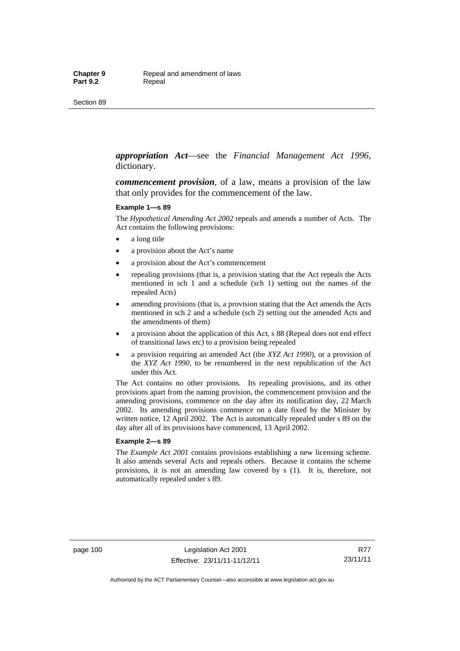#### *appropriation Act*—see the *Financial Management Act 1996*, dictionary.

*commencement provision*, of a law, means a provision of the law that only provides for the commencement of the law.

#### **Example 1—s 89**

The *Hypothetical Amending Act 2002* repeals and amends a number of Acts. The Act contains the following provisions:

- a long title
- a provision about the Act's name
- a provision about the Act's commencement
- repealing provisions (that is, a provision stating that the Act repeals the Acts mentioned in sch 1 and a schedule (sch 1) setting out the names of the repealed Acts)
- amending provisions (that is, a provision stating that the Act amends the Acts mentioned in sch 2 and a schedule (sch 2) setting out the amended Acts and the amendments of them)
- a provision about the application of this Act, s 88 (Repeal does not end effect of transitional laws etc) to a provision being repealed
- a provision requiring an amended Act (the *XYZ Act 1990*), or a provision of the *XYZ Act 1990*, to be renumbered in the next republication of the Act under this Act.

The Act contains no other provisions. Its repealing provisions, and its other provisions apart from the naming provision, the commencement provision and the amending provisions, commence on the day after its notification day, 22 March 2002. Its amending provisions commence on a date fixed by the Minister by written notice, 12 April 2002. The Act is automatically repealed under s 89 on the day after all of its provisions have commenced, 13 April 2002.

#### **Example 2—s 89**

The *Example Act 2001* contains provisions establishing a new licensing scheme. It also amends several Acts and repeals others. Because it contains the scheme provisions, it is not an amending law covered by s (1). It is, therefore, not automatically repealed under s 89.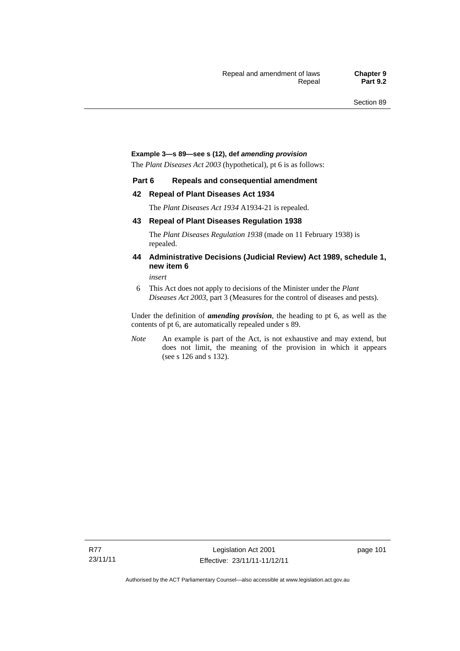#### **Example 3—s 89—see s (12), def** *amending provision*

The *Plant Diseases Act 2003* (hypothetical), pt 6 is as follows:

#### **Part 6 Repeals and consequential amendment**

#### **42 Repeal of Plant Diseases Act 1934**

The *Plant Diseases Act 1934* A1934-21 is repealed.

#### **43 Repeal of Plant Diseases Regulation 1938**

The *Plant Diseases Regulation 1938* (made on 11 February 1938) is repealed.

#### **44 Administrative Decisions (Judicial Review) Act 1989, schedule 1, new item 6**

*insert* 

6 This Act does not apply to decisions of the Minister under the *Plant Diseases Act 2003*, part 3 (Measures for the control of diseases and pests).

Under the definition of *amending provision*, the heading to pt 6, as well as the contents of pt 6, are automatically repealed under s 89.

*Note* An example is part of the Act, is not exhaustive and may extend, but does not limit, the meaning of the provision in which it appears (see s 126 and s 132).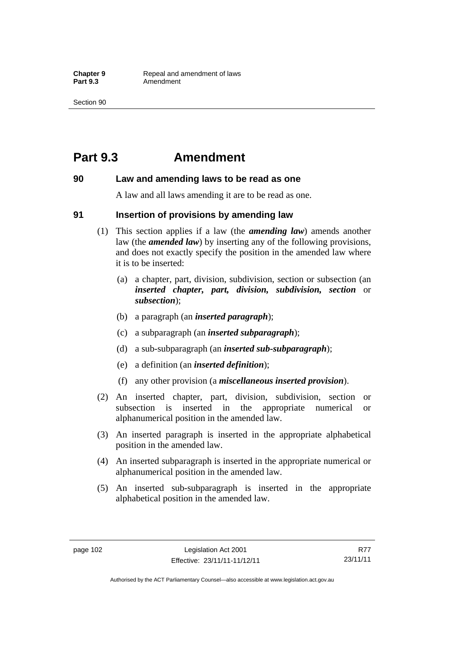## **Part 9.3 Amendment**

#### **90 Law and amending laws to be read as one**

A law and all laws amending it are to be read as one.

#### **91 Insertion of provisions by amending law**

- (1) This section applies if a law (the *amending law*) amends another law (the *amended law*) by inserting any of the following provisions, and does not exactly specify the position in the amended law where it is to be inserted:
	- (a) a chapter, part, division, subdivision, section or subsection (an *inserted chapter, part, division, subdivision, section* or *subsection*);
	- (b) a paragraph (an *inserted paragraph*);
	- (c) a subparagraph (an *inserted subparagraph*);
	- (d) a sub-subparagraph (an *inserted sub-subparagraph*);
	- (e) a definition (an *inserted definition*);
	- (f) any other provision (a *miscellaneous inserted provision*).
- (2) An inserted chapter, part, division, subdivision, section or subsection is inserted in the appropriate numerical or alphanumerical position in the amended law.
- (3) An inserted paragraph is inserted in the appropriate alphabetical position in the amended law.
- (4) An inserted subparagraph is inserted in the appropriate numerical or alphanumerical position in the amended law.
- (5) An inserted sub-subparagraph is inserted in the appropriate alphabetical position in the amended law.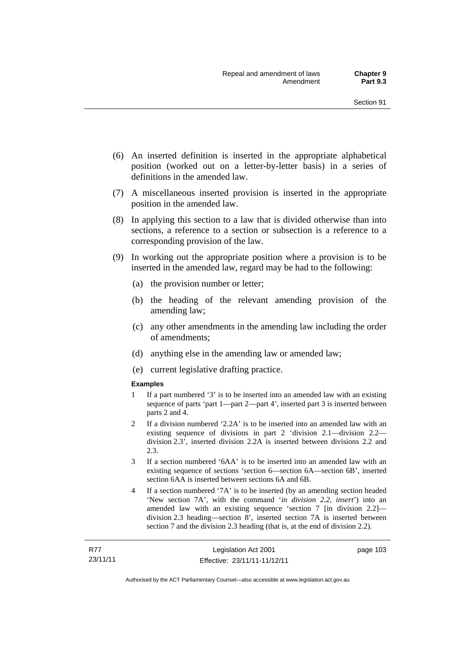- (6) An inserted definition is inserted in the appropriate alphabetical position (worked out on a letter-by-letter basis) in a series of definitions in the amended law.
- (7) A miscellaneous inserted provision is inserted in the appropriate position in the amended law.
- (8) In applying this section to a law that is divided otherwise than into sections, a reference to a section or subsection is a reference to a corresponding provision of the law.
- (9) In working out the appropriate position where a provision is to be inserted in the amended law, regard may be had to the following:
	- (a) the provision number or letter;
	- (b) the heading of the relevant amending provision of the amending law;
	- (c) any other amendments in the amending law including the order of amendments;
	- (d) anything else in the amending law or amended law;
	- (e) current legislative drafting practice.

#### **Examples**

- 1 If a part numbered '3' is to be inserted into an amended law with an existing sequence of parts 'part 1—part 2—part 4', inserted part 3 is inserted between parts 2 and 4.
- 2 If a division numbered '2.2A' is to be inserted into an amended law with an existing sequence of divisions in part 2 'division 2.1—division 2.2 division 2.3', inserted division 2.2A is inserted between divisions 2.2 and 2.3.
- 3 If a section numbered '6AA' is to be inserted into an amended law with an existing sequence of sections 'section 6—section 6A—section 6B', inserted section 6AA is inserted between sections 6A and 6B.
- 4 If a section numbered '7A' is to be inserted (by an amending section headed 'New section 7A', with the command '*in division 2.2, insert*') into an amended law with an existing sequence 'section 7 [in division 2.2] division 2.3 heading—section 8', inserted section 7A is inserted between section 7 and the division 2.3 heading (that is, at the end of division 2.2).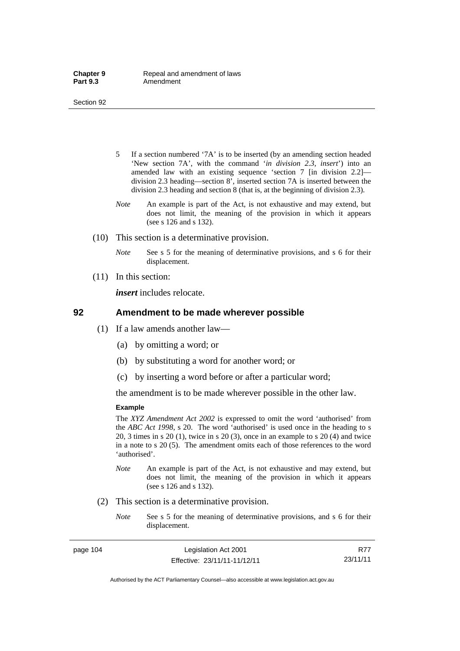- 5 If a section numbered '7A' is to be inserted (by an amending section headed 'New section 7A', with the command '*in division 2.3, insert*') into an amended law with an existing sequence 'section 7 [in division 2.2] division 2.3 heading—section 8', inserted section 7A is inserted between the division 2.3 heading and section 8 (that is, at the beginning of division 2.3).
- *Note* An example is part of the Act, is not exhaustive and may extend, but does not limit, the meaning of the provision in which it appears (see s 126 and s 132).
- (10) This section is a determinative provision.
	- *Note* See s 5 for the meaning of determinative provisions, and s 6 for their displacement.
- (11) In this section:

*insert* includes relocate.

#### **92 Amendment to be made wherever possible**

- (1) If a law amends another law—
	- (a) by omitting a word; or
	- (b) by substituting a word for another word; or
	- (c) by inserting a word before or after a particular word;

the amendment is to be made wherever possible in the other law.

#### **Example**

The *XYZ Amendment Act 2002* is expressed to omit the word 'authorised' from the *ABC Act 1998*, s 20. The word 'authorised' is used once in the heading to s 20, 3 times in s 20 (1), twice in s 20 (3), once in an example to s 20 (4) and twice in a note to s 20 (5). The amendment omits each of those references to the word 'authorised'.

- *Note* An example is part of the Act, is not exhaustive and may extend, but does not limit, the meaning of the provision in which it appears (see s 126 and s 132).
- (2) This section is a determinative provision.
	- *Note* See s 5 for the meaning of determinative provisions, and s 6 for their displacement.

page 104 Legislation Act 2001 Effective: 23/11/11-11/12/11

R77 23/11/11

Authorised by the ACT Parliamentary Counsel—also accessible at www.legislation.act.gov.au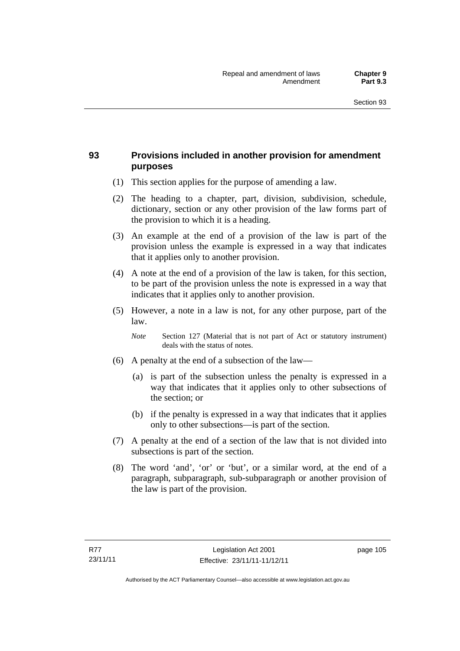## **93 Provisions included in another provision for amendment purposes**

- (1) This section applies for the purpose of amending a law.
- (2) The heading to a chapter, part, division, subdivision, schedule, dictionary, section or any other provision of the law forms part of the provision to which it is a heading.
- (3) An example at the end of a provision of the law is part of the provision unless the example is expressed in a way that indicates that it applies only to another provision.
- (4) A note at the end of a provision of the law is taken, for this section, to be part of the provision unless the note is expressed in a way that indicates that it applies only to another provision.
- (5) However, a note in a law is not, for any other purpose, part of the law.

*Note* Section 127 (Material that is not part of Act or statutory instrument) deals with the status of notes.

- (6) A penalty at the end of a subsection of the law—
	- (a) is part of the subsection unless the penalty is expressed in a way that indicates that it applies only to other subsections of the section; or
	- (b) if the penalty is expressed in a way that indicates that it applies only to other subsections—is part of the section.
- (7) A penalty at the end of a section of the law that is not divided into subsections is part of the section.
- (8) The word 'and', 'or' or 'but', or a similar word, at the end of a paragraph, subparagraph, sub-subparagraph or another provision of the law is part of the provision.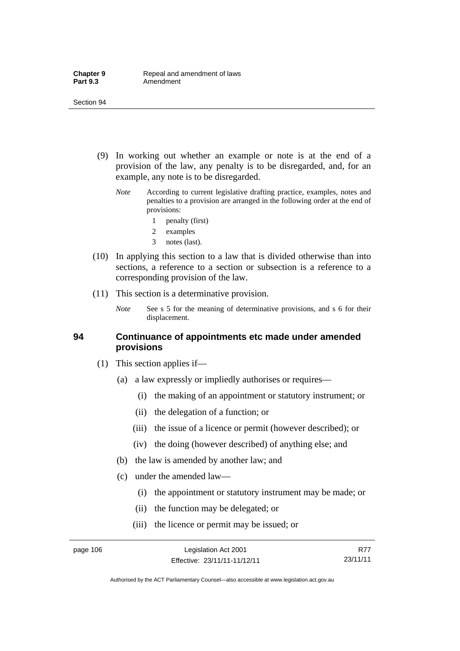- (9) In working out whether an example or note is at the end of a provision of the law, any penalty is to be disregarded, and, for an example, any note is to be disregarded.
	- *Note* According to current legislative drafting practice, examples, notes and penalties to a provision are arranged in the following order at the end of provisions:
		- 1 penalty (first)
		- 2 examples
		- 3 notes (last).
- (10) In applying this section to a law that is divided otherwise than into sections, a reference to a section or subsection is a reference to a corresponding provision of the law.
- (11) This section is a determinative provision.
	- *Note* See s 5 for the meaning of determinative provisions, and s 6 for their displacement.

### **94 Continuance of appointments etc made under amended provisions**

- (1) This section applies if—
	- (a) a law expressly or impliedly authorises or requires—
		- (i) the making of an appointment or statutory instrument; or
		- (ii) the delegation of a function; or
		- (iii) the issue of a licence or permit (however described); or
		- (iv) the doing (however described) of anything else; and
	- (b) the law is amended by another law; and
	- (c) under the amended law—
		- (i) the appointment or statutory instrument may be made; or
		- (ii) the function may be delegated; or
		- (iii) the licence or permit may be issued; or

R77 23/11/11

Authorised by the ACT Parliamentary Counsel—also accessible at www.legislation.act.gov.au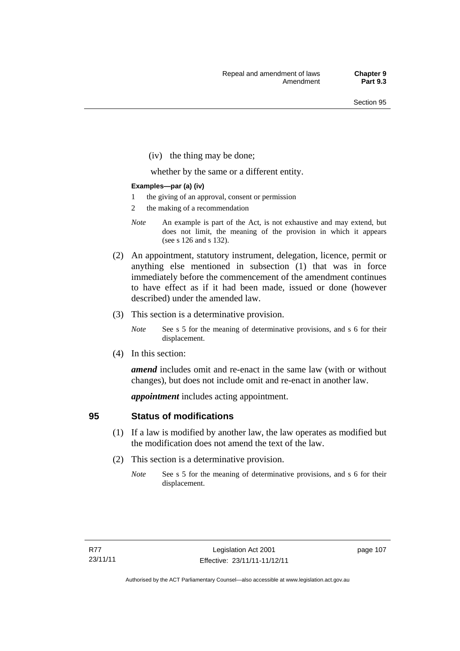(iv) the thing may be done;

whether by the same or a different entity.

#### **Examples—par (a) (iv)**

- 1 the giving of an approval, consent or permission
- 2 the making of a recommendation
- *Note* An example is part of the Act, is not exhaustive and may extend, but does not limit, the meaning of the provision in which it appears (see s 126 and s 132).
- (2) An appointment, statutory instrument, delegation, licence, permit or anything else mentioned in subsection (1) that was in force immediately before the commencement of the amendment continues to have effect as if it had been made, issued or done (however described) under the amended law.
- (3) This section is a determinative provision.
	- *Note* See s 5 for the meaning of determinative provisions, and s 6 for their displacement.
- (4) In this section:

*amend* includes omit and re-enact in the same law (with or without changes), but does not include omit and re-enact in another law.

*appointment* includes acting appointment.

### **95 Status of modifications**

- (1) If a law is modified by another law, the law operates as modified but the modification does not amend the text of the law.
- (2) This section is a determinative provision.
	- *Note* See s 5 for the meaning of determinative provisions, and s 6 for their displacement.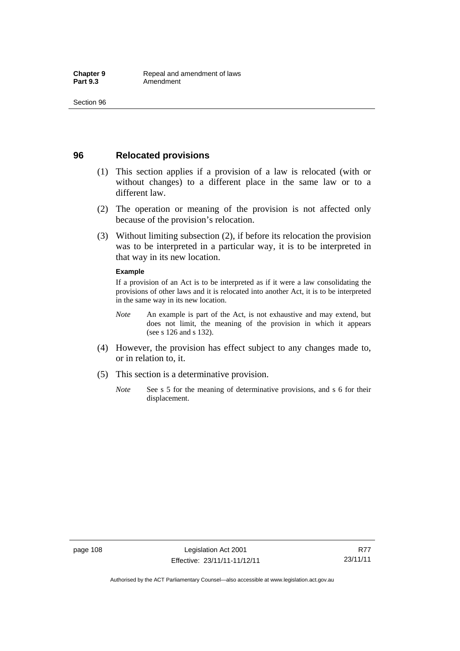### **96 Relocated provisions**

- (1) This section applies if a provision of a law is relocated (with or without changes) to a different place in the same law or to a different law.
- (2) The operation or meaning of the provision is not affected only because of the provision's relocation.
- (3) Without limiting subsection (2), if before its relocation the provision was to be interpreted in a particular way, it is to be interpreted in that way in its new location.

#### **Example**

If a provision of an Act is to be interpreted as if it were a law consolidating the provisions of other laws and it is relocated into another Act, it is to be interpreted in the same way in its new location.

- *Note* An example is part of the Act, is not exhaustive and may extend, but does not limit, the meaning of the provision in which it appears (see s 126 and s 132).
- (4) However, the provision has effect subject to any changes made to, or in relation to, it.
- (5) This section is a determinative provision.
	- *Note* See s 5 for the meaning of determinative provisions, and s 6 for their displacement.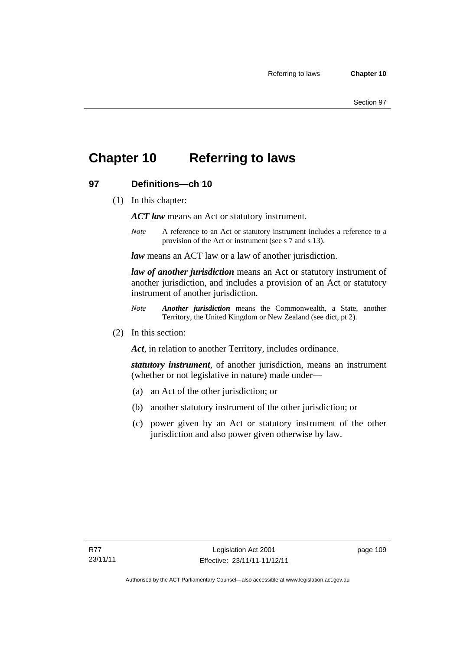## **Chapter 10 Referring to laws**

## **97 Definitions—ch 10**

(1) In this chapter:

*ACT law* means an Act or statutory instrument.

*Note* A reference to an Act or statutory instrument includes a reference to a provision of the Act or instrument (see s 7 and s 13).

*law* means an ACT law or a law of another jurisdiction.

*law of another jurisdiction* means an Act or statutory instrument of another jurisdiction, and includes a provision of an Act or statutory instrument of another jurisdiction.

- *Note Another jurisdiction* means the Commonwealth, a State, another Territory, the United Kingdom or New Zealand (see dict, pt 2).
- (2) In this section:

*Act*, in relation to another Territory, includes ordinance.

*statutory instrument*, of another jurisdiction, means an instrument (whether or not legislative in nature) made under—

- (a) an Act of the other jurisdiction; or
- (b) another statutory instrument of the other jurisdiction; or
- (c) power given by an Act or statutory instrument of the other jurisdiction and also power given otherwise by law.

page 109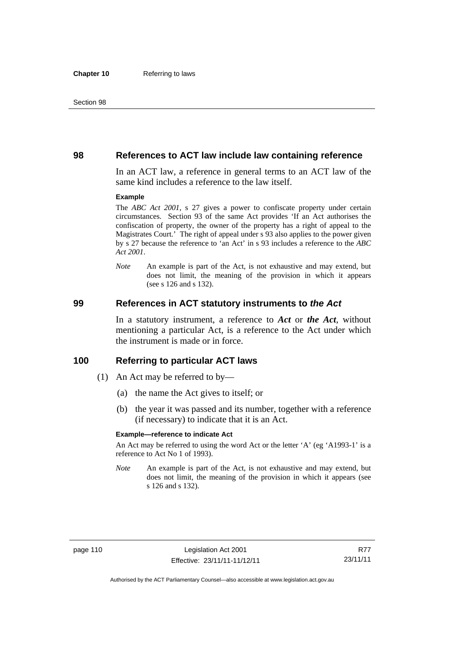#### **98 References to ACT law include law containing reference**

In an ACT law, a reference in general terms to an ACT law of the same kind includes a reference to the law itself.

#### **Example**

The *ABC Act 2001*, s 27 gives a power to confiscate property under certain circumstances. Section 93 of the same Act provides 'If an Act authorises the confiscation of property, the owner of the property has a right of appeal to the Magistrates Court.' The right of appeal under s 93 also applies to the power given by s 27 because the reference to 'an Act' in s 93 includes a reference to the *ABC Act 2001*.

*Note* An example is part of the Act, is not exhaustive and may extend, but does not limit, the meaning of the provision in which it appears (see s 126 and s 132).

#### **99 References in ACT statutory instruments to** *the Act*

In a statutory instrument, a reference to *Act* or *the Act*, without mentioning a particular Act, is a reference to the Act under which the instrument is made or in force.

#### **100 Referring to particular ACT laws**

- (1) An Act may be referred to by—
	- (a) the name the Act gives to itself; or
	- (b) the year it was passed and its number, together with a reference (if necessary) to indicate that it is an Act.

#### **Example—reference to indicate Act**

An Act may be referred to using the word Act or the letter 'A' (eg 'A1993-1' is a reference to Act No 1 of 1993).

*Note* An example is part of the Act, is not exhaustive and may extend, but does not limit, the meaning of the provision in which it appears (see s 126 and s 132).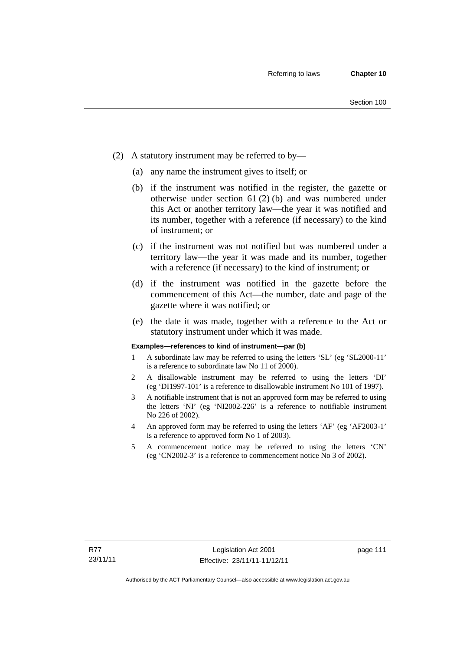- (2) A statutory instrument may be referred to by—
	- (a) any name the instrument gives to itself; or
	- (b) if the instrument was notified in the register, the gazette or otherwise under section 61 (2) (b) and was numbered under this Act or another territory law—the year it was notified and its number, together with a reference (if necessary) to the kind of instrument; or
	- (c) if the instrument was not notified but was numbered under a territory law—the year it was made and its number, together with a reference (if necessary) to the kind of instrument; or
	- (d) if the instrument was notified in the gazette before the commencement of this Act—the number, date and page of the gazette where it was notified; or
	- (e) the date it was made, together with a reference to the Act or statutory instrument under which it was made.

#### **Examples—references to kind of instrument—par (b)**

- 1 A subordinate law may be referred to using the letters 'SL' (eg 'SL2000-11' is a reference to subordinate law No 11 of 2000).
- 2 A disallowable instrument may be referred to using the letters 'DI' (eg 'DI1997-101' is a reference to disallowable instrument No 101 of 1997).
- 3 A notifiable instrument that is not an approved form may be referred to using the letters 'NI' (eg 'NI2002-226' is a reference to notifiable instrument No 226 of 2002).
- 4 An approved form may be referred to using the letters 'AF' (eg 'AF2003-1' is a reference to approved form No 1 of 2003).
- 5 A commencement notice may be referred to using the letters 'CN' (eg 'CN2002-3' is a reference to commencement notice No 3 of 2002).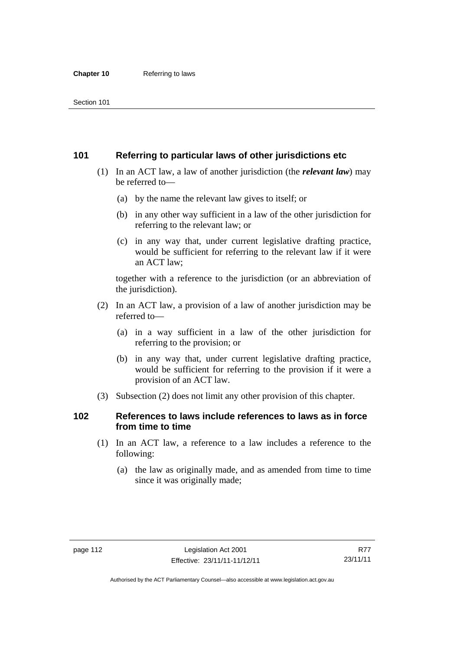## **101 Referring to particular laws of other jurisdictions etc**

- (1) In an ACT law, a law of another jurisdiction (the *relevant law*) may be referred to—
	- (a) by the name the relevant law gives to itself; or
	- (b) in any other way sufficient in a law of the other jurisdiction for referring to the relevant law; or
	- (c) in any way that, under current legislative drafting practice, would be sufficient for referring to the relevant law if it were an ACT law;

together with a reference to the jurisdiction (or an abbreviation of the jurisdiction).

- (2) In an ACT law, a provision of a law of another jurisdiction may be referred to—
	- (a) in a way sufficient in a law of the other jurisdiction for referring to the provision; or
	- (b) in any way that, under current legislative drafting practice, would be sufficient for referring to the provision if it were a provision of an ACT law.
- (3) Subsection (2) does not limit any other provision of this chapter.

## **102 References to laws include references to laws as in force from time to time**

- (1) In an ACT law, a reference to a law includes a reference to the following:
	- (a) the law as originally made, and as amended from time to time since it was originally made;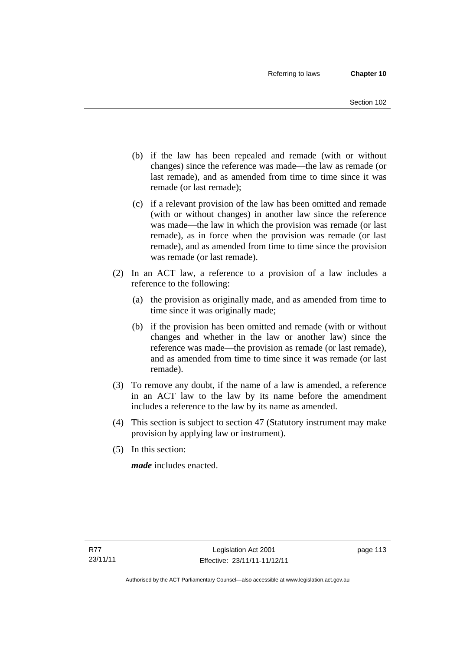- (b) if the law has been repealed and remade (with or without changes) since the reference was made—the law as remade (or last remade), and as amended from time to time since it was remade (or last remade);
- (c) if a relevant provision of the law has been omitted and remade (with or without changes) in another law since the reference was made—the law in which the provision was remade (or last remade), as in force when the provision was remade (or last remade), and as amended from time to time since the provision was remade (or last remade).
- (2) In an ACT law, a reference to a provision of a law includes a reference to the following:
	- (a) the provision as originally made, and as amended from time to time since it was originally made;
	- (b) if the provision has been omitted and remade (with or without changes and whether in the law or another law) since the reference was made—the provision as remade (or last remade), and as amended from time to time since it was remade (or last remade).
- (3) To remove any doubt, if the name of a law is amended, a reference in an ACT law to the law by its name before the amendment includes a reference to the law by its name as amended.
- (4) This section is subject to section 47 (Statutory instrument may make provision by applying law or instrument).
- (5) In this section:

*made* includes enacted.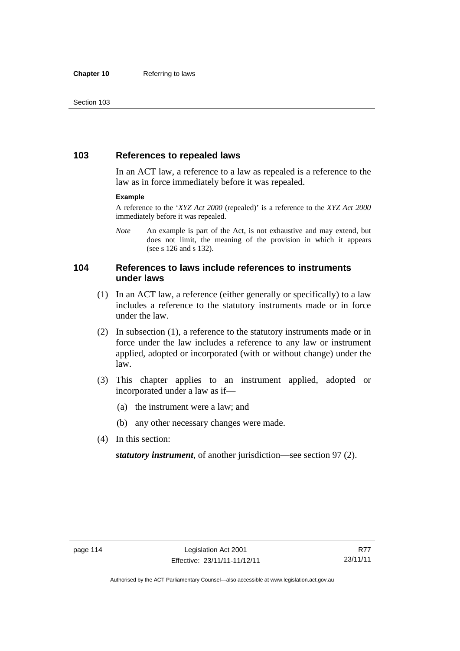## **103 References to repealed laws**

In an ACT law, a reference to a law as repealed is a reference to the law as in force immediately before it was repealed.

#### **Example**

A reference to the '*XYZ Act 2000* (repealed)' is a reference to the *XYZ Act 2000* immediately before it was repealed.

*Note* An example is part of the Act, is not exhaustive and may extend, but does not limit, the meaning of the provision in which it appears (see s 126 and s 132).

## **104 References to laws include references to instruments under laws**

- (1) In an ACT law, a reference (either generally or specifically) to a law includes a reference to the statutory instruments made or in force under the law.
- (2) In subsection (1), a reference to the statutory instruments made or in force under the law includes a reference to any law or instrument applied, adopted or incorporated (with or without change) under the law.
- (3) This chapter applies to an instrument applied, adopted or incorporated under a law as if—
	- (a) the instrument were a law; and
	- (b) any other necessary changes were made.
- (4) In this section:

*statutory instrument*, of another jurisdiction—see section 97 (2).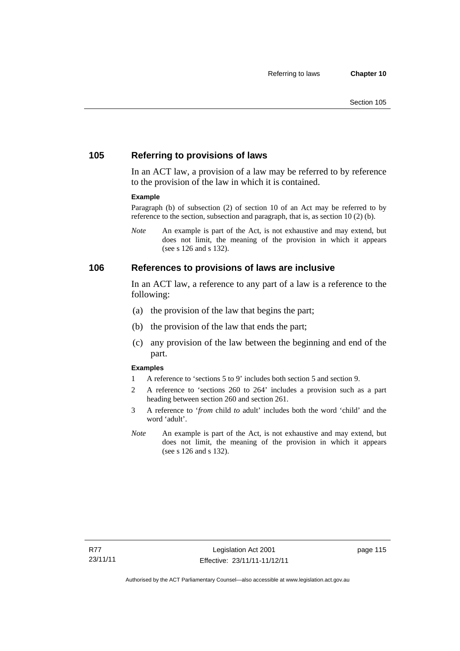## **105 Referring to provisions of laws**

In an ACT law, a provision of a law may be referred to by reference to the provision of the law in which it is contained.

#### **Example**

Paragraph (b) of subsection (2) of section 10 of an Act may be referred to by reference to the section, subsection and paragraph, that is, as section 10 (2) (b).

*Note* An example is part of the Act, is not exhaustive and may extend, but does not limit, the meaning of the provision in which it appears (see s 126 and s 132).

#### **106 References to provisions of laws are inclusive**

In an ACT law, a reference to any part of a law is a reference to the following:

- (a) the provision of the law that begins the part;
- (b) the provision of the law that ends the part;
- (c) any provision of the law between the beginning and end of the part.

#### **Examples**

- 1 A reference to 'sections 5 to 9' includes both section 5 and section 9.
- 2 A reference to 'sections 260 to 264' includes a provision such as a part heading between section 260 and section 261.
- 3 A reference to '*from* child *to* adult' includes both the word 'child' and the word 'adult'.
- *Note* An example is part of the Act, is not exhaustive and may extend, but does not limit, the meaning of the provision in which it appears (see s 126 and s 132).

page 115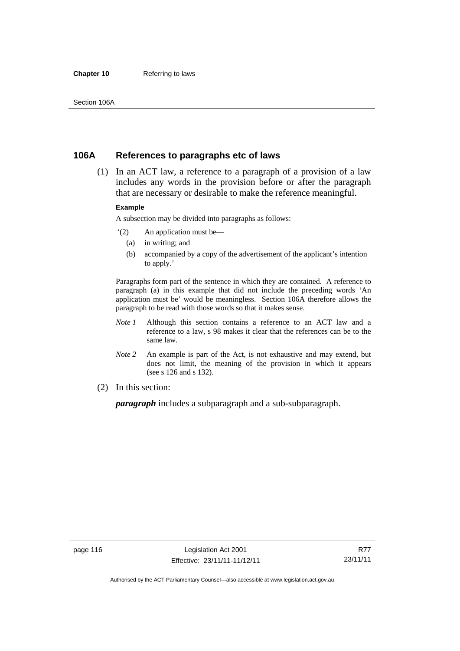#### **Chapter 10** Referring to laws

### **106A References to paragraphs etc of laws**

 (1) In an ACT law, a reference to a paragraph of a provision of a law includes any words in the provision before or after the paragraph that are necessary or desirable to make the reference meaningful.

#### **Example**

A subsection may be divided into paragraphs as follows:

- '(2) An application must be—
	- (a) in writing; and
	- (b) accompanied by a copy of the advertisement of the applicant's intention to apply.'

Paragraphs form part of the sentence in which they are contained. A reference to paragraph (a) in this example that did not include the preceding words 'An application must be' would be meaningless. Section 106A therefore allows the paragraph to be read with those words so that it makes sense.

- *Note 1* Although this section contains a reference to an ACT law and a reference to a law, s 98 makes it clear that the references can be to the same law.
- *Note 2* An example is part of the Act, is not exhaustive and may extend, but does not limit, the meaning of the provision in which it appears (see s 126 and s 132).
- (2) In this section:

*paragraph* includes a subparagraph and a sub-subparagraph.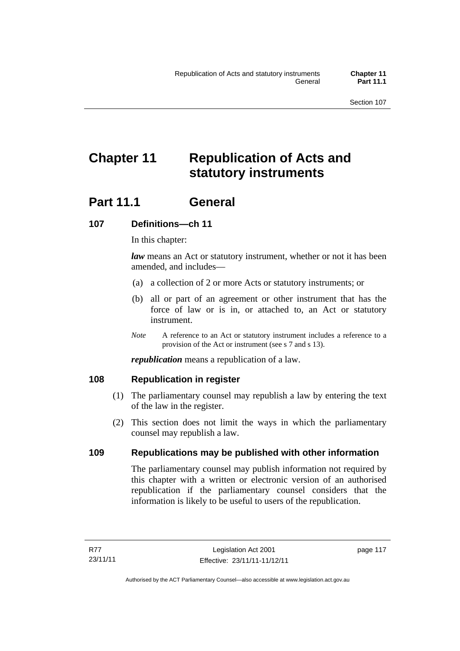# **Chapter 11 Republication of Acts and statutory instruments**

## **Part 11.1 General**

## **107 Definitions—ch 11**

In this chapter:

*law* means an Act or statutory instrument, whether or not it has been amended, and includes—

- (a) a collection of 2 or more Acts or statutory instruments; or
- (b) all or part of an agreement or other instrument that has the force of law or is in, or attached to, an Act or statutory instrument.
- *Note* A reference to an Act or statutory instrument includes a reference to a provision of the Act or instrument (see s 7 and s 13).

*republication* means a republication of a law.

### **108 Republication in register**

- (1) The parliamentary counsel may republish a law by entering the text of the law in the register.
- (2) This section does not limit the ways in which the parliamentary counsel may republish a law.

## **109 Republications may be published with other information**

The parliamentary counsel may publish information not required by this chapter with a written or electronic version of an authorised republication if the parliamentary counsel considers that the information is likely to be useful to users of the republication.

page 117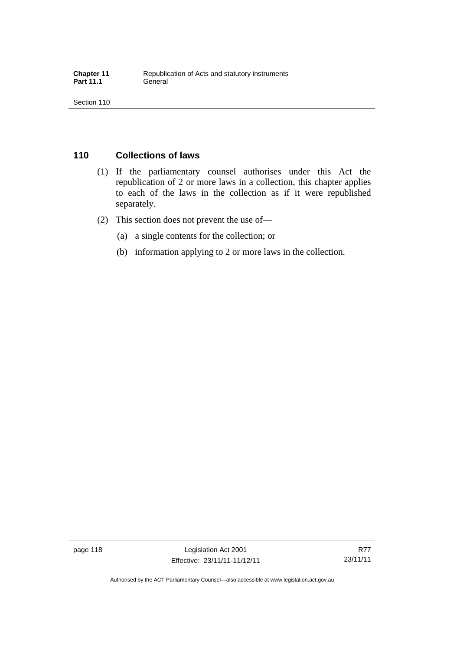## **110 Collections of laws**

- (1) If the parliamentary counsel authorises under this Act the republication of 2 or more laws in a collection, this chapter applies to each of the laws in the collection as if it were republished separately.
- (2) This section does not prevent the use of—
	- (a) a single contents for the collection; or
	- (b) information applying to 2 or more laws in the collection.

page 118 Legislation Act 2001 Effective: 23/11/11-11/12/11

Authorised by the ACT Parliamentary Counsel—also accessible at www.legislation.act.gov.au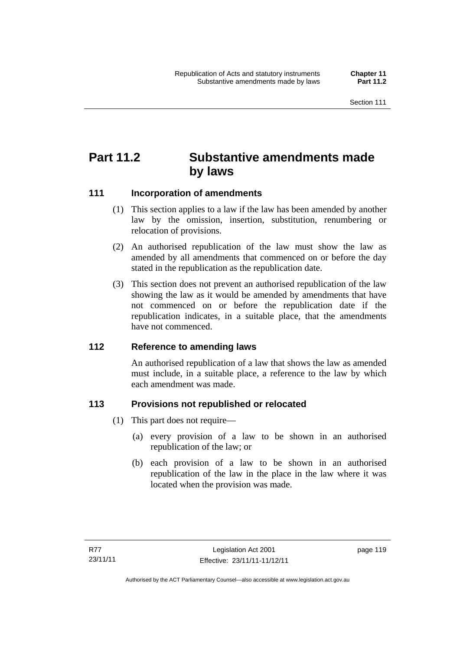## **Part 11.2 Substantive amendments made by laws**

## **111 Incorporation of amendments**

- (1) This section applies to a law if the law has been amended by another law by the omission, insertion, substitution, renumbering or relocation of provisions.
- (2) An authorised republication of the law must show the law as amended by all amendments that commenced on or before the day stated in the republication as the republication date.
- (3) This section does not prevent an authorised republication of the law showing the law as it would be amended by amendments that have not commenced on or before the republication date if the republication indicates, in a suitable place, that the amendments have not commenced.

### **112 Reference to amending laws**

An authorised republication of a law that shows the law as amended must include, in a suitable place, a reference to the law by which each amendment was made.

### **113 Provisions not republished or relocated**

- (1) This part does not require—
	- (a) every provision of a law to be shown in an authorised republication of the law; or
	- (b) each provision of a law to be shown in an authorised republication of the law in the place in the law where it was located when the provision was made.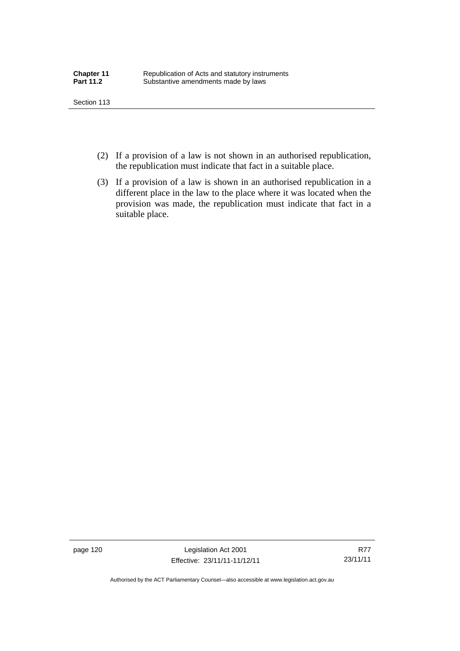- (2) If a provision of a law is not shown in an authorised republication, the republication must indicate that fact in a suitable place.
- (3) If a provision of a law is shown in an authorised republication in a different place in the law to the place where it was located when the provision was made, the republication must indicate that fact in a suitable place.

page 120 Legislation Act 2001 Effective: 23/11/11-11/12/11

R77 23/11/11

Authorised by the ACT Parliamentary Counsel—also accessible at www.legislation.act.gov.au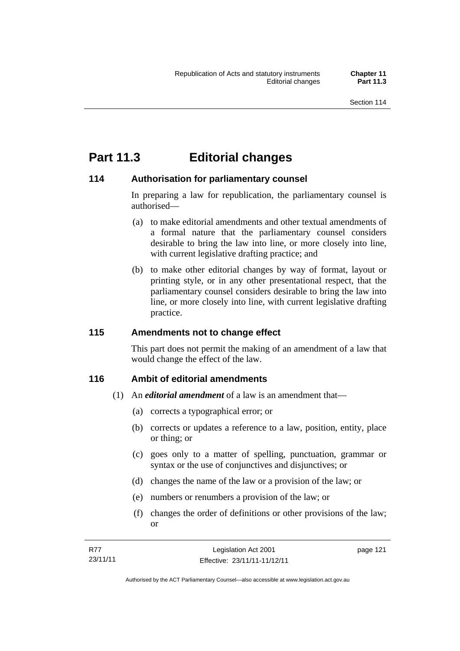## **Part 11.3 Editorial changes**

## **114 Authorisation for parliamentary counsel**

In preparing a law for republication, the parliamentary counsel is authorised—

- (a) to make editorial amendments and other textual amendments of a formal nature that the parliamentary counsel considers desirable to bring the law into line, or more closely into line, with current legislative drafting practice; and
- (b) to make other editorial changes by way of format, layout or printing style, or in any other presentational respect, that the parliamentary counsel considers desirable to bring the law into line, or more closely into line, with current legislative drafting practice.

## **115 Amendments not to change effect**

This part does not permit the making of an amendment of a law that would change the effect of the law.

### **116 Ambit of editorial amendments**

- (1) An *editorial amendment* of a law is an amendment that—
	- (a) corrects a typographical error; or
	- (b) corrects or updates a reference to a law, position, entity, place or thing; or
	- (c) goes only to a matter of spelling, punctuation, grammar or syntax or the use of conjunctives and disjunctives; or
	- (d) changes the name of the law or a provision of the law; or
	- (e) numbers or renumbers a provision of the law; or
	- (f) changes the order of definitions or other provisions of the law; or

| R77      | Legislation Act 2001         | page 121 |
|----------|------------------------------|----------|
| 23/11/11 | Effective: 23/11/11-11/12/11 |          |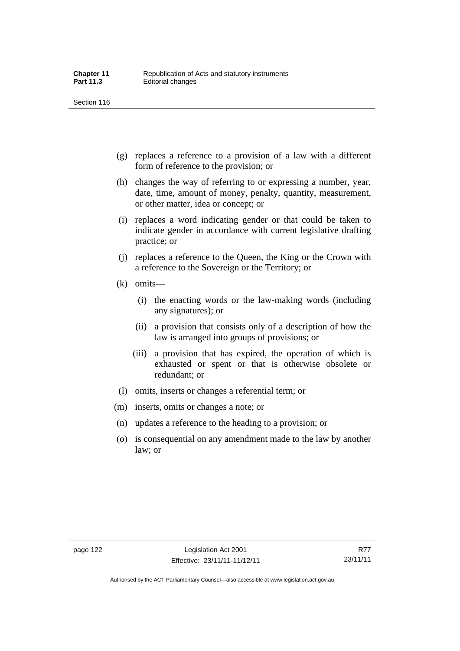- (g) replaces a reference to a provision of a law with a different form of reference to the provision; or
- (h) changes the way of referring to or expressing a number, year, date, time, amount of money, penalty, quantity, measurement, or other matter, idea or concept; or
- (i) replaces a word indicating gender or that could be taken to indicate gender in accordance with current legislative drafting practice; or
- (j) replaces a reference to the Queen, the King or the Crown with a reference to the Sovereign or the Territory; or
- (k) omits—
	- (i) the enacting words or the law-making words (including any signatures); or
	- (ii) a provision that consists only of a description of how the law is arranged into groups of provisions; or
	- (iii) a provision that has expired, the operation of which is exhausted or spent or that is otherwise obsolete or redundant; or
- (l) omits, inserts or changes a referential term; or
- (m) inserts, omits or changes a note; or
- (n) updates a reference to the heading to a provision; or
- (o) is consequential on any amendment made to the law by another law; or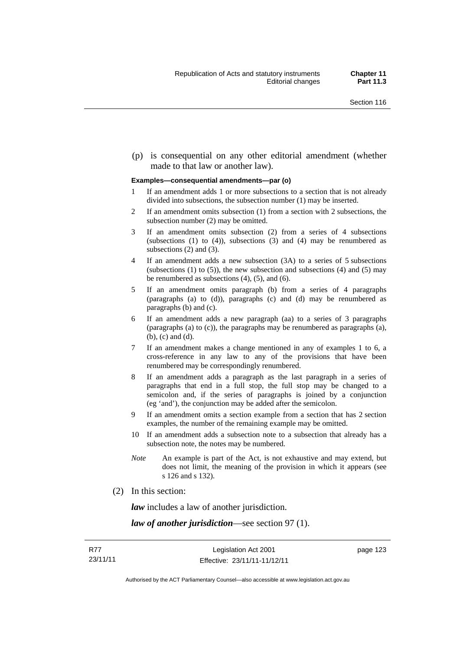(p) is consequential on any other editorial amendment (whether made to that law or another law).

#### **Examples—consequential amendments—par (o)**

- 1 If an amendment adds 1 or more subsections to a section that is not already divided into subsections, the subsection number (1) may be inserted.
- 2 If an amendment omits subsection (1) from a section with 2 subsections, the subsection number (2) may be omitted.
- 3 If an amendment omits subsection (2) from a series of 4 subsections (subsections  $(1)$  to  $(4)$ ), subsections  $(3)$  and  $(4)$  may be renumbered as subsections (2) and (3).
- 4 If an amendment adds a new subsection (3A) to a series of 5 subsections (subsections  $(1)$  to  $(5)$ ), the new subsection and subsections  $(4)$  and  $(5)$  may be renumbered as subsections (4), (5), and (6).
- 5 If an amendment omits paragraph (b) from a series of 4 paragraphs (paragraphs (a) to (d)), paragraphs (c) and (d) may be renumbered as paragraphs (b) and (c).
- 6 If an amendment adds a new paragraph (aa) to a series of 3 paragraphs (paragraphs (a) to (c)), the paragraphs may be renumbered as paragraphs (a), (b), (c) and (d).
- 7 If an amendment makes a change mentioned in any of examples 1 to 6, a cross-reference in any law to any of the provisions that have been renumbered may be correspondingly renumbered.
- 8 If an amendment adds a paragraph as the last paragraph in a series of paragraphs that end in a full stop, the full stop may be changed to a semicolon and, if the series of paragraphs is joined by a conjunction (eg 'and'), the conjunction may be added after the semicolon.
- 9 If an amendment omits a section example from a section that has 2 section examples, the number of the remaining example may be omitted.
- 10 If an amendment adds a subsection note to a subsection that already has a subsection note, the notes may be numbered.
- *Note* An example is part of the Act, is not exhaustive and may extend, but does not limit, the meaning of the provision in which it appears (see s 126 and s 132).
- (2) In this section:

*law* includes a law of another jurisdiction.

*law of another jurisdiction*—see section 97 (1).

page 123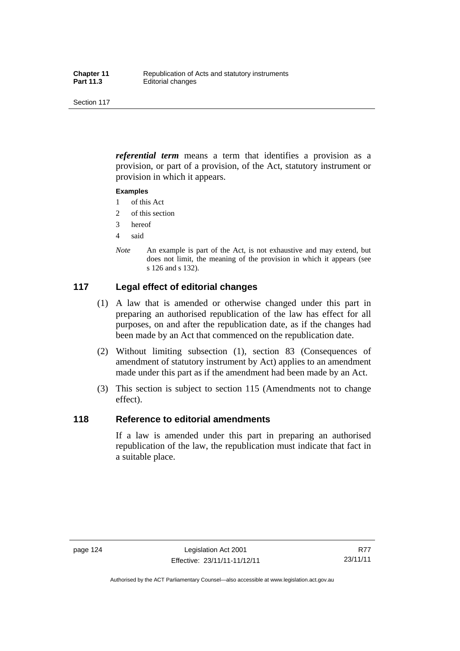*referential term* means a term that identifies a provision as a provision, or part of a provision, of the Act, statutory instrument or provision in which it appears.

#### **Examples**

- 1 of this Act
- 2 of this section
- 3 hereof
- 4 said
- *Note* An example is part of the Act, is not exhaustive and may extend, but does not limit, the meaning of the provision in which it appears (see s 126 and s 132).

## **117 Legal effect of editorial changes**

- (1) A law that is amended or otherwise changed under this part in preparing an authorised republication of the law has effect for all purposes, on and after the republication date, as if the changes had been made by an Act that commenced on the republication date.
- (2) Without limiting subsection (1), section 83 (Consequences of amendment of statutory instrument by Act) applies to an amendment made under this part as if the amendment had been made by an Act.
- (3) This section is subject to section 115 (Amendments not to change effect).

### **118 Reference to editorial amendments**

If a law is amended under this part in preparing an authorised republication of the law, the republication must indicate that fact in a suitable place.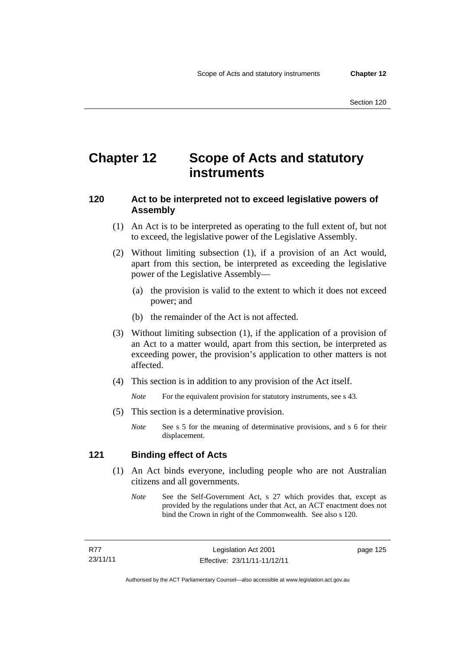## **Chapter 12 Scope of Acts and statutory instruments**

## **120 Act to be interpreted not to exceed legislative powers of Assembly**

- (1) An Act is to be interpreted as operating to the full extent of, but not to exceed, the legislative power of the Legislative Assembly.
- (2) Without limiting subsection (1), if a provision of an Act would, apart from this section, be interpreted as exceeding the legislative power of the Legislative Assembly—
	- (a) the provision is valid to the extent to which it does not exceed power; and
	- (b) the remainder of the Act is not affected.
- (3) Without limiting subsection (1), if the application of a provision of an Act to a matter would, apart from this section, be interpreted as exceeding power, the provision's application to other matters is not affected.
- (4) This section is in addition to any provision of the Act itself.

*Note* For the equivalent provision for statutory instruments, see s 43.

- (5) This section is a determinative provision.
	- *Note* See s 5 for the meaning of determinative provisions, and s 6 for their displacement.

### **121 Binding effect of Acts**

- (1) An Act binds everyone, including people who are not Australian citizens and all governments.
	- *Note* See the Self-Government Act, s 27 which provides that, except as provided by the regulations under that Act, an ACT enactment does not bind the Crown in right of the Commonwealth. See also s 120.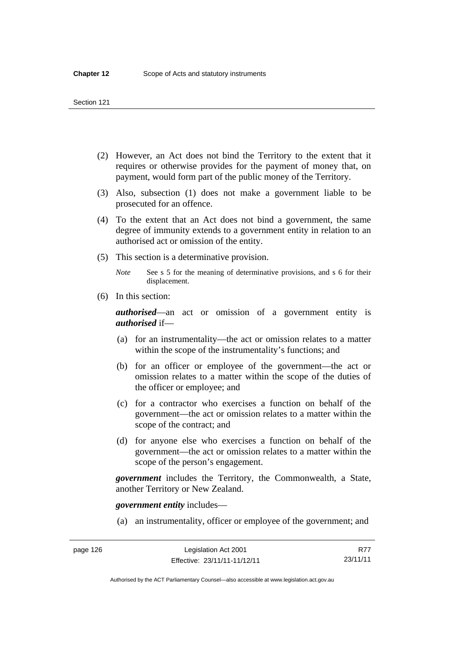- (2) However, an Act does not bind the Territory to the extent that it requires or otherwise provides for the payment of money that, on payment, would form part of the public money of the Territory.
- (3) Also, subsection (1) does not make a government liable to be prosecuted for an offence.
- (4) To the extent that an Act does not bind a government, the same degree of immunity extends to a government entity in relation to an authorised act or omission of the entity.
- (5) This section is a determinative provision.

*Note* See s 5 for the meaning of determinative provisions, and s 6 for their displacement.

(6) In this section:

*authorised*—an act or omission of a government entity is *authorised* if—

- (a) for an instrumentality—the act or omission relates to a matter within the scope of the instrumentality's functions; and
- (b) for an officer or employee of the government—the act or omission relates to a matter within the scope of the duties of the officer or employee; and
- (c) for a contractor who exercises a function on behalf of the government—the act or omission relates to a matter within the scope of the contract; and
- (d) for anyone else who exercises a function on behalf of the government—the act or omission relates to a matter within the scope of the person's engagement.

*government* includes the Territory, the Commonwealth, a State, another Territory or New Zealand.

*government entity* includes—

(a) an instrumentality, officer or employee of the government; and

Authorised by the ACT Parliamentary Counsel—also accessible at www.legislation.act.gov.au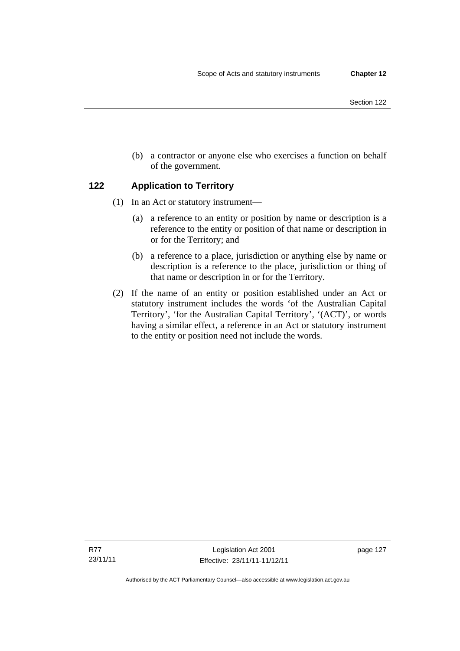- Section 122
- (b) a contractor or anyone else who exercises a function on behalf of the government.

## **122 Application to Territory**

- (1) In an Act or statutory instrument—
	- (a) a reference to an entity or position by name or description is a reference to the entity or position of that name or description in or for the Territory; and
	- (b) a reference to a place, jurisdiction or anything else by name or description is a reference to the place, jurisdiction or thing of that name or description in or for the Territory.
- (2) If the name of an entity or position established under an Act or statutory instrument includes the words 'of the Australian Capital Territory', 'for the Australian Capital Territory', '(ACT)', or words having a similar effect, a reference in an Act or statutory instrument to the entity or position need not include the words.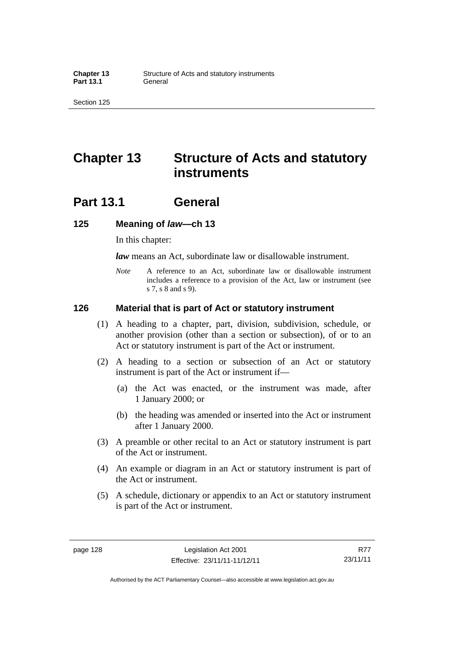## **Chapter 13 Structure of Acts and statutory instruments**

## **Part 13.1 General**

#### **125 Meaning of** *law***—ch 13**

In this chapter:

*law* means an Act, subordinate law or disallowable instrument.

*Note* A reference to an Act, subordinate law or disallowable instrument includes a reference to a provision of the Act, law or instrument (see s 7, s 8 and s 9).

#### **126 Material that is part of Act or statutory instrument**

- (1) A heading to a chapter, part, division, subdivision, schedule, or another provision (other than a section or subsection), of or to an Act or statutory instrument is part of the Act or instrument.
- (2) A heading to a section or subsection of an Act or statutory instrument is part of the Act or instrument if—
	- (a) the Act was enacted, or the instrument was made, after 1 January 2000; or
	- (b) the heading was amended or inserted into the Act or instrument after 1 January 2000.
- (3) A preamble or other recital to an Act or statutory instrument is part of the Act or instrument.
- (4) An example or diagram in an Act or statutory instrument is part of the Act or instrument.
- (5) A schedule, dictionary or appendix to an Act or statutory instrument is part of the Act or instrument.

Authorised by the ACT Parliamentary Counsel—also accessible at www.legislation.act.gov.au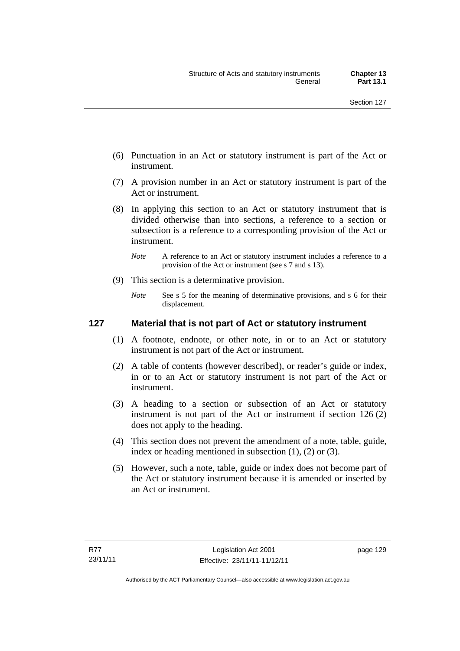- (6) Punctuation in an Act or statutory instrument is part of the Act or instrument.
- (7) A provision number in an Act or statutory instrument is part of the Act or instrument.
- (8) In applying this section to an Act or statutory instrument that is divided otherwise than into sections, a reference to a section or subsection is a reference to a corresponding provision of the Act or instrument.
	- *Note* A reference to an Act or statutory instrument includes a reference to a provision of the Act or instrument (see s 7 and s 13).
- (9) This section is a determinative provision.
	- *Note* See s 5 for the meaning of determinative provisions, and s 6 for their displacement.

## **127 Material that is not part of Act or statutory instrument**

- (1) A footnote, endnote, or other note, in or to an Act or statutory instrument is not part of the Act or instrument.
- (2) A table of contents (however described), or reader's guide or index, in or to an Act or statutory instrument is not part of the Act or instrument.
- (3) A heading to a section or subsection of an Act or statutory instrument is not part of the Act or instrument if section 126 (2) does not apply to the heading.
- (4) This section does not prevent the amendment of a note, table, guide, index or heading mentioned in subsection (1), (2) or (3).
- (5) However, such a note, table, guide or index does not become part of the Act or statutory instrument because it is amended or inserted by an Act or instrument.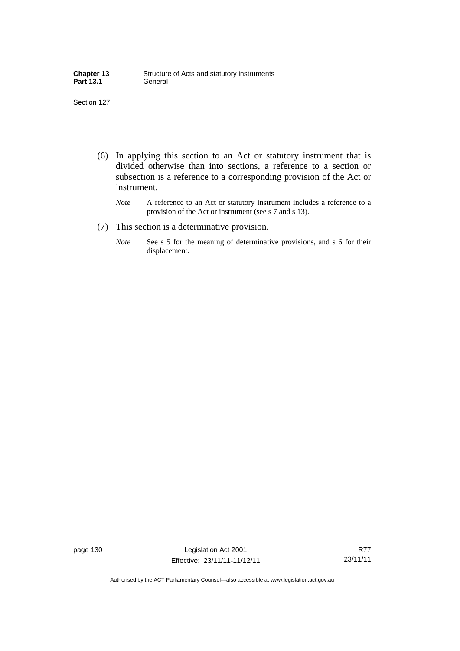| <b>Chapter 13</b> | Structure of Acts and statutory instruments |
|-------------------|---------------------------------------------|
| <b>Part 13.1</b>  | General                                     |

- (6) In applying this section to an Act or statutory instrument that is divided otherwise than into sections, a reference to a section or subsection is a reference to a corresponding provision of the Act or instrument.
	- *Note* A reference to an Act or statutory instrument includes a reference to a provision of the Act or instrument (see s 7 and s 13).
- (7) This section is a determinative provision.
	- *Note* See s 5 for the meaning of determinative provisions, and s 6 for their displacement.

page 130 Legislation Act 2001 Effective: 23/11/11-11/12/11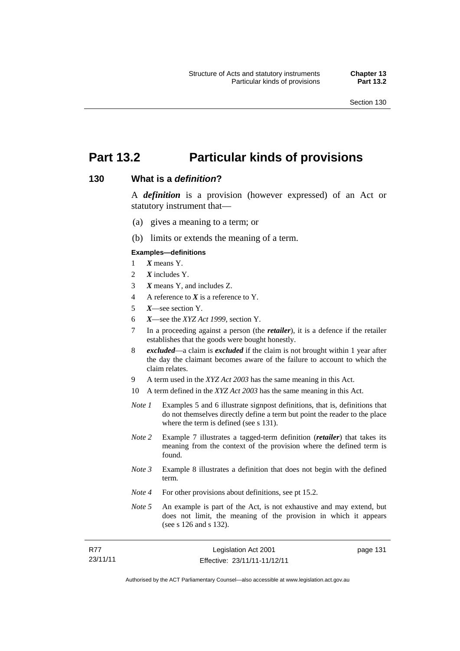# **Part 13.2 Particular kinds of provisions**

#### **130 What is a** *definition***?**

A *definition* is a provision (however expressed) of an Act or statutory instrument that—

- (a) gives a meaning to a term; or
- (b) limits or extends the meaning of a term.

#### **Examples—definitions**

- 1 *X* means Y.
- 2 *X* includes Y.
- 3 *X* means Y, and includes Z.
- 4 A reference to *X* is a reference to Y.
- 5 *X*—see section Y.
- 6 *X*—see the *XYZ Act 1999*, section Y.
- 7 In a proceeding against a person (the *retailer*), it is a defence if the retailer establishes that the goods were bought honestly.
- 8 *excluded*—a claim is *excluded* if the claim is not brought within 1 year after the day the claimant becomes aware of the failure to account to which the claim relates.
- 9 A term used in the *XYZ Act 2003* has the same meaning in this Act.
- 10 A term defined in the *XYZ Act 2003* has the same meaning in this Act.
- *Note 1* Examples 5 and 6 illustrate signpost definitions, that is, definitions that do not themselves directly define a term but point the reader to the place where the term is defined (see s 131).
- *Note 2* Example 7 illustrates a tagged-term definition (*retailer*) that takes its meaning from the context of the provision where the defined term is found.
- *Note 3* Example 8 illustrates a definition that does not begin with the defined term.
- *Note 4* For other provisions about definitions, see pt 15.2.
- *Note* 5 An example is part of the Act, is not exhaustive and may extend, but does not limit, the meaning of the provision in which it appears (see s 126 and s 132).

| - R77    | Legislation Act 2001         |  |
|----------|------------------------------|--|
| 23/11/11 | Effective: 23/11/11-11/12/11 |  |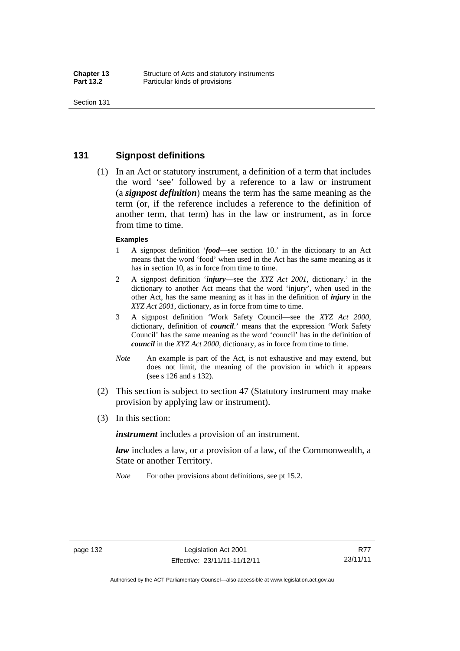## **131 Signpost definitions**

 (1) In an Act or statutory instrument, a definition of a term that includes the word 'see' followed by a reference to a law or instrument (a *signpost definition*) means the term has the same meaning as the term (or, if the reference includes a reference to the definition of another term, that term) has in the law or instrument, as in force from time to time.

#### **Examples**

- 1 A signpost definition '*food*—see section 10.' in the dictionary to an Act means that the word 'food' when used in the Act has the same meaning as it has in section 10, as in force from time to time.
- 2 A signpost definition '*injury*—see the *XYZ Act 2001*, dictionary.' in the dictionary to another Act means that the word 'injury', when used in the other Act, has the same meaning as it has in the definition of *injury* in the *XYZ Act 2001*, dictionary, as in force from time to time.
- 3 A signpost definition 'Work Safety Council—see the *XYZ Act 2000*, dictionary, definition of *council*.' means that the expression 'Work Safety Council' has the same meaning as the word 'council' has in the definition of *council* in the *XYZ Act 2000*, dictionary, as in force from time to time.
- *Note* An example is part of the Act, is not exhaustive and may extend, but does not limit, the meaning of the provision in which it appears (see s 126 and s 132).
- (2) This section is subject to section 47 (Statutory instrument may make provision by applying law or instrument).
- (3) In this section:

*instrument* includes a provision of an instrument.

*law* includes a law, or a provision of a law, of the Commonwealth, a State or another Territory.

*Note* For other provisions about definitions, see pt 15.2.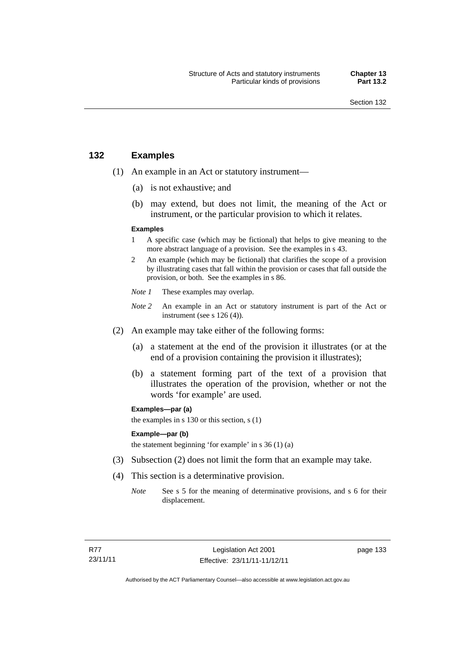## **132 Examples**

- (1) An example in an Act or statutory instrument—
	- (a) is not exhaustive; and
	- (b) may extend, but does not limit, the meaning of the Act or instrument, or the particular provision to which it relates.

#### **Examples**

- 1 A specific case (which may be fictional) that helps to give meaning to the more abstract language of a provision. See the examples in s 43.
- 2 An example (which may be fictional) that clarifies the scope of a provision by illustrating cases that fall within the provision or cases that fall outside the provision, or both. See the examples in s 86.
- *Note 1* These examples may overlap.
- *Note* 2 An example in an Act or statutory instrument is part of the Act or instrument (see s 126 (4)).
- (2) An example may take either of the following forms:
	- (a) a statement at the end of the provision it illustrates (or at the end of a provision containing the provision it illustrates);
	- (b) a statement forming part of the text of a provision that illustrates the operation of the provision, whether or not the words 'for example' are used.

**Examples—par (a)** 

the examples in s 130 or this section, s (1)

#### **Example—par (b)**

the statement beginning 'for example' in s 36 (1) (a)

- (3) Subsection (2) does not limit the form that an example may take.
- (4) This section is a determinative provision.
	- *Note* See s 5 for the meaning of determinative provisions, and s 6 for their displacement.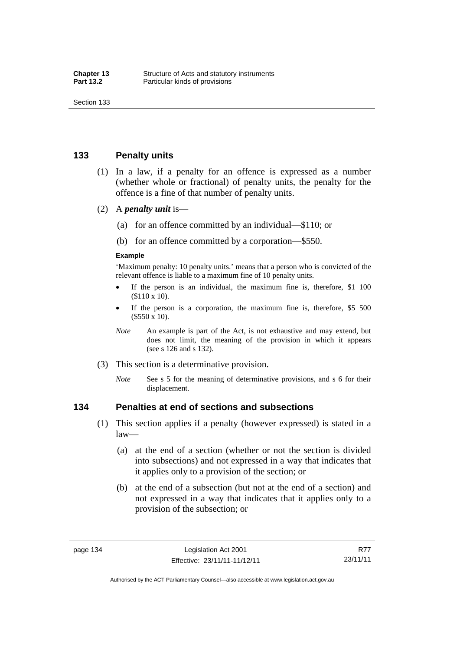## **133 Penalty units**

- (1) In a law, if a penalty for an offence is expressed as a number (whether whole or fractional) of penalty units, the penalty for the offence is a fine of that number of penalty units.
- (2) A *penalty unit* is—
	- (a) for an offence committed by an individual—\$110; or
	- (b) for an offence committed by a corporation—\$550.

#### **Example**

'Maximum penalty: 10 penalty units.' means that a person who is convicted of the relevant offence is liable to a maximum fine of 10 penalty units.

- If the person is an individual, the maximum fine is, therefore, \$1 100 (\$110 x 10).
- If the person is a corporation, the maximum fine is, therefore, \$5 500 (\$550 x 10).
- *Note* An example is part of the Act, is not exhaustive and may extend, but does not limit, the meaning of the provision in which it appears (see s 126 and s 132).
- (3) This section is a determinative provision.
	- *Note* See s 5 for the meaning of determinative provisions, and s 6 for their displacement.

#### **134 Penalties at end of sections and subsections**

- (1) This section applies if a penalty (however expressed) is stated in a law—
	- (a) at the end of a section (whether or not the section is divided into subsections) and not expressed in a way that indicates that it applies only to a provision of the section; or
	- (b) at the end of a subsection (but not at the end of a section) and not expressed in a way that indicates that it applies only to a provision of the subsection; or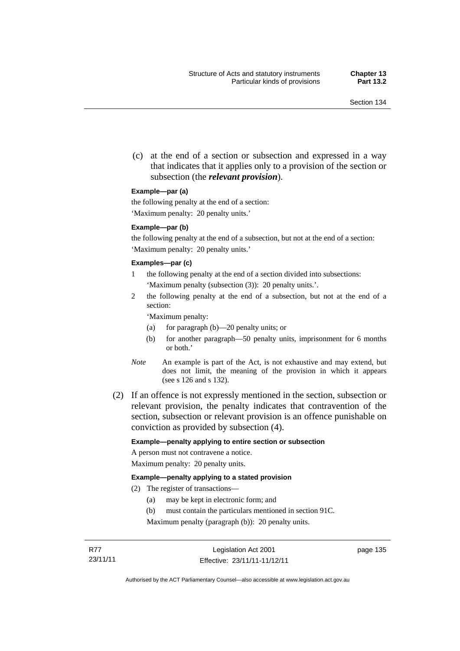(c) at the end of a section or subsection and expressed in a way that indicates that it applies only to a provision of the section or subsection (the *relevant provision*).

#### **Example—par (a)**

the following penalty at the end of a section:

'Maximum penalty: 20 penalty units.'

#### **Example—par (b)**

the following penalty at the end of a subsection, but not at the end of a section: 'Maximum penalty: 20 penalty units.'

#### **Examples—par (c)**

- 1 the following penalty at the end of a section divided into subsections: 'Maximum penalty (subsection (3)): 20 penalty units.'.
- 2 the following penalty at the end of a subsection, but not at the end of a section:

'Maximum penalty:

- (a) for paragraph (b)—20 penalty units; or
- (b) for another paragraph—50 penalty units, imprisonment for 6 months or both.'
- *Note* An example is part of the Act, is not exhaustive and may extend, but does not limit, the meaning of the provision in which it appears (see s 126 and s 132).
- (2) If an offence is not expressly mentioned in the section, subsection or relevant provision, the penalty indicates that contravention of the section, subsection or relevant provision is an offence punishable on conviction as provided by subsection (4).

#### **Example—penalty applying to entire section or subsection**

A person must not contravene a notice. Maximum penalty: 20 penalty units.

#### **Example—penalty applying to a stated provision**

- (2) The register of transactions—
	- (a) may be kept in electronic form; and
	- (b) must contain the particulars mentioned in section 91C.

Maximum penalty (paragraph (b)): 20 penalty units.

page 135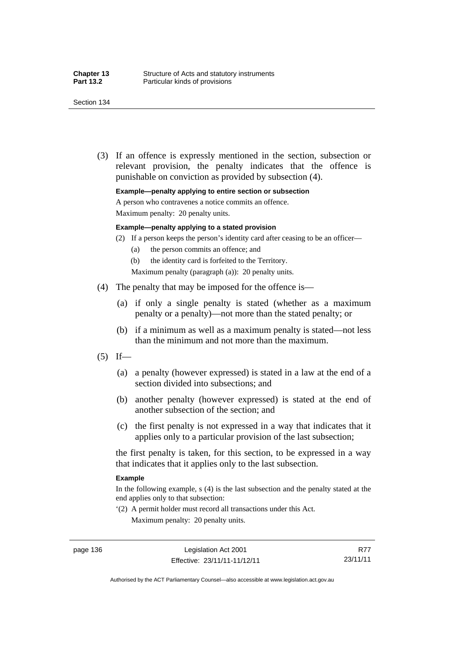(3) If an offence is expressly mentioned in the section, subsection or relevant provision, the penalty indicates that the offence is punishable on conviction as provided by subsection (4).

**Example—penalty applying to entire section or subsection** 

A person who contravenes a notice commits an offence.

Maximum penalty: 20 penalty units.

#### **Example—penalty applying to a stated provision**

- (2) If a person keeps the person's identity card after ceasing to be an officer—
	- (a) the person commits an offence; and
	- (b) the identity card is forfeited to the Territory.
	- Maximum penalty (paragraph (a)): 20 penalty units.
- (4) The penalty that may be imposed for the offence is—
	- (a) if only a single penalty is stated (whether as a maximum penalty or a penalty)—not more than the stated penalty; or
	- (b) if a minimum as well as a maximum penalty is stated—not less than the minimum and not more than the maximum.
- $(5)$  If—
	- (a) a penalty (however expressed) is stated in a law at the end of a section divided into subsections; and
	- (b) another penalty (however expressed) is stated at the end of another subsection of the section; and
	- (c) the first penalty is not expressed in a way that indicates that it applies only to a particular provision of the last subsection;

the first penalty is taken, for this section, to be expressed in a way that indicates that it applies only to the last subsection.

#### **Example**

In the following example, s (4) is the last subsection and the penalty stated at the end applies only to that subsection:

'(2) A permit holder must record all transactions under this Act. Maximum penalty: 20 penalty units.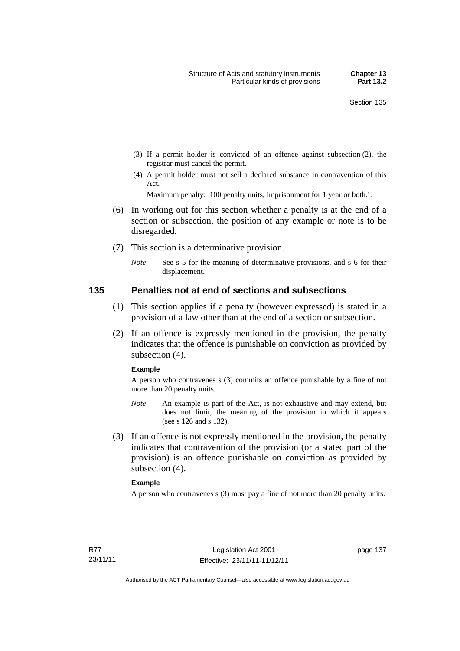- (3) If a permit holder is convicted of an offence against subsection (2), the registrar must cancel the permit.
- (4) A permit holder must not sell a declared substance in contravention of this Act.

Maximum penalty: 100 penalty units, imprisonment for 1 year or both.'.

- (6) In working out for this section whether a penalty is at the end of a section or subsection, the position of any example or note is to be disregarded.
- (7) This section is a determinative provision.
	- *Note* See s 5 for the meaning of determinative provisions, and s 6 for their displacement.

#### **135 Penalties not at end of sections and subsections**

- (1) This section applies if a penalty (however expressed) is stated in a provision of a law other than at the end of a section or subsection.
- (2) If an offence is expressly mentioned in the provision, the penalty indicates that the offence is punishable on conviction as provided by subsection (4).

#### **Example**

A person who contravenes s (3) commits an offence punishable by a fine of not more than 20 penalty units.

- *Note* An example is part of the Act, is not exhaustive and may extend, but does not limit, the meaning of the provision in which it appears (see s 126 and s 132).
- (3) If an offence is not expressly mentioned in the provision, the penalty indicates that contravention of the provision (or a stated part of the provision) is an offence punishable on conviction as provided by subsection (4).

#### **Example**

A person who contravenes s (3) must pay a fine of not more than 20 penalty units.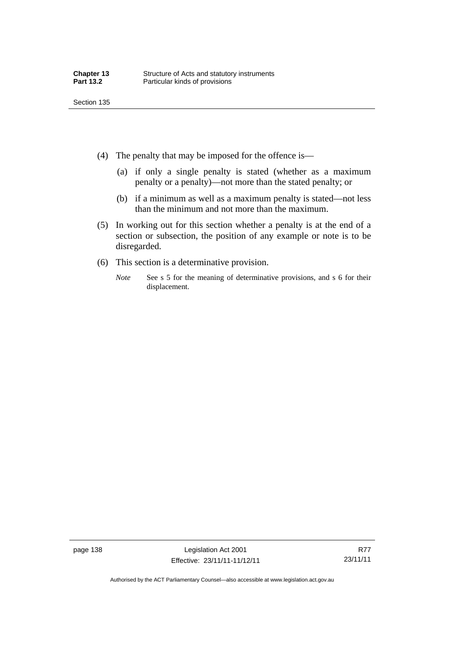- (4) The penalty that may be imposed for the offence is—
	- (a) if only a single penalty is stated (whether as a maximum penalty or a penalty)—not more than the stated penalty; or
	- (b) if a minimum as well as a maximum penalty is stated—not less than the minimum and not more than the maximum.
- (5) In working out for this section whether a penalty is at the end of a section or subsection, the position of any example or note is to be disregarded.
- (6) This section is a determinative provision.
	- *Note* See s 5 for the meaning of determinative provisions, and s 6 for their displacement.

page 138 Legislation Act 2001 Effective: 23/11/11-11/12/11

Authorised by the ACT Parliamentary Counsel—also accessible at www.legislation.act.gov.au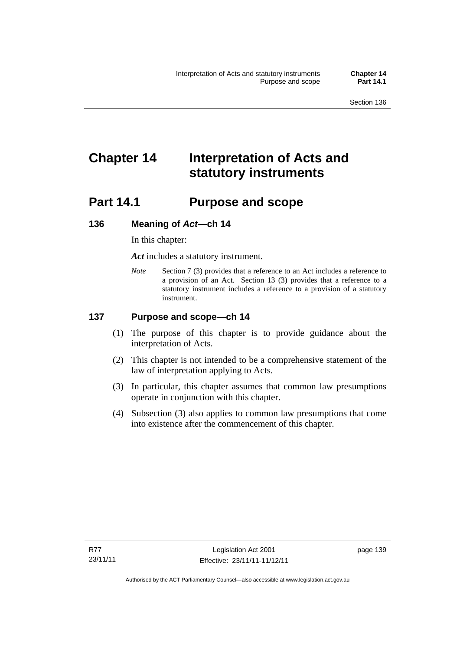# **Chapter 14 Interpretation of Acts and statutory instruments**

# **Part 14.1 Purpose and scope**

## **136 Meaning of** *Act***—ch 14**

In this chapter:

*Act* includes a statutory instrument.

*Note* Section 7 (3) provides that a reference to an Act includes a reference to a provision of an Act. Section 13 (3) provides that a reference to a statutory instrument includes a reference to a provision of a statutory instrument.

## **137 Purpose and scope—ch 14**

- (1) The purpose of this chapter is to provide guidance about the interpretation of Acts.
- (2) This chapter is not intended to be a comprehensive statement of the law of interpretation applying to Acts.
- (3) In particular, this chapter assumes that common law presumptions operate in conjunction with this chapter.
- (4) Subsection (3) also applies to common law presumptions that come into existence after the commencement of this chapter.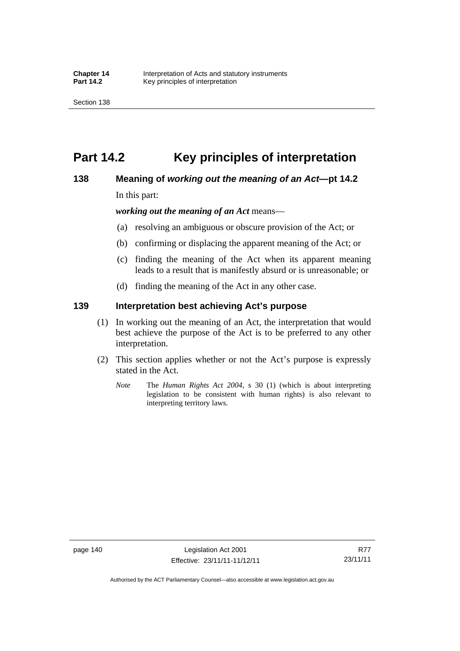# **Part 14.2 Key principles of interpretation**

## **138 Meaning of** *working out the meaning of an Act***—pt 14.2**

In this part:

*working out the meaning of an Act* means—

- (a) resolving an ambiguous or obscure provision of the Act; or
- (b) confirming or displacing the apparent meaning of the Act; or
- (c) finding the meaning of the Act when its apparent meaning leads to a result that is manifestly absurd or is unreasonable; or
- (d) finding the meaning of the Act in any other case.

## **139 Interpretation best achieving Act's purpose**

- (1) In working out the meaning of an Act, the interpretation that would best achieve the purpose of the Act is to be preferred to any other interpretation.
- (2) This section applies whether or not the Act's purpose is expressly stated in the Act.
	- *Note* The *Human Rights Act 2004*, s 30 (1) (which is about interpreting legislation to be consistent with human rights) is also relevant to interpreting territory laws.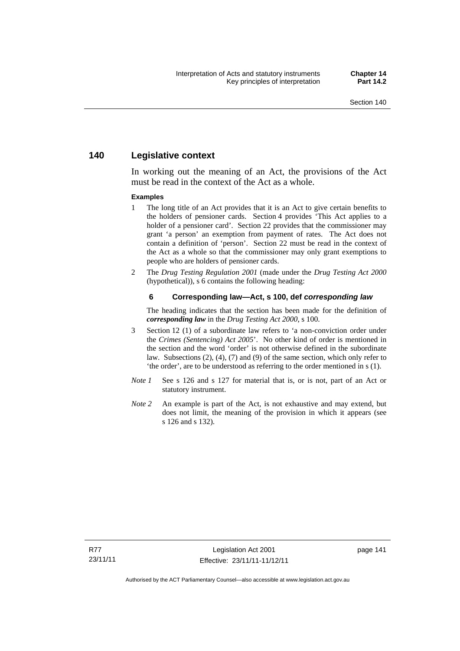## **140 Legislative context**

In working out the meaning of an Act, the provisions of the Act must be read in the context of the Act as a whole.

#### **Examples**

- 1 The long title of an Act provides that it is an Act to give certain benefits to the holders of pensioner cards. Section 4 provides 'This Act applies to a holder of a pensioner card'. Section 22 provides that the commissioner may grant 'a person' an exemption from payment of rates. The Act does not contain a definition of 'person'. Section 22 must be read in the context of the Act as a whole so that the commissioner may only grant exemptions to people who are holders of pensioner cards.
- 2 The *Drug Testing Regulation 2001* (made under the *Drug Testing Act 2000* (hypothetical)), s 6 contains the following heading:

#### **6 Corresponding law—Act, s 100, def** *corresponding law*

The heading indicates that the section has been made for the definition of *corresponding law* in the *Drug Testing Act 2000*, s 100.

- 3 Section 12 (1) of a subordinate law refers to 'a non-conviction order under the *Crimes (Sentencing) Act 2005*'. No other kind of order is mentioned in the section and the word 'order' is not otherwise defined in the subordinate law. Subsections (2), (4), (7) and (9) of the same section, which only refer to 'the order', are to be understood as referring to the order mentioned in s (1).
- *Note 1* See s 126 and s 127 for material that is, or is not, part of an Act or statutory instrument.
- *Note* 2 An example is part of the Act, is not exhaustive and may extend, but does not limit, the meaning of the provision in which it appears (see s 126 and s 132).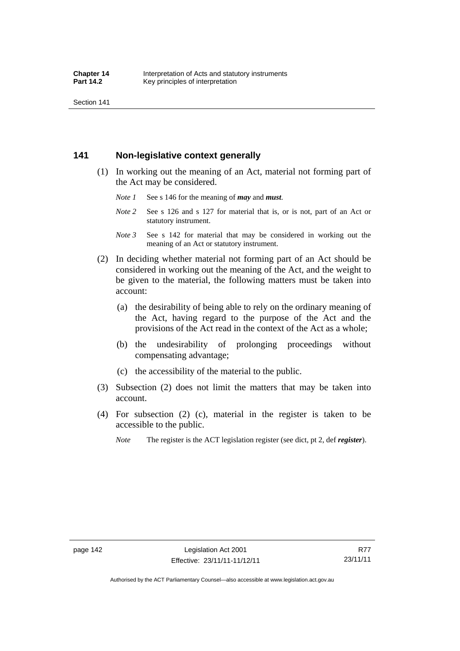Section 141

## **141 Non-legislative context generally**

- (1) In working out the meaning of an Act, material not forming part of the Act may be considered.
	- *Note 1* See s 146 for the meaning of *may* and *must*.
	- *Note* 2 See s 126 and s 127 for material that is, or is not, part of an Act or statutory instrument.
	- *Note 3* See s 142 for material that may be considered in working out the meaning of an Act or statutory instrument.
- (2) In deciding whether material not forming part of an Act should be considered in working out the meaning of the Act, and the weight to be given to the material, the following matters must be taken into account:
	- (a) the desirability of being able to rely on the ordinary meaning of the Act, having regard to the purpose of the Act and the provisions of the Act read in the context of the Act as a whole;
	- (b) the undesirability of prolonging proceedings without compensating advantage;
	- (c) the accessibility of the material to the public.
- (3) Subsection (2) does not limit the matters that may be taken into account.
- (4) For subsection (2) (c), material in the register is taken to be accessible to the public.
	- *Note* The register is the ACT legislation register (see dict, pt 2, def *register*).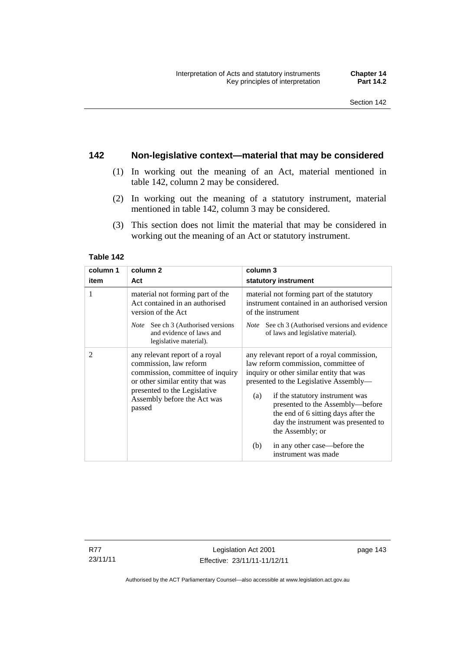## **142 Non-legislative context—material that may be considered**

- (1) In working out the meaning of an Act, material mentioned in table 142, column 2 may be considered.
- (2) In working out the meaning of a statutory instrument, material mentioned in table 142, column 3 may be considered.
- (3) This section does not limit the material that may be considered in working out the meaning of an Act or statutory instrument.

#### **Table 142**

| column 1       | column <sub>2</sub>                                                                                                                                                                                       | column 3                                                                                                                                                                                                                                                                                                                                                                                                              |
|----------------|-----------------------------------------------------------------------------------------------------------------------------------------------------------------------------------------------------------|-----------------------------------------------------------------------------------------------------------------------------------------------------------------------------------------------------------------------------------------------------------------------------------------------------------------------------------------------------------------------------------------------------------------------|
| item           | Act                                                                                                                                                                                                       | statutory instrument                                                                                                                                                                                                                                                                                                                                                                                                  |
|                | material not forming part of the<br>Act contained in an authorised<br>version of the Act                                                                                                                  | material not forming part of the statutory<br>instrument contained in an authorised version<br>of the instrument                                                                                                                                                                                                                                                                                                      |
|                | <i>Note</i> See ch 3 (Authorised versions<br>and evidence of laws and<br>legislative material).                                                                                                           | See ch 3 (Authorised versions and evidence<br><i>Note</i><br>of laws and legislative material).                                                                                                                                                                                                                                                                                                                       |
| $\overline{2}$ | any relevant report of a royal<br>commission, law reform<br>commission, committee of inquiry<br>or other similar entity that was<br>presented to the Legislative<br>Assembly before the Act was<br>passed | any relevant report of a royal commission,<br>law reform commission, committee of<br>inquiry or other similar entity that was<br>presented to the Legislative Assembly—<br>if the statutory instrument was<br>(a)<br>presented to the Assembly—before<br>the end of 6 sitting days after the<br>day the instrument was presented to<br>the Assembly; or<br>in any other case—before the<br>(b)<br>instrument was made |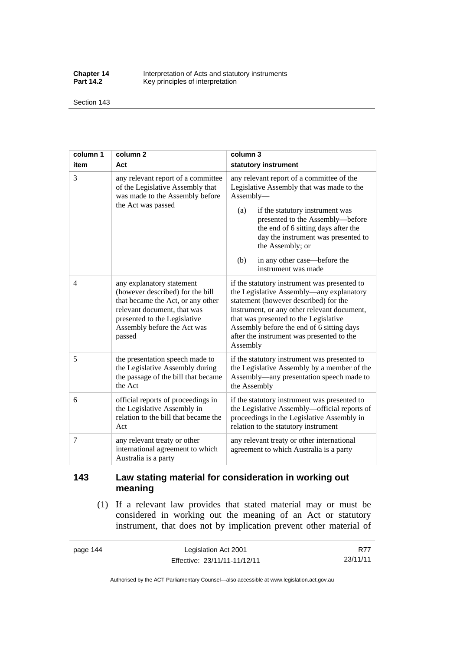**Chapter 14** Interpretation of Acts and statutory instruments<br>**Part 14.2** Key principles of interpretation Key principles of interpretation

Section 143

| column 1       | column <sub>2</sub>                                                                                                                                                                                        | column 3                                                                                                                                                                                                                                                                                                                                          |
|----------------|------------------------------------------------------------------------------------------------------------------------------------------------------------------------------------------------------------|---------------------------------------------------------------------------------------------------------------------------------------------------------------------------------------------------------------------------------------------------------------------------------------------------------------------------------------------------|
| item           | Act                                                                                                                                                                                                        | statutory instrument                                                                                                                                                                                                                                                                                                                              |
| $\overline{3}$ | any relevant report of a committee<br>of the Legislative Assembly that<br>was made to the Assembly before<br>the Act was passed                                                                            | any relevant report of a committee of the<br>Legislative Assembly that was made to the<br>Assembly-<br>if the statutory instrument was<br>(a)<br>presented to the Assembly-before<br>the end of 6 sitting days after the<br>day the instrument was presented to<br>the Assembly; or<br>in any other case—before the<br>(b)<br>instrument was made |
| $\overline{4}$ | any explanatory statement<br>(however described) for the bill<br>that became the Act, or any other<br>relevant document, that was<br>presented to the Legislative<br>Assembly before the Act was<br>passed | if the statutory instrument was presented to<br>the Legislative Assembly—any explanatory<br>statement (however described) for the<br>instrument, or any other relevant document,<br>that was presented to the Legislative<br>Assembly before the end of 6 sitting days<br>after the instrument was presented to the<br>Assembly                   |
| 5              | the presentation speech made to<br>the Legislative Assembly during<br>the passage of the bill that became<br>the Act                                                                                       | if the statutory instrument was presented to<br>the Legislative Assembly by a member of the<br>Assembly—any presentation speech made to<br>the Assembly                                                                                                                                                                                           |
| 6              | official reports of proceedings in<br>the Legislative Assembly in<br>relation to the bill that became the<br>Act                                                                                           | if the statutory instrument was presented to<br>the Legislative Assembly-official reports of<br>proceedings in the Legislative Assembly in<br>relation to the statutory instrument                                                                                                                                                                |
| 7              | any relevant treaty or other<br>international agreement to which<br>Australia is a party                                                                                                                   | any relevant treaty or other international<br>agreement to which Australia is a party                                                                                                                                                                                                                                                             |

## **143 Law stating material for consideration in working out meaning**

 (1) If a relevant law provides that stated material may or must be considered in working out the meaning of an Act or statutory instrument, that does not by implication prevent other material of

page 144 Legislation Act 2001 Effective: 23/11/11-11/12/11

R77 23/11/11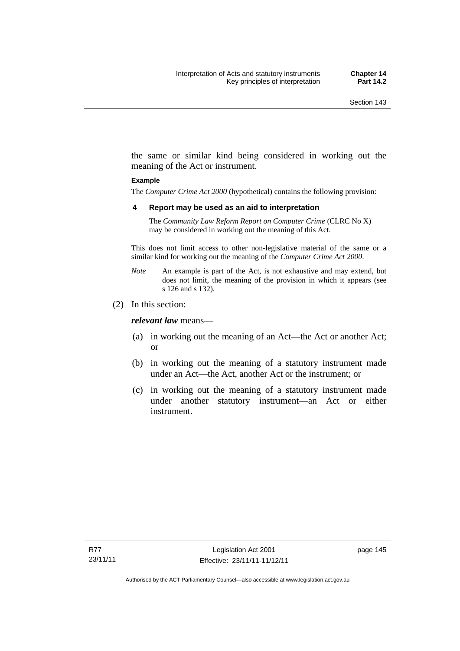the same or similar kind being considered in working out the meaning of the Act or instrument.

#### **Example**

The *Computer Crime Act 2000* (hypothetical) contains the following provision:

#### **4 Report may be used as an aid to interpretation**

The *Community Law Reform Report on Computer Crime* (CLRC No X) may be considered in working out the meaning of this Act.

This does not limit access to other non-legislative material of the same or a similar kind for working out the meaning of the *Computer Crime Act 2000*.

- *Note* An example is part of the Act, is not exhaustive and may extend, but does not limit, the meaning of the provision in which it appears (see s 126 and s 132).
- (2) In this section:

*relevant law* means—

- (a) in working out the meaning of an Act—the Act or another Act; or
- (b) in working out the meaning of a statutory instrument made under an Act—the Act, another Act or the instrument; or
- (c) in working out the meaning of a statutory instrument made under another statutory instrument—an Act or either instrument.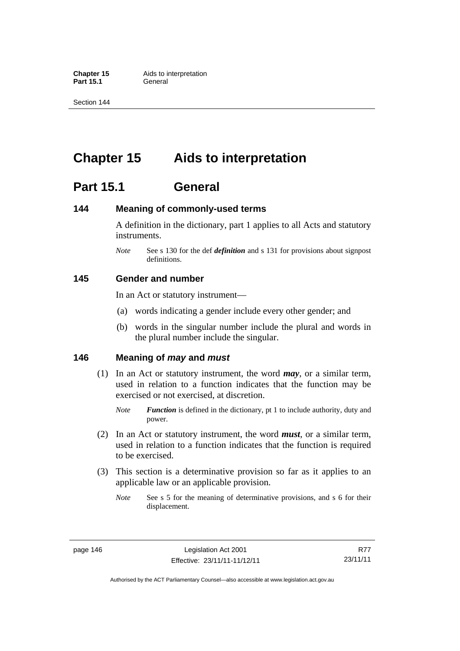**Part 15.1** 

Section 144

# **Chapter 15 Aids to interpretation**

# **Part 15.1 General**

## **144 Meaning of commonly-used terms**

A definition in the dictionary, part 1 applies to all Acts and statutory instruments.

*Note* See s 130 for the def *definition* and s 131 for provisions about signpost definitions.

## **145 Gender and number**

In an Act or statutory instrument—

- (a) words indicating a gender include every other gender; and
- (b) words in the singular number include the plural and words in the plural number include the singular.

## **146 Meaning of** *may* **and** *must*

- (1) In an Act or statutory instrument, the word *may*, or a similar term, used in relation to a function indicates that the function may be exercised or not exercised, at discretion.
	- *Note Function* is defined in the dictionary, pt 1 to include authority, duty and power.
- (2) In an Act or statutory instrument, the word *must*, or a similar term, used in relation to a function indicates that the function is required to be exercised.
- (3) This section is a determinative provision so far as it applies to an applicable law or an applicable provision.
	- *Note* See s 5 for the meaning of determinative provisions, and s 6 for their displacement.

R77 23/11/11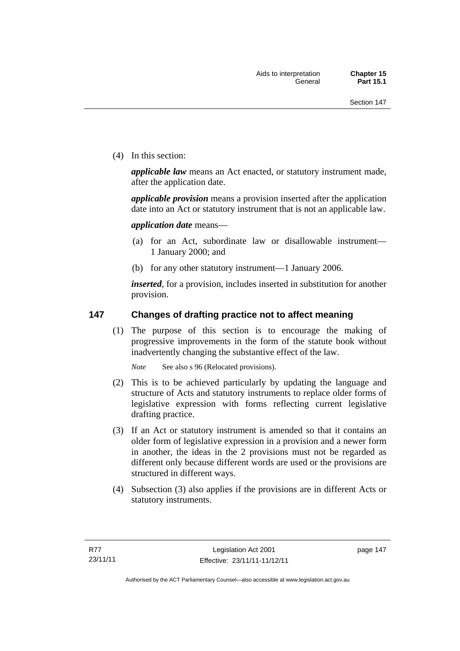(4) In this section:

*applicable law* means an Act enacted, or statutory instrument made, after the application date.

*applicable provision* means a provision inserted after the application date into an Act or statutory instrument that is not an applicable law.

*application date* means—

- (a) for an Act, subordinate law or disallowable instrument— 1 January 2000; and
- (b) for any other statutory instrument—1 January 2006.

*inserted*, for a provision, includes inserted in substitution for another provision.

## **147 Changes of drafting practice not to affect meaning**

(1) The purpose of this section is to encourage the making of progressive improvements in the form of the statute book without inadvertently changing the substantive effect of the law.

*Note* See also s 96 (Relocated provisions).

- (2) This is to be achieved particularly by updating the language and structure of Acts and statutory instruments to replace older forms of legislative expression with forms reflecting current legislative drafting practice.
- (3) If an Act or statutory instrument is amended so that it contains an older form of legislative expression in a provision and a newer form in another, the ideas in the 2 provisions must not be regarded as different only because different words are used or the provisions are structured in different ways.
- (4) Subsection (3) also applies if the provisions are in different Acts or statutory instruments.

page 147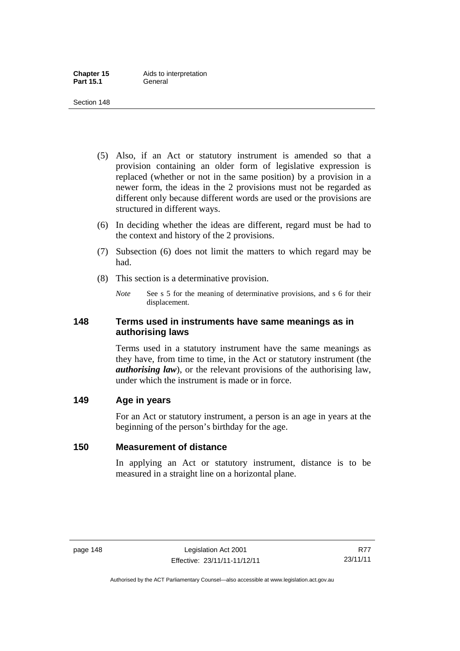- (5) Also, if an Act or statutory instrument is amended so that a provision containing an older form of legislative expression is replaced (whether or not in the same position) by a provision in a newer form, the ideas in the 2 provisions must not be regarded as different only because different words are used or the provisions are structured in different ways.
- (6) In deciding whether the ideas are different, regard must be had to the context and history of the 2 provisions.
- (7) Subsection (6) does not limit the matters to which regard may be had.
- (8) This section is a determinative provision.
	- *Note* See s 5 for the meaning of determinative provisions, and s 6 for their displacement.

## **148 Terms used in instruments have same meanings as in authorising laws**

Terms used in a statutory instrument have the same meanings as they have, from time to time, in the Act or statutory instrument (the *authorising law*), or the relevant provisions of the authorising law, under which the instrument is made or in force.

## **149 Age in years**

For an Act or statutory instrument, a person is an age in years at the beginning of the person's birthday for the age.

## **150 Measurement of distance**

In applying an Act or statutory instrument, distance is to be measured in a straight line on a horizontal plane.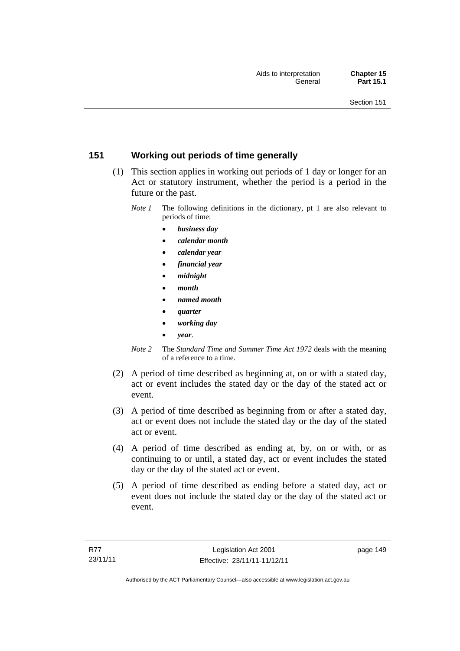## **151 Working out periods of time generally**

- (1) This section applies in working out periods of 1 day or longer for an Act or statutory instrument, whether the period is a period in the future or the past.
	- *Note 1* The following definitions in the dictionary, pt 1 are also relevant to periods of time:
		- *business day*
		- *calendar month*
		- *calendar year*
		- *financial year*
		- *midnight*
		- *month*
		- *named month*
		- *quarter*
		- *working day*
		- *year*.
	- *Note 2* The *Standard Time and Summer Time Act 1972* deals with the meaning of a reference to a time.
- (2) A period of time described as beginning at, on or with a stated day, act or event includes the stated day or the day of the stated act or event.
- (3) A period of time described as beginning from or after a stated day, act or event does not include the stated day or the day of the stated act or event.
- (4) A period of time described as ending at, by, on or with, or as continuing to or until, a stated day, act or event includes the stated day or the day of the stated act or event.
- (5) A period of time described as ending before a stated day, act or event does not include the stated day or the day of the stated act or event.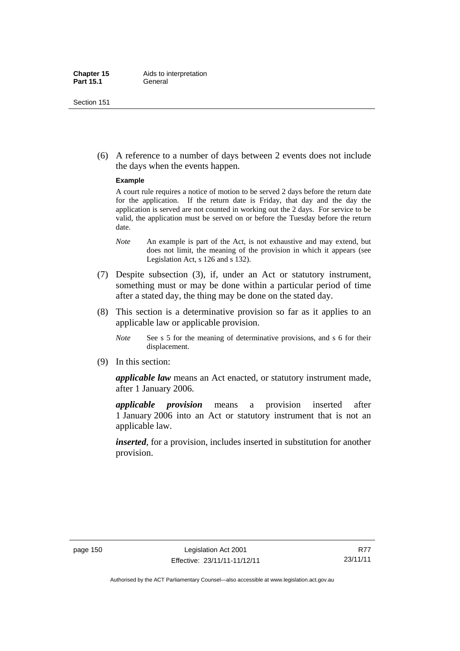(6) A reference to a number of days between 2 events does not include the days when the events happen.

#### **Example**

A court rule requires a notice of motion to be served 2 days before the return date for the application. If the return date is Friday, that day and the day the application is served are not counted in working out the 2 days. For service to be valid, the application must be served on or before the Tuesday before the return date.

- *Note* An example is part of the Act, is not exhaustive and may extend, but does not limit, the meaning of the provision in which it appears (see Legislation Act, s 126 and s 132).
- (7) Despite subsection (3), if, under an Act or statutory instrument, something must or may be done within a particular period of time after a stated day, the thing may be done on the stated day.
- (8) This section is a determinative provision so far as it applies to an applicable law or applicable provision.
	- *Note* See s 5 for the meaning of determinative provisions, and s 6 for their displacement.
- (9) In this section:

*applicable law* means an Act enacted, or statutory instrument made, after 1 January 2006.

*applicable provision* means a provision inserted after 1 January 2006 into an Act or statutory instrument that is not an applicable law.

*inserted*, for a provision, includes inserted in substitution for another provision.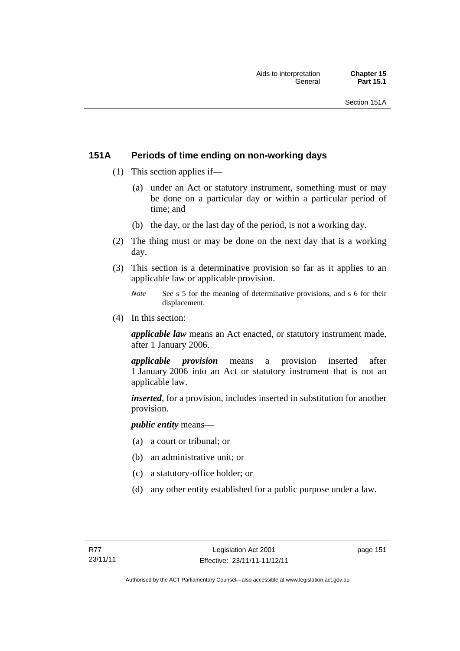## **151A Periods of time ending on non-working days**

- (1) This section applies if—
	- (a) under an Act or statutory instrument, something must or may be done on a particular day or within a particular period of time; and
	- (b) the day, or the last day of the period, is not a working day.
- (2) The thing must or may be done on the next day that is a working day.
- (3) This section is a determinative provision so far as it applies to an applicable law or applicable provision.
	- *Note* See s 5 for the meaning of determinative provisions, and s 6 for their displacement.
- (4) In this section:

*applicable law* means an Act enacted, or statutory instrument made, after 1 January 2006.

*applicable provision* means a provision inserted after 1 January 2006 into an Act or statutory instrument that is not an applicable law.

*inserted*, for a provision, includes inserted in substitution for another provision.

*public entity* means—

- (a) a court or tribunal; or
- (b) an administrative unit; or
- (c) a statutory-office holder; or
- (d) any other entity established for a public purpose under a law.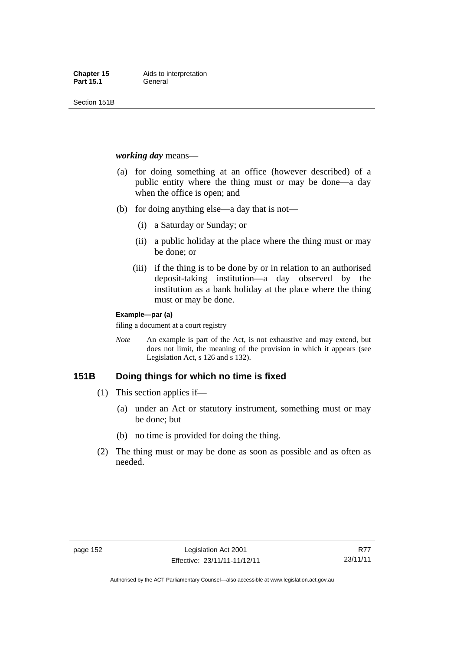Section 151B

#### *working day* means—

- (a) for doing something at an office (however described) of a public entity where the thing must or may be done—a day when the office is open; and
- (b) for doing anything else—a day that is not—
	- (i) a Saturday or Sunday; or
	- (ii) a public holiday at the place where the thing must or may be done; or
	- (iii) if the thing is to be done by or in relation to an authorised deposit-taking institution—a day observed by the institution as a bank holiday at the place where the thing must or may be done.

#### **Example—par (a)**

filing a document at a court registry

*Note* An example is part of the Act, is not exhaustive and may extend, but does not limit, the meaning of the provision in which it appears (see Legislation Act, s 126 and s 132).

## **151B Doing things for which no time is fixed**

- (1) This section applies if—
	- (a) under an Act or statutory instrument, something must or may be done; but
	- (b) no time is provided for doing the thing.
- (2) The thing must or may be done as soon as possible and as often as needed.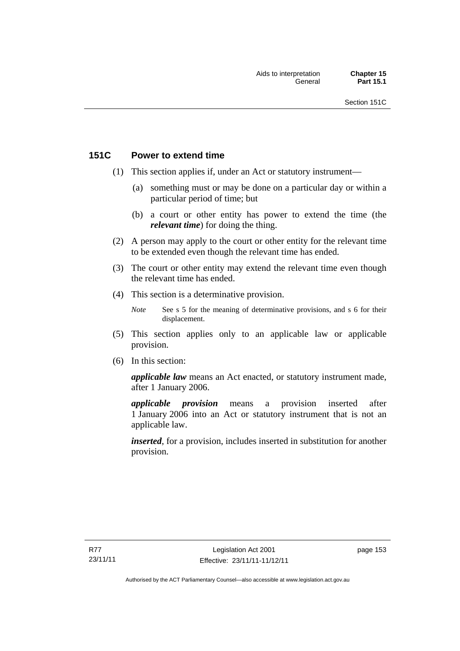## **151C Power to extend time**

- (1) This section applies if, under an Act or statutory instrument—
	- (a) something must or may be done on a particular day or within a particular period of time; but
	- (b) a court or other entity has power to extend the time (the *relevant time*) for doing the thing.
- (2) A person may apply to the court or other entity for the relevant time to be extended even though the relevant time has ended.
- (3) The court or other entity may extend the relevant time even though the relevant time has ended.
- (4) This section is a determinative provision.
	- *Note* See s 5 for the meaning of determinative provisions, and s 6 for their displacement.
- (5) This section applies only to an applicable law or applicable provision.
- (6) In this section:

*applicable law* means an Act enacted, or statutory instrument made, after 1 January 2006.

*applicable provision* means a provision inserted after 1 January 2006 into an Act or statutory instrument that is not an applicable law.

*inserted*, for a provision, includes inserted in substitution for another provision.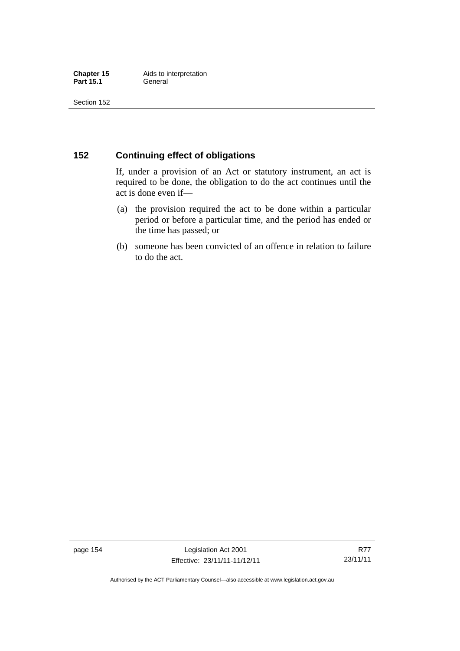## **152 Continuing effect of obligations**

If, under a provision of an Act or statutory instrument, an act is required to be done, the obligation to do the act continues until the act is done even if—

- (a) the provision required the act to be done within a particular period or before a particular time, and the period has ended or the time has passed; or
- (b) someone has been convicted of an offence in relation to failure to do the act.

page 154 Legislation Act 2001 Effective: 23/11/11-11/12/11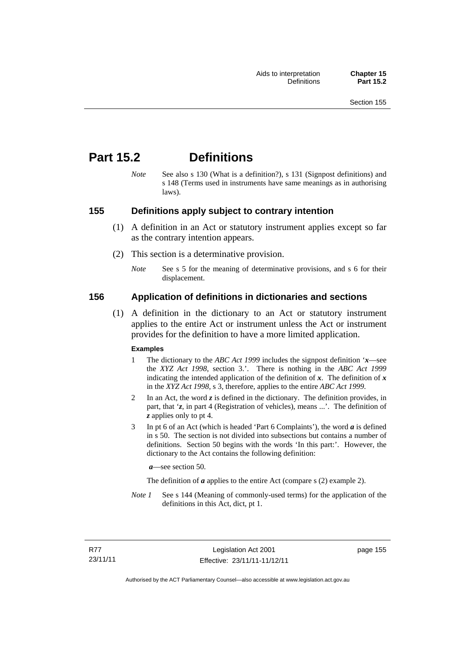# **Part 15.2 Definitions**

*Note* See also s 130 (What is a definition?), s 131 (Signpost definitions) and s 148 (Terms used in instruments have same meanings as in authorising laws).

## **155 Definitions apply subject to contrary intention**

- (1) A definition in an Act or statutory instrument applies except so far as the contrary intention appears.
- (2) This section is a determinative provision.
	- *Note* See s 5 for the meaning of determinative provisions, and s 6 for their displacement.

## **156 Application of definitions in dictionaries and sections**

 (1) A definition in the dictionary to an Act or statutory instrument applies to the entire Act or instrument unless the Act or instrument provides for the definition to have a more limited application.

#### **Examples**

- 1 The dictionary to the *ABC Act 1999* includes the signpost definition '*x*—see the *XYZ Act 1998*, section 3.'. There is nothing in the *ABC Act 1999* indicating the intended application of the definition of  $x$ . The definition of  $x$ in the *XYZ Act 1998*, s 3, therefore, applies to the entire *ABC Act 1999*.
- 2 In an Act, the word *z* is defined in the dictionary. The definition provides, in part, that '*z*, in part 4 (Registration of vehicles), means ...'. The definition of *z* applies only to pt 4.
- 3 In pt 6 of an Act (which is headed 'Part 6 Complaints'), the word *a* is defined in s 50. The section is not divided into subsections but contains a number of definitions. Section 50 begins with the words 'In this part:'. However, the dictionary to the Act contains the following definition:

*a*—see section 50.

The definition of *a* applies to the entire Act (compare s (2) example 2).

*Note 1* See s 144 (Meaning of commonly-used terms) for the application of the definitions in this Act, dict, pt 1.

page 155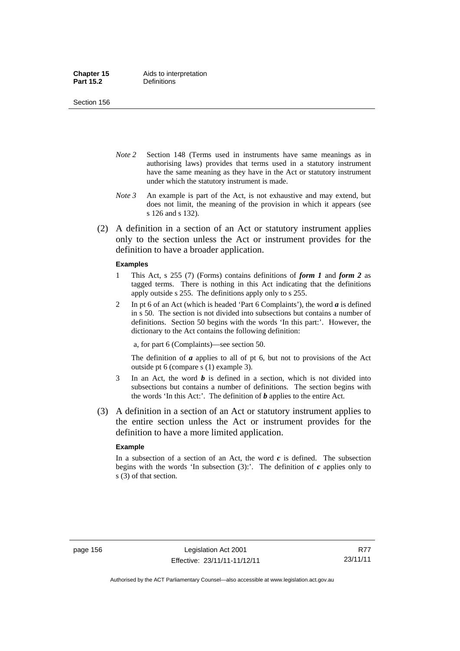Section 156

- *Note 2* Section 148 (Terms used in instruments have same meanings as in authorising laws) provides that terms used in a statutory instrument have the same meaning as they have in the Act or statutory instrument under which the statutory instrument is made.
- *Note 3* An example is part of the Act, is not exhaustive and may extend, but does not limit, the meaning of the provision in which it appears (see s 126 and s 132).
- (2) A definition in a section of an Act or statutory instrument applies only to the section unless the Act or instrument provides for the definition to have a broader application.

#### **Examples**

- 1 This Act, s 255 (7) (Forms) contains definitions of *form 1* and *form 2* as tagged terms. There is nothing in this Act indicating that the definitions apply outside s 255. The definitions apply only to s 255.
- 2 In pt 6 of an Act (which is headed 'Part 6 Complaints'), the word *a* is defined in s 50. The section is not divided into subsections but contains a number of definitions. Section 50 begins with the words 'In this part:'. However, the dictionary to the Act contains the following definition:

a, for part 6 (Complaints)—see section 50.

The definition of *a* applies to all of pt 6, but not to provisions of the Act outside pt 6 (compare s (1) example 3).

- 3 In an Act, the word *b* is defined in a section, which is not divided into subsections but contains a number of definitions. The section begins with the words 'In this Act:'. The definition of *b* applies to the entire Act.
- (3) A definition in a section of an Act or statutory instrument applies to the entire section unless the Act or instrument provides for the definition to have a more limited application.

#### **Example**

In a subsection of a section of an Act, the word *c* is defined. The subsection begins with the words 'In subsection  $(3)$ :'. The definition of  $c$  applies only to s (3) of that section.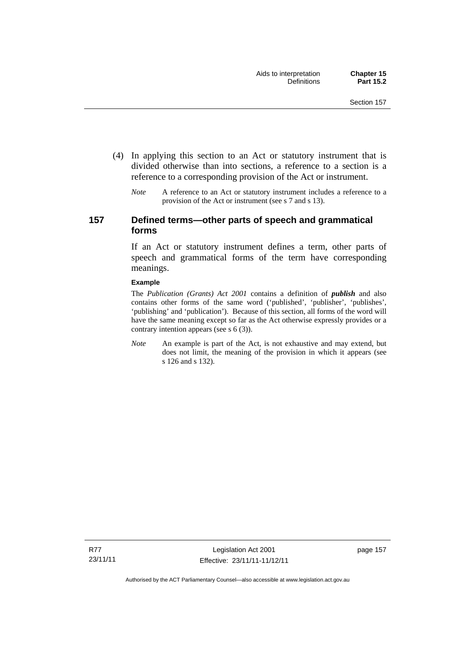- (4) In applying this section to an Act or statutory instrument that is divided otherwise than into sections, a reference to a section is a reference to a corresponding provision of the Act or instrument.
	- *Note* A reference to an Act or statutory instrument includes a reference to a provision of the Act or instrument (see s 7 and s 13).

## **157 Defined terms—other parts of speech and grammatical forms**

If an Act or statutory instrument defines a term, other parts of speech and grammatical forms of the term have corresponding meanings.

#### **Example**

The *Publication (Grants) Act 2001* contains a definition of *publish* and also contains other forms of the same word ('published', 'publisher', 'publishes', 'publishing' and 'publication'). Because of this section, all forms of the word will have the same meaning except so far as the Act otherwise expressly provides or a contrary intention appears (see s 6 (3)).

*Note* An example is part of the Act, is not exhaustive and may extend, but does not limit, the meaning of the provision in which it appears (see s 126 and s 132).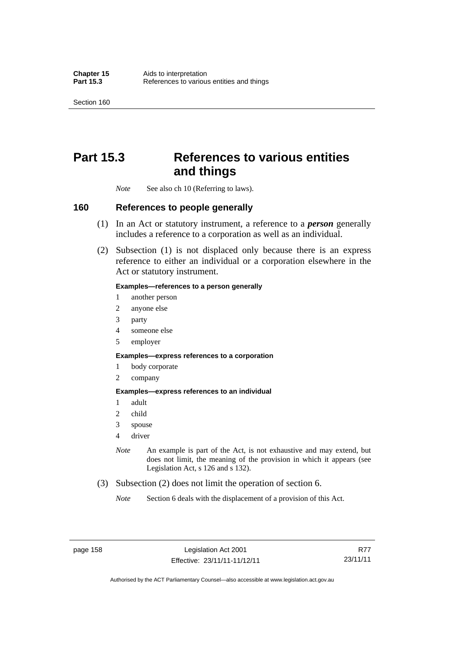Section 160

# **Part 15.3 References to various entities and things**

*Note* See also ch 10 (Referring to laws).

## **160 References to people generally**

- (1) In an Act or statutory instrument, a reference to a *person* generally includes a reference to a corporation as well as an individual.
- (2) Subsection (1) is not displaced only because there is an express reference to either an individual or a corporation elsewhere in the Act or statutory instrument.

#### **Examples—references to a person generally**

- 1 another person
- 2 anyone else
- 3 party
- 4 someone else
- 5 employer

#### **Examples—express references to a corporation**

- 1 body corporate
- 2 company

#### **Examples—express references to an individual**

- 1 adult
- 2 child
- 3 spouse
- 4 driver
- *Note* An example is part of the Act, is not exhaustive and may extend, but does not limit, the meaning of the provision in which it appears (see Legislation Act, s 126 and s 132).
- (3) Subsection (2) does not limit the operation of section 6.
	- *Note* Section 6 deals with the displacement of a provision of this Act.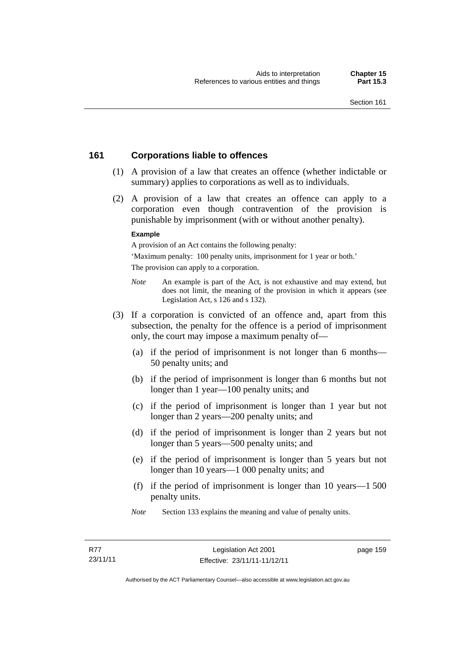## **161 Corporations liable to offences**

- (1) A provision of a law that creates an offence (whether indictable or summary) applies to corporations as well as to individuals.
- (2) A provision of a law that creates an offence can apply to a corporation even though contravention of the provision is punishable by imprisonment (with or without another penalty).

#### **Example**

A provision of an Act contains the following penalty:

'Maximum penalty: 100 penalty units, imprisonment for 1 year or both.' The provision can apply to a corporation.

- *Note* An example is part of the Act, is not exhaustive and may extend, but does not limit, the meaning of the provision in which it appears (see Legislation Act, s 126 and s 132).
- (3) If a corporation is convicted of an offence and, apart from this subsection, the penalty for the offence is a period of imprisonment only, the court may impose a maximum penalty of—
	- (a) if the period of imprisonment is not longer than 6 months— 50 penalty units; and
	- (b) if the period of imprisonment is longer than 6 months but not longer than 1 year—100 penalty units; and
	- (c) if the period of imprisonment is longer than 1 year but not longer than 2 years—200 penalty units; and
	- (d) if the period of imprisonment is longer than 2 years but not longer than 5 years—500 penalty units; and
	- (e) if the period of imprisonment is longer than 5 years but not longer than 10 years—1 000 penalty units; and
	- (f) if the period of imprisonment is longer than 10 years—1 500 penalty units.
	- *Note* Section 133 explains the meaning and value of penalty units.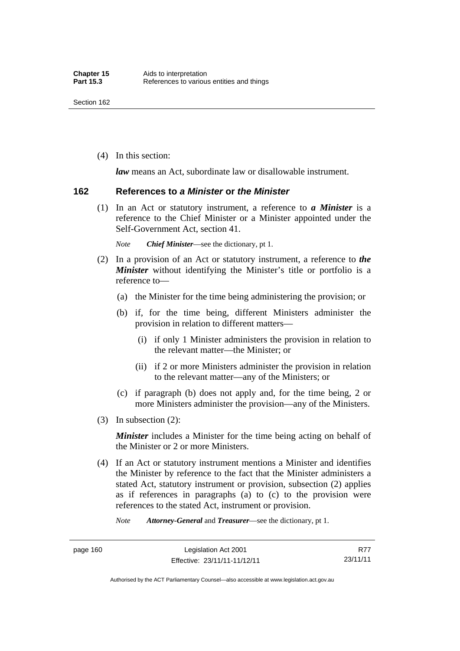(4) In this section:

*law* means an Act, subordinate law or disallowable instrument.

#### **162 References to** *a Minister* **or** *the Minister*

 (1) In an Act or statutory instrument, a reference to *a Minister* is a reference to the Chief Minister or a Minister appointed under the Self-Government Act, section 41.

*Note Chief Minister*—see the dictionary, pt 1.

- (2) In a provision of an Act or statutory instrument, a reference to *the Minister* without identifying the Minister's title or portfolio is a reference to—
	- (a) the Minister for the time being administering the provision; or
	- (b) if, for the time being, different Ministers administer the provision in relation to different matters—
		- (i) if only 1 Minister administers the provision in relation to the relevant matter—the Minister; or
		- (ii) if 2 or more Ministers administer the provision in relation to the relevant matter—any of the Ministers; or
	- (c) if paragraph (b) does not apply and, for the time being, 2 or more Ministers administer the provision—any of the Ministers.
- (3) In subsection (2):

*Minister* includes a Minister for the time being acting on behalf of the Minister or 2 or more Ministers.

 (4) If an Act or statutory instrument mentions a Minister and identifies the Minister by reference to the fact that the Minister administers a stated Act, statutory instrument or provision, subsection (2) applies as if references in paragraphs (a) to (c) to the provision were references to the stated Act, instrument or provision.

*Note Attorney-General* and *Treasurer*—see the dictionary, pt 1.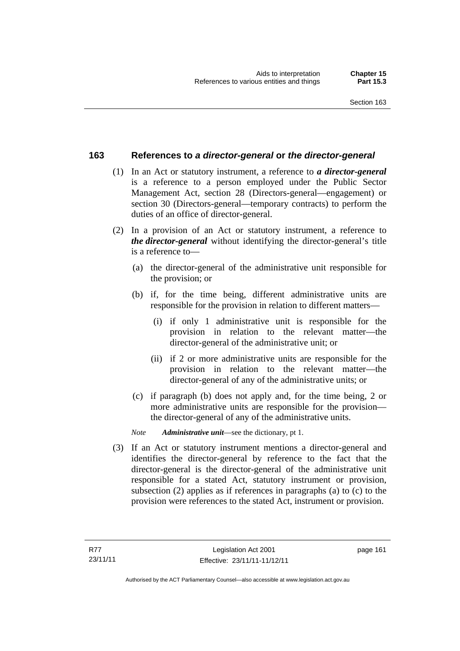## **163 References to** *a director-general* **or** *the director-general*

- (1) In an Act or statutory instrument, a reference to *a director-general* is a reference to a person employed under the Public Sector Management Act, section 28 (Directors-general—engagement) or section 30 (Directors-general—temporary contracts) to perform the duties of an office of director-general.
- (2) In a provision of an Act or statutory instrument, a reference to *the director-general* without identifying the director-general's title is a reference to—
	- (a) the director-general of the administrative unit responsible for the provision; or
	- (b) if, for the time being, different administrative units are responsible for the provision in relation to different matters—
		- (i) if only 1 administrative unit is responsible for the provision in relation to the relevant matter—the director-general of the administrative unit; or
		- (ii) if 2 or more administrative units are responsible for the provision in relation to the relevant matter—the director-general of any of the administrative units; or
	- (c) if paragraph (b) does not apply and, for the time being, 2 or more administrative units are responsible for the provision the director-general of any of the administrative units.
	- *Note Administrative unit*—see the dictionary, pt 1.
- (3) If an Act or statutory instrument mentions a director-general and identifies the director-general by reference to the fact that the director-general is the director-general of the administrative unit responsible for a stated Act, statutory instrument or provision, subsection (2) applies as if references in paragraphs (a) to (c) to the provision were references to the stated Act, instrument or provision.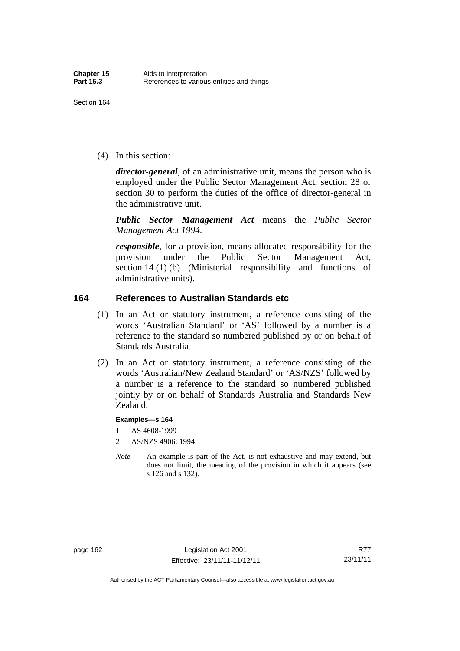(4) In this section:

*director-general*, of an administrative unit, means the person who is employed under the Public Sector Management Act, section 28 or section 30 to perform the duties of the office of director-general in the administrative unit.

*Public Sector Management Act* means the *Public Sector Management Act 1994*.

*responsible*, for a provision, means allocated responsibility for the provision under the Public Sector Management Act, section 14 (1) (b) (Ministerial responsibility and functions of administrative units).

## **164 References to Australian Standards etc**

- (1) In an Act or statutory instrument, a reference consisting of the words 'Australian Standard' or 'AS' followed by a number is a reference to the standard so numbered published by or on behalf of Standards Australia.
- (2) In an Act or statutory instrument, a reference consisting of the words 'Australian/New Zealand Standard' or 'AS/NZS' followed by a number is a reference to the standard so numbered published jointly by or on behalf of Standards Australia and Standards New Zealand.

#### **Examples—s 164**

- 1 AS 4608-1999
- 2 AS/NZS 4906: 1994
- *Note* An example is part of the Act, is not exhaustive and may extend, but does not limit, the meaning of the provision in which it appears (see s 126 and s 132).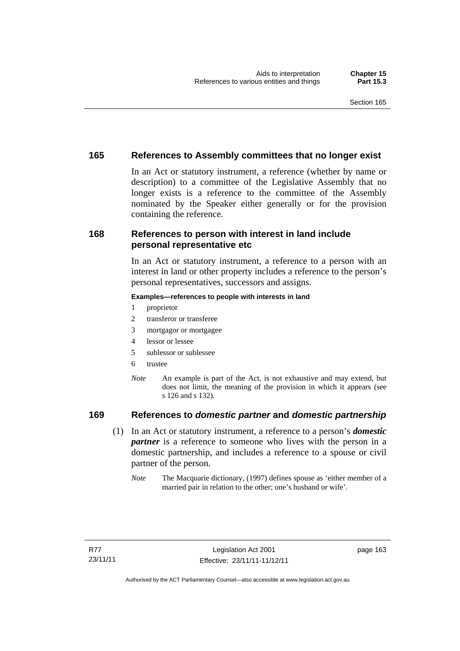## **165 References to Assembly committees that no longer exist**

In an Act or statutory instrument, a reference (whether by name or description) to a committee of the Legislative Assembly that no longer exists is a reference to the committee of the Assembly nominated by the Speaker either generally or for the provision containing the reference.

## **168 References to person with interest in land include personal representative etc**

In an Act or statutory instrument, a reference to a person with an interest in land or other property includes a reference to the person's personal representatives, successors and assigns.

#### **Examples—references to people with interests in land**

- 1 proprietor
- 2 transferor or transferee
- 3 mortgagor or mortgagee
- 4 lessor or lessee
- 5 sublessor or sublessee
- 6 trustee
- *Note* An example is part of the Act, is not exhaustive and may extend, but does not limit, the meaning of the provision in which it appears (see s 126 and s 132).

## **169 References to** *domestic partner* **and** *domestic partnership*

- (1) In an Act or statutory instrument, a reference to a person's *domestic partner* is a reference to someone who lives with the person in a domestic partnership, and includes a reference to a spouse or civil partner of the person.
	- *Note* The Macquarie dictionary, (1997) defines spouse as 'either member of a married pair in relation to the other; one's husband or wife'.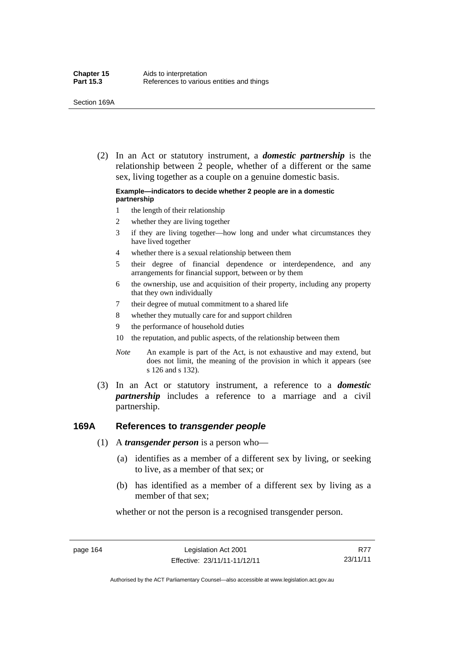(2) In an Act or statutory instrument, a *domestic partnership* is the relationship between 2 people, whether of a different or the same sex, living together as a couple on a genuine domestic basis.

#### **Example—indicators to decide whether 2 people are in a domestic partnership**

- 1 the length of their relationship
- 2 whether they are living together
- 3 if they are living together—how long and under what circumstances they have lived together
- 4 whether there is a sexual relationship between them
- 5 their degree of financial dependence or interdependence, and any arrangements for financial support, between or by them
- 6 the ownership, use and acquisition of their property, including any property that they own individually
- 7 their degree of mutual commitment to a shared life
- 8 whether they mutually care for and support children
- 9 the performance of household duties
- 10 the reputation, and public aspects, of the relationship between them
- *Note* An example is part of the Act, is not exhaustive and may extend, but does not limit, the meaning of the provision in which it appears (see s 126 and s 132).
- (3) In an Act or statutory instrument, a reference to a *domestic partnership* includes a reference to a marriage and a civil partnership.

#### **169A References to** *transgender people*

- (1) A *transgender person* is a person who—
	- (a) identifies as a member of a different sex by living, or seeking to live, as a member of that sex; or
	- (b) has identified as a member of a different sex by living as a member of that sex;

whether or not the person is a recognised transgender person.

page 164 Legislation Act 2001 Effective: 23/11/11-11/12/11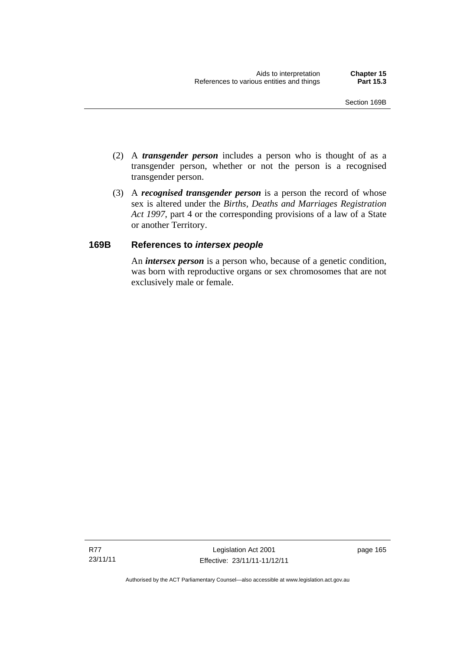- (2) A *transgender person* includes a person who is thought of as a transgender person, whether or not the person is a recognised transgender person.
- (3) A *recognised transgender person* is a person the record of whose sex is altered under the *Births, Deaths and Marriages Registration Act 1997*, part 4 or the corresponding provisions of a law of a State or another Territory.

## **169B References to** *intersex people*

An *intersex person* is a person who, because of a genetic condition, was born with reproductive organs or sex chromosomes that are not exclusively male or female.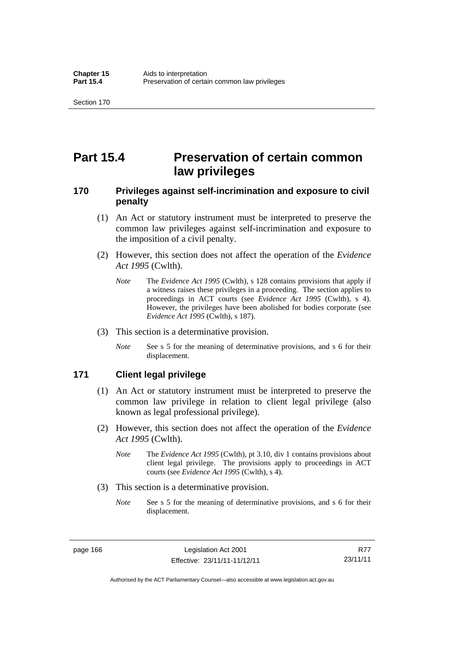# **Part 15.4 Preservation of certain common law privileges**

## **170 Privileges against self-incrimination and exposure to civil penalty**

- (1) An Act or statutory instrument must be interpreted to preserve the common law privileges against self-incrimination and exposure to the imposition of a civil penalty.
- (2) However, this section does not affect the operation of the *Evidence Act 1995* (Cwlth).
	- *Note* The *Evidence Act 1995* (Cwlth), s 128 contains provisions that apply if a witness raises these privileges in a proceeding. The section applies to proceedings in ACT courts (see *Evidence Act 1995* (Cwlth), s 4). However, the privileges have been abolished for bodies corporate (see *Evidence Act 1995* (Cwlth), s 187).
- (3) This section is a determinative provision.
	- *Note* See s 5 for the meaning of determinative provisions, and s 6 for their displacement.

#### **171 Client legal privilege**

- (1) An Act or statutory instrument must be interpreted to preserve the common law privilege in relation to client legal privilege (also known as legal professional privilege).
- (2) However, this section does not affect the operation of the *Evidence Act 1995* (Cwlth).
	- *Note* The *Evidence Act 1995* (Cwlth), pt 3.10, div 1 contains provisions about client legal privilege. The provisions apply to proceedings in ACT courts (see *Evidence Act 1995* (Cwlth), s 4).
- (3) This section is a determinative provision.
	- *Note* See s 5 for the meaning of determinative provisions, and s 6 for their displacement.

page 166 Legislation Act 2001 Effective: 23/11/11-11/12/11

R77 23/11/11

Authorised by the ACT Parliamentary Counsel—also accessible at www.legislation.act.gov.au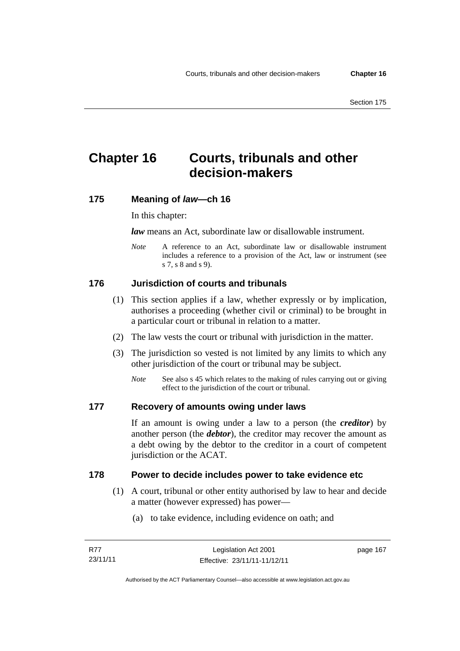# **Chapter 16 Courts, tribunals and other decision-makers**

### **175 Meaning of** *law***—ch 16**

In this chapter:

*law* means an Act, subordinate law or disallowable instrument.

*Note* A reference to an Act, subordinate law or disallowable instrument includes a reference to a provision of the Act, law or instrument (see s 7, s 8 and s 9).

# **176 Jurisdiction of courts and tribunals**

- (1) This section applies if a law, whether expressly or by implication, authorises a proceeding (whether civil or criminal) to be brought in a particular court or tribunal in relation to a matter.
- (2) The law vests the court or tribunal with jurisdiction in the matter.
- (3) The jurisdiction so vested is not limited by any limits to which any other jurisdiction of the court or tribunal may be subject.
	- *Note* See also s 45 which relates to the making of rules carrying out or giving effect to the jurisdiction of the court or tribunal.

### **177 Recovery of amounts owing under laws**

If an amount is owing under a law to a person (the *creditor*) by another person (the *debtor*), the creditor may recover the amount as a debt owing by the debtor to the creditor in a court of competent jurisdiction or the ACAT.

### **178 Power to decide includes power to take evidence etc**

- (1) A court, tribunal or other entity authorised by law to hear and decide a matter (however expressed) has power—
	- (a) to take evidence, including evidence on oath; and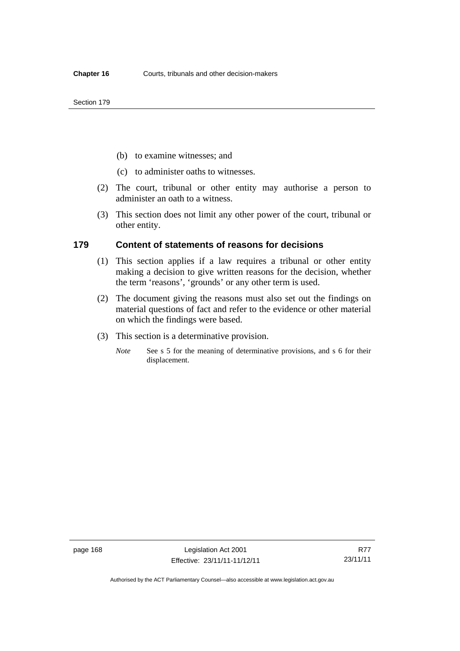- (b) to examine witnesses; and
- (c) to administer oaths to witnesses.
- (2) The court, tribunal or other entity may authorise a person to administer an oath to a witness.
- (3) This section does not limit any other power of the court, tribunal or other entity.

#### **179 Content of statements of reasons for decisions**

- (1) This section applies if a law requires a tribunal or other entity making a decision to give written reasons for the decision, whether the term 'reasons', 'grounds' or any other term is used.
- (2) The document giving the reasons must also set out the findings on material questions of fact and refer to the evidence or other material on which the findings were based.
- (3) This section is a determinative provision.
	- *Note* See s 5 for the meaning of determinative provisions, and s 6 for their displacement.

Authorised by the ACT Parliamentary Counsel—also accessible at www.legislation.act.gov.au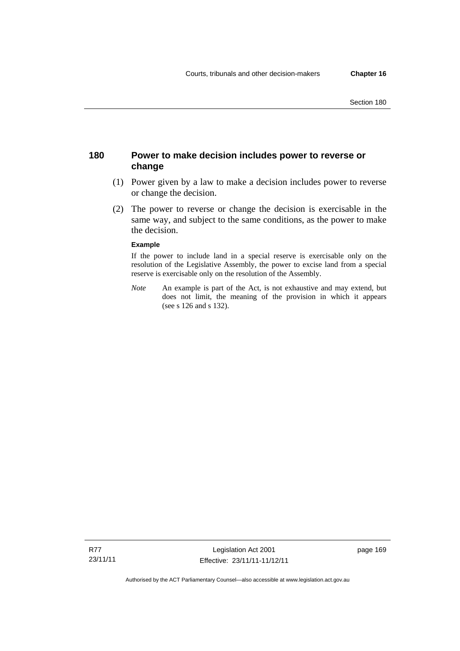## **180 Power to make decision includes power to reverse or change**

- (1) Power given by a law to make a decision includes power to reverse or change the decision.
- (2) The power to reverse or change the decision is exercisable in the same way, and subject to the same conditions, as the power to make the decision.

#### **Example**

If the power to include land in a special reserve is exercisable only on the resolution of the Legislative Assembly, the power to excise land from a special reserve is exercisable only on the resolution of the Assembly.

*Note* An example is part of the Act, is not exhaustive and may extend, but does not limit, the meaning of the provision in which it appears (see s 126 and s 132).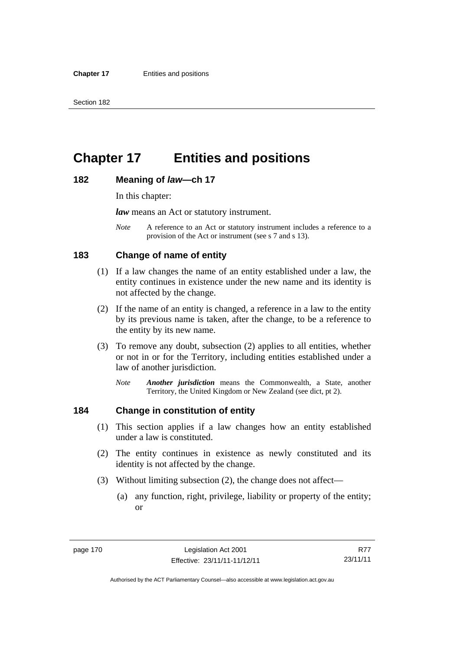# **Chapter 17 Entities and positions**

#### **182 Meaning of** *law***—ch 17**

In this chapter:

*law* means an Act or statutory instrument.

*Note* A reference to an Act or statutory instrument includes a reference to a provision of the Act or instrument (see s 7 and s 13).

## **183 Change of name of entity**

- (1) If a law changes the name of an entity established under a law, the entity continues in existence under the new name and its identity is not affected by the change.
- (2) If the name of an entity is changed, a reference in a law to the entity by its previous name is taken, after the change, to be a reference to the entity by its new name.
- (3) To remove any doubt, subsection (2) applies to all entities, whether or not in or for the Territory, including entities established under a law of another jurisdiction.
	- *Note Another jurisdiction* means the Commonwealth, a State, another Territory, the United Kingdom or New Zealand (see dict, pt 2).

## **184 Change in constitution of entity**

- (1) This section applies if a law changes how an entity established under a law is constituted.
- (2) The entity continues in existence as newly constituted and its identity is not affected by the change.
- (3) Without limiting subsection (2), the change does not affect—
	- (a) any function, right, privilege, liability or property of the entity; or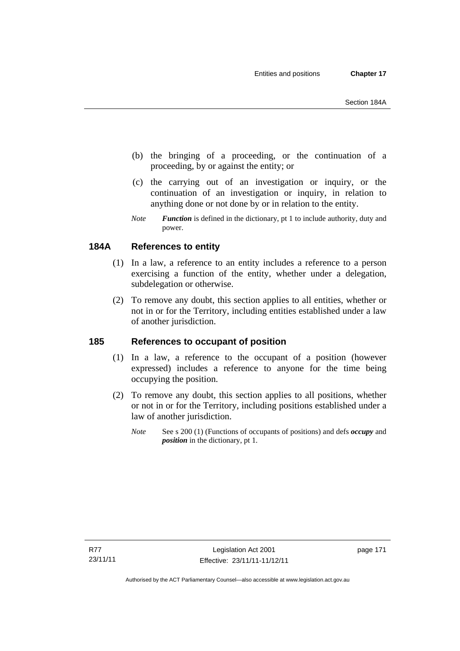- (b) the bringing of a proceeding, or the continuation of a proceeding, by or against the entity; or
- (c) the carrying out of an investigation or inquiry, or the continuation of an investigation or inquiry, in relation to anything done or not done by or in relation to the entity.
- *Note Function* is defined in the dictionary, pt 1 to include authority, duty and power.

# **184A References to entity**

- (1) In a law, a reference to an entity includes a reference to a person exercising a function of the entity, whether under a delegation, subdelegation or otherwise.
- (2) To remove any doubt, this section applies to all entities, whether or not in or for the Territory, including entities established under a law of another jurisdiction.

## **185 References to occupant of position**

- (1) In a law, a reference to the occupant of a position (however expressed) includes a reference to anyone for the time being occupying the position.
- (2) To remove any doubt, this section applies to all positions, whether or not in or for the Territory, including positions established under a law of another jurisdiction.
	- *Note* See s 200 (1) (Functions of occupants of positions) and defs *occupy* and *position* in the dictionary, pt 1.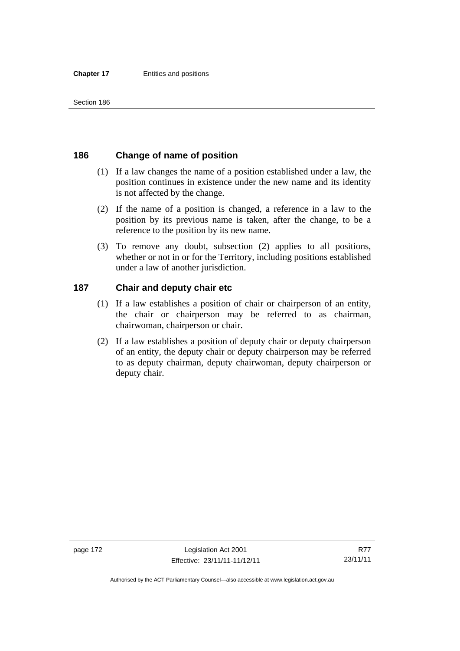## **186 Change of name of position**

- (1) If a law changes the name of a position established under a law, the position continues in existence under the new name and its identity is not affected by the change.
- (2) If the name of a position is changed, a reference in a law to the position by its previous name is taken, after the change, to be a reference to the position by its new name.
- (3) To remove any doubt, subsection (2) applies to all positions, whether or not in or for the Territory, including positions established under a law of another jurisdiction.

## **187 Chair and deputy chair etc**

- (1) If a law establishes a position of chair or chairperson of an entity, the chair or chairperson may be referred to as chairman, chairwoman, chairperson or chair.
- (2) If a law establishes a position of deputy chair or deputy chairperson of an entity, the deputy chair or deputy chairperson may be referred to as deputy chairman, deputy chairwoman, deputy chairperson or deputy chair.

Authorised by the ACT Parliamentary Counsel—also accessible at www.legislation.act.gov.au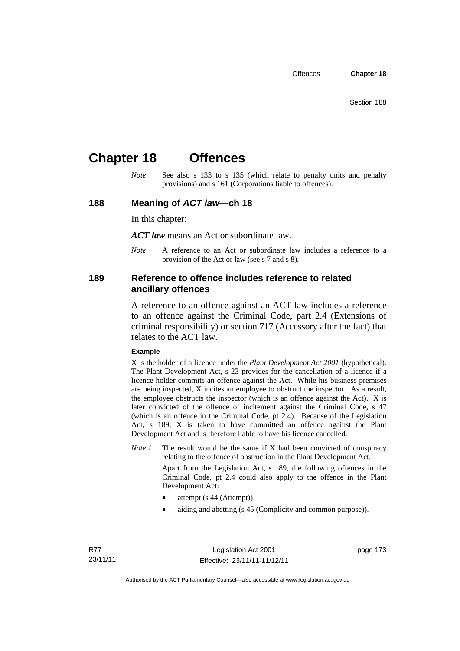# **Chapter 18 Offences**

*Note* See also s 133 to s 135 (which relate to penalty units and penalty provisions) and s 161 (Corporations liable to offences).

#### **188 Meaning of** *ACT law***—ch 18**

In this chapter:

*ACT law* means an Act or subordinate law.

*Note* A reference to an Act or subordinate law includes a reference to a provision of the Act or law (see s 7 and s 8).

#### **189 Reference to offence includes reference to related ancillary offences**

A reference to an offence against an ACT law includes a reference to an offence against the Criminal Code, part 2.4 (Extensions of criminal responsibility) or section 717 (Accessory after the fact) that relates to the ACT law.

#### **Example**

X is the holder of a licence under the *Plant Development Act 2001* (hypothetical). The Plant Development Act, s 23 provides for the cancellation of a licence if a licence holder commits an offence against the Act. While his business premises are being inspected, X incites an employee to obstruct the inspector. As a result, the employee obstructs the inspector (which is an offence against the Act). X is later convicted of the offence of incitement against the Criminal Code, s 47 (which is an offence in the Criminal Code, pt 2.4). Because of the Legislation Act, s 189, X is taken to have committed an offence against the Plant Development Act and is therefore liable to have his licence cancelled.

*Note 1* The result would be the same if X had been convicted of conspiracy relating to the offence of obstruction in the Plant Development Act.

> Apart from the Legislation Act, s 189, the following offences in the Criminal Code, pt 2.4 could also apply to the offence in the Plant Development Act:

- attempt (s 44 (Attempt))
- aiding and abetting (s 45 (Complicity and common purpose)).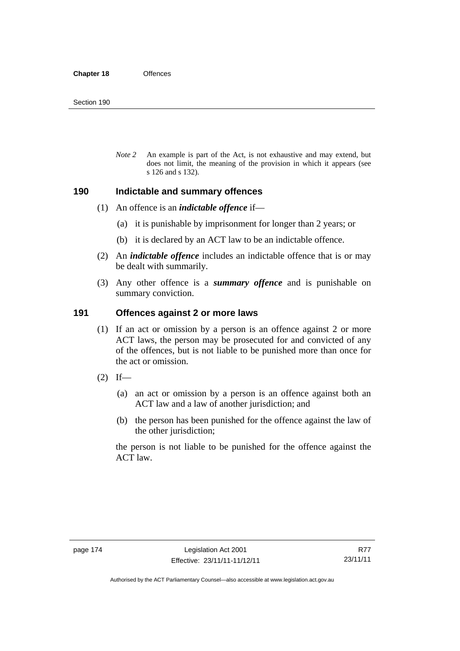*Note 2* An example is part of the Act, is not exhaustive and may extend, but does not limit, the meaning of the provision in which it appears (see s 126 and s 132).

#### **190 Indictable and summary offences**

- (1) An offence is an *indictable offence* if—
	- (a) it is punishable by imprisonment for longer than 2 years; or
	- (b) it is declared by an ACT law to be an indictable offence.
- (2) An *indictable offence* includes an indictable offence that is or may be dealt with summarily.
- (3) Any other offence is a *summary offence* and is punishable on summary conviction.

#### **191 Offences against 2 or more laws**

- (1) If an act or omission by a person is an offence against 2 or more ACT laws, the person may be prosecuted for and convicted of any of the offences, but is not liable to be punished more than once for the act or omission.
- $(2)$  If—
	- (a) an act or omission by a person is an offence against both an ACT law and a law of another jurisdiction; and
	- (b) the person has been punished for the offence against the law of the other jurisdiction;

the person is not liable to be punished for the offence against the ACT law.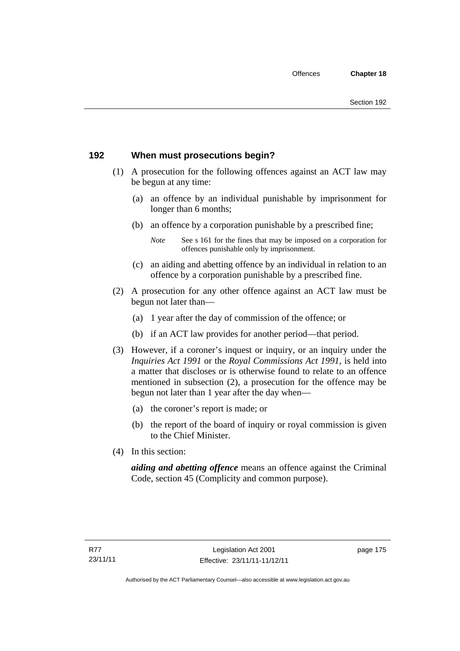## **192 When must prosecutions begin?**

- (1) A prosecution for the following offences against an ACT law may be begun at any time:
	- (a) an offence by an individual punishable by imprisonment for longer than 6 months;
	- (b) an offence by a corporation punishable by a prescribed fine;
		- *Note* See s 161 for the fines that may be imposed on a corporation for offences punishable only by imprisonment.
	- (c) an aiding and abetting offence by an individual in relation to an offence by a corporation punishable by a prescribed fine.
- (2) A prosecution for any other offence against an ACT law must be begun not later than—
	- (a) 1 year after the day of commission of the offence; or
	- (b) if an ACT law provides for another period—that period.
- (3) However, if a coroner's inquest or inquiry, or an inquiry under the *Inquiries Act 1991* or the *Royal Commissions Act 1991*, is held into a matter that discloses or is otherwise found to relate to an offence mentioned in subsection (2), a prosecution for the offence may be begun not later than 1 year after the day when—
	- (a) the coroner's report is made; or
	- (b) the report of the board of inquiry or royal commission is given to the Chief Minister.
- (4) In this section:

*aiding and abetting offence* means an offence against the Criminal Code, section 45 (Complicity and common purpose).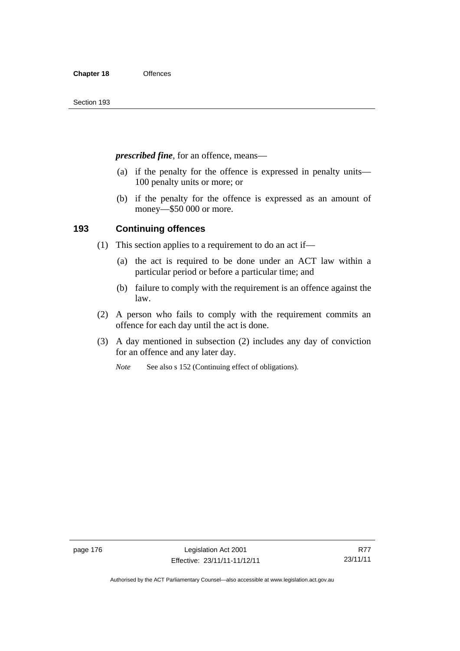*prescribed fine*, for an offence, means—

- (a) if the penalty for the offence is expressed in penalty units— 100 penalty units or more; or
- (b) if the penalty for the offence is expressed as an amount of money—\$50 000 or more.

## **193 Continuing offences**

- (1) This section applies to a requirement to do an act if—
	- (a) the act is required to be done under an ACT law within a particular period or before a particular time; and
	- (b) failure to comply with the requirement is an offence against the law.
- (2) A person who fails to comply with the requirement commits an offence for each day until the act is done.
- (3) A day mentioned in subsection (2) includes any day of conviction for an offence and any later day.

*Note* See also s 152 (Continuing effect of obligations).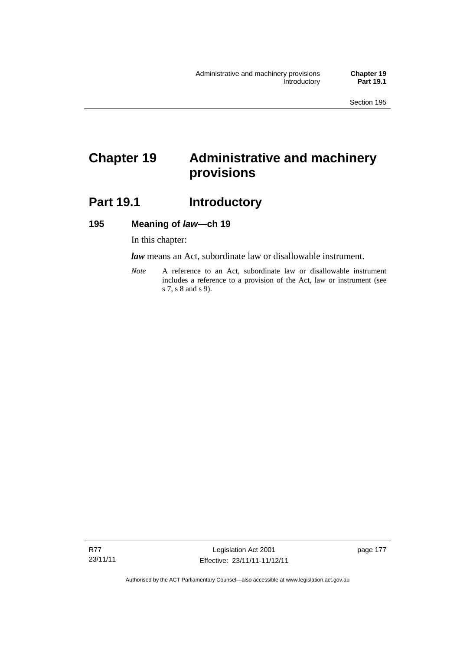# **Chapter 19 Administrative and machinery provisions**

# **Part 19.1 Introductory**

### **195 Meaning of** *law***—ch 19**

In this chapter:

*law* means an Act, subordinate law or disallowable instrument.

*Note* A reference to an Act, subordinate law or disallowable instrument includes a reference to a provision of the Act, law or instrument (see s 7, s 8 and s 9).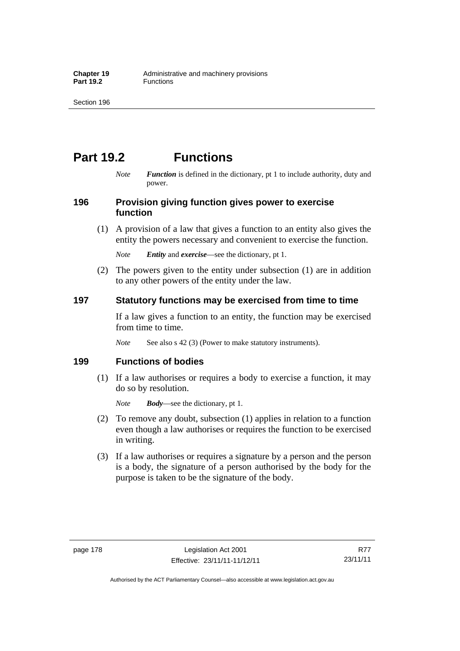# **Part 19.2 Functions**

*Note Function* is defined in the dictionary, pt 1 to include authority, duty and power.

## **196 Provision giving function gives power to exercise function**

 (1) A provision of a law that gives a function to an entity also gives the entity the powers necessary and convenient to exercise the function.

*Note Entity* and *exercise*—see the dictionary, pt 1.

 (2) The powers given to the entity under subsection (1) are in addition to any other powers of the entity under the law.

## **197 Statutory functions may be exercised from time to time**

If a law gives a function to an entity, the function may be exercised from time to time.

*Note* See also s 42 (3) (Power to make statutory instruments).

## **199 Functions of bodies**

 (1) If a law authorises or requires a body to exercise a function, it may do so by resolution.

*Note Body*—see the dictionary, pt 1.

- (2) To remove any doubt, subsection (1) applies in relation to a function even though a law authorises or requires the function to be exercised in writing.
- (3) If a law authorises or requires a signature by a person and the person is a body, the signature of a person authorised by the body for the purpose is taken to be the signature of the body.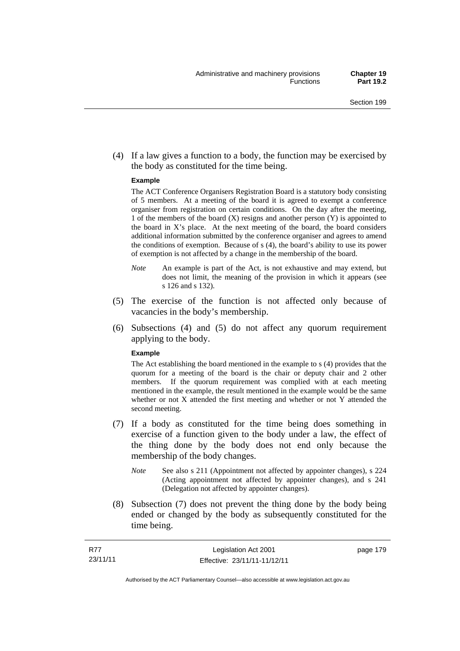(4) If a law gives a function to a body, the function may be exercised by the body as constituted for the time being.

#### **Example**

The ACT Conference Organisers Registration Board is a statutory body consisting of 5 members. At a meeting of the board it is agreed to exempt a conference organiser from registration on certain conditions. On the day after the meeting, 1 of the members of the board (X) resigns and another person (Y) is appointed to the board in  $X$ 's place. At the next meeting of the board, the board considers additional information submitted by the conference organiser and agrees to amend the conditions of exemption. Because of s (4), the board's ability to use its power of exemption is not affected by a change in the membership of the board.

- *Note* An example is part of the Act, is not exhaustive and may extend, but does not limit, the meaning of the provision in which it appears (see s 126 and s 132).
- (5) The exercise of the function is not affected only because of vacancies in the body's membership.
- (6) Subsections (4) and (5) do not affect any quorum requirement applying to the body.

#### **Example**

The Act establishing the board mentioned in the example to s (4) provides that the quorum for a meeting of the board is the chair or deputy chair and 2 other members. If the quorum requirement was complied with at each meeting mentioned in the example, the result mentioned in the example would be the same whether or not X attended the first meeting and whether or not Y attended the second meeting.

- (7) If a body as constituted for the time being does something in exercise of a function given to the body under a law, the effect of the thing done by the body does not end only because the membership of the body changes.
	- *Note* See also s 211 (Appointment not affected by appointer changes), s 224 (Acting appointment not affected by appointer changes), and s 241 (Delegation not affected by appointer changes).
- (8) Subsection (7) does not prevent the thing done by the body being ended or changed by the body as subsequently constituted for the time being.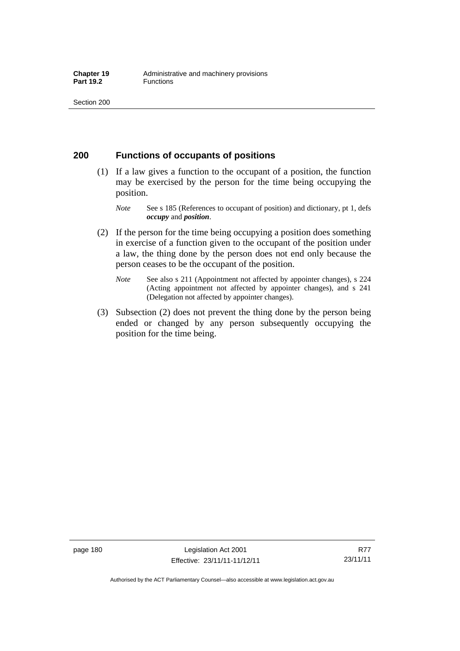### **200 Functions of occupants of positions**

- (1) If a law gives a function to the occupant of a position, the function may be exercised by the person for the time being occupying the position.
	- *Note* See s 185 (References to occupant of position) and dictionary, pt 1, defs *occupy* and *position*.
- (2) If the person for the time being occupying a position does something in exercise of a function given to the occupant of the position under a law, the thing done by the person does not end only because the person ceases to be the occupant of the position.
	- *Note* See also s 211 (Appointment not affected by appointer changes), s 224 (Acting appointment not affected by appointer changes), and s 241 (Delegation not affected by appointer changes).
- (3) Subsection (2) does not prevent the thing done by the person being ended or changed by any person subsequently occupying the position for the time being.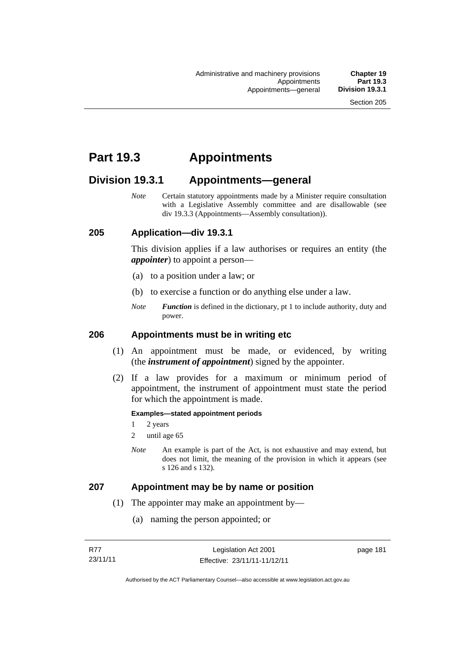# **Part 19.3 Appointments**

# **Division 19.3.1 Appointments—general**

*Note* Certain statutory appointments made by a Minister require consultation with a Legislative Assembly committee and are disallowable (see div 19.3.3 (Appointments—Assembly consultation)).

### **205 Application—div 19.3.1**

This division applies if a law authorises or requires an entity (the *appointer*) to appoint a person—

- (a) to a position under a law; or
- (b) to exercise a function or do anything else under a law.
- *Note Function* is defined in the dictionary, pt 1 to include authority, duty and power.

### **206 Appointments must be in writing etc**

- (1) An appointment must be made, or evidenced, by writing (the *instrument of appointment*) signed by the appointer.
- (2) If a law provides for a maximum or minimum period of appointment, the instrument of appointment must state the period for which the appointment is made.

#### **Examples—stated appointment periods**

- 1 2 years
- 2 until age 65
- *Note* An example is part of the Act, is not exhaustive and may extend, but does not limit, the meaning of the provision in which it appears (see s 126 and s 132).

### **207 Appointment may be by name or position**

- (1) The appointer may make an appointment by—
	- (a) naming the person appointed; or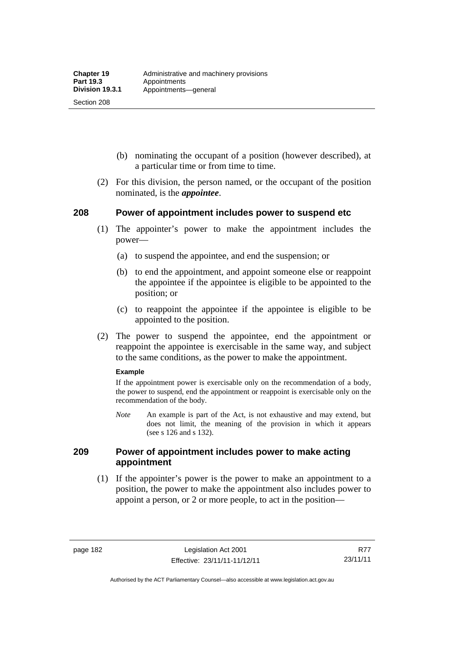Section 208

- (b) nominating the occupant of a position (however described), at a particular time or from time to time.
- (2) For this division, the person named, or the occupant of the position nominated, is the *appointee*.

## **208 Power of appointment includes power to suspend etc**

- (1) The appointer's power to make the appointment includes the power—
	- (a) to suspend the appointee, and end the suspension; or
	- (b) to end the appointment, and appoint someone else or reappoint the appointee if the appointee is eligible to be appointed to the position; or
	- (c) to reappoint the appointee if the appointee is eligible to be appointed to the position.
- (2) The power to suspend the appointee, end the appointment or reappoint the appointee is exercisable in the same way, and subject to the same conditions, as the power to make the appointment.

#### **Example**

If the appointment power is exercisable only on the recommendation of a body, the power to suspend, end the appointment or reappoint is exercisable only on the recommendation of the body.

*Note* An example is part of the Act, is not exhaustive and may extend, but does not limit, the meaning of the provision in which it appears (see s 126 and s 132).

### **209 Power of appointment includes power to make acting appointment**

 (1) If the appointer's power is the power to make an appointment to a position, the power to make the appointment also includes power to appoint a person, or 2 or more people, to act in the position—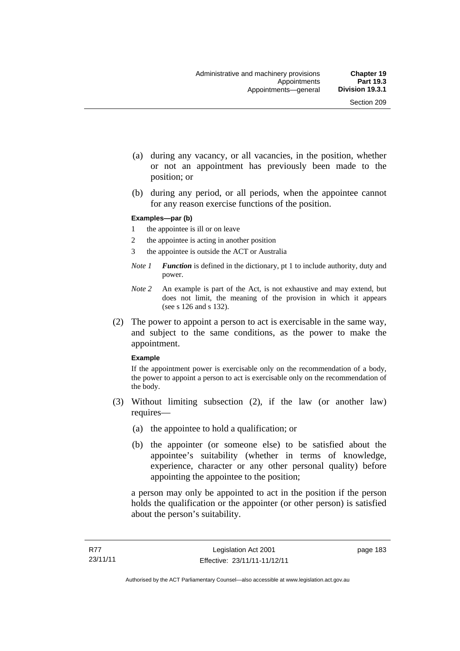- (a) during any vacancy, or all vacancies, in the position, whether or not an appointment has previously been made to the position; or
- (b) during any period, or all periods, when the appointee cannot for any reason exercise functions of the position.

#### **Examples—par (b)**

- 1 the appointee is ill or on leave
- 2 the appointee is acting in another position
- 3 the appointee is outside the ACT or Australia
- *Note 1 Function* is defined in the dictionary, pt 1 to include authority, duty and power.
- *Note 2* An example is part of the Act, is not exhaustive and may extend, but does not limit, the meaning of the provision in which it appears (see s 126 and s 132).
- (2) The power to appoint a person to act is exercisable in the same way, and subject to the same conditions, as the power to make the appointment.

#### **Example**

If the appointment power is exercisable only on the recommendation of a body, the power to appoint a person to act is exercisable only on the recommendation of the body.

- (3) Without limiting subsection (2), if the law (or another law) requires—
	- (a) the appointee to hold a qualification; or
	- (b) the appointer (or someone else) to be satisfied about the appointee's suitability (whether in terms of knowledge, experience, character or any other personal quality) before appointing the appointee to the position;

a person may only be appointed to act in the position if the person holds the qualification or the appointer (or other person) is satisfied about the person's suitability.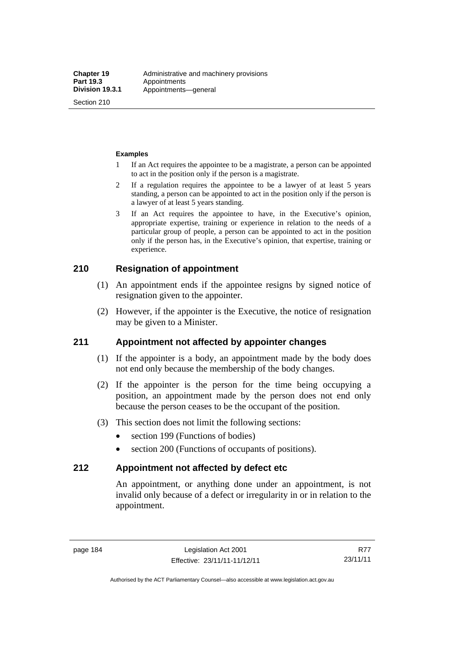Section 210

#### **Examples**

- 1 If an Act requires the appointee to be a magistrate, a person can be appointed to act in the position only if the person is a magistrate.
- 2 If a regulation requires the appointee to be a lawyer of at least 5 years standing, a person can be appointed to act in the position only if the person is a lawyer of at least 5 years standing.
- 3 If an Act requires the appointee to have, in the Executive's opinion, appropriate expertise, training or experience in relation to the needs of a particular group of people, a person can be appointed to act in the position only if the person has, in the Executive's opinion, that expertise, training or experience.

## **210 Resignation of appointment**

- (1) An appointment ends if the appointee resigns by signed notice of resignation given to the appointer.
- (2) However, if the appointer is the Executive, the notice of resignation may be given to a Minister.

### **211 Appointment not affected by appointer changes**

- (1) If the appointer is a body, an appointment made by the body does not end only because the membership of the body changes.
- (2) If the appointer is the person for the time being occupying a position, an appointment made by the person does not end only because the person ceases to be the occupant of the position.
- (3) This section does not limit the following sections:
	- section 199 (Functions of bodies)
	- section 200 (Functions of occupants of positions).

### **212 Appointment not affected by defect etc**

An appointment, or anything done under an appointment, is not invalid only because of a defect or irregularity in or in relation to the appointment.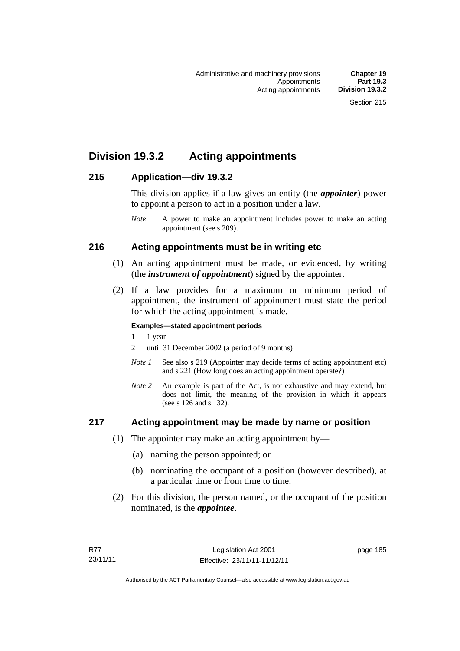# **Division 19.3.2 Acting appointments**

## **215 Application—div 19.3.2**

This division applies if a law gives an entity (the *appointer*) power to appoint a person to act in a position under a law.

## **216 Acting appointments must be in writing etc**

- (1) An acting appointment must be made, or evidenced, by writing (the *instrument of appointment*) signed by the appointer.
- (2) If a law provides for a maximum or minimum period of appointment, the instrument of appointment must state the period for which the acting appointment is made.

#### **Examples—stated appointment periods**

- 1 1 year
- 2 until 31 December 2002 (a period of 9 months)
- *Note 1* See also s 219 (Appointer may decide terms of acting appointment etc) and s 221 (How long does an acting appointment operate?)
- *Note 2* An example is part of the Act, is not exhaustive and may extend, but does not limit, the meaning of the provision in which it appears (see s 126 and s 132).

### **217 Acting appointment may be made by name or position**

- (1) The appointer may make an acting appointment by—
	- (a) naming the person appointed; or
	- (b) nominating the occupant of a position (however described), at a particular time or from time to time.
- (2) For this division, the person named, or the occupant of the position nominated, is the *appointee*.

*Note* A power to make an appointment includes power to make an acting appointment (see s 209).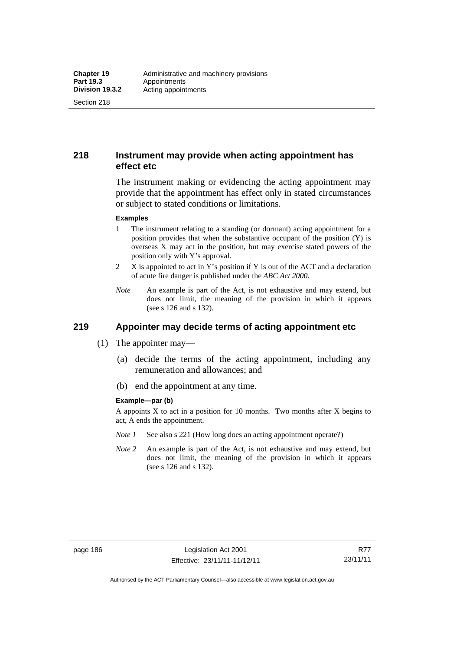Section 218

## **218 Instrument may provide when acting appointment has effect etc**

The instrument making or evidencing the acting appointment may provide that the appointment has effect only in stated circumstances or subject to stated conditions or limitations.

#### **Examples**

- 1 The instrument relating to a standing (or dormant) acting appointment for a position provides that when the substantive occupant of the position (Y) is overseas X may act in the position, but may exercise stated powers of the position only with Y's approval.
- 2 X is appointed to act in Y's position if Y is out of the ACT and a declaration of acute fire danger is published under the *ABC Act 2000*.
- *Note* An example is part of the Act, is not exhaustive and may extend, but does not limit, the meaning of the provision in which it appears (see s 126 and s 132).

# **219 Appointer may decide terms of acting appointment etc**

- (1) The appointer may—
	- (a) decide the terms of the acting appointment, including any remuneration and allowances; and
	- (b) end the appointment at any time.

#### **Example—par (b)**

A appoints X to act in a position for 10 months. Two months after X begins to act, A ends the appointment.

- *Note 1* See also s 221 (How long does an acting appointment operate?)
- *Note 2* An example is part of the Act, is not exhaustive and may extend, but does not limit, the meaning of the provision in which it appears (see s 126 and s 132).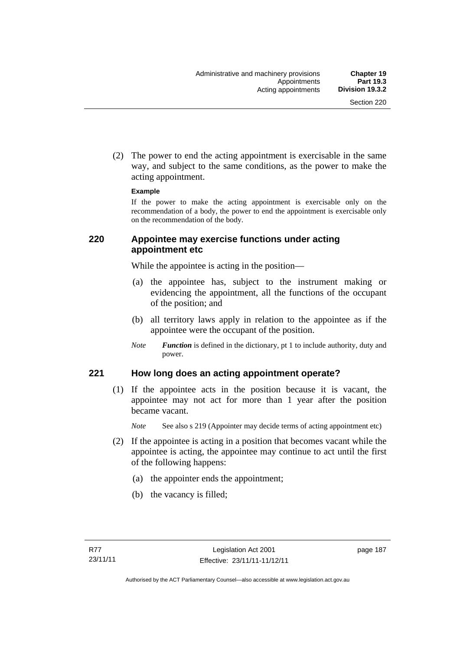(2) The power to end the acting appointment is exercisable in the same way, and subject to the same conditions, as the power to make the acting appointment.

#### **Example**

If the power to make the acting appointment is exercisable only on the recommendation of a body, the power to end the appointment is exercisable only on the recommendation of the body.

## **220 Appointee may exercise functions under acting appointment etc**

While the appointee is acting in the position—

- (a) the appointee has, subject to the instrument making or evidencing the appointment, all the functions of the occupant of the position; and
- (b) all territory laws apply in relation to the appointee as if the appointee were the occupant of the position.
- *Note Function* is defined in the dictionary, pt 1 to include authority, duty and power.

### **221 How long does an acting appointment operate?**

 (1) If the appointee acts in the position because it is vacant, the appointee may not act for more than 1 year after the position became vacant.

*Note* See also s 219 (Appointer may decide terms of acting appointment etc)

- (2) If the appointee is acting in a position that becomes vacant while the appointee is acting, the appointee may continue to act until the first of the following happens:
	- (a) the appointer ends the appointment;
	- (b) the vacancy is filled;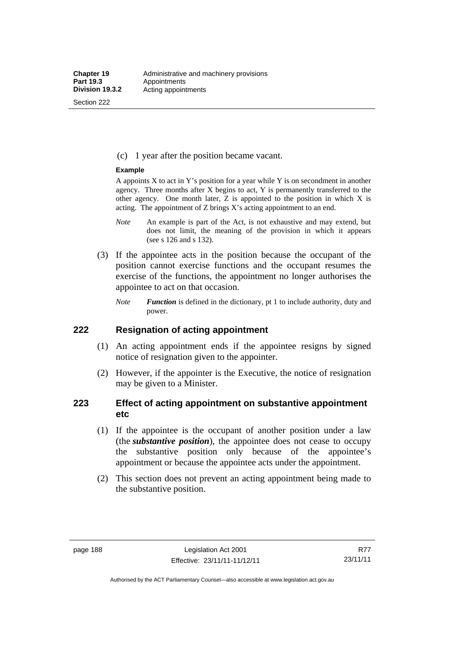Section 222

(c) 1 year after the position became vacant.

#### **Example**

A appoints  $X$  to act in Y's position for a year while Y is on secondment in another agency. Three months after X begins to act, Y is permanently transferred to the other agency. One month later,  $Z$  is appointed to the position in which  $X$  is acting. The appointment of Z brings X's acting appointment to an end.

- *Note* An example is part of the Act, is not exhaustive and may extend, but does not limit, the meaning of the provision in which it appears (see s 126 and s 132).
- (3) If the appointee acts in the position because the occupant of the position cannot exercise functions and the occupant resumes the exercise of the functions, the appointment no longer authorises the appointee to act on that occasion.
	- *Note Function* is defined in the dictionary, pt 1 to include authority, duty and power.

#### **222 Resignation of acting appointment**

- (1) An acting appointment ends if the appointee resigns by signed notice of resignation given to the appointer.
- (2) However, if the appointer is the Executive, the notice of resignation may be given to a Minister.

## **223 Effect of acting appointment on substantive appointment etc**

- (1) If the appointee is the occupant of another position under a law (the *substantive position*), the appointee does not cease to occupy the substantive position only because of the appointee's appointment or because the appointee acts under the appointment.
- (2) This section does not prevent an acting appointment being made to the substantive position.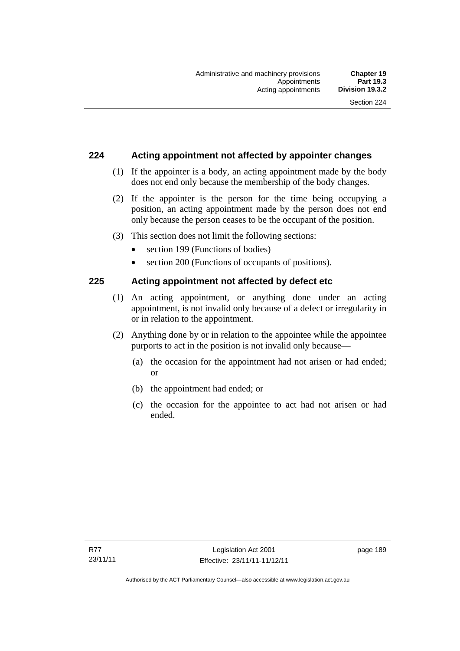## **224 Acting appointment not affected by appointer changes**

- (1) If the appointer is a body, an acting appointment made by the body does not end only because the membership of the body changes.
- (2) If the appointer is the person for the time being occupying a position, an acting appointment made by the person does not end only because the person ceases to be the occupant of the position.
- (3) This section does not limit the following sections:
	- section 199 (Functions of bodies)
	- section 200 (Functions of occupants of positions).

## **225 Acting appointment not affected by defect etc**

- (1) An acting appointment, or anything done under an acting appointment, is not invalid only because of a defect or irregularity in or in relation to the appointment.
- (2) Anything done by or in relation to the appointee while the appointee purports to act in the position is not invalid only because—
	- (a) the occasion for the appointment had not arisen or had ended; or
	- (b) the appointment had ended; or
	- (c) the occasion for the appointee to act had not arisen or had ended.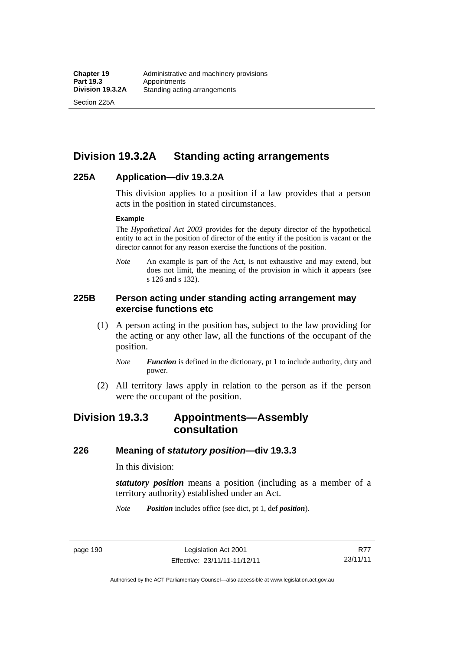Section 225A

# **Division 19.3.2A Standing acting arrangements**

#### **225A Application—div 19.3.2A**

This division applies to a position if a law provides that a person acts in the position in stated circumstances.

#### **Example**

The *Hypothetical Act 2003* provides for the deputy director of the hypothetical entity to act in the position of director of the entity if the position is vacant or the director cannot for any reason exercise the functions of the position.

*Note* An example is part of the Act, is not exhaustive and may extend, but does not limit, the meaning of the provision in which it appears (see s 126 and s 132).

## **225B Person acting under standing acting arrangement may exercise functions etc**

- (1) A person acting in the position has, subject to the law providing for the acting or any other law, all the functions of the occupant of the position.
	- *Note Function* is defined in the dictionary, pt 1 to include authority, duty and power.
- (2) All territory laws apply in relation to the person as if the person were the occupant of the position.

# **Division 19.3.3 Appointments—Assembly consultation**

#### **226 Meaning of** *statutory position***—div 19.3.3**

In this division:

*statutory position* means a position (including as a member of a territory authority) established under an Act.

*Note Position* includes office (see dict, pt 1, def *position*).

page 190 Legislation Act 2001 Effective: 23/11/11-11/12/11

R77 23/11/11

Authorised by the ACT Parliamentary Counsel—also accessible at www.legislation.act.gov.au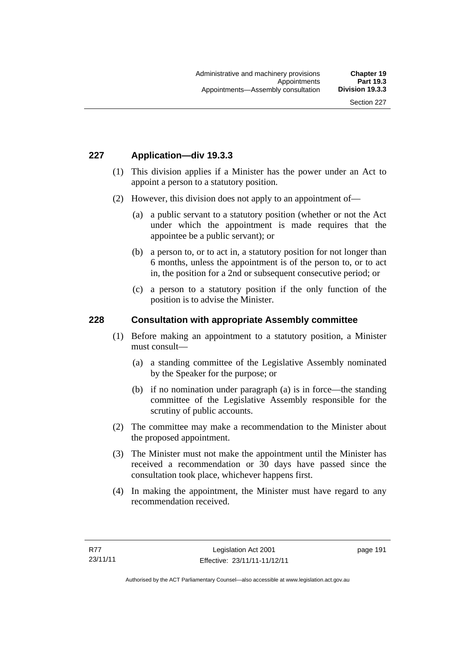## **227 Application—div 19.3.3**

- (1) This division applies if a Minister has the power under an Act to appoint a person to a statutory position.
- (2) However, this division does not apply to an appointment of—
	- (a) a public servant to a statutory position (whether or not the Act under which the appointment is made requires that the appointee be a public servant); or
	- (b) a person to, or to act in, a statutory position for not longer than 6 months, unless the appointment is of the person to, or to act in, the position for a 2nd or subsequent consecutive period; or
	- (c) a person to a statutory position if the only function of the position is to advise the Minister.

#### **228 Consultation with appropriate Assembly committee**

- (1) Before making an appointment to a statutory position, a Minister must consult—
	- (a) a standing committee of the Legislative Assembly nominated by the Speaker for the purpose; or
	- (b) if no nomination under paragraph (a) is in force—the standing committee of the Legislative Assembly responsible for the scrutiny of public accounts.
- (2) The committee may make a recommendation to the Minister about the proposed appointment.
- (3) The Minister must not make the appointment until the Minister has received a recommendation or 30 days have passed since the consultation took place, whichever happens first.
- (4) In making the appointment, the Minister must have regard to any recommendation received.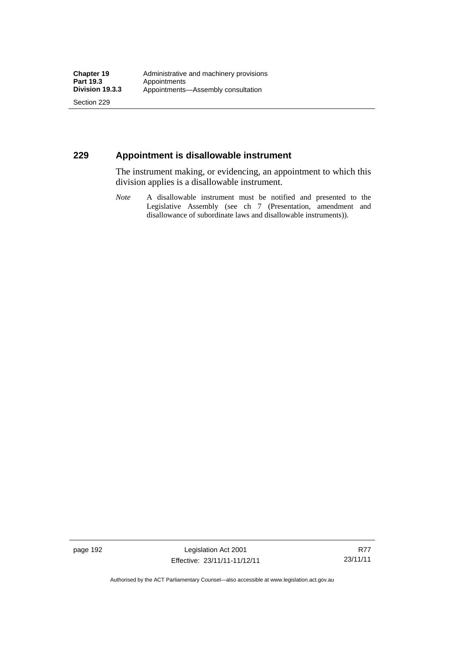Section 229

## **229 Appointment is disallowable instrument**

The instrument making, or evidencing, an appointment to which this division applies is a disallowable instrument.

*Note* A disallowable instrument must be notified and presented to the Legislative Assembly (see ch 7 (Presentation, amendment and disallowance of subordinate laws and disallowable instruments)).

page 192 Legislation Act 2001 Effective: 23/11/11-11/12/11

R77 23/11/11

Authorised by the ACT Parliamentary Counsel—also accessible at www.legislation.act.gov.au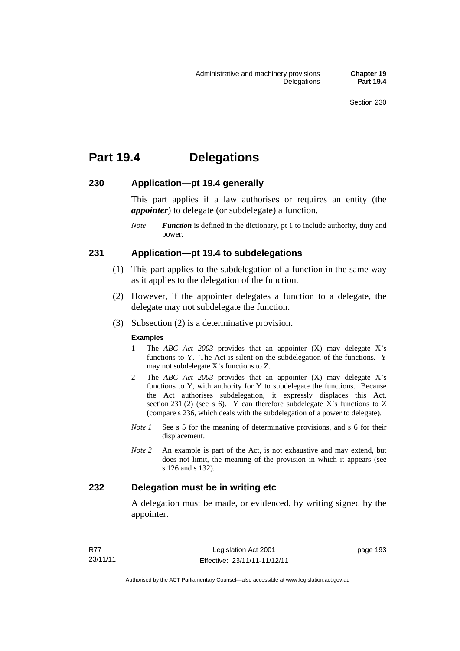# **Part 19.4 Delegations**

#### **230 Application—pt 19.4 generally**

This part applies if a law authorises or requires an entity (the *appointer*) to delegate (or subdelegate) a function.

*Note Function* is defined in the dictionary, pt 1 to include authority, duty and power.

### **231 Application—pt 19.4 to subdelegations**

- (1) This part applies to the subdelegation of a function in the same way as it applies to the delegation of the function.
- (2) However, if the appointer delegates a function to a delegate, the delegate may not subdelegate the function.
- (3) Subsection (2) is a determinative provision.

#### **Examples**

- 1 The *ABC Act 2003* provides that an appointer (X) may delegate X's functions to Y. The Act is silent on the subdelegation of the functions. Y may not subdelegate X's functions to Z.
- 2 The *ABC Act 2003* provides that an appointer (X) may delegate X's functions to Y, with authority for Y to subdelegate the functions. Because the Act authorises subdelegation, it expressly displaces this Act, section 231 (2) (see s 6). Y can therefore subdelegate  $\overline{X}$ 's functions to Z (compare s 236, which deals with the subdelegation of a power to delegate)*.*
- *Note 1* See s 5 for the meaning of determinative provisions, and s 6 for their displacement.
- *Note 2* An example is part of the Act, is not exhaustive and may extend, but does not limit, the meaning of the provision in which it appears (see s 126 and s 132).

### **232 Delegation must be in writing etc**

A delegation must be made, or evidenced, by writing signed by the appointer.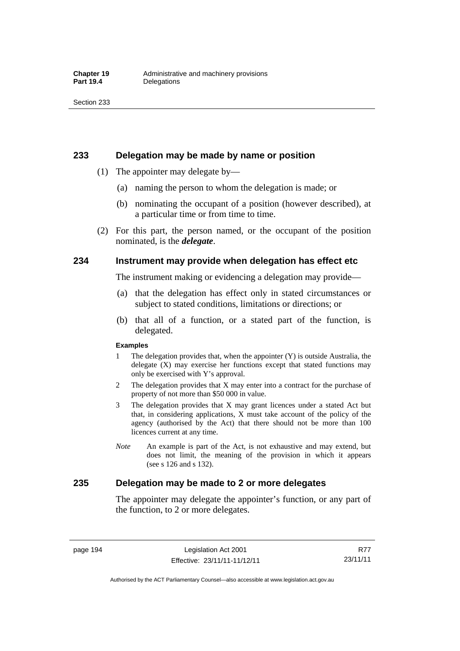#### **233 Delegation may be made by name or position**

- (1) The appointer may delegate by—
	- (a) naming the person to whom the delegation is made; or
	- (b) nominating the occupant of a position (however described), at a particular time or from time to time.
- (2) For this part, the person named, or the occupant of the position nominated, is the *delegate*.

#### **234 Instrument may provide when delegation has effect etc**

The instrument making or evidencing a delegation may provide—

- (a) that the delegation has effect only in stated circumstances or subject to stated conditions, limitations or directions; or
- (b) that all of a function, or a stated part of the function, is delegated.

#### **Examples**

- 1 The delegation provides that, when the appointer (Y) is outside Australia, the delegate (X) may exercise her functions except that stated functions may only be exercised with Y's approval.
- 2 The delegation provides that X may enter into a contract for the purchase of property of not more than \$50 000 in value.
- 3 The delegation provides that X may grant licences under a stated Act but that, in considering applications, X must take account of the policy of the agency (authorised by the Act) that there should not be more than 100 licences current at any time.
- *Note* An example is part of the Act, is not exhaustive and may extend, but does not limit, the meaning of the provision in which it appears (see s 126 and s 132).

## **235 Delegation may be made to 2 or more delegates**

The appointer may delegate the appointer's function, or any part of the function, to 2 or more delegates.

page 194 Legislation Act 2001 Effective: 23/11/11-11/12/11

R77 23/11/11

Authorised by the ACT Parliamentary Counsel—also accessible at www.legislation.act.gov.au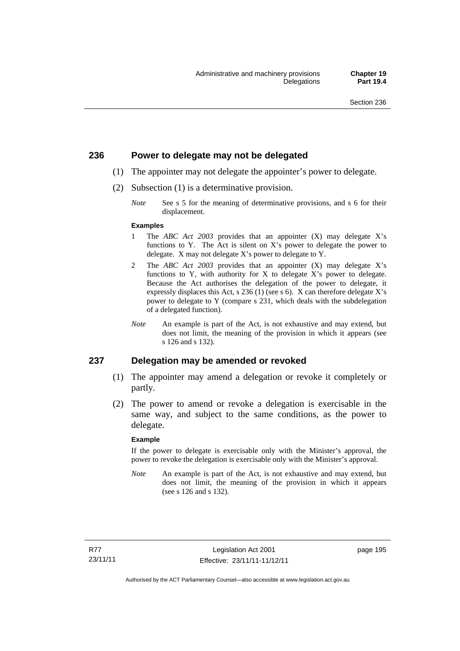#### **236 Power to delegate may not be delegated**

- (1) The appointer may not delegate the appointer's power to delegate.
- (2) Subsection (1) is a determinative provision.
	- *Note* See s 5 for the meaning of determinative provisions, and s 6 for their displacement.

#### **Examples**

- 1 The *ABC Act 2003* provides that an appointer (X) may delegate X's functions to Y. The Act is silent on X's power to delegate the power to delegate. X may not delegate X's power to delegate to Y.
- 2 The *ABC Act 2003* provides that an appointer (X) may delegate X's functions to Y, with authority for X to delegate X's power to delegate. Because the Act authorises the delegation of the power to delegate, it expressly displaces this Act, s 236 (1) (see s 6). X can therefore delegate X's power to delegate to Y (compare s 231, which deals with the subdelegation of a delegated function).
- *Note* An example is part of the Act, is not exhaustive and may extend, but does not limit, the meaning of the provision in which it appears (see s 126 and s 132).

#### **237 Delegation may be amended or revoked**

- (1) The appointer may amend a delegation or revoke it completely or partly.
- (2) The power to amend or revoke a delegation is exercisable in the same way, and subject to the same conditions, as the power to delegate.

#### **Example**

If the power to delegate is exercisable only with the Minister's approval, the power to revoke the delegation is exercisable only with the Minister's approval.

*Note* An example is part of the Act, is not exhaustive and may extend, but does not limit, the meaning of the provision in which it appears (see s 126 and s 132).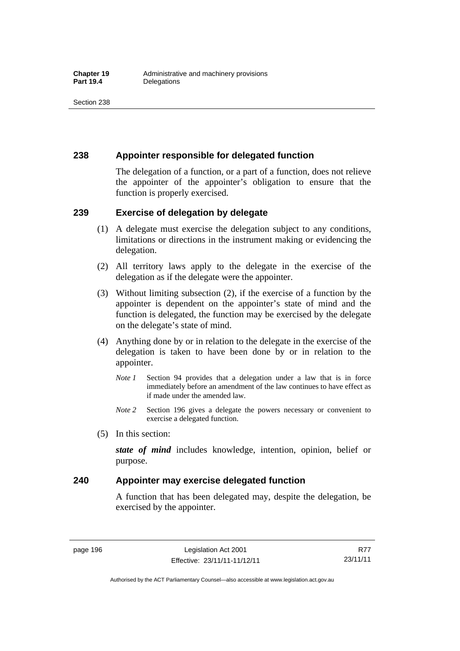## **238 Appointer responsible for delegated function**

The delegation of a function, or a part of a function, does not relieve the appointer of the appointer's obligation to ensure that the function is properly exercised.

### **239 Exercise of delegation by delegate**

- (1) A delegate must exercise the delegation subject to any conditions, limitations or directions in the instrument making or evidencing the delegation.
- (2) All territory laws apply to the delegate in the exercise of the delegation as if the delegate were the appointer.
- (3) Without limiting subsection (2), if the exercise of a function by the appointer is dependent on the appointer's state of mind and the function is delegated, the function may be exercised by the delegate on the delegate's state of mind.
- (4) Anything done by or in relation to the delegate in the exercise of the delegation is taken to have been done by or in relation to the appointer.
	- *Note 1* Section 94 provides that a delegation under a law that is in force immediately before an amendment of the law continues to have effect as if made under the amended law.
	- *Note 2* Section 196 gives a delegate the powers necessary or convenient to exercise a delegated function.
- (5) In this section:

*state of mind* includes knowledge, intention, opinion, belief or purpose.

## **240 Appointer may exercise delegated function**

A function that has been delegated may, despite the delegation, be exercised by the appointer.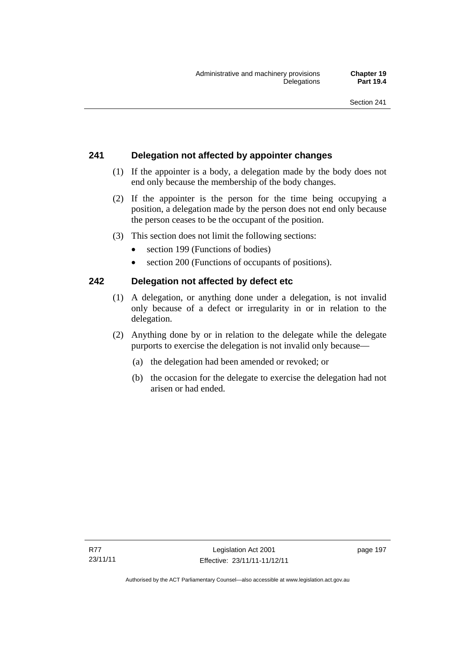# **241 Delegation not affected by appointer changes**

- (1) If the appointer is a body, a delegation made by the body does not end only because the membership of the body changes.
- (2) If the appointer is the person for the time being occupying a position, a delegation made by the person does not end only because the person ceases to be the occupant of the position.
- (3) This section does not limit the following sections:
	- section 199 (Functions of bodies)
	- section 200 (Functions of occupants of positions).

# **242 Delegation not affected by defect etc**

- (1) A delegation, or anything done under a delegation, is not invalid only because of a defect or irregularity in or in relation to the delegation.
- (2) Anything done by or in relation to the delegate while the delegate purports to exercise the delegation is not invalid only because—
	- (a) the delegation had been amended or revoked; or
	- (b) the occasion for the delegate to exercise the delegation had not arisen or had ended.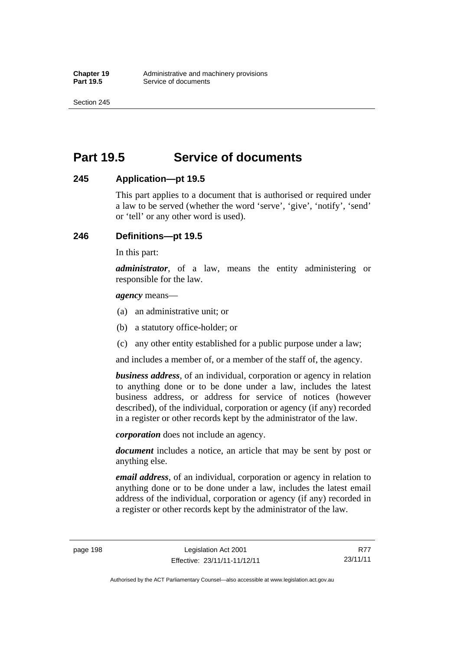Section 245

# **Part 19.5 Service of documents**

## **245 Application—pt 19.5**

This part applies to a document that is authorised or required under a law to be served (whether the word 'serve', 'give', 'notify', 'send' or 'tell' or any other word is used).

## **246 Definitions—pt 19.5**

In this part:

*administrator*, of a law, means the entity administering or responsible for the law.

*agency* means—

- (a) an administrative unit; or
- (b) a statutory office-holder; or
- (c) any other entity established for a public purpose under a law;

and includes a member of, or a member of the staff of, the agency.

*business address*, of an individual, corporation or agency in relation to anything done or to be done under a law, includes the latest business address, or address for service of notices (however described), of the individual, corporation or agency (if any) recorded in a register or other records kept by the administrator of the law.

*corporation* does not include an agency.

*document* includes a notice, an article that may be sent by post or anything else.

*email address*, of an individual, corporation or agency in relation to anything done or to be done under a law, includes the latest email address of the individual, corporation or agency (if any) recorded in a register or other records kept by the administrator of the law.

Authorised by the ACT Parliamentary Counsel—also accessible at www.legislation.act.gov.au

R77 23/11/11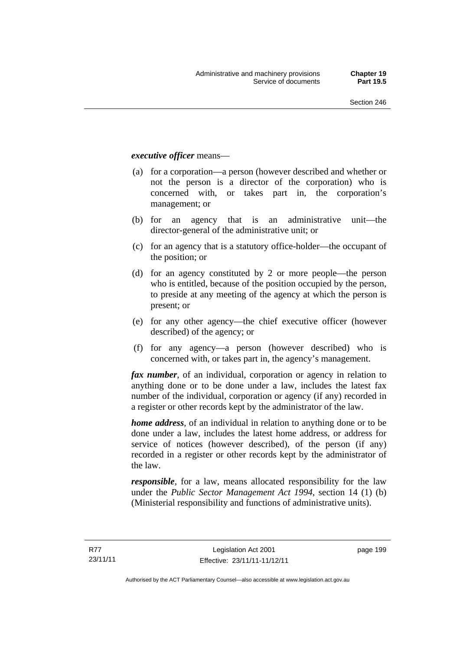#### *executive officer* means—

- (a) for a corporation—a person (however described and whether or not the person is a director of the corporation) who is concerned with, or takes part in, the corporation's management; or
- (b) for an agency that is an administrative unit—the director-general of the administrative unit; or
- (c) for an agency that is a statutory office-holder—the occupant of the position; or
- (d) for an agency constituted by 2 or more people—the person who is entitled, because of the position occupied by the person, to preside at any meeting of the agency at which the person is present; or
- (e) for any other agency—the chief executive officer (however described) of the agency; or
- (f) for any agency—a person (however described) who is concerned with, or takes part in, the agency's management.

*fax number*, of an individual, corporation or agency in relation to anything done or to be done under a law, includes the latest fax number of the individual, corporation or agency (if any) recorded in a register or other records kept by the administrator of the law.

*home address*, of an individual in relation to anything done or to be done under a law, includes the latest home address, or address for service of notices (however described), of the person (if any) recorded in a register or other records kept by the administrator of the law.

*responsible*, for a law, means allocated responsibility for the law under the *Public Sector Management Act 1994*, section 14 (1) (b) (Ministerial responsibility and functions of administrative units).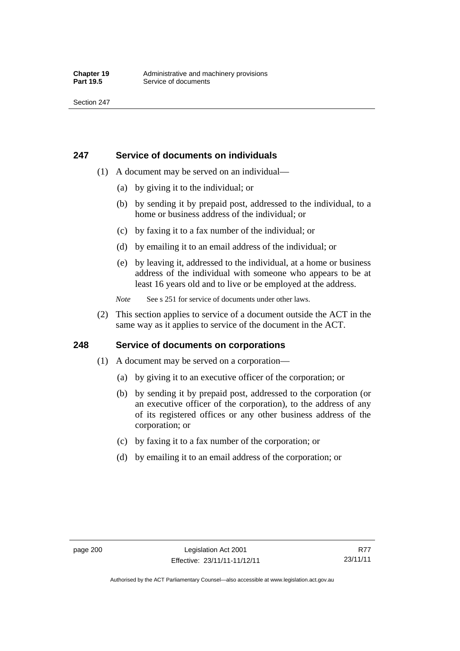### **247 Service of documents on individuals**

- (1) A document may be served on an individual—
	- (a) by giving it to the individual; or
	- (b) by sending it by prepaid post, addressed to the individual, to a home or business address of the individual; or
	- (c) by faxing it to a fax number of the individual; or
	- (d) by emailing it to an email address of the individual; or
	- (e) by leaving it, addressed to the individual, at a home or business address of the individual with someone who appears to be at least 16 years old and to live or be employed at the address.
	- *Note* See s 251 for service of documents under other laws.
- (2) This section applies to service of a document outside the ACT in the same way as it applies to service of the document in the ACT.

## **248 Service of documents on corporations**

- (1) A document may be served on a corporation—
	- (a) by giving it to an executive officer of the corporation; or
	- (b) by sending it by prepaid post, addressed to the corporation (or an executive officer of the corporation), to the address of any of its registered offices or any other business address of the corporation; or
	- (c) by faxing it to a fax number of the corporation; or
	- (d) by emailing it to an email address of the corporation; or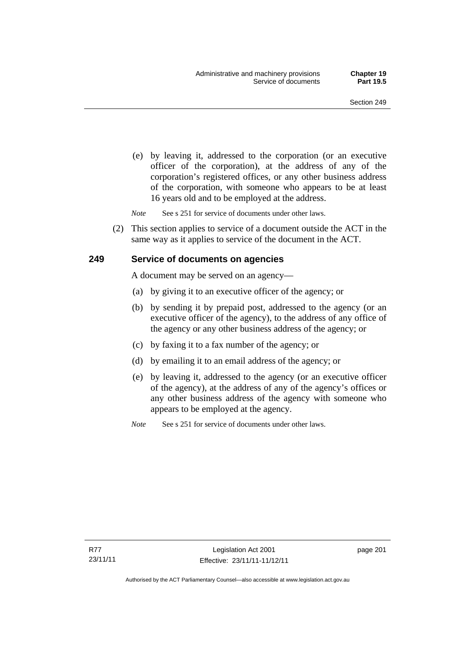(e) by leaving it, addressed to the corporation (or an executive officer of the corporation), at the address of any of the corporation's registered offices, or any other business address of the corporation, with someone who appears to be at least 16 years old and to be employed at the address.

*Note* See s 251 for service of documents under other laws.

 (2) This section applies to service of a document outside the ACT in the same way as it applies to service of the document in the ACT.

### **249 Service of documents on agencies**

A document may be served on an agency—

- (a) by giving it to an executive officer of the agency; or
- (b) by sending it by prepaid post, addressed to the agency (or an executive officer of the agency), to the address of any office of the agency or any other business address of the agency; or
- (c) by faxing it to a fax number of the agency; or
- (d) by emailing it to an email address of the agency; or
- (e) by leaving it, addressed to the agency (or an executive officer of the agency), at the address of any of the agency's offices or any other business address of the agency with someone who appears to be employed at the agency.

*Note* See s 251 for service of documents under other laws.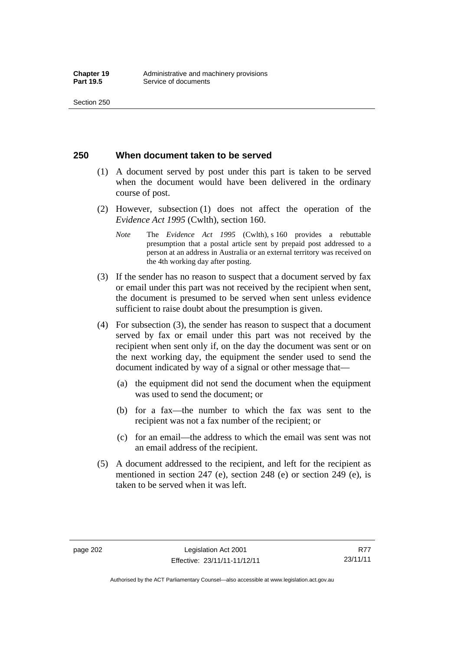### **250 When document taken to be served**

- (1) A document served by post under this part is taken to be served when the document would have been delivered in the ordinary course of post.
- (2) However, subsection (1) does not affect the operation of the *Evidence Act 1995* (Cwlth), section 160.
	- *Note* The *Evidence Act 1995* (Cwlth), s 160 provides a rebuttable presumption that a postal article sent by prepaid post addressed to a person at an address in Australia or an external territory was received on the 4th working day after posting.
- (3) If the sender has no reason to suspect that a document served by fax or email under this part was not received by the recipient when sent, the document is presumed to be served when sent unless evidence sufficient to raise doubt about the presumption is given.
- (4) For subsection (3), the sender has reason to suspect that a document served by fax or email under this part was not received by the recipient when sent only if, on the day the document was sent or on the next working day, the equipment the sender used to send the document indicated by way of a signal or other message that—
	- (a) the equipment did not send the document when the equipment was used to send the document; or
	- (b) for a fax—the number to which the fax was sent to the recipient was not a fax number of the recipient; or
	- (c) for an email—the address to which the email was sent was not an email address of the recipient.
- (5) A document addressed to the recipient, and left for the recipient as mentioned in section 247 (e), section 248 (e) or section 249 (e), is taken to be served when it was left.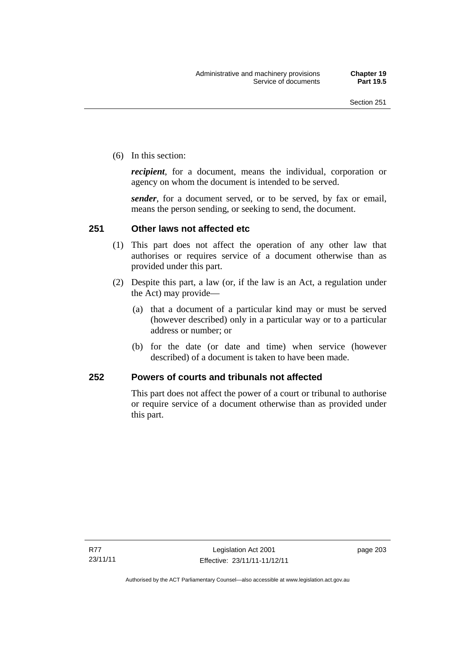(6) In this section:

*recipient*, for a document, means the individual, corporation or agency on whom the document is intended to be served.

*sender*, for a document served, or to be served, by fax or email, means the person sending, or seeking to send, the document.

# **251 Other laws not affected etc**

- (1) This part does not affect the operation of any other law that authorises or requires service of a document otherwise than as provided under this part.
- (2) Despite this part, a law (or, if the law is an Act, a regulation under the Act) may provide—
	- (a) that a document of a particular kind may or must be served (however described) only in a particular way or to a particular address or number; or
	- (b) for the date (or date and time) when service (however described) of a document is taken to have been made.

# **252 Powers of courts and tribunals not affected**

This part does not affect the power of a court or tribunal to authorise or require service of a document otherwise than as provided under this part.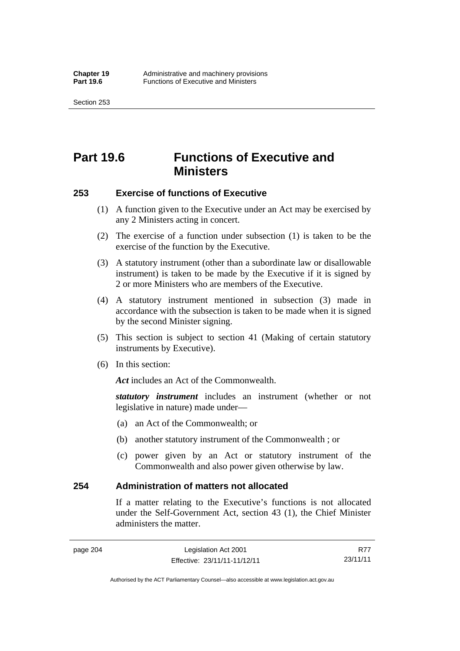Section 253

# **Part 19.6 Functions of Executive and Ministers**

# **253 Exercise of functions of Executive**

- (1) A function given to the Executive under an Act may be exercised by any 2 Ministers acting in concert.
- (2) The exercise of a function under subsection (1) is taken to be the exercise of the function by the Executive.
- (3) A statutory instrument (other than a subordinate law or disallowable instrument) is taken to be made by the Executive if it is signed by 2 or more Ministers who are members of the Executive.
- (4) A statutory instrument mentioned in subsection (3) made in accordance with the subsection is taken to be made when it is signed by the second Minister signing.
- (5) This section is subject to section 41 (Making of certain statutory instruments by Executive).
- (6) In this section:

Act includes an Act of the Commonwealth.

*statutory instrument* includes an instrument (whether or not legislative in nature) made under—

- (a) an Act of the Commonwealth; or
- (b) another statutory instrument of the Commonwealth ; or
- (c) power given by an Act or statutory instrument of the Commonwealth and also power given otherwise by law.

# **254 Administration of matters not allocated**

If a matter relating to the Executive's functions is not allocated under the Self-Government Act, section 43 (1), the Chief Minister administers the matter.

R77 23/11/11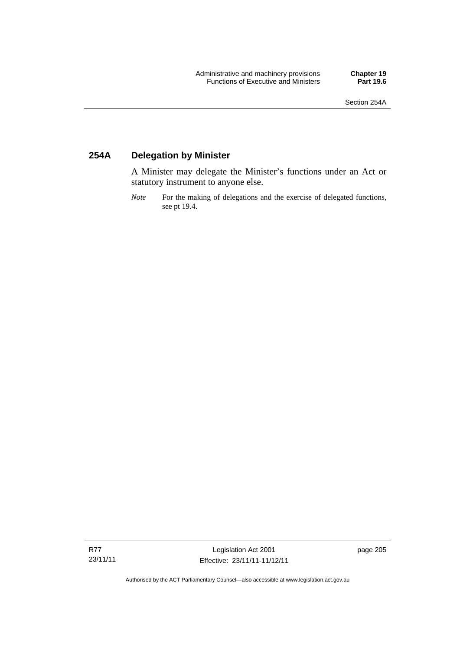# **254A Delegation by Minister**

A Minister may delegate the Minister's functions under an Act or statutory instrument to anyone else.

*Note* For the making of delegations and the exercise of delegated functions, see pt 19.4.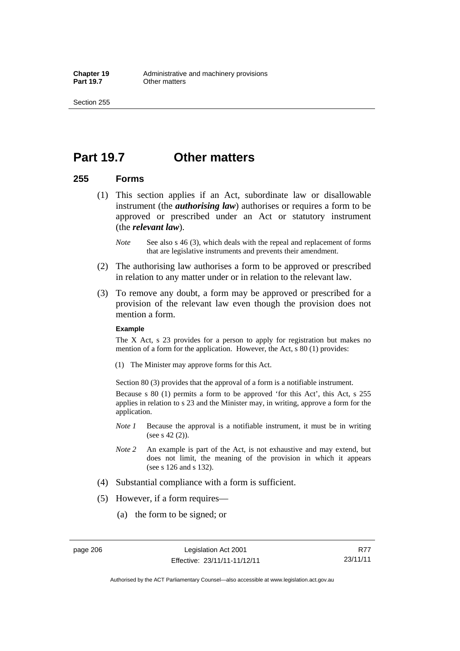Section 255

# **Part 19.7 Other matters**

### **255 Forms**

- (1) This section applies if an Act, subordinate law or disallowable instrument (the *authorising law*) authorises or requires a form to be approved or prescribed under an Act or statutory instrument (the *relevant law*).
	- *Note* See also s 46 (3), which deals with the repeal and replacement of forms that are legislative instruments and prevents their amendment.
- (2) The authorising law authorises a form to be approved or prescribed in relation to any matter under or in relation to the relevant law.
- (3) To remove any doubt, a form may be approved or prescribed for a provision of the relevant law even though the provision does not mention a form.

#### **Example**

The X Act, s 23 provides for a person to apply for registration but makes no mention of a form for the application. However, the Act, s 80 (1) provides:

(1) The Minister may approve forms for this Act.

Section 80 (3) provides that the approval of a form is a notifiable instrument.

Because s 80 (1) permits a form to be approved 'for this Act', this Act, s 255 applies in relation to s 23 and the Minister may, in writing, approve a form for the application.

- *Note 1* Because the approval is a notifiable instrument, it must be in writing (see s 42 (2)).
- *Note 2* An example is part of the Act, is not exhaustive and may extend, but does not limit, the meaning of the provision in which it appears (see s 126 and s 132).
- (4) Substantial compliance with a form is sufficient.
- (5) However, if a form requires—
	- (a) the form to be signed; or

page 206 Legislation Act 2001 Effective: 23/11/11-11/12/11

R77 23/11/11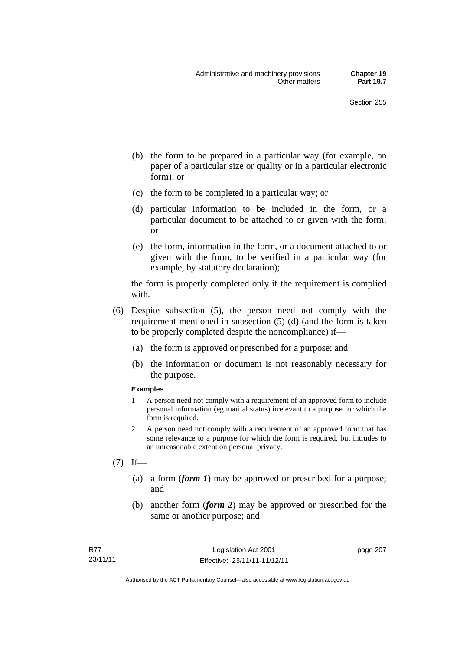- (b) the form to be prepared in a particular way (for example, on paper of a particular size or quality or in a particular electronic form); or
- (c) the form to be completed in a particular way; or
- (d) particular information to be included in the form, or a particular document to be attached to or given with the form; or
- (e) the form, information in the form, or a document attached to or given with the form, to be verified in a particular way (for example, by statutory declaration);

the form is properly completed only if the requirement is complied with.

- (6) Despite subsection (5), the person need not comply with the requirement mentioned in subsection (5) (d) (and the form is taken to be properly completed despite the noncompliance) if—
	- (a) the form is approved or prescribed for a purpose; and
	- (b) the information or document is not reasonably necessary for the purpose.

#### **Examples**

- 1 A person need not comply with a requirement of an approved form to include personal information (eg marital status) irrelevant to a purpose for which the form is required.
- 2 A person need not comply with a requirement of an approved form that has some relevance to a purpose for which the form is required, but intrudes to an unreasonable extent on personal privacy.
- $(7)$  If—
	- (a) a form (*form 1*) may be approved or prescribed for a purpose; and
	- (b) another form (*form 2*) may be approved or prescribed for the same or another purpose; and

page 207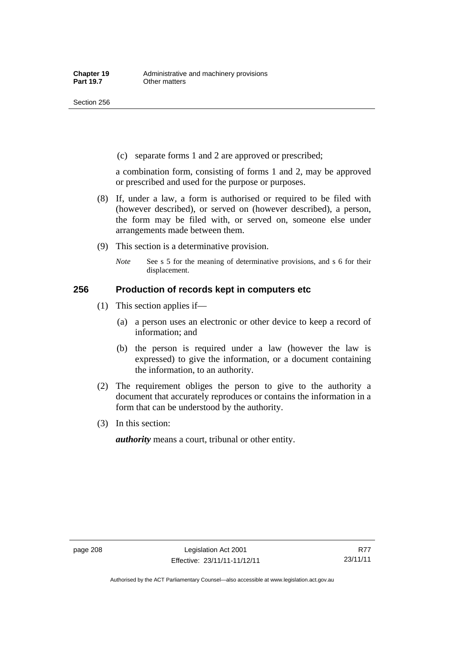(c) separate forms 1 and 2 are approved or prescribed;

a combination form, consisting of forms 1 and 2, may be approved or prescribed and used for the purpose or purposes.

- (8) If, under a law, a form is authorised or required to be filed with (however described), or served on (however described), a person, the form may be filed with, or served on, someone else under arrangements made between them.
- (9) This section is a determinative provision.
	- *Note* See s 5 for the meaning of determinative provisions, and s 6 for their displacement.

### **256 Production of records kept in computers etc**

- (1) This section applies if—
	- (a) a person uses an electronic or other device to keep a record of information; and
	- (b) the person is required under a law (however the law is expressed) to give the information, or a document containing the information, to an authority.
- (2) The requirement obliges the person to give to the authority a document that accurately reproduces or contains the information in a form that can be understood by the authority.
- (3) In this section:

*authority* means a court, tribunal or other entity.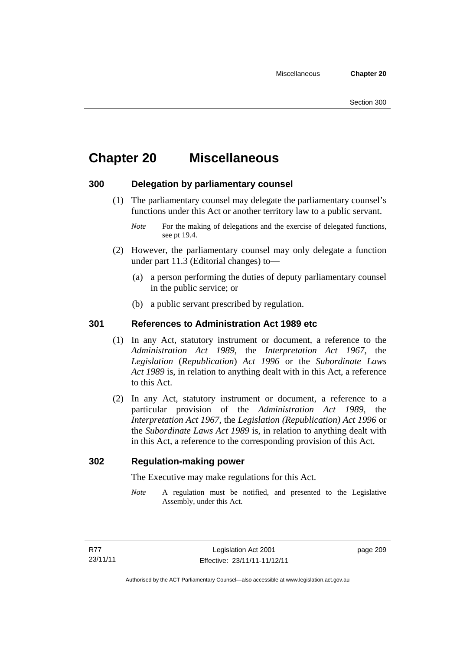# **Chapter 20 Miscellaneous**

# **300 Delegation by parliamentary counsel**

 (1) The parliamentary counsel may delegate the parliamentary counsel's functions under this Act or another territory law to a public servant.

- (2) However, the parliamentary counsel may only delegate a function under part 11.3 (Editorial changes) to—
	- (a) a person performing the duties of deputy parliamentary counsel in the public service; or
	- (b) a public servant prescribed by regulation.

# **301 References to Administration Act 1989 etc**

- (1) In any Act, statutory instrument or document, a reference to the *Administration Act 1989*, the *Interpretation Act 1967*, the *Legislation* (*Republication*) *Act 1996* or the *Subordinate Laws Act 1989* is, in relation to anything dealt with in this Act, a reference to this Act.
- (2) In any Act, statutory instrument or document, a reference to a particular provision of the *Administration Act 1989*, the *Interpretation Act 1967*, the *Legislation (Republication) Act 1996* or the *Subordinate Laws Act 1989* is, in relation to anything dealt with in this Act, a reference to the corresponding provision of this Act.

# **302 Regulation-making power**

The Executive may make regulations for this Act.

*Note* A regulation must be notified, and presented to the Legislative Assembly, under this Act.

page 209

*Note* For the making of delegations and the exercise of delegated functions, see pt 19.4.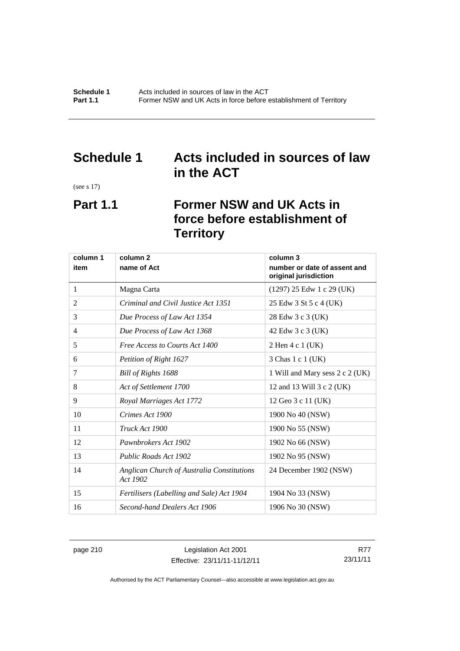# **Schedule 1 Acts included in sources of law in the ACT**

(see s 17)

# **Part 1.1 Former NSW and UK Acts in force before establishment of Territory**

| column 1 | column <sub>2</sub>                                    | column 3                                              |
|----------|--------------------------------------------------------|-------------------------------------------------------|
| item     | name of Act                                            | number or date of assent and<br>original jurisdiction |
| 1        | Magna Carta                                            | $(1297)$ 25 Edw 1 c 29 (UK)                           |
| 2        | Criminal and Civil Justice Act 1351                    | 25 Edw 3 St 5 c 4 (UK)                                |
| 3        | Due Process of Law Act 1354                            | 28 Edw 3 c 3 (UK)                                     |
| 4        | Due Process of Law Act 1368                            | 42 Edw 3 c 3 (UK)                                     |
| 5        | Free Access to Courts Act 1400                         | 2 Hen 4 c 1 (UK)                                      |
| 6        | Petition of Right 1627                                 | 3 Chas 1 c 1 (UK)                                     |
| 7        | Bill of Rights 1688                                    | 1 Will and Mary sess 2 c 2 (UK)                       |
| 8        | Act of Settlement 1700                                 | 12 and 13 Will 3 c 2 (UK)                             |
| 9        | Royal Marriages Act 1772                               | 12 Geo 3 c 11 (UK)                                    |
| 10       | Crimes Act 1900                                        | 1900 No 40 (NSW)                                      |
| 11       | Truck Act 1900                                         | 1900 No 55 (NSW)                                      |
| 12       | Pawnbrokers Act 1902                                   | 1902 No 66 (NSW)                                      |
| 13       | Public Roads Act 1902                                  | 1902 No 95 (NSW)                                      |
| 14       | Anglican Church of Australia Constitutions<br>Act 1902 | 24 December 1902 (NSW)                                |
| 15       | Fertilisers (Labelling and Sale) Act 1904              | 1904 No 33 (NSW)                                      |
| 16       | Second-hand Dealers Act 1906                           | 1906 No 30 (NSW)                                      |

page 210 Legislation Act 2001 Effective: 23/11/11-11/12/11

R77 23/11/11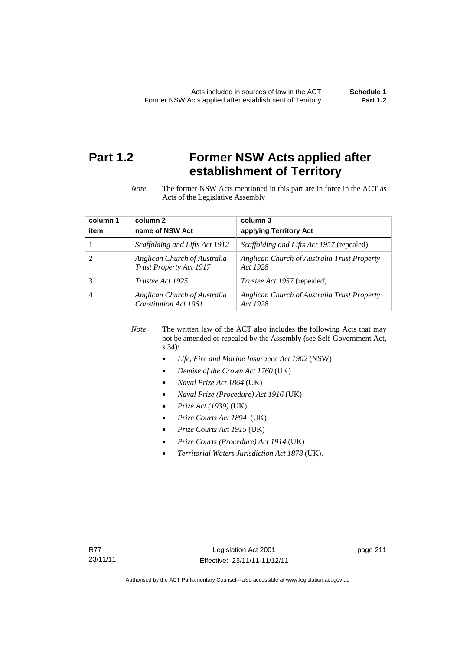# **Part 1.2 Former NSW Acts applied after establishment of Territory**

*Note* The former NSW Acts mentioned in this part are in force in the ACT as Acts of the Legislative Assembly

| column 1 | column <sub>2</sub>                                     | column 3                                                |
|----------|---------------------------------------------------------|---------------------------------------------------------|
| item     | name of NSW Act                                         | applying Territory Act                                  |
|          | Scaffolding and Lifts Act 1912                          | <i>Scaffolding and Lifts Act 1957</i> (repealed)        |
|          | Anglican Church of Australia<br>Trust Property Act 1917 | Anglican Church of Australia Trust Property<br>Act 1928 |
| 3        | Trustee Act 1925                                        | <i>Trustee Act 1957</i> (repealed)                      |
|          | Anglican Church of Australia<br>Constitution Act 1961   | Anglican Church of Australia Trust Property<br>Act 1928 |

*Note* The written law of the ACT also includes the following Acts that may not be amended or repealed by the Assembly (see Self-Government Act, s 34):

- *Life, Fire and Marine Insurance Act 1902* (NSW)
- *Demise of the Crown Act 1760* (UK)
- *Naval Prize Act 1864* (UK)
- *Naval Prize (Procedure) Act 1916* (UK)
- *Prize Act (1939)* (UK)
- *Prize Courts Act 1894* (UK)
- *Prize Courts Act 1915* (UK)
- *Prize Courts (Procedure) Act 1914* (UK)
- *Territorial Waters Jurisdiction Act 1878* (UK).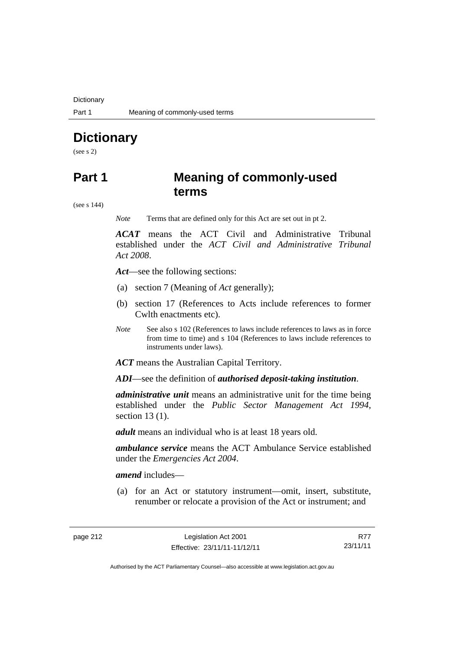**Dictionary** 

# **Dictionary**

(see s 2)

# **Part 1 Meaning of commonly-used terms**

(see s 144)

*Note* Terms that are defined only for this Act are set out in pt 2.

*ACAT* means the ACT Civil and Administrative Tribunal established under the *ACT Civil and Administrative Tribunal Act 2008*.

*Act*—see the following sections:

- (a) section 7 (Meaning of *Act* generally);
- (b) section 17 (References to Acts include references to former Cwlth enactments etc).
- *Note* See also s 102 (References to laws include references to laws as in force from time to time) and s 104 (References to laws include references to instruments under laws).

*ACT* means the Australian Capital Territory.

*ADI*—see the definition of *authorised deposit-taking institution*.

*administrative unit* means an administrative unit for the time being established under the *Public Sector Management Act 1994*, section 13 (1).

*adult* means an individual who is at least 18 years old.

*ambulance service* means the ACT Ambulance Service established under the *Emergencies Act 2004*.

*amend* includes—

 (a) for an Act or statutory instrument—omit, insert, substitute, renumber or relocate a provision of the Act or instrument; and

R77 23/11/11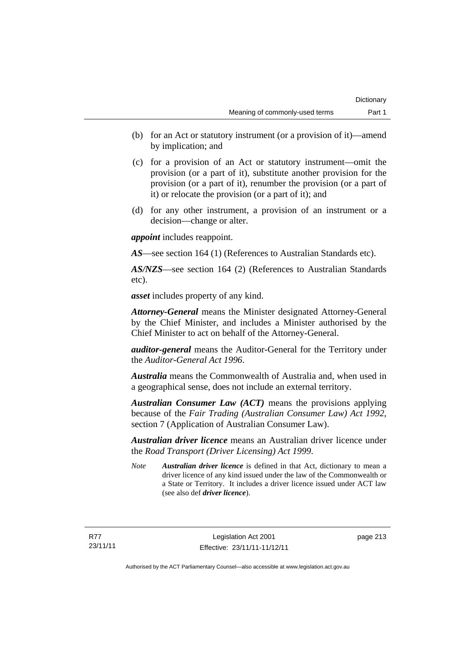- (b) for an Act or statutory instrument (or a provision of it)—amend by implication; and
- (c) for a provision of an Act or statutory instrument—omit the provision (or a part of it), substitute another provision for the provision (or a part of it), renumber the provision (or a part of it) or relocate the provision (or a part of it); and
- (d) for any other instrument, a provision of an instrument or a decision—change or alter.

*appoint* includes reappoint.

*AS*—see section 164 (1) (References to Australian Standards etc).

*AS/NZS*—see section 164 (2) (References to Australian Standards etc).

*asset* includes property of any kind.

*Attorney-General* means the Minister designated Attorney-General by the Chief Minister, and includes a Minister authorised by the Chief Minister to act on behalf of the Attorney-General.

*auditor-general* means the Auditor-General for the Territory under the *Auditor-General Act 1996*.

*Australia* means the Commonwealth of Australia and, when used in a geographical sense, does not include an external territory.

*Australian Consumer Law (ACT)* means the provisions applying because of the *Fair Trading (Australian Consumer Law) Act 1992*, section 7 (Application of Australian Consumer Law).

*Australian driver licence* means an Australian driver licence under the *Road Transport (Driver Licensing) Act 1999*.

*Note Australian driver licence* is defined in that Act, dictionary to mean a driver licence of any kind issued under the law of the Commonwealth or a State or Territory. It includes a driver licence issued under ACT law (see also def *driver licence*).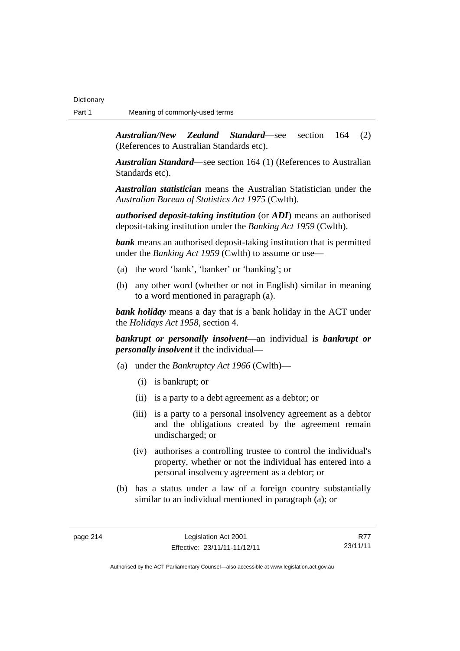*Australian/New Zealand Standard*—see section 164 (2) (References to Australian Standards etc).

*Australian Standard*—see section 164 (1) (References to Australian Standards etc).

*Australian statistician* means the Australian Statistician under the *Australian Bureau of Statistics Act 1975* (Cwlth).

*authorised deposit-taking institution* (or *ADI*) means an authorised deposit-taking institution under the *Banking Act 1959* (Cwlth).

*bank* means an authorised deposit-taking institution that is permitted under the *Banking Act 1959* (Cwlth) to assume or use—

- (a) the word 'bank', 'banker' or 'banking'; or
- (b) any other word (whether or not in English) similar in meaning to a word mentioned in paragraph (a).

*bank holiday* means a day that is a bank holiday in the ACT under the *Holidays Act 1958*, section 4.

*bankrupt or personally insolvent*—an individual is *bankrupt or personally insolvent* if the individual—

- (a) under the *Bankruptcy Act 1966* (Cwlth)—
	- (i) is bankrupt; or
	- (ii) is a party to a debt agreement as a debtor; or
	- (iii) is a party to a personal insolvency agreement as a debtor and the obligations created by the agreement remain undischarged; or
	- (iv) authorises a controlling trustee to control the individual's property, whether or not the individual has entered into a personal insolvency agreement as a debtor; or
- (b) has a status under a law of a foreign country substantially similar to an individual mentioned in paragraph (a); or

page 214 Legislation Act 2001 Effective: 23/11/11-11/12/11

R77 23/11/11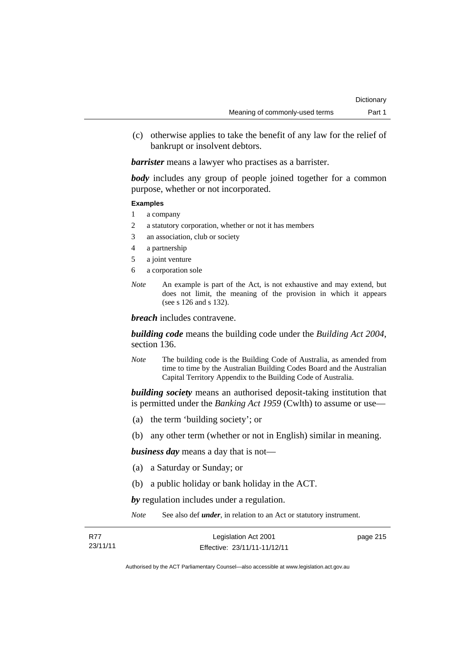(c) otherwise applies to take the benefit of any law for the relief of bankrupt or insolvent debtors.

*barrister* means a lawyer who practises as a barrister.

*body* includes any group of people joined together for a common purpose, whether or not incorporated.

#### **Examples**

- 1 a company
- 2 a statutory corporation, whether or not it has members
- 3 an association, club or society
- 4 a partnership
- 5 a joint venture
- 6 a corporation sole
- *Note* An example is part of the Act, is not exhaustive and may extend, but does not limit, the meaning of the provision in which it appears (see s 126 and s 132).

*breach* includes contravene.

*building code* means the building code under the *Building Act 2004*, section 136.

*Note* The building code is the Building Code of Australia, as amended from time to time by the Australian Building Codes Board and the Australian Capital Territory Appendix to the Building Code of Australia.

*building society* means an authorised deposit-taking institution that is permitted under the *Banking Act 1959* (Cwlth) to assume or use—

- (a) the term 'building society'; or
- (b) any other term (whether or not in English) similar in meaning.

*business day* means a day that is not—

- (a) a Saturday or Sunday; or
- (b) a public holiday or bank holiday in the ACT.

*by* regulation includes under a regulation.

*Note* See also def *under*, in relation to an Act or statutory instrument.

| - R77    | Legislation Act 2001         | page 215 |
|----------|------------------------------|----------|
| 23/11/11 | Effective: 23/11/11-11/12/11 |          |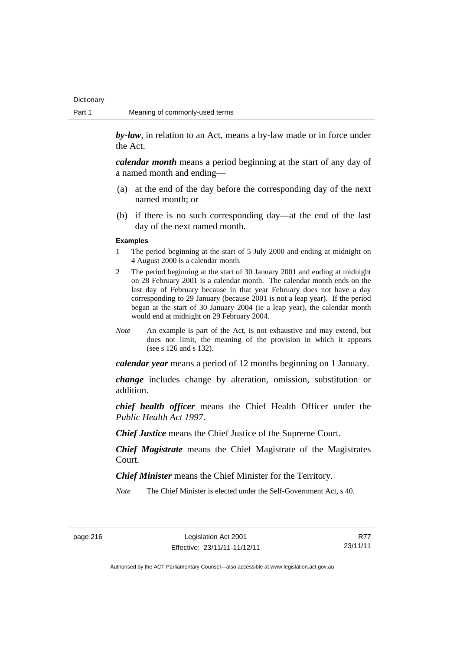*by-law*, in relation to an Act, means a by-law made or in force under the Act.

*calendar month* means a period beginning at the start of any day of a named month and ending—

- (a) at the end of the day before the corresponding day of the next named month; or
- (b) if there is no such corresponding day—at the end of the last day of the next named month.

#### **Examples**

- 1 The period beginning at the start of 5 July 2000 and ending at midnight on 4 August 2000 is a calendar month.
- 2 The period beginning at the start of 30 January 2001 and ending at midnight on 28 February 2001 is a calendar month. The calendar month ends on the last day of February because in that year February does not have a day corresponding to 29 January (because 2001 is not a leap year). If the period began at the start of 30 January 2004 (ie a leap year), the calendar month would end at midnight on 29 February 2004.
- *Note* An example is part of the Act, is not exhaustive and may extend, but does not limit, the meaning of the provision in which it appears (see s 126 and s 132).

*calendar year* means a period of 12 months beginning on 1 January.

*change* includes change by alteration, omission, substitution or addition.

*chief health officer* means the Chief Health Officer under the *Public Health Act 1997*.

*Chief Justice* means the Chief Justice of the Supreme Court.

*Chief Magistrate* means the Chief Magistrate of the Magistrates Court.

*Chief Minister* means the Chief Minister for the Territory.

*Note* The Chief Minister is elected under the Self-Government Act, s 40.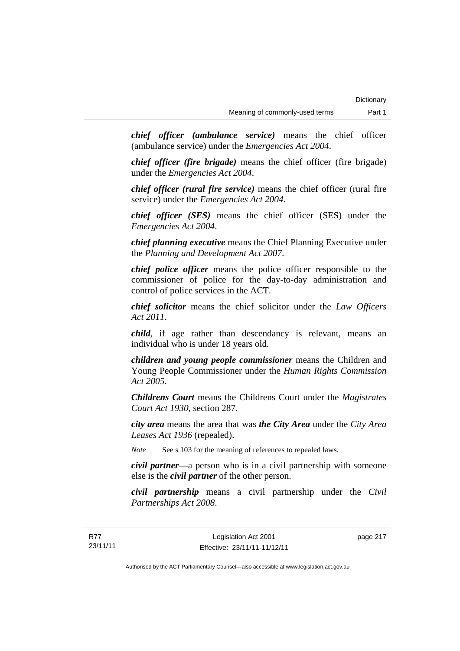*chief officer (ambulance service)* means the chief officer (ambulance service) under the *Emergencies Act 2004*.

*chief officer (fire brigade)* means the chief officer (fire brigade) under the *Emergencies Act 2004*.

*chief officer (rural fire service)* means the chief officer (rural fire service) under the *Emergencies Act 2004*.

*chief officer (SES)* means the chief officer (SES) under the *Emergencies Act 2004*.

*chief planning executive* means the Chief Planning Executive under the *Planning and Development Act 2007*.

*chief police officer* means the police officer responsible to the commissioner of police for the day-to-day administration and control of police services in the ACT.

*chief solicitor* means the chief solicitor under the *Law Officers Act 2011*.

*child*, if age rather than descendancy is relevant, means an individual who is under 18 years old.

*children and young people commissioner* means the Children and Young People Commissioner under the *Human Rights Commission Act 2005*.

*Childrens Court* means the Childrens Court under the *Magistrates Court Act 1930*, section 287.

*city area* means the area that was *the City Area* under the *City Area Leases Act 1936* (repealed).

*Note* See s 103 for the meaning of references to repealed laws.

*civil partner*—a person who is in a civil partnership with someone else is the *civil partner* of the other person.

*civil partnership* means a civil partnership under the *Civil Partnerships Act 2008*.

page 217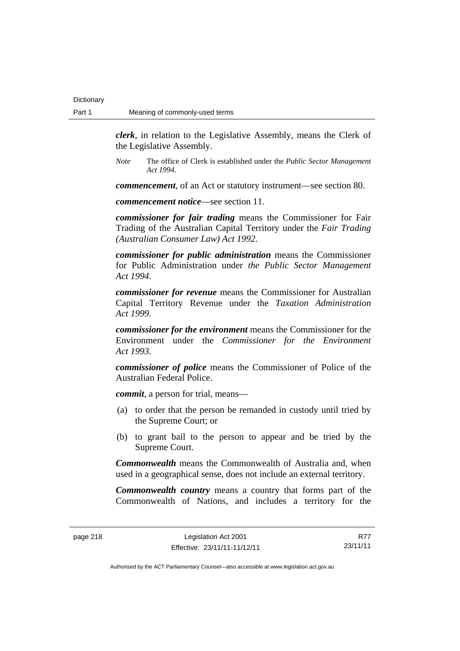**Dictionary** 

*clerk*, in relation to the Legislative Assembly, means the Clerk of the Legislative Assembly.

*Note* The office of Clerk is established under the *Public Sector Management Act 1994*.

*commencement*, of an Act or statutory instrument—see section 80.

*commencement notice*—see section 11.

*commissioner for fair trading* means the Commissioner for Fair Trading of the Australian Capital Territory under the *Fair Trading (Australian Consumer Law) Act 1992*.

*commissioner for public administration* means the Commissioner for Public Administration under *the Public Sector Management Act 1994*.

*commissioner for revenue* means the Commissioner for Australian Capital Territory Revenue under the *Taxation Administration Act 1999*.

*commissioner for the environment* means the Commissioner for the Environment under the *Commissioner for the Environment Act 1993.* 

*commissioner of police* means the Commissioner of Police of the Australian Federal Police.

*commit*, a person for trial, means—

- (a) to order that the person be remanded in custody until tried by the Supreme Court; or
- (b) to grant bail to the person to appear and be tried by the Supreme Court.

*Commonwealth* means the Commonwealth of Australia and, when used in a geographical sense, does not include an external territory.

*Commonwealth country* means a country that forms part of the Commonwealth of Nations, and includes a territory for the

R77 23/11/11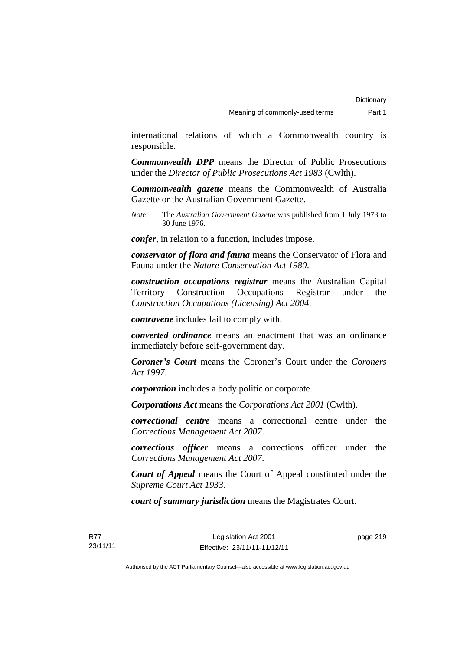international relations of which a Commonwealth country is responsible.

*Commonwealth DPP* means the Director of Public Prosecutions under the *Director of Public Prosecutions Act 1983* (Cwlth).

*Commonwealth gazette* means the Commonwealth of Australia Gazette or the Australian Government Gazette.

*Note* The *Australian Government Gazette* was published from 1 July 1973 to 30 June 1976.

*confer*, in relation to a function, includes impose.

*conservator of flora and fauna* means the Conservator of Flora and Fauna under the *Nature Conservation Act 1980*.

*construction occupations registrar* means the Australian Capital Territory Construction Occupations Registrar under the *Construction Occupations (Licensing) Act 2004*.

*contravene* includes fail to comply with.

*converted ordinance* means an enactment that was an ordinance immediately before self-government day.

*Coroner's Court* means the Coroner's Court under the *Coroners Act 1997*.

*corporation* includes a body politic or corporate.

*Corporations Act* means the *Corporations Act 2001* (Cwlth).

*correctional centre* means a correctional centre under the *Corrections Management Act 2007*.

*corrections officer* means a corrections officer under the *Corrections Management Act 2007*.

*Court of Appeal* means the Court of Appeal constituted under the *Supreme Court Act 1933*.

*court of summary jurisdiction* means the Magistrates Court.

page 219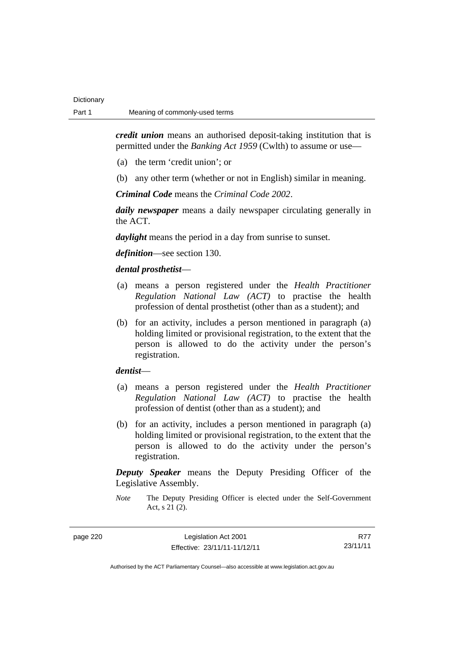*credit union* means an authorised deposit-taking institution that is permitted under the *Banking Act 1959* (Cwlth) to assume or use—

- (a) the term 'credit union'; or
- (b) any other term (whether or not in English) similar in meaning.

*Criminal Code* means the *Criminal Code 2002*.

*daily newspaper* means a daily newspaper circulating generally in the ACT.

*daylight* means the period in a day from sunrise to sunset.

*definition*—see section 130.

### *dental prosthetist*—

- (a) means a person registered under the *Health Practitioner Regulation National Law (ACT)* to practise the health profession of dental prosthetist (other than as a student); and
- (b) for an activity, includes a person mentioned in paragraph (a) holding limited or provisional registration, to the extent that the person is allowed to do the activity under the person's registration.

### *dentist*—

- (a) means a person registered under the *Health Practitioner Regulation National Law (ACT)* to practise the health profession of dentist (other than as a student); and
- (b) for an activity, includes a person mentioned in paragraph (a) holding limited or provisional registration, to the extent that the person is allowed to do the activity under the person's registration.

*Deputy Speaker* means the Deputy Presiding Officer of the Legislative Assembly.

*Note* The Deputy Presiding Officer is elected under the Self-Government Act, s 21 (2).

| page 220 |  |
|----------|--|
|----------|--|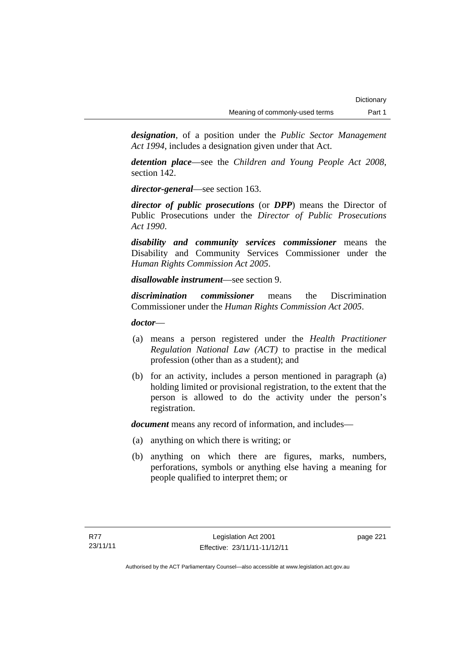*designation*, of a position under the *Public Sector Management Act 1994*, includes a designation given under that Act.

*detention place*—see the *Children and Young People Act 2008*, section 142.

*director-general*—see section 163.

*director of public prosecutions* (or *DPP*) means the Director of Public Prosecutions under the *Director of Public Prosecutions Act 1990*.

*disability and community services commissioner* means the Disability and Community Services Commissioner under the *Human Rights Commission Act 2005*.

*disallowable instrument*—see section 9.

*discrimination commissioner* means the Discrimination Commissioner under the *Human Rights Commission Act 2005*.

*doctor*—

- (a) means a person registered under the *Health Practitioner Regulation National Law (ACT)* to practise in the medical profession (other than as a student); and
- (b) for an activity, includes a person mentioned in paragraph (a) holding limited or provisional registration, to the extent that the person is allowed to do the activity under the person's registration.

*document* means any record of information, and includes—

- (a) anything on which there is writing; or
- (b) anything on which there are figures, marks, numbers, perforations, symbols or anything else having a meaning for people qualified to interpret them; or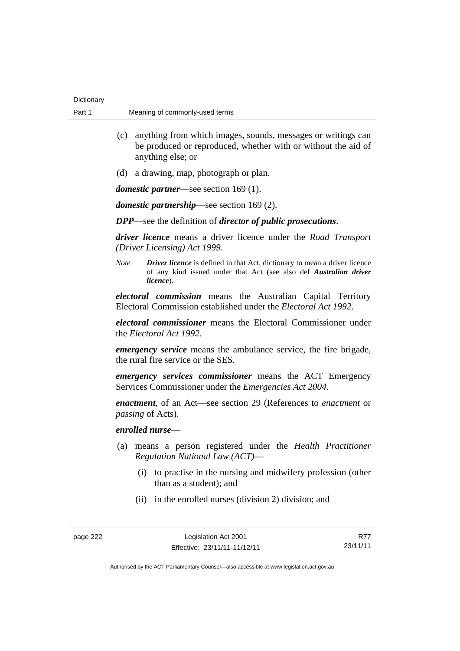| Dictionary |                                |
|------------|--------------------------------|
| Part 1     | Meaning of commonly-used terms |

- (c) anything from which images, sounds, messages or writings can be produced or reproduced, whether with or without the aid of anything else; or
- (d) a drawing, map, photograph or plan.

*domestic partner*—see section 169 (1).

*domestic partnership*—see section 169 (2).

*DPP*—see the definition of *director of public prosecutions*.

*driver licence* means a driver licence under the *Road Transport (Driver Licensing) Act 1999*.

*Note Driver licence* is defined in that Act, dictionary to mean a driver licence of any kind issued under that Act (see also def *Australian driver licence*).

*electoral commission* means the Australian Capital Territory Electoral Commission established under the *Electoral Act 1992*.

*electoral commissioner* means the Electoral Commissioner under the *Electoral Act 1992*.

*emergency service* means the ambulance service, the fire brigade, the rural fire service or the SES.

*emergency services commissioner* means the ACT Emergency Services Commissioner under the *Emergencies Act 2004*.

*enactment*, of an Act—see section 29 (References to *enactment* or *passing* of Acts).

### *enrolled nurse*—

- (a) means a person registered under the *Health Practitioner Regulation National Law (ACT)*—
	- (i) to practise in the nursing and midwifery profession (other than as a student); and
	- (ii) in the enrolled nurses (division 2) division; and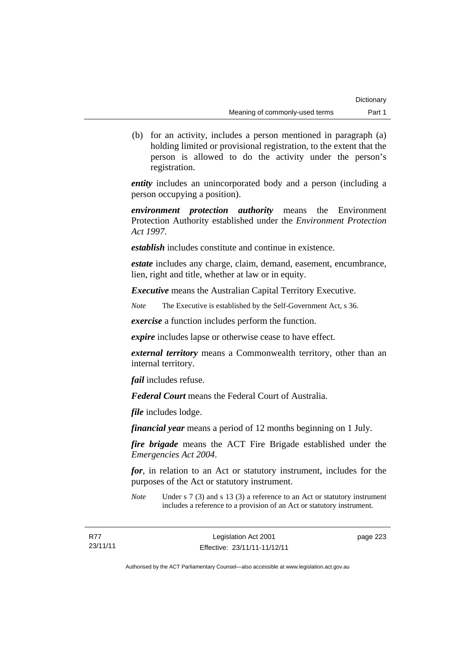(b) for an activity, includes a person mentioned in paragraph (a) holding limited or provisional registration, to the extent that the person is allowed to do the activity under the person's registration.

*entity* includes an unincorporated body and a person (including a person occupying a position).

*environment protection authority* means the Environment Protection Authority established under the *Environment Protection Act 1997*.

*establish* includes constitute and continue in existence.

*estate* includes any charge, claim, demand, easement, encumbrance, lien, right and title, whether at law or in equity.

*Executive* means the Australian Capital Territory Executive.

*Note* The Executive is established by the Self-Government Act, s 36.

*exercise* a function includes perform the function.

*expire* includes lapse or otherwise cease to have effect.

*external territory* means a Commonwealth territory, other than an internal territory.

*fail* includes refuse.

*Federal Court* means the Federal Court of Australia.

*file* includes lodge.

*financial year* means a period of 12 months beginning on 1 July.

*fire brigade* means the ACT Fire Brigade established under the *Emergencies Act 2004*.

*for*, in relation to an Act or statutory instrument, includes for the purposes of the Act or statutory instrument.

*Note* Under s 7 (3) and s 13 (3) a reference to an Act or statutory instrument includes a reference to a provision of an Act or statutory instrument.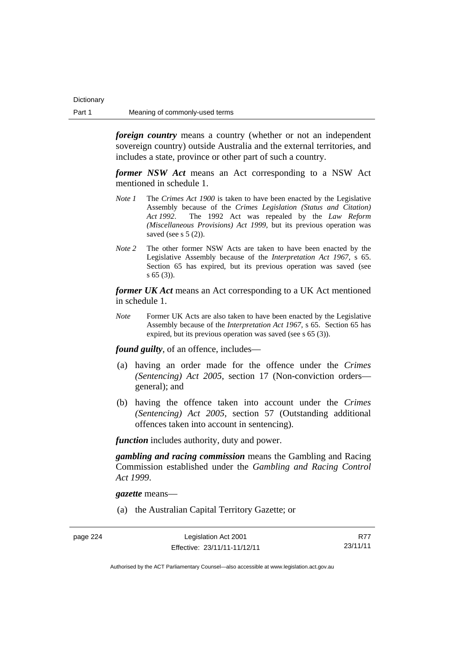*foreign country* means a country (whether or not an independent sovereign country) outside Australia and the external territories, and includes a state, province or other part of such a country.

*former NSW Act* means an Act corresponding to a NSW Act mentioned in schedule 1.

- *Note 1* The *Crimes Act 1900* is taken to have been enacted by the Legislative Assembly because of the *Crimes Legislation (Status and Citation) Act 1992*. The 1992 Act was repealed by the *Law Reform (Miscellaneous Provisions) Act 1999*, but its previous operation was saved (see s  $5(2)$ ).
- *Note 2* The other former NSW Acts are taken to have been enacted by the Legislative Assembly because of the *Interpretation Act 1967*, s 65. Section 65 has expired, but its previous operation was saved (see s 65 (3)).

*former UK Act* means an Act corresponding to a UK Act mentioned in schedule 1.

*Note* Former UK Acts are also taken to have been enacted by the Legislative Assembly because of the *Interpretation Act 1967*, s 65. Section 65 has expired, but its previous operation was saved (see s 65 (3)).

*found guilty*, of an offence, includes—

- (a) having an order made for the offence under the *Crimes (Sentencing) Act 2005*, section 17 (Non-conviction orders general); and
- (b) having the offence taken into account under the *Crimes (Sentencing) Act 2005*, section 57 (Outstanding additional offences taken into account in sentencing).

*function* includes authority, duty and power.

*gambling and racing commission* means the Gambling and Racing Commission established under the *Gambling and Racing Control Act 1999*.

*gazette* means—

(a) the Australian Capital Territory Gazette; or

R77 23/11/11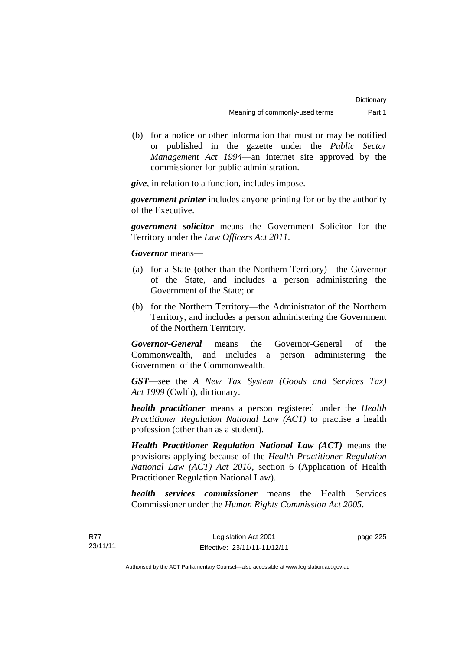(b) for a notice or other information that must or may be notified or published in the gazette under the *Public Sector Management Act 1994*—an internet site approved by the commissioner for public administration.

*give*, in relation to a function, includes impose.

*government printer* includes anyone printing for or by the authority of the Executive.

*government solicitor* means the Government Solicitor for the Territory under the *Law Officers Act 2011*.

*Governor* means—

- (a) for a State (other than the Northern Territory)—the Governor of the State, and includes a person administering the Government of the State; or
- (b) for the Northern Territory—the Administrator of the Northern Territory, and includes a person administering the Government of the Northern Territory.

*Governor-General* means the Governor-General of the Commonwealth, and includes a person administering the Government of the Commonwealth.

*GST*—see the *A New Tax System (Goods and Services Tax) Act 1999* (Cwlth), dictionary.

*health practitioner* means a person registered under the *Health Practitioner Regulation National Law (ACT)* to practise a health profession (other than as a student).

*Health Practitioner Regulation National Law (ACT)* means the provisions applying because of the *Health Practitioner Regulation National Law (ACT) Act 2010*, section 6 (Application of Health Practitioner Regulation National Law).

*health services commissioner* means the Health Services Commissioner under the *Human Rights Commission Act 2005*.

page 225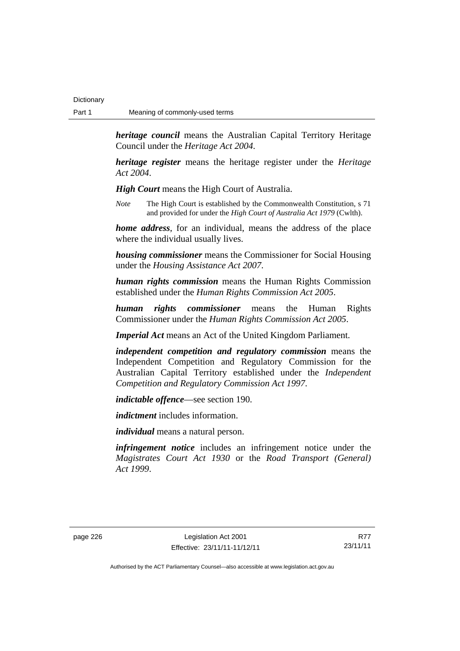*heritage council* means the Australian Capital Territory Heritage Council under the *Heritage Act 2004*.

*heritage register* means the heritage register under the *Heritage Act 2004*.

*High Court* means the High Court of Australia.

*Note* The High Court is established by the Commonwealth Constitution, s 71 and provided for under the *High Court of Australia Act 1979* (Cwlth).

*home address*, for an individual, means the address of the place where the individual usually lives.

*housing commissioner* means the Commissioner for Social Housing under the *Housing Assistance Act 2007*.

*human rights commission* means the Human Rights Commission established under the *Human Rights Commission Act 2005*.

*human rights commissioner* means the Human Rights Commissioner under the *Human Rights Commission Act 2005*.

*Imperial Act* means an Act of the United Kingdom Parliament.

*independent competition and regulatory commission* means the Independent Competition and Regulatory Commission for the Australian Capital Territory established under the *Independent Competition and Regulatory Commission Act 1997*.

*indictable offence*—see section 190.

*indictment* includes information.

*individual* means a natural person.

*infringement notice* includes an infringement notice under the *Magistrates Court Act 1930* or the *Road Transport (General) Act 1999*.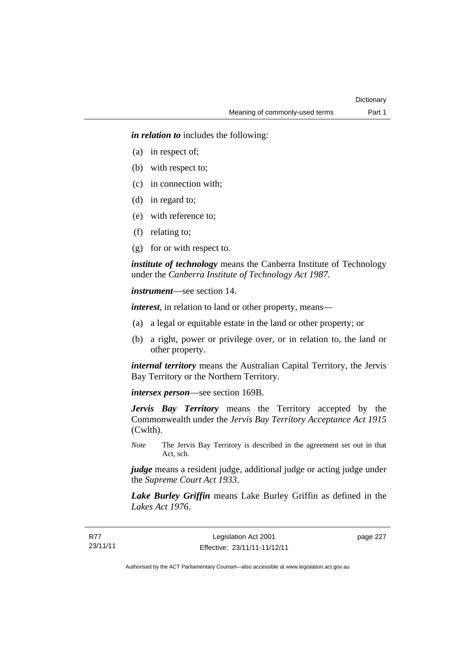*in relation to* includes the following:

- (a) in respect of;
- (b) with respect to;
- (c) in connection with;
- (d) in regard to;
- (e) with reference to;
- (f) relating to;
- (g) for or with respect to.

*institute of technology* means the Canberra Institute of Technology under the *Canberra Institute of Technology Act 1987*.

*instrument*—see section 14.

*interest*, in relation to land or other property, means—

- (a) a legal or equitable estate in the land or other property; or
- (b) a right, power or privilege over, or in relation to, the land or other property.

*internal territory* means the Australian Capital Territory, the Jervis Bay Territory or the Northern Territory.

*intersex person*—see section 169B.

*Jervis Bay Territory* means the Territory accepted by the Commonwealth under the *Jervis Bay Territory Acceptance Act 1915* (Cwlth).

*Note* The Jervis Bay Territory is described in the agreement set out in that Act, sch.

*judge* means a resident judge, additional judge or acting judge under the *Supreme Court Act 1933*.

*Lake Burley Griffin* means Lake Burley Griffin as defined in the *Lakes Act 1976*.

page 227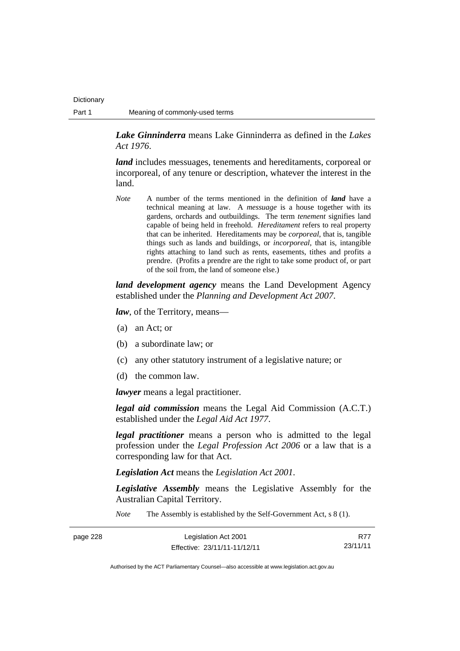*Lake Ginninderra* means Lake Ginninderra as defined in the *Lakes Act 1976*.

*land* includes messuages, tenements and hereditaments, corporeal or incorporeal, of any tenure or description, whatever the interest in the land.

*Note* A number of the terms mentioned in the definition of *land* have a technical meaning at law. A *messuage* is a house together with its gardens, orchards and outbuildings. The term *tenement* signifies land capable of being held in freehold. *Hereditament* refers to real property that can be inherited. Hereditaments may be *corporeal*, that is, tangible things such as lands and buildings, or *incorporeal*, that is, intangible rights attaching to land such as rents, easements, tithes and profits a prendre. (Profits a prendre are the right to take some product of, or part of the soil from, the land of someone else.)

*land development agency* means the Land Development Agency established under the *Planning and Development Act 2007*.

*law*, of the Territory, means—

- (a) an Act; or
- (b) a subordinate law; or
- (c) any other statutory instrument of a legislative nature; or
- (d) the common law.

*lawyer* means a legal practitioner.

*legal aid commission* means the Legal Aid Commission (A.C.T.) established under the *Legal Aid Act 1977*.

*legal practitioner* means a person who is admitted to the legal profession under the *Legal Profession Act 2006* or a law that is a corresponding law for that Act.

*Legislation Act* means the *Legislation Act 2001*.

*Legislative Assembly* means the Legislative Assembly for the Australian Capital Territory.

*Note* The Assembly is established by the Self-Government Act, s 8 (1).

| page 228 | Legislation Act 2001         | <b>R77</b> |
|----------|------------------------------|------------|
|          | Effective: 23/11/11-11/12/11 | 23/11/11   |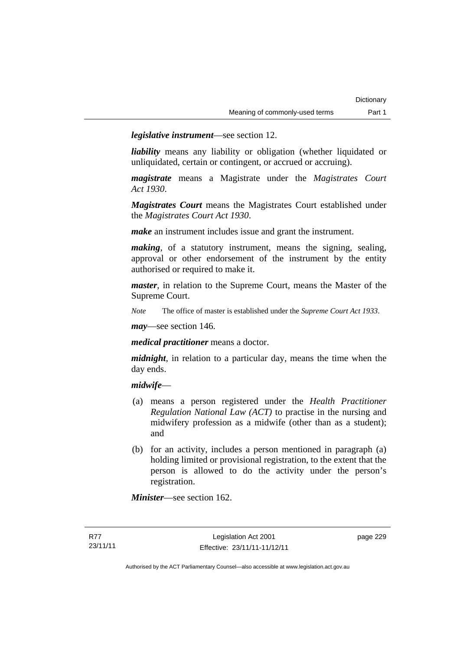*legislative instrument*—see section 12.

*liability* means any liability or obligation (whether liquidated or unliquidated, certain or contingent, or accrued or accruing).

*magistrate* means a Magistrate under the *Magistrates Court Act 1930*.

*Magistrates Court* means the Magistrates Court established under the *Magistrates Court Act 1930*.

*make* an instrument includes issue and grant the instrument.

*making*, of a statutory instrument, means the signing, sealing, approval or other endorsement of the instrument by the entity authorised or required to make it.

*master*, in relation to the Supreme Court, means the Master of the Supreme Court.

*Note* The office of master is established under the *Supreme Court Act 1933*.

*may*—see section 146.

*medical practitioner* means a doctor.

*midnight*, in relation to a particular day, means the time when the day ends.

#### *midwife*—

- (a) means a person registered under the *Health Practitioner Regulation National Law (ACT)* to practise in the nursing and midwifery profession as a midwife (other than as a student); and
- (b) for an activity, includes a person mentioned in paragraph (a) holding limited or provisional registration, to the extent that the person is allowed to do the activity under the person's registration.

*Minister*—see section 162.

page 229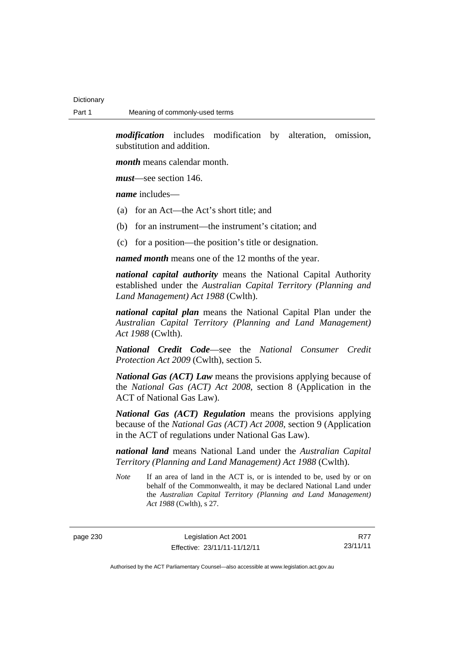*modification* includes modification by alteration, omission, substitution and addition.

*month* means calendar month.

*must*—see section 146.

*name* includes—

- (a) for an Act—the Act's short title; and
- (b) for an instrument—the instrument's citation; and
- (c) for a position—the position's title or designation.

*named month* means one of the 12 months of the year.

*national capital authority* means the National Capital Authority established under the *Australian Capital Territory (Planning and Land Management) Act 1988* (Cwlth).

*national capital plan* means the National Capital Plan under the *Australian Capital Territory (Planning and Land Management) Act 1988* (Cwlth).

*National Credit Code*—see the *National Consumer Credit Protection Act 2009* (Cwlth), section 5.

*National Gas (ACT) Law* means the provisions applying because of the *National Gas (ACT) Act 2008*, section 8 (Application in the ACT of National Gas Law).

*National Gas (ACT) Regulation* means the provisions applying because of the *National Gas (ACT) Act 2008*, section 9 (Application in the ACT of regulations under National Gas Law).

*national land* means National Land under the *Australian Capital Territory (Planning and Land Management) Act 1988* (Cwlth).

*Note* If an area of land in the ACT is, or is intended to be, used by or on behalf of the Commonwealth, it may be declared National Land under the *Australian Capital Territory (Planning and Land Management) Act 1988* (Cwlth), s 27.

page 230 Legislation Act 2001 Effective: 23/11/11-11/12/11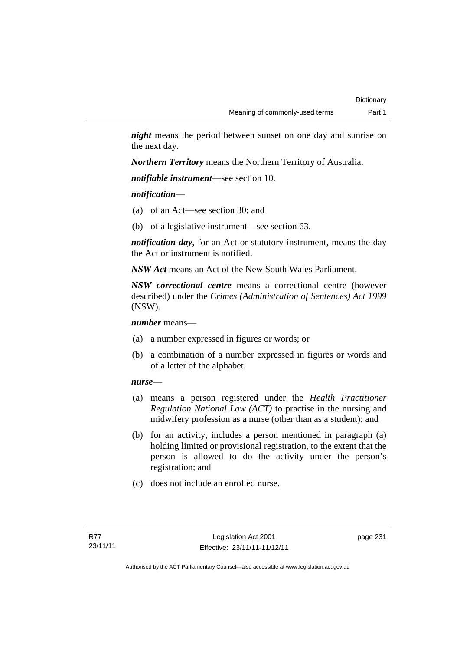*night* means the period between sunset on one day and sunrise on the next day.

*Northern Territory* means the Northern Territory of Australia.

*notifiable instrument*—see section 10.

*notification*—

- (a) of an Act—see section 30; and
- (b) of a legislative instrument—see section 63.

*notification day*, for an Act or statutory instrument, means the day the Act or instrument is notified.

*NSW Act* means an Act of the New South Wales Parliament.

*NSW correctional centre* means a correctional centre (however described) under the *Crimes (Administration of Sentences) Act 1999* (NSW).

*number* means—

- (a) a number expressed in figures or words; or
- (b) a combination of a number expressed in figures or words and of a letter of the alphabet.

# *nurse*—

- (a) means a person registered under the *Health Practitioner Regulation National Law (ACT)* to practise in the nursing and midwifery profession as a nurse (other than as a student); and
- (b) for an activity, includes a person mentioned in paragraph (a) holding limited or provisional registration, to the extent that the person is allowed to do the activity under the person's registration; and
- (c) does not include an enrolled nurse.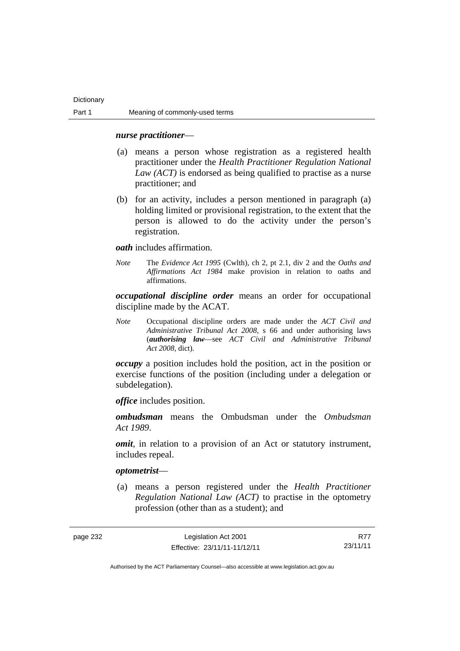#### *nurse practitioner*—

- (a) means a person whose registration as a registered health practitioner under the *Health Practitioner Regulation National Law (ACT)* is endorsed as being qualified to practise as a nurse practitioner; and
- (b) for an activity, includes a person mentioned in paragraph (a) holding limited or provisional registration, to the extent that the person is allowed to do the activity under the person's registration.

*oath* includes affirmation.

*Note* The *Evidence Act 1995* (Cwlth), ch 2, pt 2.1, div 2 and the *Oaths and Affirmations Act 1984* make provision in relation to oaths and affirmations.

*occupational discipline order* means an order for occupational discipline made by the ACAT.

*Note* Occupational discipline orders are made under the *ACT Civil and Administrative Tribunal Act 2008*, s 66 and under authorising laws (*authorising law*—see *ACT Civil and Administrative Tribunal Act 2008*, dict).

*occupy* a position includes hold the position, act in the position or exercise functions of the position (including under a delegation or subdelegation).

*office* includes position.

*ombudsman* means the Ombudsman under the *Ombudsman Act 1989*.

*omit*, in relation to a provision of an Act or statutory instrument, includes repeal.

#### *optometrist*—

 (a) means a person registered under the *Health Practitioner Regulation National Law (ACT)* to practise in the optometry profession (other than as a student); and

page 232 Legislation Act 2001 Effective: 23/11/11-11/12/11

R77 23/11/11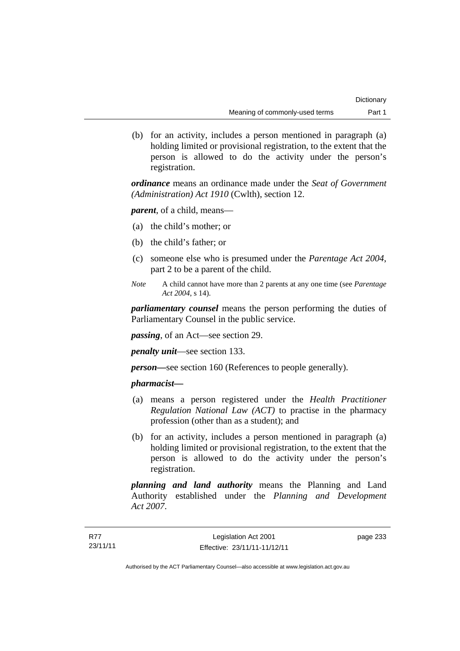(b) for an activity, includes a person mentioned in paragraph (a) holding limited or provisional registration, to the extent that the person is allowed to do the activity under the person's registration.

*ordinance* means an ordinance made under the *Seat of Government (Administration) Act 1910* (Cwlth), section 12.

*parent*, of a child, means—

- (a) the child's mother; or
- (b) the child's father; or
- (c) someone else who is presumed under the *Parentage Act 2004*, part 2 to be a parent of the child.
- *Note* A child cannot have more than 2 parents at any one time (see *Parentage Act 2004*, s 14).

*parliamentary counsel* means the person performing the duties of Parliamentary Counsel in the public service.

*passing*, of an Act—see section 29.

*penalty unit*—see section 133.

*person—*see section 160 (References to people generally).

# *pharmacist***—**

- (a) means a person registered under the *Health Practitioner Regulation National Law (ACT)* to practise in the pharmacy profession (other than as a student); and
- (b) for an activity, includes a person mentioned in paragraph (a) holding limited or provisional registration, to the extent that the person is allowed to do the activity under the person's registration.

*planning and land authority* means the Planning and Land Authority established under the *Planning and Development Act 2007*.

page 233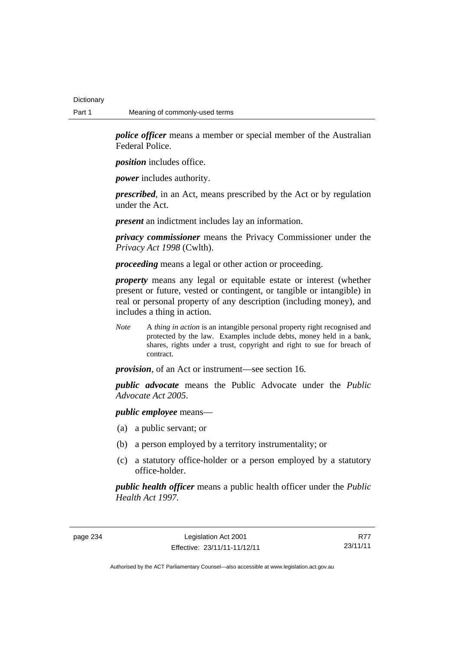**Dictionary** 

*police officer* means a member or special member of the Australian Federal Police.

*position* includes office.

*power* includes authority.

*prescribed*, in an Act, means prescribed by the Act or by regulation under the Act.

*present* an indictment includes lay an information.

*privacy commissioner* means the Privacy Commissioner under the *Privacy Act 1998* (Cwlth).

*proceeding* means a legal or other action or proceeding.

*property* means any legal or equitable estate or interest (whether present or future, vested or contingent, or tangible or intangible) in real or personal property of any description (including money), and includes a thing in action.

*Note* A *thing in action* is an intangible personal property right recognised and protected by the law. Examples include debts, money held in a bank, shares, rights under a trust, copyright and right to sue for breach of contract.

*provision*, of an Act or instrument—see section 16.

*public advocate* means the Public Advocate under the *Public Advocate Act 2005*.

*public employee* means—

- (a) a public servant; or
- (b) a person employed by a territory instrumentality; or
- (c) a statutory office-holder or a person employed by a statutory office-holder.

*public health officer* means a public health officer under the *Public Health Act 1997.*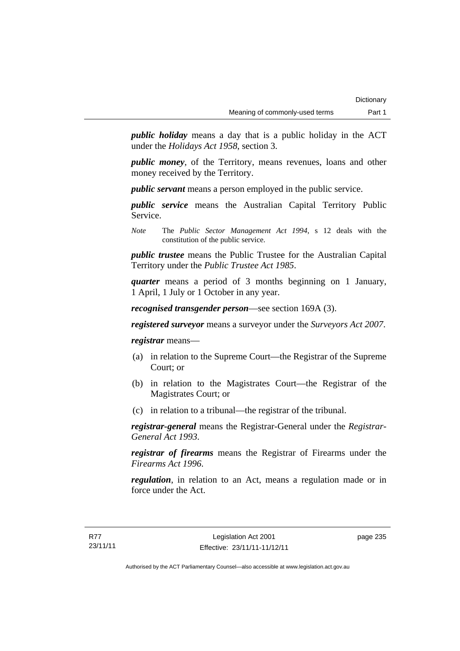*public holiday* means a day that is a public holiday in the ACT under the *Holidays Act 1958*, section 3.

*public money*, of the Territory, means revenues, loans and other money received by the Territory.

*public servant* means a person employed in the public service.

*public service* means the Australian Capital Territory Public Service.

*Note* The *Public Sector Management Act 1994*, s 12 deals with the constitution of the public service.

*public trustee* means the Public Trustee for the Australian Capital Territory under the *Public Trustee Act 1985*.

*quarter* means a period of 3 months beginning on 1 January, 1 April, 1 July or 1 October in any year.

*recognised transgender person*—see section 169A (3).

*registered surveyor* means a surveyor under the *Surveyors Act 2007*.

*registrar* means—

- (a) in relation to the Supreme Court—the Registrar of the Supreme Court; or
- (b) in relation to the Magistrates Court—the Registrar of the Magistrates Court; or
- (c) in relation to a tribunal—the registrar of the tribunal.

*registrar-general* means the Registrar-General under the *Registrar-General Act 1993*.

*registrar of firearms* means the Registrar of Firearms under the *Firearms Act 1996*.

*regulation*, in relation to an Act, means a regulation made or in force under the Act.

page 235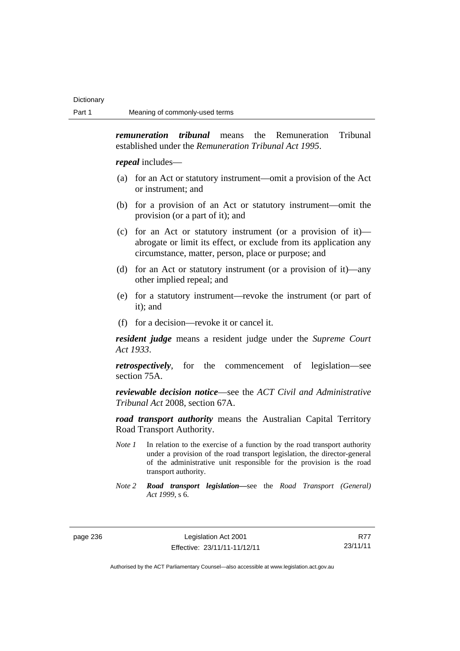*remuneration tribunal* means the Remuneration Tribunal established under the *Remuneration Tribunal Act 1995*.

*repeal* includes—

- (a) for an Act or statutory instrument—omit a provision of the Act or instrument; and
- (b) for a provision of an Act or statutory instrument—omit the provision (or a part of it); and
- (c) for an Act or statutory instrument (or a provision of it) abrogate or limit its effect, or exclude from its application any circumstance, matter, person, place or purpose; and
- (d) for an Act or statutory instrument (or a provision of it)—any other implied repeal; and
- (e) for a statutory instrument—revoke the instrument (or part of it); and
- (f) for a decision—revoke it or cancel it.

*resident judge* means a resident judge under the *Supreme Court Act 1933*.

*retrospectively*, for the commencement of legislation—see section 75A.

*reviewable decision notice*—see the *ACT Civil and Administrative Tribunal Act* 2008, section 67A.

*road transport authority* means the Australian Capital Territory Road Transport Authority.

- *Note 1* In relation to the exercise of a function by the road transport authority under a provision of the road transport legislation, the director-general of the administrative unit responsible for the provision is the road transport authority.
- *Note 2 Road transport legislation––*see the *Road Transport (General) Act 1999*, s 6.

page 236 Legislation Act 2001 Effective: 23/11/11-11/12/11

R77 23/11/11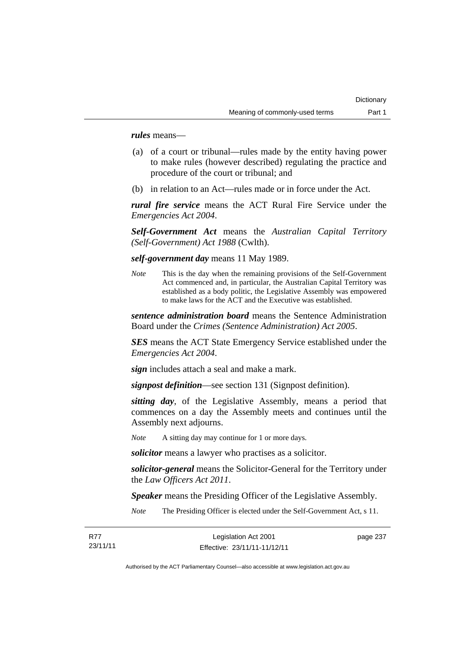*rules* means—

- (a) of a court or tribunal—rules made by the entity having power to make rules (however described) regulating the practice and procedure of the court or tribunal; and
- (b) in relation to an Act—rules made or in force under the Act.

*rural fire service* means the ACT Rural Fire Service under the *Emergencies Act 2004*.

*Self-Government Act* means the *Australian Capital Territory (Self-Government) Act 1988* (Cwlth).

*self-government day* means 11 May 1989.

*Note* This is the day when the remaining provisions of the Self-Government Act commenced and, in particular, the Australian Capital Territory was established as a body politic, the Legislative Assembly was empowered to make laws for the ACT and the Executive was established.

*sentence administration board* means the Sentence Administration Board under the *Crimes (Sentence Administration) Act 2005*.

*SES* means the ACT State Emergency Service established under the *Emergencies Act 2004*.

*sign* includes attach a seal and make a mark.

*signpost definition*—see section 131 (Signpost definition).

*sitting day*, of the Legislative Assembly, means a period that commences on a day the Assembly meets and continues until the Assembly next adjourns.

*Note* A sitting day may continue for 1 or more days.

*solicitor* means a lawyer who practises as a solicitor.

*solicitor-general* means the Solicitor-General for the Territory under the *Law Officers Act 2011*.

*Speaker* means the Presiding Officer of the Legislative Assembly.

*Note* The Presiding Officer is elected under the Self-Government Act, s 11.

| R77      | Legislation Act 2001         | page 237 |
|----------|------------------------------|----------|
| 23/11/11 | Effective: 23/11/11-11/12/11 |          |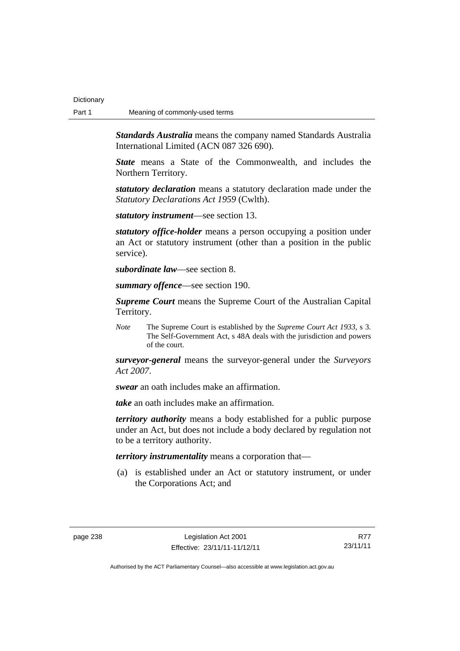*Standards Australia* means the company named Standards Australia International Limited (ACN 087 326 690).

*State* means a State of the Commonwealth, and includes the Northern Territory.

*statutory declaration* means a statutory declaration made under the *Statutory Declarations Act 1959* (Cwlth).

*statutory instrument*—see section 13.

*statutory office-holder* means a person occupying a position under an Act or statutory instrument (other than a position in the public service).

*subordinate law*—see section 8.

*summary offence*—see section 190.

*Supreme Court* means the Supreme Court of the Australian Capital Territory.

*Note* The Supreme Court is established by the *Supreme Court Act 1933*, s 3. The Self-Government Act, s 48A deals with the jurisdiction and powers of the court.

*surveyor-general* means the surveyor-general under the *Surveyors Act 2007*.

*swear* an oath includes make an affirmation.

*take* an oath includes make an affirmation.

*territory authority* means a body established for a public purpose under an Act, but does not include a body declared by regulation not to be a territory authority.

*territory instrumentality* means a corporation that—

 (a) is established under an Act or statutory instrument, or under the Corporations Act; and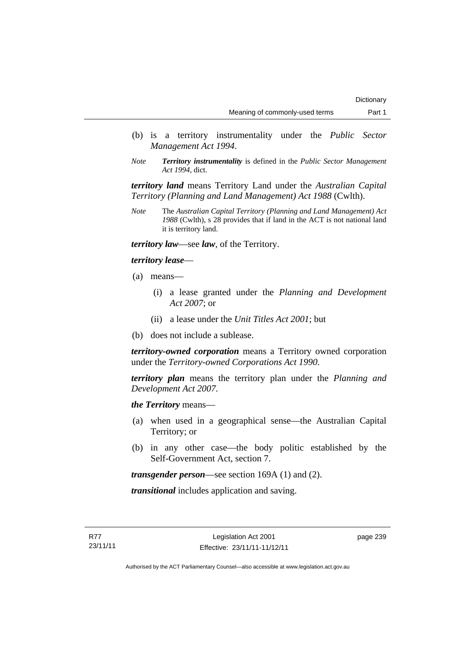- (b) is a territory instrumentality under the *Public Sector Management Act 1994*.
- *Note Territory instrumentality* is defined in the *Public Sector Management Act 1994*, dict.

*territory land* means Territory Land under the *Australian Capital Territory (Planning and Land Management) Act 1988* (Cwlth).

*Note* The *Australian Capital Territory (Planning and Land Management) Act 1988* (Cwlth), s 28 provides that if land in the ACT is not national land it is territory land.

*territory law*—see *law*, of the Territory.

*territory lease*—

- (a) means—
	- (i) a lease granted under the *Planning and Development Act 2007*; or
	- (ii) a lease under the *Unit Titles Act 2001*; but
- (b) does not include a sublease.

*territory-owned corporation* means a Territory owned corporation under the *Territory-owned Corporations Act 1990*.

*territory plan* means the territory plan under the *Planning and Development Act 2007*.

*the Territory* means—

- (a) when used in a geographical sense—the Australian Capital Territory; or
- (b) in any other case—the body politic established by the Self-Government Act, section 7.

*transgender person*—see section 169A (1) and (2).

*transitional* includes application and saving.

page 239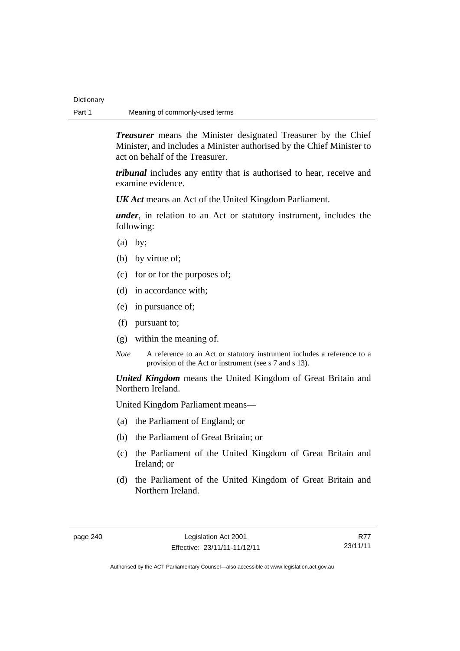*Treasurer* means the Minister designated Treasurer by the Chief Minister, and includes a Minister authorised by the Chief Minister to act on behalf of the Treasurer.

*tribunal* includes any entity that is authorised to hear, receive and examine evidence.

*UK Act* means an Act of the United Kingdom Parliament.

*under*, in relation to an Act or statutory instrument, includes the following:

- $(a)$  by;
- (b) by virtue of;
- (c) for or for the purposes of;
- (d) in accordance with;
- (e) in pursuance of;
- (f) pursuant to;
- (g) within the meaning of.
- *Note* A reference to an Act or statutory instrument includes a reference to a provision of the Act or instrument (see s 7 and s 13).

*United Kingdom* means the United Kingdom of Great Britain and Northern Ireland.

United Kingdom Parliament means—

- (a) the Parliament of England; or
- (b) the Parliament of Great Britain; or
- (c) the Parliament of the United Kingdom of Great Britain and Ireland; or
- (d) the Parliament of the United Kingdom of Great Britain and Northern Ireland.

R77 23/11/11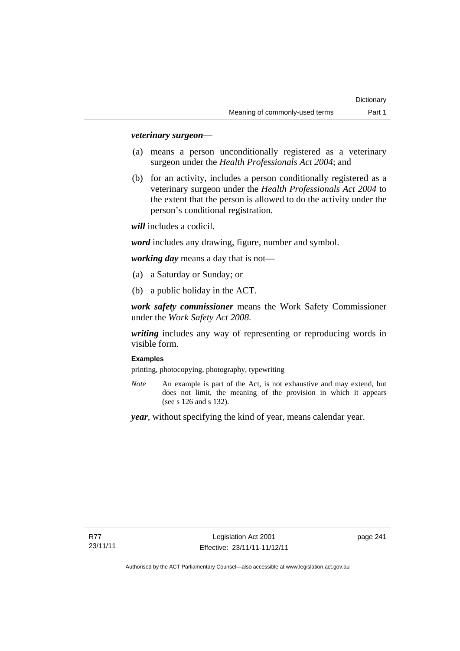# *veterinary surgeon*—

- (a) means a person unconditionally registered as a veterinary surgeon under the *Health Professionals Act 2004*; and
- (b) for an activity, includes a person conditionally registered as a veterinary surgeon under the *Health Professionals Act 2004* to the extent that the person is allowed to do the activity under the person's conditional registration.

*will* includes a codicil.

*word* includes any drawing, figure, number and symbol.

*working day* means a day that is not—

- (a) a Saturday or Sunday; or
- (b) a public holiday in the ACT.

*work safety commissioner* means the Work Safety Commissioner under the *Work Safety Act 2008*.

*writing* includes any way of representing or reproducing words in visible form.

### **Examples**

printing, photocopying, photography, typewriting

*Note* An example is part of the Act, is not exhaustive and may extend, but does not limit, the meaning of the provision in which it appears (see s 126 and s 132).

*year*, without specifying the kind of year, means calendar year.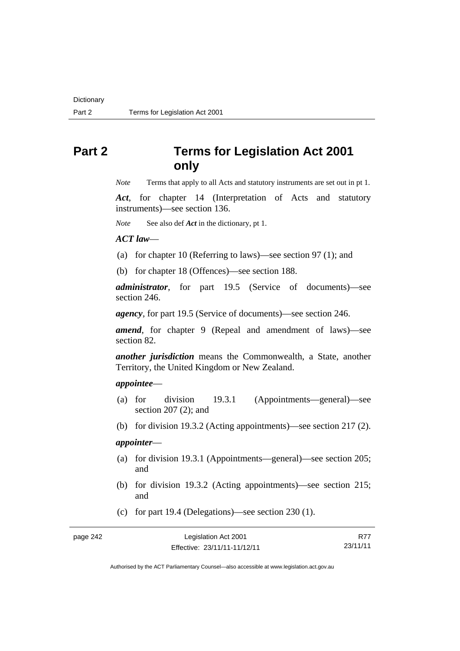# **Part 2 Terms for Legislation Act 2001 only**

*Note* Terms that apply to all Acts and statutory instruments are set out in pt 1.

*Act*, for chapter 14 (Interpretation of Acts and statutory instruments)—see section 136.

*Note* See also def *Act* in the dictionary, pt 1.

#### *ACT law*—

- (a) for chapter 10 (Referring to laws)—see section 97 (1); and
- (b) for chapter 18 (Offences)—see section 188.

*administrator*, for part 19.5 (Service of documents)—see section 246.

*agency*, for part 19.5 (Service of documents)—see section 246.

*amend*, for chapter 9 (Repeal and amendment of laws)—see section 82.

*another jurisdiction* means the Commonwealth, a State, another Territory, the United Kingdom or New Zealand.

### *appointee*—

- (a) for division 19.3.1 (Appointments—general)—see section 207 (2); and
- (b) for division 19.3.2 (Acting appointments)—see section 217 (2).

# *appointer*—

- (a) for division 19.3.1 (Appointments—general)—see section 205; and
- (b) for division 19.3.2 (Acting appointments)—see section 215; and
- (c) for part 19.4 (Delegations)—see section 230 (1).

| Legislation Act 2001         | R77      |
|------------------------------|----------|
| Effective: 23/11/11-11/12/11 | 23/11/11 |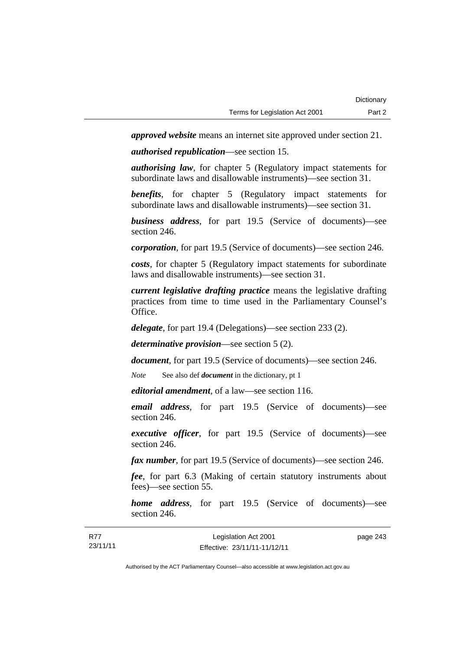*approved website* means an internet site approved under section 21.

*authorised republication*—see section 15.

*authorising law*, for chapter 5 (Regulatory impact statements for subordinate laws and disallowable instruments)—see section 31.

*benefits*, for chapter 5 (Regulatory impact statements for subordinate laws and disallowable instruments)—see section 31.

*business address*, for part 19.5 (Service of documents)—see section 246.

*corporation*, for part 19.5 (Service of documents)—see section 246.

*costs*, for chapter 5 (Regulatory impact statements for subordinate laws and disallowable instruments)—see section 31.

*current legislative drafting practice* means the legislative drafting practices from time to time used in the Parliamentary Counsel's Office.

*delegate*, for part 19.4 (Delegations)—see section 233 (2).

*determinative provision*—see section 5 (2).

*document*, for part 19.5 (Service of documents)—see section 246.

*Note* See also def *document* in the dictionary, pt 1

*editorial amendment*, of a law—see section 116.

*email address*, for part 19.5 (Service of documents)—see section 246.

*executive officer*, for part 19.5 (Service of documents)—see section 246.

*fax number*, for part 19.5 (Service of documents)—see section 246.

*fee*, for part 6.3 (Making of certain statutory instruments about fees)—see section 55.

*home address*, for part 19.5 (Service of documents)—see section 246.

| <b>R77</b> | Legislation Act 2001         | page 243 |
|------------|------------------------------|----------|
| 23/11/11   | Effective: 23/11/11-11/12/11 |          |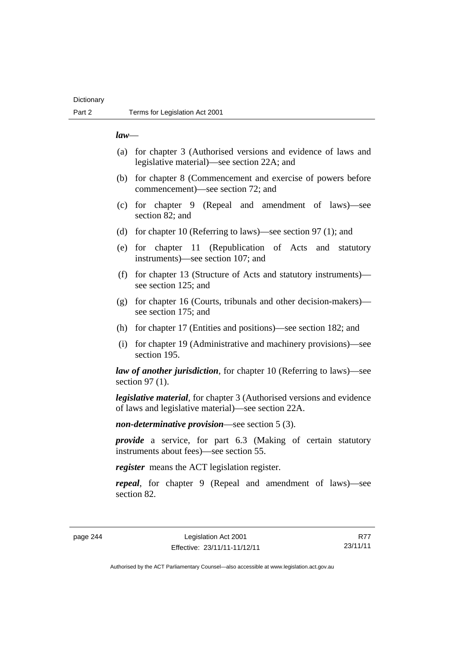# **Dictionary**

### *law*—

- (a) for chapter 3 (Authorised versions and evidence of laws and legislative material)—see section 22A; and
- (b) for chapter 8 (Commencement and exercise of powers before commencement)—see section 72; and
- (c) for chapter 9 (Repeal and amendment of laws)—see section 82; and
- (d) for chapter 10 (Referring to laws)—see section 97 (1); and
- (e) for chapter 11 (Republication of Acts and statutory instruments)—see section 107; and
- (f) for chapter 13 (Structure of Acts and statutory instruments) see section 125; and
- (g) for chapter 16 (Courts, tribunals and other decision-makers) see section 175; and
- (h) for chapter 17 (Entities and positions)—see section 182; and
- (i) for chapter 19 (Administrative and machinery provisions)—see section 195.

*law of another jurisdiction*, for chapter 10 (Referring to laws)—see section 97 (1).

*legislative material*, for chapter 3 (Authorised versions and evidence of laws and legislative material)—see section 22A.

*non-determinative provision*—see section 5 (3).

*provide* a service, for part 6.3 (Making of certain statutory instruments about fees)—see section 55.

*register* means the ACT legislation register.

*repeal*, for chapter 9 (Repeal and amendment of laws)—see section 82.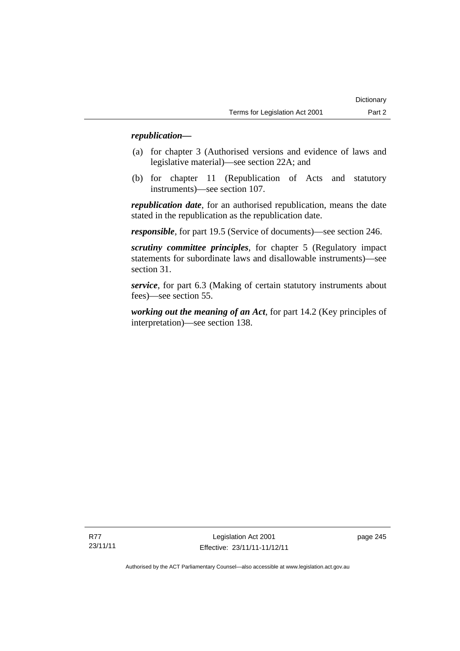# *republication—*

- (a) for chapter 3 (Authorised versions and evidence of laws and legislative material)—see section 22A; and
- (b) for chapter 11 (Republication of Acts and statutory instruments)—see section 107.

*republication date*, for an authorised republication, means the date stated in the republication as the republication date.

*responsible*, for part 19.5 (Service of documents)—see section 246.

*scrutiny committee principles*, for chapter 5 (Regulatory impact statements for subordinate laws and disallowable instruments)—see section 31.

*service*, for part 6.3 (Making of certain statutory instruments about fees)—see section 55.

*working out the meaning of an Act*, for part 14.2 (Key principles of interpretation)—see section 138.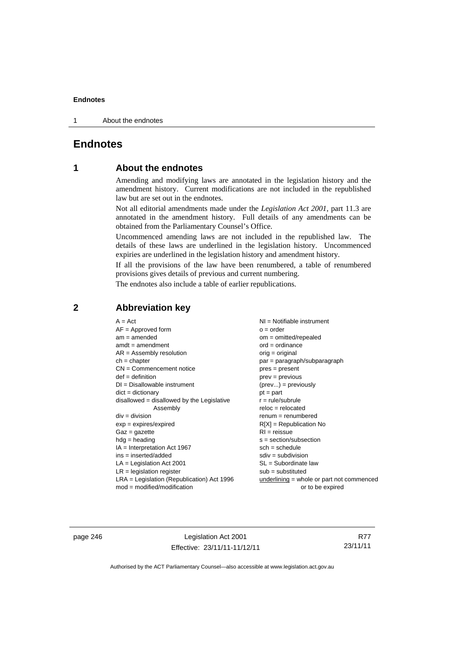1 About the endnotes

# **Endnotes**

# **1 About the endnotes**

Amending and modifying laws are annotated in the legislation history and the amendment history. Current modifications are not included in the republished law but are set out in the endnotes.

Not all editorial amendments made under the *Legislation Act 2001*, part 11.3 are annotated in the amendment history. Full details of any amendments can be obtained from the Parliamentary Counsel's Office.

Uncommenced amending laws are not included in the republished law. The details of these laws are underlined in the legislation history. Uncommenced expiries are underlined in the legislation history and amendment history.

If all the provisions of the law have been renumbered, a table of renumbered provisions gives details of previous and current numbering.

The endnotes also include a table of earlier republications.

| $A = Act$                                    | $NI =$ Notifiable instrument              |
|----------------------------------------------|-------------------------------------------|
| $AF =$ Approved form                         | $o = order$                               |
| $am = amended$                               | $om = omitted/repealed$                   |
| $amdt = amendment$                           | $ord = ordinance$                         |
| $AR = Assembly resolution$                   | $orig = original$                         |
| $ch = chapter$                               | par = paragraph/subparagraph              |
| $CN =$ Commencement notice                   | $pres = present$                          |
| $def = definition$                           | $prev = previous$                         |
| $DI = Disallowable instrument$               | $(\text{prev}) = \text{previously}$       |
| $dict = dictionary$                          | $pt = part$                               |
| disallowed = disallowed by the Legislative   | $r = rule/subrule$                        |
| Assembly                                     | $reloc = relocated$                       |
| $div = division$                             | $remum = renumbered$                      |
| $exp = expires/expired$                      | $R[X]$ = Republication No                 |
| $Gaz = gazette$                              | $RI = reissue$                            |
| $hdg =$ heading                              | $s = section/subsection$                  |
| $IA = Interpretation Act 1967$               | $sch = schedule$                          |
| $ins = inserted/added$                       | $sdiv = subdivision$                      |
| $LA =$ Legislation Act 2001                  | $SL = Subordinate$ law                    |
| $LR =$ legislation register                  | $sub =$ substituted                       |
| $LRA =$ Legislation (Republication) Act 1996 | underlining = whole or part not commenced |
| $mod = modified/modification$                | or to be expired                          |
|                                              |                                           |

# **2 Abbreviation key**

page 246 Legislation Act 2001 Effective: 23/11/11-11/12/11

R77 23/11/11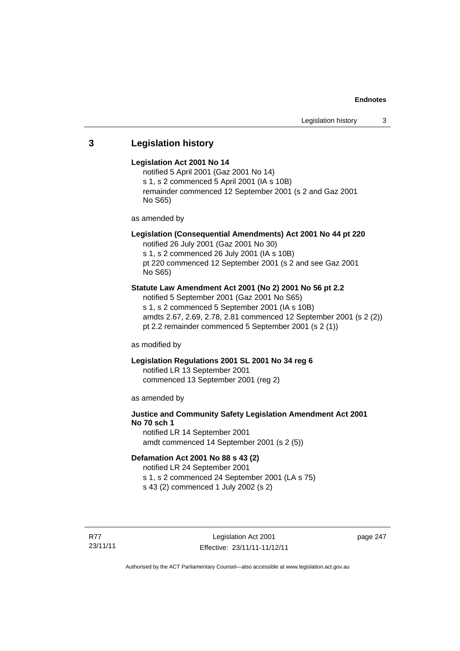# **3 Legislation history**

### **Legislation Act 2001 No 14**

notified 5 April 2001 (Gaz 2001 No 14) s 1, s 2 commenced 5 April 2001 (IA s 10B) remainder commenced 12 September 2001 (s 2 and Gaz 2001 No S65)

as amended by

# **Legislation (Consequential Amendments) Act 2001 No 44 pt 220**

notified 26 July 2001 (Gaz 2001 No 30) s 1, s 2 commenced 26 July 2001 (IA s 10B) pt 220 commenced 12 September 2001 (s 2 and see Gaz 2001 No S65)

# **Statute Law Amendment Act 2001 (No 2) 2001 No 56 pt 2.2**

notified 5 September 2001 (Gaz 2001 No S65) s 1, s 2 commenced 5 September 2001 (IA s 10B) amdts 2.67, 2.69, 2.78, 2.81 commenced 12 September 2001 (s 2 (2)) pt 2.2 remainder commenced 5 September 2001 (s 2 (1))

as modified by

# **Legislation Regulations 2001 SL 2001 No 34 reg 6**

notified LR 13 September 2001 commenced 13 September 2001 (reg 2)

as amended by

# **Justice and Community Safety Legislation Amendment Act 2001 No 70 sch 1**

notified LR 14 September 2001 amdt commenced 14 September 2001 (s 2 (5))

## **Defamation Act 2001 No 88 s 43 (2)**

notified LR 24 September 2001 s 1, s 2 commenced 24 September 2001 (LA s 75) s 43 (2) commenced 1 July 2002 (s 2)

R77 23/11/11 page 247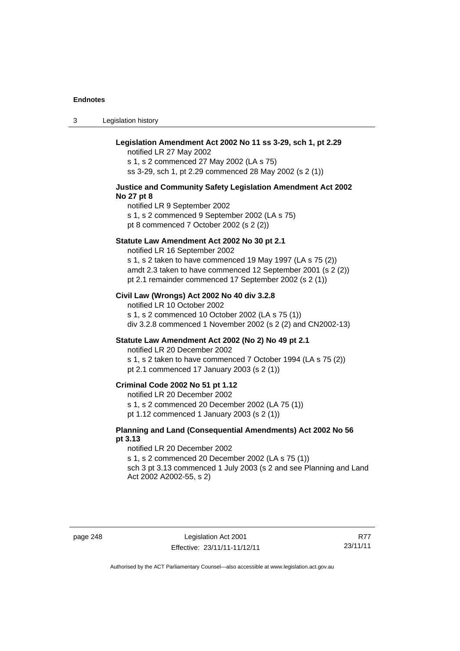3 Legislation history

| Legislation Amendment Act 2002 No 11 ss 3-29, sch 1, pt 2.29<br>notified LR 27 May 2002<br>s 1, s 2 commenced 27 May 2002 (LA s 75)<br>ss 3-29, sch 1, pt 2.29 commenced 28 May 2002 (s 2 (1))                                                                       |
|----------------------------------------------------------------------------------------------------------------------------------------------------------------------------------------------------------------------------------------------------------------------|
| Justice and Community Safety Legislation Amendment Act 2002<br>No 27 pt 8<br>notified LR 9 September 2002<br>s 1, s 2 commenced 9 September 2002 (LA s 75)<br>pt 8 commenced 7 October 2002 (s 2 (2))                                                                |
| Statute Law Amendment Act 2002 No 30 pt 2.1<br>notified LR 16 September 2002<br>s 1, s 2 taken to have commenced 19 May 1997 (LA s 75 (2))<br>amdt 2.3 taken to have commenced 12 September 2001 (s 2 (2))<br>pt 2.1 remainder commenced 17 September 2002 (s 2 (1)) |
| Civil Law (Wrongs) Act 2002 No 40 div 3.2.8<br>notified LR 10 October 2002<br>s 1, s 2 commenced 10 October 2002 (LA s 75 (1))<br>div 3.2.8 commenced 1 November 2002 (s 2 (2) and CN2002-13)                                                                        |
| Statute Law Amendment Act 2002 (No 2) No 49 pt 2.1<br>notified LR 20 December 2002<br>s 1, s 2 taken to have commenced 7 October 1994 (LA s 75 (2))<br>pt 2.1 commenced 17 January 2003 (s 2 (1))                                                                    |
| Criminal Code 2002 No 51 pt 1.12<br>notified LR 20 December 2002<br>s 1, s 2 commenced 20 December 2002 (LA 75 (1))<br>pt 1.12 commenced 1 January 2003 (s 2 (1))                                                                                                    |
| Planning and Land (Consequential Amendments) Act 2002 No 56<br>pt 3.13<br>notified LR 20 December 2002<br>s 1, s 2 commenced 20 December 2002 (LA s 75 (1))<br>sch 3 pt 3.13 commenced 1 July 2003 (s 2 and see Planning and Land<br>Act 2002 A2002-55, s 2)         |
|                                                                                                                                                                                                                                                                      |

page 248 Legislation Act 2001 Effective: 23/11/11-11/12/11

R77 23/11/11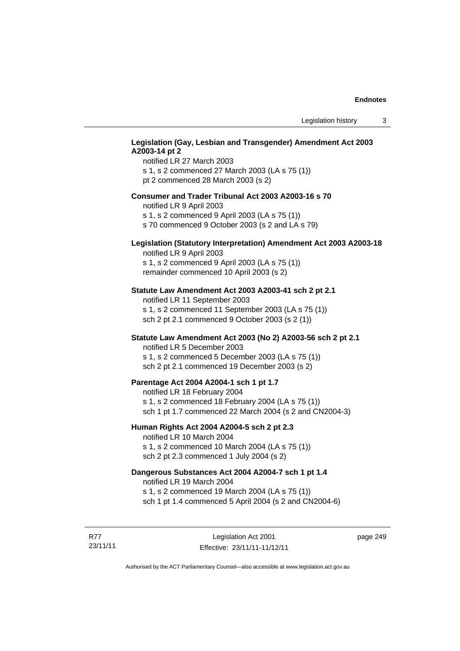# **Legislation (Gay, Lesbian and Transgender) Amendment Act 2003 A2003-14 pt 2**

notified LR 27 March 2003 s 1, s 2 commenced 27 March 2003 (LA s 75 (1)) pt 2 commenced 28 March 2003 (s 2)

### **Consumer and Trader Tribunal Act 2003 A2003-16 s 70**

notified LR 9 April 2003

s 1, s 2 commenced 9 April 2003 (LA s 75 (1))

s 70 commenced 9 October 2003 (s 2 and LA s 79)

# **Legislation (Statutory Interpretation) Amendment Act 2003 A2003-18**

notified LR 9 April 2003 s 1, s 2 commenced 9 April 2003 (LA s 75 (1)) remainder commenced 10 April 2003 (s 2)

### **Statute Law Amendment Act 2003 A2003-41 sch 2 pt 2.1**

notified LR 11 September 2003 s 1, s 2 commenced 11 September 2003 (LA s 75 (1)) sch 2 pt 2.1 commenced 9 October 2003 (s 2 (1))

# **Statute Law Amendment Act 2003 (No 2) A2003-56 sch 2 pt 2.1**

notified LR 5 December 2003 s 1, s 2 commenced 5 December 2003 (LA s 75 (1)) sch 2 pt 2.1 commenced 19 December 2003 (s 2)

### **Parentage Act 2004 A2004-1 sch 1 pt 1.7**

notified LR 18 February 2004 s 1, s 2 commenced 18 February 2004 (LA s 75 (1)) sch 1 pt 1.7 commenced 22 March 2004 (s 2 and CN2004-3)

### **Human Rights Act 2004 A2004-5 sch 2 pt 2.3**

notified LR 10 March 2004 s 1, s 2 commenced 10 March 2004 (LA s 75 (1)) sch 2 pt 2.3 commenced 1 July 2004 (s 2)

# **Dangerous Substances Act 2004 A2004-7 sch 1 pt 1.4**

notified LR 19 March 2004 s 1, s 2 commenced 19 March 2004 (LA s 75 (1)) sch 1 pt 1.4 commenced 5 April 2004 (s 2 and CN2004-6)

R77 23/11/11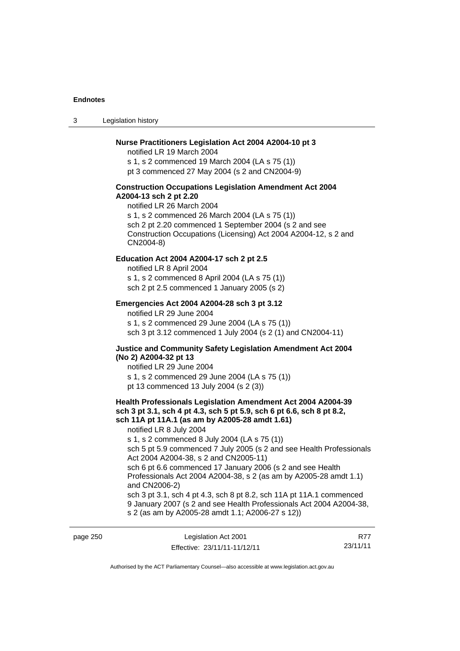3 Legislation history

### **Nurse Practitioners Legislation Act 2004 A2004-10 pt 3**

notified LR 19 March 2004 s 1, s 2 commenced 19 March 2004 (LA s 75 (1)) pt 3 commenced 27 May 2004 (s 2 and CN2004-9)

#### **Construction Occupations Legislation Amendment Act 2004 A2004-13 sch 2 pt 2.20**

notified LR 26 March 2004 s 1, s 2 commenced 26 March 2004 (LA s 75 (1)) sch 2 pt 2.20 commenced 1 September 2004 (s 2 and see Construction Occupations (Licensing) Act 2004 A2004-12, s 2 and CN2004-8)

### **Education Act 2004 A2004-17 sch 2 pt 2.5**

notified LR 8 April 2004 s 1, s 2 commenced 8 April 2004 (LA s 75 (1)) sch 2 pt 2.5 commenced 1 January 2005 (s 2)

### **Emergencies Act 2004 A2004-28 sch 3 pt 3.12**

notified LR 29 June 2004 s 1, s 2 commenced 29 June 2004 (LA s 75 (1)) sch 3 pt 3.12 commenced 1 July 2004 (s 2 (1) and CN2004-11)

### **Justice and Community Safety Legislation Amendment Act 2004 (No 2) A2004-32 pt 13**

notified LR 29 June 2004 s 1, s 2 commenced 29 June 2004 (LA s 75 (1)) pt 13 commenced 13 July 2004 (s 2 (3))

# **Health Professionals Legislation Amendment Act 2004 A2004-39 sch 3 pt 3.1, sch 4 pt 4.3, sch 5 pt 5.9, sch 6 pt 6.6, sch 8 pt 8.2, sch 11A pt 11A.1 (as am by A2005-28 amdt 1.61)**

notified LR 8 July 2004

s 1, s 2 commenced 8 July 2004 (LA s 75 (1))

sch 5 pt 5.9 commenced 7 July 2005 (s 2 and see Health Professionals Act 2004 A2004-38, s 2 and CN2005-11)

sch 6 pt 6.6 commenced 17 January 2006 (s 2 and see Health Professionals Act 2004 A2004-38, s 2 (as am by A2005-28 amdt 1.1) and CN2006-2)

sch 3 pt 3.1, sch 4 pt 4.3, sch 8 pt 8.2, sch 11A pt 11A.1 commenced 9 January 2007 (s 2 and see Health Professionals Act 2004 A2004-38, s 2 (as am by A2005-28 amdt 1.1; A2006-27 s 12))

| page 250 | Legislation Act 2001         | R77      |
|----------|------------------------------|----------|
|          | Effective: 23/11/11-11/12/11 | 23/11/11 |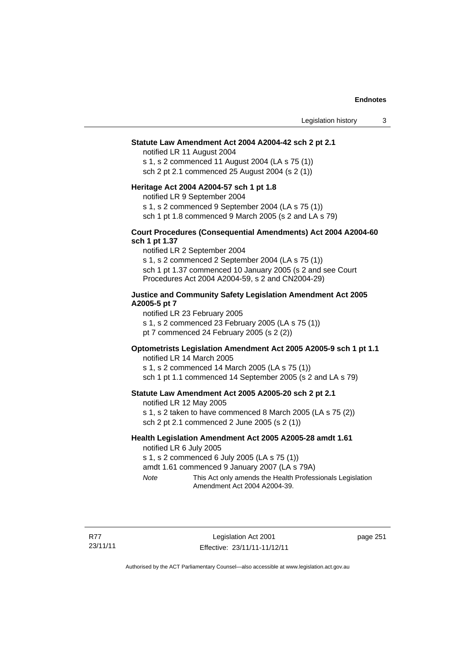### **Statute Law Amendment Act 2004 A2004-42 sch 2 pt 2.1**

notified LR 11 August 2004 s 1, s 2 commenced 11 August 2004 (LA s 75 (1)) sch 2 pt 2.1 commenced 25 August 2004 (s 2 (1))

#### **Heritage Act 2004 A2004-57 sch 1 pt 1.8**

notified LR 9 September 2004

s 1, s 2 commenced 9 September 2004 (LA s 75 (1))

sch 1 pt 1.8 commenced 9 March 2005 (s 2 and LA s 79)

### **Court Procedures (Consequential Amendments) Act 2004 A2004-60 sch 1 pt 1.37**

notified LR 2 September 2004 s 1, s 2 commenced 2 September 2004 (LA s 75 (1)) sch 1 pt 1.37 commenced 10 January 2005 (s 2 and see Court Procedures Act 2004 A2004-59, s 2 and CN2004-29)

### **Justice and Community Safety Legislation Amendment Act 2005 A2005-5 pt 7**

notified LR 23 February 2005 s 1, s 2 commenced 23 February 2005 (LA s 75 (1)) pt 7 commenced 24 February 2005 (s 2 (2))

### **Optometrists Legislation Amendment Act 2005 A2005-9 sch 1 pt 1.1**

notified LR 14 March 2005 s 1, s 2 commenced 14 March 2005 (LA s 75 (1)) sch 1 pt 1.1 commenced 14 September 2005 (s 2 and LA s 79)

### **Statute Law Amendment Act 2005 A2005-20 sch 2 pt 2.1**

notified LR 12 May 2005

s 1, s 2 taken to have commenced 8 March 2005 (LA s 75 (2)) sch 2 pt 2.1 commenced 2 June 2005 (s 2 (1))

# **Health Legislation Amendment Act 2005 A2005-28 amdt 1.61**

notified LR 6 July 2005

s 1, s 2 commenced 6 July 2005 (LA s 75 (1))

amdt 1.61 commenced 9 January 2007 (LA s 79A)

*Note* This Act only amends the Health Professionals Legislation Amendment Act 2004 A2004-39.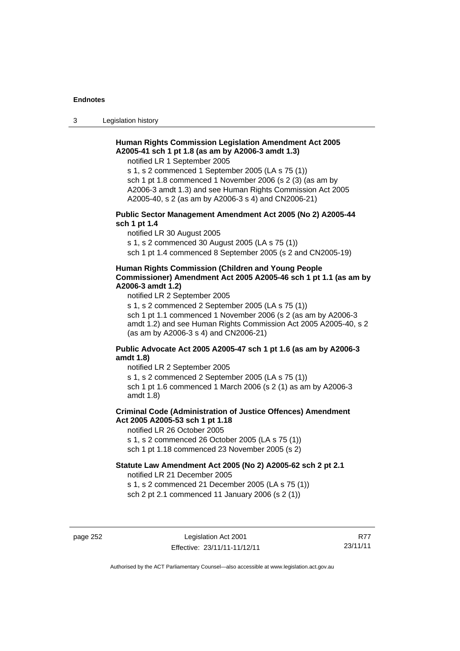3 Legislation history

# **Human Rights Commission Legislation Amendment Act 2005 A2005-41 sch 1 pt 1.8 (as am by A2006-3 amdt 1.3)**

notified LR 1 September 2005

s 1, s 2 commenced 1 September 2005 (LA s 75 (1)) sch 1 pt 1.8 commenced 1 November 2006 (s 2 (3) (as am by A2006-3 amdt 1.3) and see Human Rights Commission Act 2005 A2005-40, s 2 (as am by A2006-3 s 4) and CN2006-21)

### **Public Sector Management Amendment Act 2005 (No 2) A2005-44 sch 1 pt 1.4**

notified LR 30 August 2005

s 1, s 2 commenced 30 August 2005 (LA s 75 (1))

sch 1 pt 1.4 commenced 8 September 2005 (s 2 and CN2005-19)

#### **Human Rights Commission (Children and Young People Commissioner) Amendment Act 2005 A2005-46 sch 1 pt 1.1 (as am by A2006-3 amdt 1.2)**

notified LR 2 September 2005

s 1, s 2 commenced 2 September 2005 (LA s 75 (1)) sch 1 pt 1.1 commenced 1 November 2006 (s 2 (as am by A2006-3 amdt 1.2) and see Human Rights Commission Act 2005 A2005-40, s 2 (as am by A2006-3 s 4) and CN2006-21)

### **Public Advocate Act 2005 A2005-47 sch 1 pt 1.6 (as am by A2006-3 amdt 1.8)**

notified LR 2 September 2005

s 1, s 2 commenced 2 September 2005 (LA s 75 (1))

sch 1 pt 1.6 commenced 1 March 2006 (s 2 (1) as am by A2006-3 amdt 1.8)

# **Criminal Code (Administration of Justice Offences) Amendment Act 2005 A2005-53 sch 1 pt 1.18**

notified LR 26 October 2005

s 1, s 2 commenced 26 October 2005 (LA s 75 (1))

sch 1 pt 1.18 commenced 23 November 2005 (s 2)

# **Statute Law Amendment Act 2005 (No 2) A2005-62 sch 2 pt 2.1**

notified LR 21 December 2005

s 1, s 2 commenced 21 December 2005 (LA s 75 (1)) sch 2 pt 2.1 commenced 11 January 2006 (s 2 (1))

page 252 Legislation Act 2001 Effective: 23/11/11-11/12/11

R77 23/11/11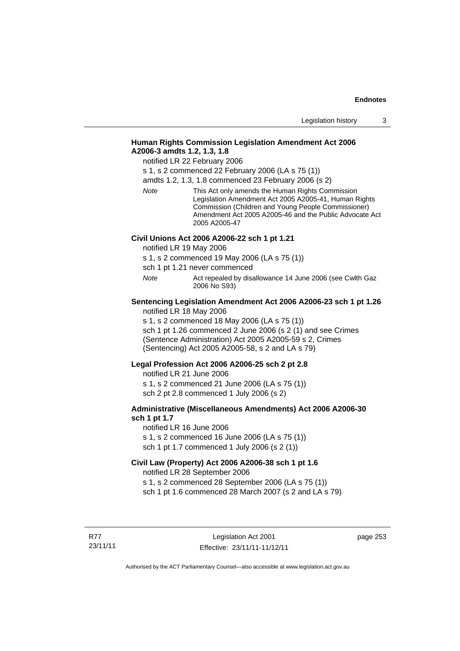# **Human Rights Commission Legislation Amendment Act 2006 A2006-3 amdts 1.2, 1.3, 1.8**

notified LR 22 February 2006

s 1, s 2 commenced 22 February 2006 (LA s 75 (1))

amdts 1.2, 1.3, 1.8 commenced 23 February 2006 (s 2)

*Note* This Act only amends the Human Rights Commission Legislation Amendment Act 2005 A2005-41, Human Rights Commission (Children and Young People Commissioner) Amendment Act 2005 A2005-46 and the Public Advocate Act 2005 A2005-47

#### **Civil Unions Act 2006 A2006-22 sch 1 pt 1.21**

notified LR 19 May 2006

s 1, s 2 commenced 19 May 2006 (LA s 75 (1))

sch 1 pt 1.21 never commenced

*Note* **Act repealed by disallowance 14 June 2006 (see Cwlth Gaz** 2006 No S93)

# **Sentencing Legislation Amendment Act 2006 A2006-23 sch 1 pt 1.26**

notified LR 18 May 2006

s 1, s 2 commenced 18 May 2006 (LA s 75 (1)) sch 1 pt 1.26 commenced 2 June 2006 (s 2 (1) and see Crimes (Sentence Administration) Act 2005 A2005-59 s 2, Crimes (Sentencing) Act 2005 A2005-58, s 2 and LA s 79)

#### **Legal Profession Act 2006 A2006-25 sch 2 pt 2.8**

notified LR 21 June 2006 s 1, s 2 commenced 21 June 2006 (LA s 75 (1)) sch 2 pt 2.8 commenced 1 July 2006 (s 2)

### **Administrative (Miscellaneous Amendments) Act 2006 A2006-30 sch 1 pt 1.7**

notified LR 16 June 2006 s 1, s 2 commenced 16 June 2006 (LA s 75 (1)) sch 1 pt 1.7 commenced 1 July 2006 (s 2 (1))

# **Civil Law (Property) Act 2006 A2006-38 sch 1 pt 1.6**

notified LR 28 September 2006

s 1, s 2 commenced 28 September 2006 (LA s 75 (1))

sch 1 pt 1.6 commenced 28 March 2007 (s 2 and LA s 79)

R77 23/11/11 page 253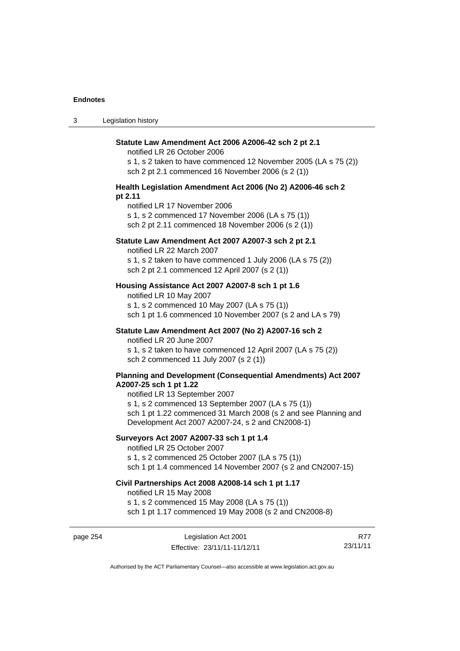| $\sim$<br>- 3 | Legislation history |
|---------------|---------------------|
|---------------|---------------------|

| Statute Law Amendment Act 2006 A2006-42 sch 2 pt 2.1<br>notified LR 26 October 2006                                                                                       |
|---------------------------------------------------------------------------------------------------------------------------------------------------------------------------|
| s 1, s 2 taken to have commenced 12 November 2005 (LA s 75 (2))<br>sch 2 pt 2.1 commenced 16 November 2006 (s 2 (1))                                                      |
| Health Legislation Amendment Act 2006 (No 2) A2006-46 sch 2<br>pt 2.11                                                                                                    |
| notified LR 17 November 2006<br>s 1, s 2 commenced 17 November 2006 (LA s 75 (1))<br>sch 2 pt 2.11 commenced 18 November 2006 (s 2 (1))                                   |
| Statute Law Amendment Act 2007 A2007-3 sch 2 pt 2.1<br>notified LR 22 March 2007                                                                                          |
| s 1, s 2 taken to have commenced 1 July 2006 (LA s 75 (2))<br>sch 2 pt 2.1 commenced 12 April 2007 (s 2 (1))                                                              |
| Housing Assistance Act 2007 A2007-8 sch 1 pt 1.6<br>notified LR 10 May 2007                                                                                               |
| s 1, s 2 commenced 10 May 2007 (LA s 75 (1))<br>sch 1 pt 1.6 commenced 10 November 2007 (s 2 and LA s 79)                                                                 |
| Statute Law Amendment Act 2007 (No 2) A2007-16 sch 2<br>notified LR 20 June 2007                                                                                          |
| s 1, s 2 taken to have commenced 12 April 2007 (LA s 75 (2))<br>sch 2 commenced 11 July 2007 (s 2 (1))                                                                    |
| Planning and Development (Consequential Amendments) Act 2007<br>A2007-25 sch 1 pt 1.22<br>notified LR 13 September 2007                                                   |
| s 1, s 2 commenced 13 September 2007 (LA s 75 (1))<br>sch 1 pt 1.22 commenced 31 March 2008 (s 2 and see Planning and<br>Development Act 2007 A2007-24, s 2 and CN2008-1) |
| Surveyors Act 2007 A2007-33 sch 1 pt 1.4<br>notified LR 25 October 2007                                                                                                   |
| s 1, s 2 commenced 25 October 2007 (LA s 75 (1))<br>sch 1 pt 1.4 commenced 14 November 2007 (s 2 and CN2007-15)                                                           |
| Civil Partnerships Act 2008 A2008-14 sch 1 pt 1.17<br>notified LR 15 May 2008                                                                                             |
| s 1, s 2 commenced 15 May 2008 (LA s 75 (1))<br>sch 1 pt 1.17 commenced 19 May 2008 (s 2 and CN2008-8)                                                                    |

page 254 Legislation Act 2001 Effective: 23/11/11-11/12/11

R77 23/11/11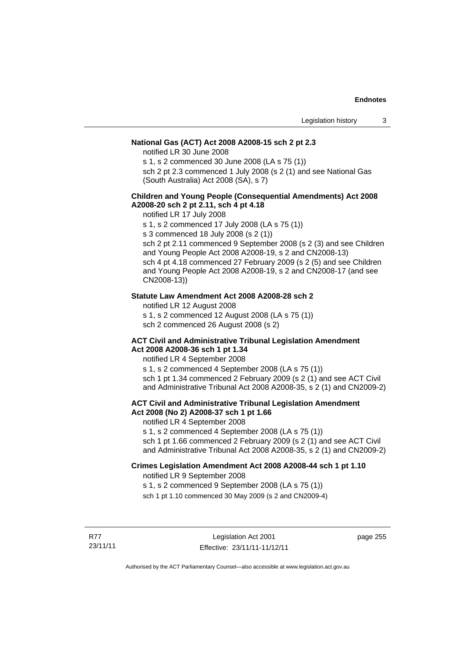### **National Gas (ACT) Act 2008 A2008-15 sch 2 pt 2.3**

notified LR 30 June 2008

s 1, s 2 commenced 30 June 2008 (LA s 75 (1))

sch 2 pt 2.3 commenced 1 July 2008 (s 2 (1) and see National Gas (South Australia) Act 2008 (SA), s 7)

### **Children and Young People (Consequential Amendments) Act 2008 A2008-20 sch 2 pt 2.11, sch 4 pt 4.18**

notified LR 17 July 2008

s 1, s 2 commenced 17 July 2008 (LA s 75 (1))

s 3 commenced 18 July 2008 (s 2 (1))

sch 2 pt 2.11 commenced 9 September 2008 (s 2 (3) and see Children and Young People Act 2008 A2008-19, s 2 and CN2008-13) sch 4 pt 4.18 commenced 27 February 2009 (s 2 (5) and see Children and Young People Act 2008 A2008-19, s 2 and CN2008-17 (and see CN2008-13))

### **Statute Law Amendment Act 2008 A2008-28 sch 2**

notified LR 12 August 2008

s 1, s 2 commenced 12 August 2008 (LA s 75 (1))

sch 2 commenced 26 August 2008 (s 2)

#### **ACT Civil and Administrative Tribunal Legislation Amendment Act 2008 A2008-36 sch 1 pt 1.34**

notified LR 4 September 2008

s 1, s 2 commenced 4 September 2008 (LA s 75 (1)) sch 1 pt 1.34 commenced 2 February 2009 (s 2 (1) and see ACT Civil and Administrative Tribunal Act 2008 A2008-35, s 2 (1) and CN2009-2)

### **ACT Civil and Administrative Tribunal Legislation Amendment Act 2008 (No 2) A2008-37 sch 1 pt 1.66**

notified LR 4 September 2008

s 1, s 2 commenced 4 September 2008 (LA s 75 (1))

sch 1 pt 1.66 commenced 2 February 2009 (s 2 (1) and see ACT Civil and Administrative Tribunal Act 2008 A2008-35, s 2 (1) and CN2009-2)

#### **Crimes Legislation Amendment Act 2008 A2008-44 sch 1 pt 1.10**  notified LR 9 September 2008

s 1, s 2 commenced 9 September 2008 (LA s 75 (1))

sch 1 pt 1.10 commenced 30 May 2009 (s 2 and CN2009-4)

R77 23/11/11 page 255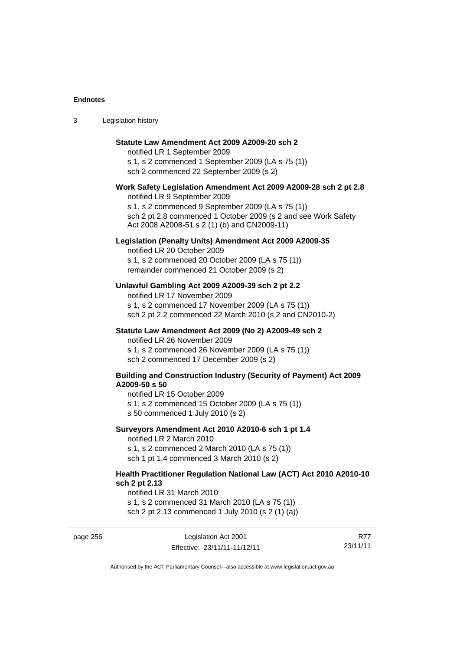3 Legislation history

| Statute Law Amendment Act 2009 A2009-20 sch 2<br>notified LR 1 September 2009<br>s 1, s 2 commenced 1 September 2009 (LA s 75 (1))<br>sch 2 commenced 22 September 2009 (s 2)                                                                                           |
|-------------------------------------------------------------------------------------------------------------------------------------------------------------------------------------------------------------------------------------------------------------------------|
| Work Safety Legislation Amendment Act 2009 A2009-28 sch 2 pt 2.8<br>notified LR 9 September 2009<br>s 1, s 2 commenced 9 September 2009 (LA s 75 (1))<br>sch 2 pt 2.8 commenced 1 October 2009 (s 2 and see Work Safety<br>Act 2008 A2008-51 s 2 (1) (b) and CN2009-11) |
| Legislation (Penalty Units) Amendment Act 2009 A2009-35<br>notified LR 20 October 2009<br>s 1, s 2 commenced 20 October 2009 (LA s 75 (1))<br>remainder commenced 21 October 2009 (s 2)                                                                                 |
| Unlawful Gambling Act 2009 A2009-39 sch 2 pt 2.2<br>notified LR 17 November 2009<br>s 1, s 2 commenced 17 November 2009 (LA s 75 (1))<br>sch 2 pt 2.2 commenced 22 March 2010 (s 2 and CN2010-2)                                                                        |
| Statute Law Amendment Act 2009 (No 2) A2009-49 sch 2<br>notified LR 26 November 2009<br>s 1, s 2 commenced 26 November 2009 (LA s 75 (1))<br>sch 2 commenced 17 December 2009 (s 2)                                                                                     |
| <b>Building and Construction Industry (Security of Payment) Act 2009</b><br>A2009-50 s 50<br>notified LR 15 October 2009<br>s 1, s 2 commenced 15 October 2009 (LA s 75 (1))<br>s 50 commenced 1 July 2010 (s 2)                                                        |
| Surveyors Amendment Act 2010 A2010-6 sch 1 pt 1.4<br>notified LR 2 March 2010<br>s 1, s 2 commenced 2 March 2010 (LA s 75 (1))<br>sch 1 pt 1.4 commenced 3 March 2010 (s 2)                                                                                             |
| Health Practitioner Regulation National Law (ACT) Act 2010 A2010-10<br>sch 2 pt 2.13<br>notified LR 31 March 2010                                                                                                                                                       |

s 1, s 2 commenced 31 March 2010 (LA s 75 (1)) sch 2 pt 2.13 commenced 1 July 2010 (s 2 (1) (a))

| eneo   | ıc |
|--------|----|
| $\sim$ | 'n |

page 256 Legislation Act 2001 Effective: 23/11/11-11/12/11

R77 23/11/11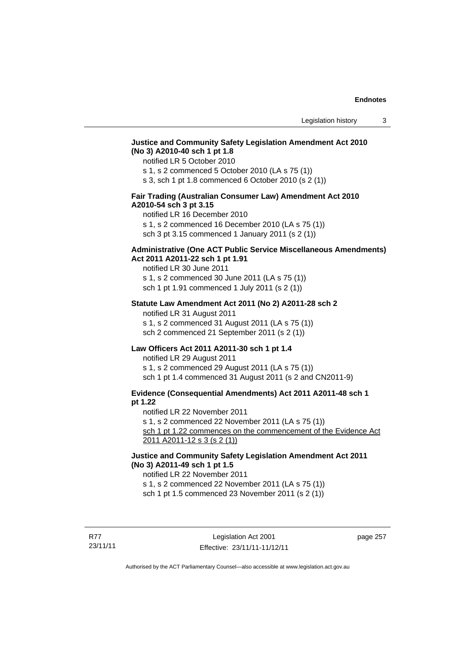## **Justice and Community Safety Legislation Amendment Act 2010 (No 3) A2010-40 sch 1 pt 1.8**

notified LR 5 October 2010

s 1, s 2 commenced 5 October 2010 (LA s 75 (1))

s 3, sch 1 pt 1.8 commenced 6 October 2010 (s 2 (1))

### **Fair Trading (Australian Consumer Law) Amendment Act 2010 A2010-54 sch 3 pt 3.15**

notified LR 16 December 2010

s 1, s 2 commenced 16 December 2010 (LA s 75 (1))

sch 3 pt 3.15 commenced 1 January 2011 (s 2 (1))

### **Administrative (One ACT Public Service Miscellaneous Amendments) Act 2011 A2011-22 sch 1 pt 1.91**

notified LR 30 June 2011 s 1, s 2 commenced 30 June 2011 (LA s 75 (1)) sch 1 pt 1.91 commenced 1 July 2011 (s 2 (1))

#### **Statute Law Amendment Act 2011 (No 2) A2011-28 sch 2**

notified LR 31 August 2011 s 1, s 2 commenced 31 August 2011 (LA s 75 (1)) sch 2 commenced 21 September 2011 (s 2 (1))

# **Law Officers Act 2011 A2011-30 sch 1 pt 1.4**

notified LR 29 August 2011 s 1, s 2 commenced 29 August 2011 (LA s 75 (1)) sch 1 pt 1.4 commenced 31 August 2011 (s 2 and CN2011-9)

# **Evidence (Consequential Amendments) Act 2011 A2011-48 sch 1 pt 1.22**

notified LR 22 November 2011

s 1, s 2 commenced 22 November 2011 (LA s 75 (1))

sch 1 pt 1.22 commences on the commencement of the Evidence Act 2011 A2011-12 s 3 (s 2 (1))

# **Justice and Community Safety Legislation Amendment Act 2011 (No 3) A2011-49 sch 1 pt 1.5**

notified LR 22 November 2011

s 1, s 2 commenced 22 November 2011 (LA s 75 (1))

sch 1 pt 1.5 commenced 23 November 2011 (s 2 (1))

R77 23/11/11 page 257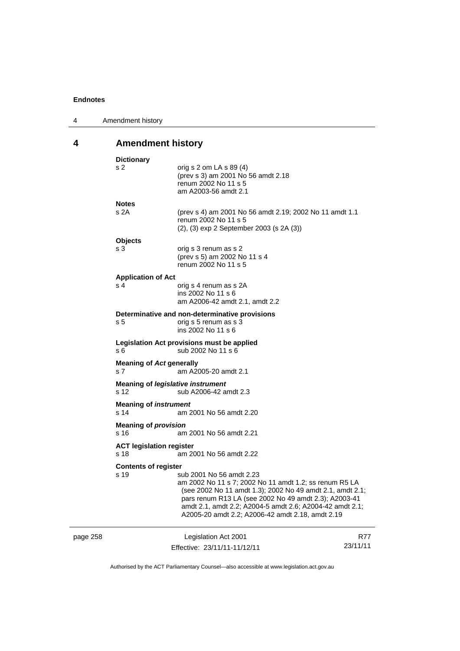page 258

| 4 | Amendment history |
|---|-------------------|
|---|-------------------|

# **4 Amendment history**

|                                                                 | <b>Dictionary</b>                                                  |                                                                                                                                                                                                                                                                                                                          |          |
|-----------------------------------------------------------------|--------------------------------------------------------------------|--------------------------------------------------------------------------------------------------------------------------------------------------------------------------------------------------------------------------------------------------------------------------------------------------------------------------|----------|
|                                                                 | s 2                                                                | orig s $2$ om LA s $89(4)$<br>(prev s 3) am 2001 No 56 amdt 2.18<br>renum 2002 No 11 s 5<br>am A2003-56 amdt 2.1                                                                                                                                                                                                         |          |
|                                                                 | <b>Notes</b>                                                       |                                                                                                                                                                                                                                                                                                                          |          |
|                                                                 | s 2A                                                               | (prev s 4) am 2001 No 56 amdt 2.19; 2002 No 11 amdt 1.1<br>renum 2002 No 11 s 5<br>(2), (3) exp 2 September 2003 (s 2A (3))                                                                                                                                                                                              |          |
|                                                                 | <b>Objects</b>                                                     |                                                                                                                                                                                                                                                                                                                          |          |
|                                                                 | s 3                                                                | orig s 3 renum as s 2<br>(prev s 5) am 2002 No 11 s 4<br>renum 2002 No 11 s 5                                                                                                                                                                                                                                            |          |
|                                                                 | <b>Application of Act</b>                                          |                                                                                                                                                                                                                                                                                                                          |          |
|                                                                 | s <sub>4</sub>                                                     | orig s 4 renum as s 2A<br>ins 2002 No 11 s 6<br>am A2006-42 amdt 2.1, amdt 2.2                                                                                                                                                                                                                                           |          |
|                                                                 |                                                                    | Determinative and non-determinative provisions                                                                                                                                                                                                                                                                           |          |
|                                                                 | s <sub>5</sub>                                                     | orig s 5 renum as s 3<br>ins 2002 No 11 s 6                                                                                                                                                                                                                                                                              |          |
|                                                                 | s 6                                                                | Legislation Act provisions must be applied<br>sub 2002 No 11 s 6                                                                                                                                                                                                                                                         |          |
|                                                                 | <b>Meaning of Act generally</b><br>s <sub>7</sub>                  | am A2005-20 amdt 2.1                                                                                                                                                                                                                                                                                                     |          |
|                                                                 | Meaning of <i>legislative instrument</i><br>s 12                   | sub A2006-42 amdt 2.3                                                                                                                                                                                                                                                                                                    |          |
| <b>Meaning of instrument</b><br>s 14<br>am 2001 No 56 amdt 2.20 |                                                                    |                                                                                                                                                                                                                                                                                                                          |          |
|                                                                 | <b>Meaning of provision</b><br>s 16                                | am 2001 No 56 amdt 2.21                                                                                                                                                                                                                                                                                                  |          |
|                                                                 | <b>ACT legislation register</b><br>s 18<br>am 2001 No 56 amdt 2.22 |                                                                                                                                                                                                                                                                                                                          |          |
|                                                                 | <b>Contents of register</b>                                        |                                                                                                                                                                                                                                                                                                                          |          |
|                                                                 | s 19                                                               | sub 2001 No 56 amdt 2.23<br>am 2002 No 11 s 7; 2002 No 11 amdt 1.2; ss renum R5 LA<br>(see 2002 No 11 amdt 1.3); 2002 No 49 amdt 2.1, amdt 2.1;<br>pars renum R13 LA (see 2002 No 49 amdt 2.3); A2003-41<br>amdt 2.1, amdt 2.2; A2004-5 amdt 2.6; A2004-42 amdt 2.1;<br>A2005-20 amdt 2.2; A2006-42 amdt 2.18, amdt 2.19 |          |
|                                                                 |                                                                    | Legislation Act 2001                                                                                                                                                                                                                                                                                                     | R77      |
|                                                                 |                                                                    | Effective: 23/11/11-11/12/11                                                                                                                                                                                                                                                                                             | 23/11/11 |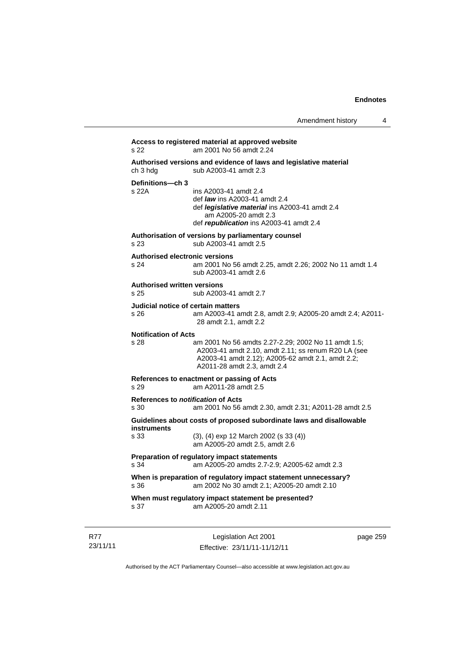|                                                   |                                                                                                                                                                                                | Amendment history | 4 |
|---------------------------------------------------|------------------------------------------------------------------------------------------------------------------------------------------------------------------------------------------------|-------------------|---|
| s 22                                              | Access to registered material at approved website<br>am 2001 No 56 amdt 2.24                                                                                                                   |                   |   |
| ch 3 hdg                                          | Authorised versions and evidence of laws and legislative material<br>sub A2003-41 amdt 2.3                                                                                                     |                   |   |
| Definitions-ch 3<br>$s$ 22 $A$                    | ins A2003-41 amdt 2.4<br>def <i>law</i> ins A2003-41 amdt 2.4<br>def legislative material ins A2003-41 amdt 2.4<br>am A2005-20 amdt 2.3<br>def republication ins A2003-41 amdt 2.4             |                   |   |
| s 23                                              | Authorisation of versions by parliamentary counsel<br>sub A2003-41 amdt 2.5                                                                                                                    |                   |   |
| <b>Authorised electronic versions</b><br>s 24     | am 2001 No 56 amdt 2.25, amdt 2.26; 2002 No 11 amdt 1.4<br>sub A2003-41 amdt 2.6                                                                                                               |                   |   |
| <b>Authorised written versions</b><br>s 25        | sub A2003-41 amdt 2.7                                                                                                                                                                          |                   |   |
| Judicial notice of certain matters<br>s 26        | am A2003-41 amdt 2.8, amdt 2.9; A2005-20 amdt 2.4; A2011-<br>28 amdt 2.1, amdt 2.2                                                                                                             |                   |   |
| <b>Notification of Acts</b><br>s 28               | am 2001 No 56 amdts 2.27-2.29; 2002 No 11 amdt 1.5;<br>A2003-41 amdt 2.10, amdt 2.11; ss renum R20 LA (see<br>A2003-41 amdt 2.12); A2005-62 amdt 2.1, amdt 2.2;<br>A2011-28 amdt 2.3, amdt 2.4 |                   |   |
| s 29                                              | References to enactment or passing of Acts<br>am A2011-28 amdt 2.5                                                                                                                             |                   |   |
| References to <i>notification</i> of Acts<br>s 30 | am 2001 No 56 amdt 2.30, amdt 2.31; A2011-28 amdt 2.5                                                                                                                                          |                   |   |
| instruments                                       | Guidelines about costs of proposed subordinate laws and disallowable                                                                                                                           |                   |   |
| s 33                                              | $(3)$ , $(4)$ exp 12 March 2002 (s 33 $(4)$ )<br>am A2005-20 amdt 2.5, amdt 2.6                                                                                                                |                   |   |
| s 34                                              | Preparation of regulatory impact statements<br>am A2005-20 amdts 2.7-2.9; A2005-62 amdt 2.3                                                                                                    |                   |   |
| s 36                                              | When is preparation of regulatory impact statement unnecessary?<br>am 2002 No 30 amdt 2.1; A2005-20 amdt 2.10                                                                                  |                   |   |
| s 37                                              | When must regulatory impact statement be presented?<br>am A2005-20 amdt 2.11                                                                                                                   |                   |   |

R77 23/11/11

Legislation Act 2001 Effective: 23/11/11-11/12/11 page 259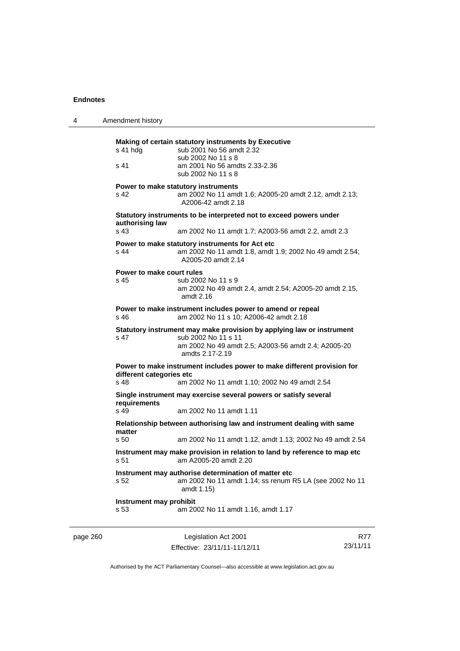| 4        | Amendment history                 |                                                                                                                                                                        |     |
|----------|-----------------------------------|------------------------------------------------------------------------------------------------------------------------------------------------------------------------|-----|
|          | s 41 hdg<br>s 41                  | Making of certain statutory instruments by Executive<br>sub 2001 No 56 amdt 2.32<br>sub 2002 No 11 s 8<br>am 2001 No 56 amdts 2.33-2.36<br>sub 2002 No 11 s 8          |     |
|          | s 42                              | Power to make statutory instruments<br>am 2002 No 11 amdt 1.6; A2005-20 amdt 2.12, amdt 2.13;<br>A2006-42 amdt 2.18                                                    |     |
|          | authorising law<br>s 43           | Statutory instruments to be interpreted not to exceed powers under<br>am 2002 No 11 amdt 1.7; A2003-56 amdt 2.2, amdt 2.3                                              |     |
|          | s 44                              | Power to make statutory instruments for Act etc<br>am 2002 No 11 amdt 1.8, amdt 1.9; 2002 No 49 amdt 2.54;<br>A2005-20 amdt 2.14                                       |     |
|          | Power to make court rules<br>s 45 | sub 2002 No 11 s 9<br>am 2002 No 49 amdt 2.4, amdt 2.54; A2005-20 amdt 2.15,<br>amdt $2.16$                                                                            |     |
|          | s 46                              | Power to make instrument includes power to amend or repeal<br>am 2002 No 11 s 10; A2006-42 amdt 2.18                                                                   |     |
|          | s 47                              | Statutory instrument may make provision by applying law or instrument<br>sub 2002 No 11 s 11<br>am 2002 No 49 amdt 2.5; A2003-56 amdt 2.4; A2005-20<br>amdts 2.17-2.19 |     |
|          | different categories etc<br>s 48  | Power to make instrument includes power to make different provision for<br>am 2002 No 11 amdt 1.10; 2002 No 49 amdt 2.54                                               |     |
|          | requirements<br>s 49              | Single instrument may exercise several powers or satisfy several<br>am 2002 No 11 amdt 1.11                                                                            |     |
|          | matter<br>s 50                    | Relationship between authorising law and instrument dealing with same<br>am 2002 No 11 amdt 1.12, amdt 1.13; 2002 No 49 amdt 2.54                                      |     |
|          | s 51                              | Instrument may make provision in relation to land by reference to map etc<br>am A2005-20 amdt 2.20                                                                     |     |
|          | s 52                              | Instrument may authorise determination of matter etc<br>am 2002 No 11 amdt 1.14; ss renum R5 LA (see 2002 No 11<br>amdt 1.15)                                          |     |
|          | Instrument may prohibit<br>s 53   | am 2002 No 11 amdt 1.16, amdt 1.17                                                                                                                                     |     |
| page 260 |                                   | Legislation Act 2001                                                                                                                                                   | R77 |

Authorised by the ACT Parliamentary Counsel—also accessible at www.legislation.act.gov.au

23/11/11

Effective: 23/11/11-11/12/11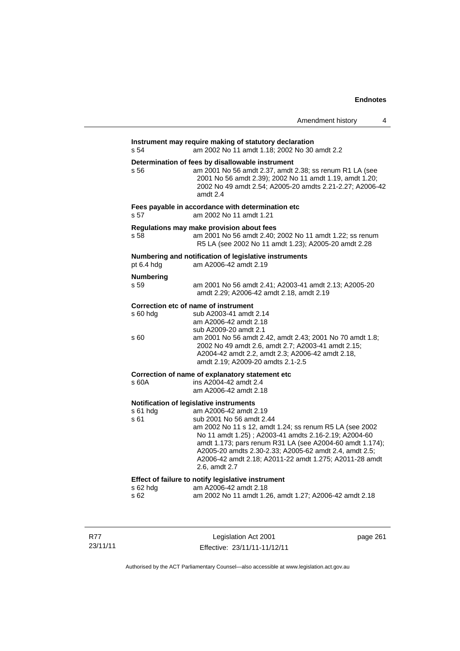|                          | Amendment history                                                                                                                                                                                                                                                                                                                                                                                                | 4 |
|--------------------------|------------------------------------------------------------------------------------------------------------------------------------------------------------------------------------------------------------------------------------------------------------------------------------------------------------------------------------------------------------------------------------------------------------------|---|
| s 54                     | Instrument may require making of statutory declaration<br>am 2002 No 11 amdt 1.18; 2002 No 30 amdt 2.2                                                                                                                                                                                                                                                                                                           |   |
| s 56                     | Determination of fees by disallowable instrument<br>am 2001 No 56 amdt 2.37, amdt 2.38; ss renum R1 LA (see<br>2001 No 56 amdt 2.39); 2002 No 11 amdt 1.19, amdt 1.20;<br>2002 No 49 amdt 2.54; A2005-20 amdts 2.21-2.27; A2006-42<br>amdt 2.4                                                                                                                                                                   |   |
| s <sub>57</sub>          | Fees payable in accordance with determination etc<br>am 2002 No 11 amdt 1.21                                                                                                                                                                                                                                                                                                                                     |   |
| s 58                     | Regulations may make provision about fees<br>am 2001 No 56 amdt 2.40; 2002 No 11 amdt 1.22; ss renum<br>R5 LA (see 2002 No 11 amdt 1.23); A2005-20 amdt 2.28                                                                                                                                                                                                                                                     |   |
| pt 6.4 hdg               | Numbering and notification of legislative instruments<br>am A2006-42 amdt 2.19                                                                                                                                                                                                                                                                                                                                   |   |
| <b>Numbering</b><br>s 59 | am 2001 No 56 amdt 2.41; A2003-41 amdt 2.13; A2005-20<br>amdt 2.29; A2006-42 amdt 2.18, amdt 2.19                                                                                                                                                                                                                                                                                                                |   |
| s 60 hdg<br>s 60         | Correction etc of name of instrument<br>sub A2003-41 amdt 2.14<br>am A2006-42 amdt 2.18<br>sub A2009-20 amdt 2.1<br>am 2001 No 56 amdt 2.42, amdt 2.43; 2001 No 70 amdt 1.8;<br>2002 No 49 amdt 2.6, amdt 2.7; A2003-41 amdt 2.15;<br>A2004-42 amdt 2.2, amdt 2.3; A2006-42 amdt 2.18,<br>amdt 2.19; A2009-20 amdts 2.1-2.5                                                                                      |   |
| s 60A                    | Correction of name of explanatory statement etc<br>ins A2004-42 amdt 2.4<br>am A2006-42 amdt 2.18                                                                                                                                                                                                                                                                                                                |   |
| $s61$ hdg<br>s 61        | Notification of legislative instruments<br>am A2006-42 amdt 2.19<br>sub 2001 No 56 amdt 2.44<br>am 2002 No 11 s 12, amdt 1.24; ss renum R5 LA (see 2002<br>No 11 amdt 1.25); A2003-41 amdts 2.16-2.19; A2004-60<br>amdt 1.173; pars renum R31 LA (see A2004-60 amdt 1.174);<br>A2005-20 amdts 2.30-2.33; A2005-62 amdt 2.4, amdt 2.5;<br>A2006-42 amdt 2.18; A2011-22 amdt 1.275; A2011-28 amdt<br>2.6, amdt 2.7 |   |
| s 62 hdg<br>s 62         | Effect of failure to notify legislative instrument<br>am A2006-42 amdt 2.18<br>am 2002 No 11 amdt 1.26, amdt 1.27; A2006-42 amdt 2.18                                                                                                                                                                                                                                                                            |   |

R77 23/11/11

Legislation Act 2001 Effective: 23/11/11-11/12/11 page 261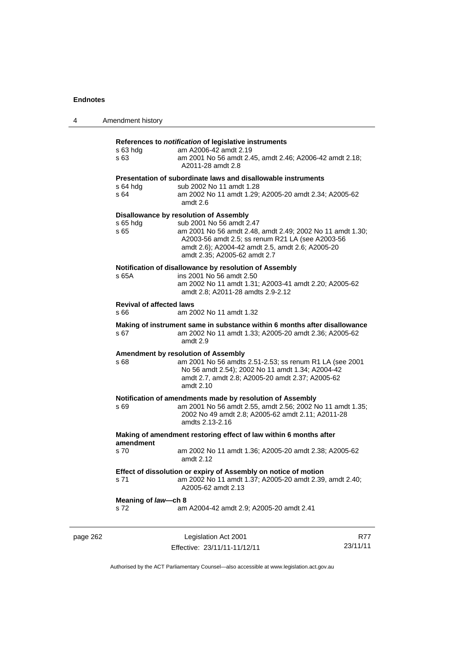| 4        | Amendment history                       |                                                                                                                                                                                                                                                                                |                 |
|----------|-----------------------------------------|--------------------------------------------------------------------------------------------------------------------------------------------------------------------------------------------------------------------------------------------------------------------------------|-----------------|
|          | $s$ 63 hdg<br>s 63                      | References to notification of legislative instruments<br>am A2006-42 amdt 2.19<br>am 2001 No 56 amdt 2.45, amdt 2.46; A2006-42 amdt 2.18;<br>A2011-28 amdt 2.8                                                                                                                 |                 |
|          | s 64 hdg<br>s 64                        | Presentation of subordinate laws and disallowable instruments<br>sub 2002 No 11 amdt 1.28<br>am 2002 No 11 amdt 1.29; A2005-20 amdt 2.34; A2005-62<br>amdt 2.6                                                                                                                 |                 |
|          | s 65 hda<br>s 65                        | <b>Disallowance by resolution of Assembly</b><br>sub 2001 No 56 amdt 2.47<br>am 2001 No 56 amdt 2.48, amdt 2.49; 2002 No 11 amdt 1.30;<br>A2003-56 amdt 2.5; ss renum R21 LA (see A2003-56<br>amdt 2.6); A2004-42 amdt 2.5, amdt 2.6; A2005-20<br>amdt 2.35; A2005-62 amdt 2.7 |                 |
|          | s 65A                                   | Notification of disallowance by resolution of Assembly<br>ins 2001 No 56 amdt 2.50<br>am 2002 No 11 amdt 1.31; A2003-41 amdt 2.20; A2005-62<br>amdt 2.8; A2011-28 amdts 2.9-2.12                                                                                               |                 |
|          | <b>Revival of affected laws</b><br>s 66 | am 2002 No 11 amdt 1.32                                                                                                                                                                                                                                                        |                 |
|          | s 67                                    | Making of instrument same in substance within 6 months after disallowance<br>am 2002 No 11 amdt 1.33; A2005-20 amdt 2.36; A2005-62<br>amdt 2.9                                                                                                                                 |                 |
|          | s 68                                    | Amendment by resolution of Assembly<br>am 2001 No 56 amdts 2.51-2.53; ss renum R1 LA (see 2001<br>No 56 amdt 2.54); 2002 No 11 amdt 1.34; A2004-42<br>amdt 2.7, amdt 2.8; A2005-20 amdt 2.37; A2005-62<br>amdt 2.10                                                            |                 |
|          | s 69                                    | Notification of amendments made by resolution of Assembly<br>am 2001 No 56 amdt 2.55, amdt 2.56; 2002 No 11 amdt 1.35;<br>2002 No 49 amdt 2.8; A2005-62 amdt 2.11; A2011-28<br>amdts 2.13-2.16                                                                                 |                 |
|          |                                         | Making of amendment restoring effect of law within 6 months after                                                                                                                                                                                                              |                 |
|          | amendment<br>s 70                       | am 2002 No 11 amdt 1.36; A2005-20 amdt 2.38; A2005-62<br>amdt 2.12                                                                                                                                                                                                             |                 |
|          | s 71                                    | Effect of dissolution or expiry of Assembly on notice of motion<br>am 2002 No 11 amdt 1.37; A2005-20 amdt 2.39, amdt 2.40;<br>A2005-62 amdt 2.13                                                                                                                               |                 |
|          | Meaning of law-ch 8<br>s 72             | am A2004-42 amdt 2.9; A2005-20 amdt 2.41                                                                                                                                                                                                                                       |                 |
| page 262 |                                         | Legislation Act 2001<br>Effective: 23/11/11-11/12/11                                                                                                                                                                                                                           | R77<br>23/11/11 |

Authorised by the ACT Parliamentary Counsel—also accessible at www.legislation.act.gov.au

Effective: 23/11/11-11/12/11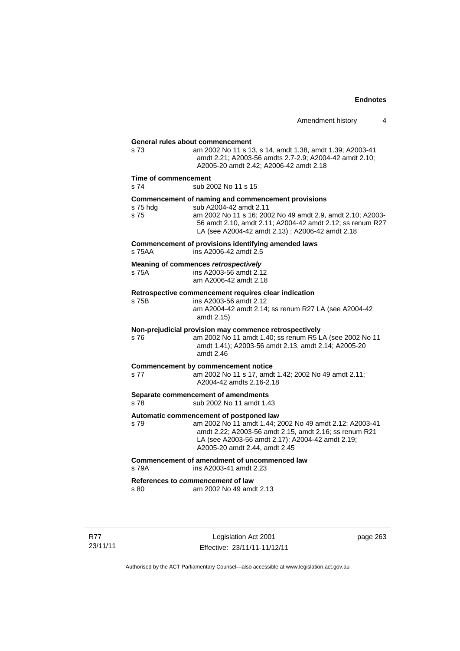| s 73                         | General rules about commencement<br>am 2002 No 11 s 13, s 14, amdt 1.38, amdt 1.39; A2003-41<br>amdt 2.21; A2003-56 amdts 2.7-2.9; A2004-42 amdt 2.10;<br>A2005-20 amdt 2.42; A2006-42 amdt 2.18                                                           |
|------------------------------|------------------------------------------------------------------------------------------------------------------------------------------------------------------------------------------------------------------------------------------------------------|
| Time of commencement<br>s 74 | sub 2002 No 11 s 15                                                                                                                                                                                                                                        |
| s 75 hda<br>s 75             | Commencement of naming and commencement provisions<br>sub A2004-42 amdt 2.11<br>am 2002 No 11 s 16; 2002 No 49 amdt 2.9, amdt 2.10; A2003-<br>56 amdt 2.10, amdt 2.11; A2004-42 amdt 2.12; ss renum R27<br>LA (see A2004-42 amdt 2.13); A2006-42 amdt 2.18 |
| s 75AA                       | Commencement of provisions identifying amended laws<br>ins A2006-42 amdt 2.5                                                                                                                                                                               |
| s 75A                        | Meaning of commences retrospectively<br>ins A2003-56 amdt 2.12<br>am A2006-42 amdt 2.18                                                                                                                                                                    |
| s 75B                        | Retrospective commencement requires clear indication<br>ins A2003-56 amdt 2.12<br>am A2004-42 amdt 2.14; ss renum R27 LA (see A2004-42<br>amdt 2.15)                                                                                                       |
| s 76                         | Non-prejudicial provision may commence retrospectively<br>am 2002 No 11 amdt 1.40; ss renum R5 LA (see 2002 No 11<br>amdt 1.41); A2003-56 amdt 2.13, amdt 2.14; A2005-20<br>amdt 2.46                                                                      |
| s 77                         | <b>Commencement by commencement notice</b><br>am 2002 No 11 s 17, amdt 1.42; 2002 No 49 amdt 2.11;<br>A2004-42 amdts 2.16-2.18                                                                                                                             |
| s 78                         | Separate commencement of amendments<br>sub 2002 No 11 amdt 1.43                                                                                                                                                                                            |
| s 79                         | Automatic commencement of postponed law<br>am 2002 No 11 amdt 1.44; 2002 No 49 amdt 2.12; A2003-41<br>amdt 2.22; A2003-56 amdt 2.15, amdt 2.16; ss renum R21<br>LA (see A2003-56 amdt 2.17); A2004-42 amdt 2.19;<br>A2005-20 amdt 2.44, amdt 2.45          |
| s 79A                        | Commencement of amendment of uncommenced law<br>ins A2003-41 amdt 2.23                                                                                                                                                                                     |
| s 80                         | References to commencement of law<br>am 2002 No 49 amdt 2.13                                                                                                                                                                                               |
|                              |                                                                                                                                                                                                                                                            |

R77 23/11/11

Legislation Act 2001 Effective: 23/11/11-11/12/11 page 263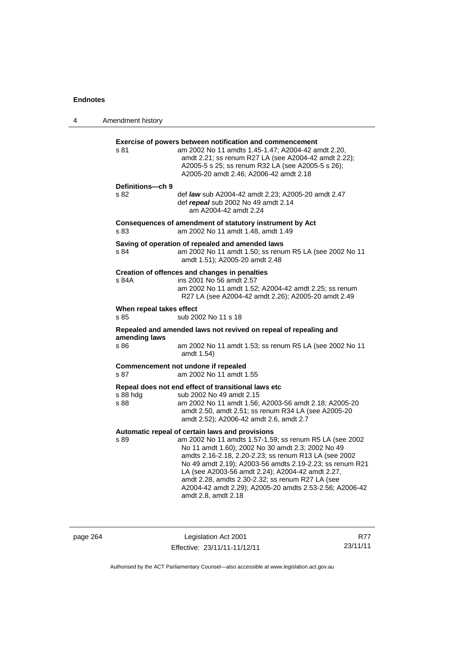| 4 | Amendment history                |                                                                                                                                                                                                                                                                                                                                                                                                                                                                                |
|---|----------------------------------|--------------------------------------------------------------------------------------------------------------------------------------------------------------------------------------------------------------------------------------------------------------------------------------------------------------------------------------------------------------------------------------------------------------------------------------------------------------------------------|
|   | s 81                             | Exercise of powers between notification and commencement<br>am 2002 No 11 amdts 1.45-1.47; A2004-42 amdt 2.20,<br>amdt 2.21; ss renum R27 LA (see A2004-42 amdt 2.22);<br>A2005-5 s 25; ss renum R32 LA (see A2005-5 s 26);<br>A2005-20 amdt 2.46; A2006-42 amdt 2.18                                                                                                                                                                                                          |
|   | Definitions-ch 9<br>s 82         | def law sub A2004-42 amdt 2.23; A2005-20 amdt 2.47<br>def repeal sub 2002 No 49 amdt 2.14<br>am A2004-42 amdt 2.24                                                                                                                                                                                                                                                                                                                                                             |
|   | s 83                             | Consequences of amendment of statutory instrument by Act<br>am 2002 No 11 amdt 1.48, amdt 1.49                                                                                                                                                                                                                                                                                                                                                                                 |
|   | s 84                             | Saving of operation of repealed and amended laws<br>am 2002 No 11 amdt 1.50; ss renum R5 LA (see 2002 No 11<br>amdt 1.51); A2005-20 amdt 2.48                                                                                                                                                                                                                                                                                                                                  |
|   | s 84A                            | Creation of offences and changes in penalties<br>ins 2001 No 56 amdt 2.57<br>am 2002 No 11 amdt 1.52; A2004-42 amdt 2.25; ss renum<br>R27 LA (see A2004-42 amdt 2.26); A2005-20 amdt 2.49                                                                                                                                                                                                                                                                                      |
|   | When repeal takes effect<br>s 85 | sub 2002 No 11 s 18                                                                                                                                                                                                                                                                                                                                                                                                                                                            |
|   | amending laws<br>s 86            | Repealed and amended laws not revived on repeal of repealing and<br>am 2002 No 11 amdt 1.53; ss renum R5 LA (see 2002 No 11<br>amdt 1.54)                                                                                                                                                                                                                                                                                                                                      |
|   | s 87                             | Commencement not undone if repealed<br>am 2002 No 11 amdt 1.55                                                                                                                                                                                                                                                                                                                                                                                                                 |
|   | s 88 hdg<br>s 88                 | Repeal does not end effect of transitional laws etc<br>sub 2002 No 49 amdt 2.15<br>am 2002 No 11 amdt 1.56; A2003-56 amdt 2.18; A2005-20<br>amdt 2.50, amdt 2.51; ss renum R34 LA (see A2005-20<br>amdt 2.52); A2006-42 amdt 2.6, amdt 2.7                                                                                                                                                                                                                                     |
|   | s 89                             | Automatic repeal of certain laws and provisions<br>am 2002 No 11 amdts 1.57-1.59; ss renum R5 LA (see 2002<br>No 11 amdt 1.60); 2002 No 30 amdt 2.3; 2002 No 49<br>amdts 2.16-2.18, 2.20-2.23; ss renum R13 LA (see 2002<br>No 49 amdt 2.19); A2003-56 amdts 2.19-2.23; ss renum R21<br>LA (see A2003-56 amdt 2.24); A2004-42 amdt 2.27,<br>amdt 2.28, amdts 2.30-2.32; ss renum R27 LA (see<br>A2004-42 amdt 2.29); A2005-20 amdts 2.53-2.56; A2006-42<br>amdt 2.8, amdt 2.18 |

| page 264 |  |
|----------|--|
|----------|--|

page 264 Legislation Act 2001 Effective: 23/11/11-11/12/11

R77 23/11/11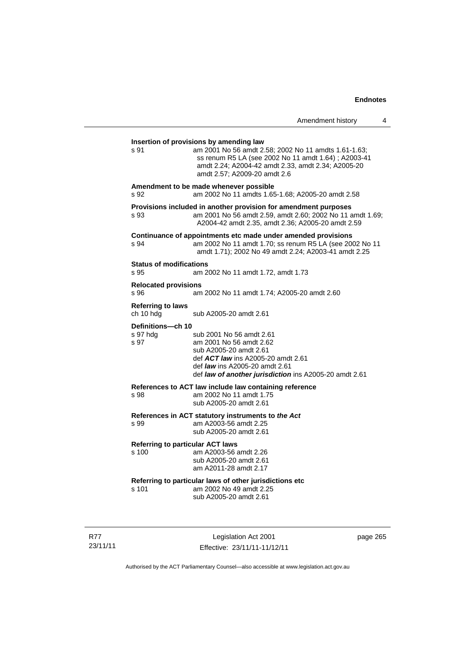| Amendment history |  |  |
|-------------------|--|--|
|-------------------|--|--|

| s 91                                             | am 2001 No 56 amdt 2.58; 2002 No 11 amdts 1.61-1.63;<br>ss renum R5 LA (see 2002 No 11 amdt 1.64); A2003-41<br>amdt 2.24; A2004-42 amdt 2.33, amdt 2.34; A2005-20<br>amdt 2.57; A2009-20 amdt 2.6                      |          |
|--------------------------------------------------|------------------------------------------------------------------------------------------------------------------------------------------------------------------------------------------------------------------------|----------|
| s 92                                             | Amendment to be made whenever possible<br>am 2002 No 11 amdts 1.65-1.68; A2005-20 amdt 2.58                                                                                                                            |          |
| s 93                                             | Provisions included in another provision for amendment purposes<br>am 2001 No 56 amdt 2.59, amdt 2.60; 2002 No 11 amdt 1.69;<br>A2004-42 amdt 2.35, amdt 2.36; A2005-20 amdt 2.59                                      |          |
| s 94                                             | Continuance of appointments etc made under amended provisions<br>am 2002 No 11 amdt 1.70; ss renum R5 LA (see 2002 No 11<br>amdt 1.71); 2002 No 49 amdt 2.24; A2003-41 amdt 2.25                                       |          |
| <b>Status of modifications</b><br>s 95           | am 2002 No 11 amdt 1.72, amdt 1.73                                                                                                                                                                                     |          |
| <b>Relocated provisions</b><br>s 96              | am 2002 No 11 amdt 1.74; A2005-20 amdt 2.60                                                                                                                                                                            |          |
| <b>Referring to laws</b><br>ch 10 hdg            | sub A2005-20 amdt 2.61                                                                                                                                                                                                 |          |
| Definitions-ch 10<br>s 97 hdg<br>s 97            | sub 2001 No 56 amdt 2.61<br>am 2001 No 56 amdt 2.62<br>sub A2005-20 amdt 2.61<br>def ACT law ins A2005-20 amdt 2.61<br>def <i>law</i> ins A2005-20 amdt 2.61<br>def law of another jurisdiction ins A2005-20 amdt 2.61 |          |
| s 98                                             | References to ACT law include law containing reference<br>am 2002 No 11 amdt 1.75<br>sub A2005-20 amdt 2.61                                                                                                            |          |
| s 99                                             | References in ACT statutory instruments to the Act<br>am A2003-56 amdt 2.25<br>sub A2005-20 amdt 2.61                                                                                                                  |          |
| <b>Referring to particular ACT laws</b><br>s 100 | am A2003-56 amdt 2.26<br>sub A2005-20 amdt 2.61<br>am A2011-28 amdt 2.17                                                                                                                                               |          |
| s 101                                            | Referring to particular laws of other jurisdictions etc<br>am 2002 No 49 amdt 2.25<br>sub A2005-20 amdt 2.61                                                                                                           |          |
|                                                  | Legislation Act 2001                                                                                                                                                                                                   | page 265 |

Authorised by the ACT Parliamentary Counsel—also accessible at www.legislation.act.gov.au

Effective: 23/11/11-11/12/11

R77 23/11/11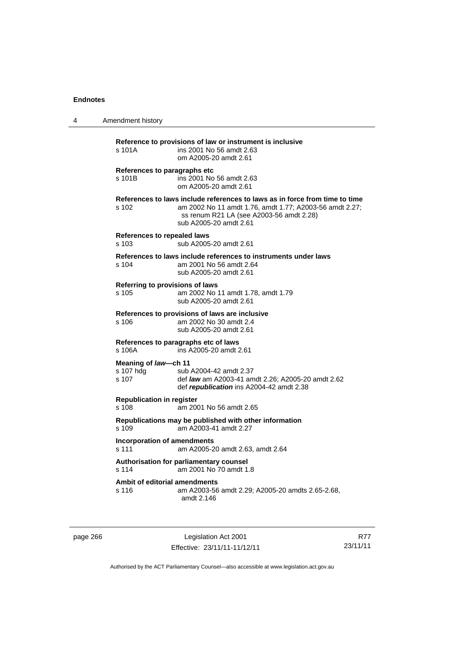| 4 | Amendment history                                                                                                                                                                                                     |  |  |
|---|-----------------------------------------------------------------------------------------------------------------------------------------------------------------------------------------------------------------------|--|--|
|   | Reference to provisions of law or instrument is inclusive<br>s 101A<br>ins 2001 No 56 amdt 2.63<br>om A2005-20 amdt 2.61                                                                                              |  |  |
|   | References to paragraphs etc<br>ins 2001 No 56 amdt 2.63<br>s 101B<br>om A2005-20 amdt 2.61                                                                                                                           |  |  |
|   | References to laws include references to laws as in force from time to time<br>am 2002 No 11 amdt 1.76, amdt 1.77; A2003-56 amdt 2.27;<br>s 102<br>ss renum R21 LA (see A2003-56 amdt 2.28)<br>sub A2005-20 amdt 2.61 |  |  |
|   | <b>References to repealed laws</b><br>s 103<br>sub A2005-20 amdt 2.61                                                                                                                                                 |  |  |
|   | References to laws include references to instruments under laws<br>am 2001 No 56 amdt 2.64<br>$s$ 104<br>sub A2005-20 amdt 2.61                                                                                       |  |  |
|   | Referring to provisions of laws<br>s 105<br>am 2002 No 11 amdt 1.78, amdt 1.79<br>sub A2005-20 amdt 2.61                                                                                                              |  |  |
|   | References to provisions of laws are inclusive<br>am 2002 No 30 amdt 2.4<br>s 106<br>sub A2005-20 amdt 2.61                                                                                                           |  |  |
|   | References to paragraphs etc of laws<br>ins A2005-20 amdt 2.61<br>s 106A                                                                                                                                              |  |  |
|   | Meaning of law-ch 11<br>s 107 hdg<br>sub A2004-42 amdt 2.37<br>s 107<br>def law am A2003-41 amdt 2.26; A2005-20 amdt 2.62<br>def republication ins A2004-42 amdt 2.38                                                 |  |  |
|   | <b>Republication in register</b><br>s 108<br>am 2001 No 56 amdt 2.65                                                                                                                                                  |  |  |
|   | Republications may be published with other information<br>s 109<br>am A2003-41 amdt 2.27                                                                                                                              |  |  |
|   | <b>Incorporation of amendments</b><br>s 111<br>am A2005-20 amdt 2.63, amdt 2.64                                                                                                                                       |  |  |
|   | Authorisation for parliamentary counsel<br>s 114<br>am 2001 No 70 amdt 1.8                                                                                                                                            |  |  |
|   | Ambit of editorial amendments<br>s 116<br>am A2003-56 amdt 2.29; A2005-20 amdts 2.65-2.68,<br>amdt 2.146                                                                                                              |  |  |
|   |                                                                                                                                                                                                                       |  |  |

page 266 Legislation Act 2001 Effective: 23/11/11-11/12/11

R77 23/11/11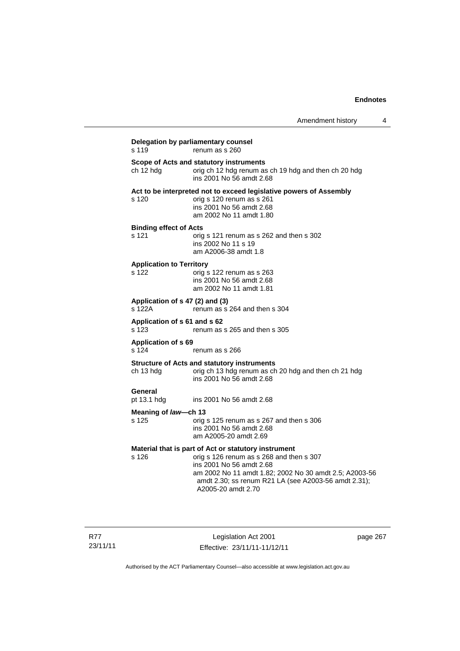| s 119                                     | renum as s 260                                                                                                                                                                                               |
|-------------------------------------------|--------------------------------------------------------------------------------------------------------------------------------------------------------------------------------------------------------------|
| ch 12 hdg                                 | Scope of Acts and statutory instruments<br>orig ch 12 hdg renum as ch 19 hdg and then ch 20 hdg<br>ins 2001 No 56 amdt 2.68                                                                                  |
| s 120                                     | Act to be interpreted not to exceed legislative powers of Assembly<br>orig s 120 renum as s 261<br>ins 2001 No 56 amdt 2.68<br>am 2002 No 11 amdt 1.80                                                       |
| <b>Binding effect of Acts</b><br>s 121    | orig s 121 renum as s 262 and then s 302<br>ins 2002 No 11 s 19<br>am A2006-38 amdt 1.8                                                                                                                      |
| <b>Application to Territory</b><br>s 122  | orig s 122 renum as s 263<br>ins 2001 No 56 amdt 2.68<br>am 2002 No 11 amdt 1.81                                                                                                                             |
| Application of s 47 (2) and (3)<br>s 122A | renum as s 264 and then s 304                                                                                                                                                                                |
| Application of s 61 and s 62<br>s 123     | renum as s 265 and then s 305                                                                                                                                                                                |
| <b>Application of s 69</b><br>s 124       | renum as s 266                                                                                                                                                                                               |
| ch 13 hdg                                 | <b>Structure of Acts and statutory instruments</b><br>orig ch 13 hdg renum as ch 20 hdg and then ch 21 hdg<br>ins 2001 No 56 amdt 2.68                                                                       |
| General<br>pt 13.1 hdg                    | ins 2001 No 56 amdt 2.68                                                                                                                                                                                     |
| Meaning of law-ch 13<br>s 125             | orig s 125 renum as s 267 and then s 306<br>ins 2001 No 56 amdt 2.68<br>am A2005-20 amdt 2.69                                                                                                                |
|                                           | Material that is part of Act or statutory instrument                                                                                                                                                         |
| s 126                                     | orig s 126 renum as s 268 and then s 307<br>ins 2001 No 56 amdt 2.68<br>am 2002 No 11 amdt 1.82; 2002 No 30 amdt 2.5; A2003-56<br>amdt 2.30; ss renum R21 LA (see A2003-56 amdt 2.31);<br>A2005-20 amdt 2.70 |

Legislation Act 2001 Effective: 23/11/11-11/12/11 page 267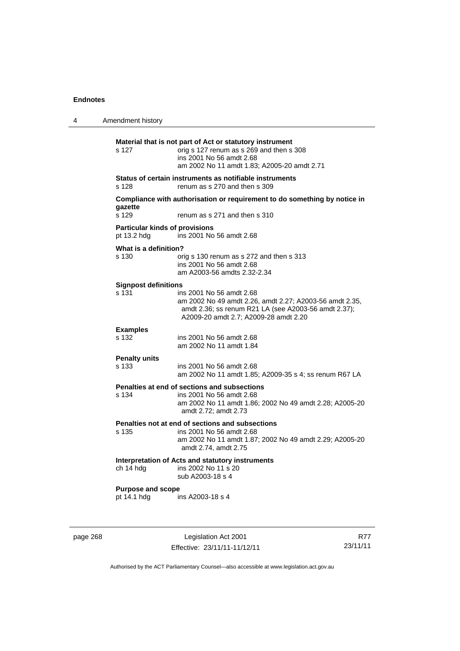| 4 | Amendment history                                    |                                                                                                                                                                                      |
|---|------------------------------------------------------|--------------------------------------------------------------------------------------------------------------------------------------------------------------------------------------|
|   | s 127                                                | Material that is not part of Act or statutory instrument<br>orig s 127 renum as s 269 and then s 308<br>ins 2001 No 56 amdt 2.68<br>am 2002 No 11 amdt 1.83; A2005-20 amdt 2.71      |
|   | s 128                                                | Status of certain instruments as notifiable instruments<br>renum as s 270 and then s 309                                                                                             |
|   | gazette<br>s 129                                     | Compliance with authorisation or requirement to do something by notice in<br>renum as s 271 and then s 310                                                                           |
|   | <b>Particular kinds of provisions</b><br>pt 13.2 hdg | ins 2001 No 56 amdt 2.68                                                                                                                                                             |
|   | What is a definition?<br>s 130                       | orig s 130 renum as s 272 and then s 313<br>ins 2001 No 56 amdt 2.68<br>am A2003-56 amdts 2.32-2.34                                                                                  |
|   | <b>Signpost definitions</b>                          |                                                                                                                                                                                      |
|   | s 131                                                | ins 2001 No 56 amdt 2.68<br>am 2002 No 49 amdt 2.26, amdt 2.27; A2003-56 amdt 2.35,<br>amdt 2.36; ss renum R21 LA (see A2003-56 amdt 2.37);<br>A2009-20 amdt 2.7; A2009-28 amdt 2.20 |
|   | <b>Examples</b><br>s 132                             | ins 2001 No 56 amdt 2.68<br>am 2002 No 11 amdt 1.84                                                                                                                                  |
|   | <b>Penalty units</b><br>s 133                        | ins 2001 No 56 amdt 2.68<br>am 2002 No 11 amdt 1.85; A2009-35 s 4; ss renum R67 LA                                                                                                   |
|   | s 134                                                | Penalties at end of sections and subsections<br>ins 2001 No 56 amdt 2.68<br>am 2002 No 11 amdt 1.86; 2002 No 49 amdt 2.28; A2005-20<br>amdt 2.72; amdt 2.73                          |
|   | s 135                                                | Penalties not at end of sections and subsections<br>ins 2001 No 56 amdt 2.68<br>am 2002 No 11 amdt 1.87; 2002 No 49 amdt 2.29; A2005-20<br>amdt 2.74, amdt 2.75                      |
|   | ch 14 hdg                                            | Interpretation of Acts and statutory instruments<br>ins 2002 No 11 s 20<br>sub A2003-18 s 4                                                                                          |
|   | <b>Purpose and scope</b>                             |                                                                                                                                                                                      |
|   | pt 14.1 hdg                                          | ins A2003-18 s 4                                                                                                                                                                     |
|   |                                                      |                                                                                                                                                                                      |

page 268 Legislation Act 2001 Effective: 23/11/11-11/12/11

R77 23/11/11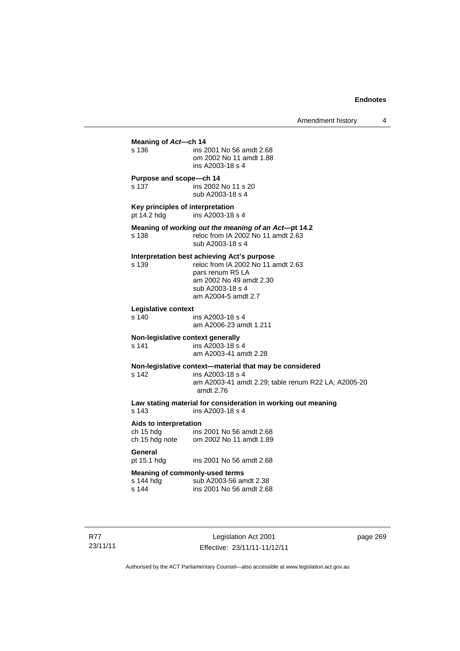| s 136                                           | ins 2001 No 56 amdt 2.68<br>om 2002 No 11 amdt 1.88<br>ins A2003-18 s 4                                                                                                     |
|-------------------------------------------------|-----------------------------------------------------------------------------------------------------------------------------------------------------------------------------|
| Purpose and scope-ch 14<br>s 137                | ins 2002 No 11 s 20<br>sub A2003-18 s 4                                                                                                                                     |
| Key principles of interpretation<br>pt 14.2 hdg | ins A2003-18 s 4                                                                                                                                                            |
| s 138                                           | Meaning of working out the meaning of an Act-pt 14.2<br>reloc from IA 2002 No 11 amdt 2.63<br>sub A2003-18 s 4                                                              |
| s 139                                           | Interpretation best achieving Act's purpose<br>reloc from IA 2002 No 11 amdt 2.63<br>pars renum R5 LA<br>am 2002 No 49 amdt 2.30<br>sub A2003-18 s 4<br>am A2004-5 amdt 2.7 |
| Legislative context<br>s 140                    | ins A2003-18 s 4<br>am A2006-23 amdt 1.211                                                                                                                                  |
| s 141                                           | Non-legislative context generally<br>ins A2003-18 s 4<br>am A2003-41 amdt 2.28                                                                                              |
| s 142                                           | Non-legislative context-material that may be considered<br>ins A2003-18 s 4<br>am A2003-41 amdt 2.29; table renum R22 LA; A2005-20<br>amdt 2.76                             |
| s 143                                           | Law stating material for consideration in working out meaning<br>ins A2003-18 s 4                                                                                           |
| Aids to interpretation<br>ch 15 hdg             | ins 2001 No 56 amdt 2.68<br>ch 15 hdg note om 2002 No 11 amdt 1.89                                                                                                          |
| General<br>pt 15.1 hdg                          | ins 2001 No 56 amdt 2.68                                                                                                                                                    |
| s 144 hdg<br>s 144                              | <b>Meaning of commonly-used terms</b><br>sub A2003-56 amdt 2.38<br>ins 2001 No 56 amdt 2.68                                                                                 |

R77 23/11/11

Legislation Act 2001 Effective: 23/11/11-11/12/11 page 269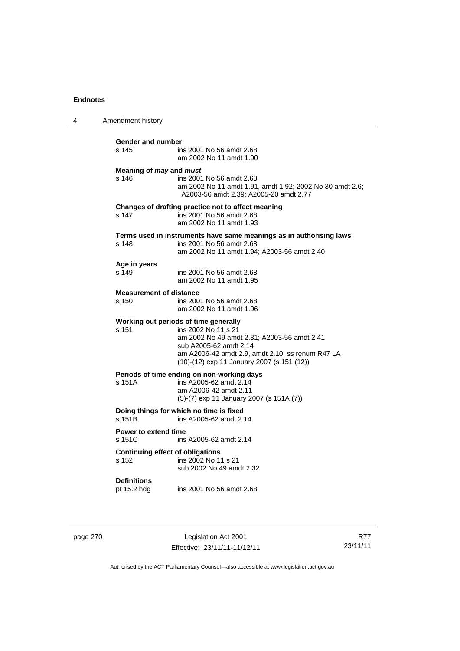| 4 | Amendment history                                                           |                                                                                                                                                                                                                                         |  |
|---|-----------------------------------------------------------------------------|-----------------------------------------------------------------------------------------------------------------------------------------------------------------------------------------------------------------------------------------|--|
|   | <b>Gender and number</b><br>s 145                                           | ins 2001 No 56 amdt 2.68<br>am 2002 No 11 amdt 1.90                                                                                                                                                                                     |  |
|   | Meaning of may and must<br>s 146                                            | ins 2001 No 56 amdt 2.68<br>am 2002 No 11 amdt 1.91, amdt 1.92; 2002 No 30 amdt 2.6;<br>A2003-56 amdt 2.39; A2005-20 amdt 2.77                                                                                                          |  |
|   | s 147                                                                       | Changes of drafting practice not to affect meaning<br>ins 2001 No 56 amdt 2.68<br>am 2002 No 11 amdt 1.93                                                                                                                               |  |
|   | s 148                                                                       | Terms used in instruments have same meanings as in authorising laws<br>ins 2001 No 56 amdt 2.68<br>am 2002 No 11 amdt 1.94; A2003-56 amdt 2.40                                                                                          |  |
|   | Age in years<br>s 149                                                       | ins 2001 No 56 amdt 2.68<br>am 2002 No 11 amdt 1.95                                                                                                                                                                                     |  |
|   | <b>Measurement of distance</b><br>s 150                                     | ins 2001 No 56 amdt 2.68<br>am 2002 No 11 amdt 1.96                                                                                                                                                                                     |  |
|   | s 151                                                                       | Working out periods of time generally<br>ins 2002 No 11 s 21<br>am 2002 No 49 amdt 2.31; A2003-56 amdt 2.41<br>sub A2005-62 amdt 2.14<br>am A2006-42 amdt 2.9, amdt 2.10; ss renum R47 LA<br>(10)-(12) exp 11 January 2007 (s 151 (12)) |  |
|   | s 151A                                                                      | Periods of time ending on non-working days<br>ins A2005-62 amdt 2.14<br>am A2006-42 amdt 2.11<br>(5)-(7) exp 11 January 2007 (s 151A (7))                                                                                               |  |
|   | Doing things for which no time is fixed<br>s 151B<br>ins A2005-62 amdt 2.14 |                                                                                                                                                                                                                                         |  |
|   | Power to extend time<br>s 151C                                              | ins A2005-62 amdt 2.14                                                                                                                                                                                                                  |  |
|   | <b>Continuing effect of obligations</b><br>s 152                            | ins 2002 No 11 s 21<br>sub 2002 No 49 amdt 2.32                                                                                                                                                                                         |  |
|   | <b>Definitions</b><br>pt 15.2 hdg                                           | ins 2001 No 56 amdt 2.68                                                                                                                                                                                                                |  |

page 270 Legislation Act 2001 Effective: 23/11/11-11/12/11

R77 23/11/11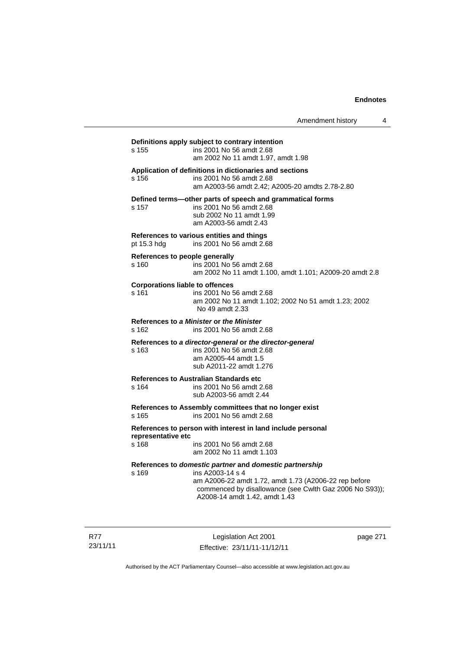Amendment history 4

# **Definitions apply subject to contrary intention**  s 155 ins 2001 No 56 amdt 2.68 am 2002 No 11 amdt 1.97, amdt 1.98 **Application of definitions in dictionaries and sections**  s 156 ins 2001 No 56 amdt 2.68 am A2003-56 amdt 2.42; A2005-20 amdts 2.78-2.80 **Defined terms—other parts of speech and grammatical forms**  s 157 ins 2001 No 56 amdt 2.68 sub 2002 No 11 amdt 1.99 am A2003-56 amdt 2.43 **References to various entities and things**  pt 15.3 hdg ins 2001 No 56 amdt 2.68 **References to people generally**  s 160 ins 2001 No 56 amdt 2.68 am 2002 No 11 amdt 1.100, amdt 1.101; A2009-20 amdt 2.8 **Corporations liable to offences**  s 161 ins 2001 No 56 amdt 2.68 am 2002 No 11 amdt 1.102; 2002 No 51 amdt 1.23; 2002 No 49 amdt 2.33 **References to** *a Minister* **or** *the Minister* s 162 ins 2001 No 56 amdt 2.68 **References to** *a director-general* **or** *the director-general* s 163 ins 2001 No 56 amdt 2.68 am A2005-44 amdt 1.5 sub A2011-22 amdt 1.276 **References to Australian Standards etc**  ins 2001 No 56 amdt 2.68 sub A2003-56 amdt 2.44 **References to Assembly committees that no longer exist**  s 165 ins 2001 No 56 amdt 2.68 **References to person with interest in land include personal representative etc**  s 168 ins 2001 No 56 amdt 2.68 am 2002 No 11 amdt 1.103 **References to** *domestic partner* **and** *domestic partnership*  s 169 ins A2003-14 s 4 am A2006-22 amdt 1.72, amdt 1.73 (A2006-22 rep before commenced by disallowance (see Cwlth Gaz 2006 No S93)); A2008-14 amdt 1.42, amdt 1.43

R77 23/11/11

Legislation Act 2001 Effective: 23/11/11-11/12/11 page 271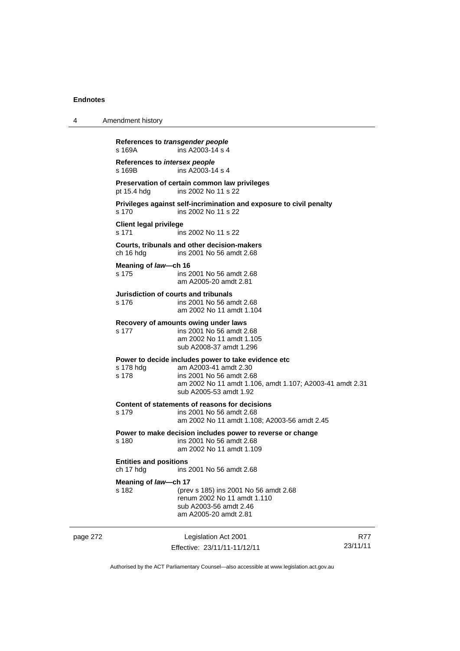| 4        | Amendment history                                           |                                                                                                                                                                                                |                 |  |  |
|----------|-------------------------------------------------------------|------------------------------------------------------------------------------------------------------------------------------------------------------------------------------------------------|-----------------|--|--|
|          | References to transgender people<br>s 169A                  | ins A2003-14 s 4                                                                                                                                                                               |                 |  |  |
|          | References to intersex people<br>ins A2003-14 s 4<br>s 169B |                                                                                                                                                                                                |                 |  |  |
|          | pt 15.4 hdg                                                 | Preservation of certain common law privileges<br>ins 2002 No 11 s 22                                                                                                                           |                 |  |  |
|          | s 170                                                       | Privileges against self-incrimination and exposure to civil penalty<br>ins 2002 No 11 s 22                                                                                                     |                 |  |  |
|          | <b>Client legal privilege</b><br>s 171                      | ins 2002 No 11 s 22                                                                                                                                                                            |                 |  |  |
|          | ch 16 hdg                                                   | Courts, tribunals and other decision-makers<br>ins 2001 No 56 amdt 2.68                                                                                                                        |                 |  |  |
|          | Meaning of law-ch 16<br>s 175                               | ins 2001 No 56 amdt 2.68<br>am A2005-20 amdt 2.81                                                                                                                                              |                 |  |  |
|          | Jurisdiction of courts and tribunals<br>s 176               | ins 2001 No 56 amdt 2.68<br>am 2002 No 11 amdt 1.104                                                                                                                                           |                 |  |  |
|          | s 177                                                       | Recovery of amounts owing under laws<br>ins 2001 No 56 amdt 2.68<br>am 2002 No 11 amdt 1.105<br>sub A2008-37 amdt 1.296                                                                        |                 |  |  |
|          | s 178 hdg<br>s 178                                          | Power to decide includes power to take evidence etc<br>am A2003-41 amdt 2.30<br>ins 2001 No 56 amdt 2.68<br>am 2002 No 11 amdt 1.106, amdt 1.107; A2003-41 amdt 2.31<br>sub A2005-53 amdt 1.92 |                 |  |  |
|          | s 179                                                       | Content of statements of reasons for decisions<br>ins 2001 No 56 amdt 2.68<br>am 2002 No 11 amdt 1.108; A2003-56 amdt 2.45                                                                     |                 |  |  |
|          | s 180                                                       | Power to make decision includes power to reverse or change<br>ins 2001 No 56 amdt 2.68<br>am 2002 No 11 amdt 1.109                                                                             |                 |  |  |
|          | ch 17 hdg                                                   | <b>Entities and positions</b><br>ins 2001 No 56 amdt 2.68                                                                                                                                      |                 |  |  |
|          | Meaning of law-ch 17<br>s 182                               | (prev s 185) ins 2001 No 56 amdt 2.68<br>renum 2002 No 11 amdt 1.110<br>sub A2003-56 amdt 2.46<br>am A2005-20 amdt 2.81                                                                        |                 |  |  |
| page 272 |                                                             | Legislation Act 2001<br>Effective: 23/11/11-11/12/11                                                                                                                                           | R77<br>23/11/11 |  |  |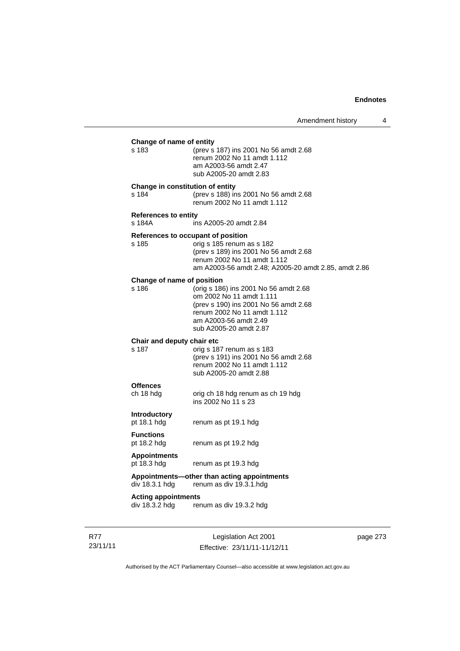| Change of name of entity<br>s 183<br>(prev s 187) ins 2001 No 56 amdt 2.68<br>renum 2002 No 11 amdt 1.112<br>am A2003-56 amdt 2.47<br>sub A2005-20 amdt 2.83<br>Change in constitution of entity<br>s 184<br>(prev s 188) ins 2001 No 56 amdt 2.68<br>renum 2002 No 11 amdt 1.112<br><b>References to entity</b><br>s 184A<br>ins A2005-20 amdt 2.84<br>References to occupant of position<br>orig s 185 renum as s 182<br>s 185<br>(prev s 189) ins 2001 No 56 amdt 2.68<br>renum 2002 No 11 amdt 1.112<br>Change of name of position<br>(orig s 186) ins 2001 No 56 amdt 2.68<br>s 186<br>om 2002 No 11 amdt 1.111<br>(prev s 190) ins 2001 No 56 amdt 2.68<br>renum 2002 No 11 amdt 1.112<br>am A2003-56 amdt 2.49<br>sub A2005-20 amdt 2.87<br>Chair and deputy chair etc<br>s 187<br>orig s 187 renum as s 183<br>(prev s 191) ins 2001 No 56 amdt 2.68<br>renum 2002 No 11 amdt 1.112<br>sub A2005-20 amdt 2.88<br><b>Offences</b><br>ch 18 hdg<br>orig ch 18 hdg renum as ch 19 hdg<br>ins 2002 No 11 s 23<br>Introductory<br>pt 18.1 hdg<br>renum as pt 19.1 hdg<br><b>Functions</b><br>pt 18.2 hdg<br>renum as pt 19.2 hdg<br><b>Appointments</b><br>pt 18.3 hdg<br>renum as pt 19.3 hdg<br>Appointments—other than acting appointments<br>div 18.3.1 hdg<br>renum as div 19.3.1.hdg<br><b>Acting appointments</b><br>div 18.3.2 hdg renum as div 19.3.2 hdg |  |                                                      |
|-----------------------------------------------------------------------------------------------------------------------------------------------------------------------------------------------------------------------------------------------------------------------------------------------------------------------------------------------------------------------------------------------------------------------------------------------------------------------------------------------------------------------------------------------------------------------------------------------------------------------------------------------------------------------------------------------------------------------------------------------------------------------------------------------------------------------------------------------------------------------------------------------------------------------------------------------------------------------------------------------------------------------------------------------------------------------------------------------------------------------------------------------------------------------------------------------------------------------------------------------------------------------------------------------------------------------------------------------------------------------|--|------------------------------------------------------|
|                                                                                                                                                                                                                                                                                                                                                                                                                                                                                                                                                                                                                                                                                                                                                                                                                                                                                                                                                                                                                                                                                                                                                                                                                                                                                                                                                                       |  |                                                      |
|                                                                                                                                                                                                                                                                                                                                                                                                                                                                                                                                                                                                                                                                                                                                                                                                                                                                                                                                                                                                                                                                                                                                                                                                                                                                                                                                                                       |  |                                                      |
|                                                                                                                                                                                                                                                                                                                                                                                                                                                                                                                                                                                                                                                                                                                                                                                                                                                                                                                                                                                                                                                                                                                                                                                                                                                                                                                                                                       |  |                                                      |
|                                                                                                                                                                                                                                                                                                                                                                                                                                                                                                                                                                                                                                                                                                                                                                                                                                                                                                                                                                                                                                                                                                                                                                                                                                                                                                                                                                       |  | am A2003-56 amdt 2.48; A2005-20 amdt 2.85, amdt 2.86 |
|                                                                                                                                                                                                                                                                                                                                                                                                                                                                                                                                                                                                                                                                                                                                                                                                                                                                                                                                                                                                                                                                                                                                                                                                                                                                                                                                                                       |  |                                                      |
|                                                                                                                                                                                                                                                                                                                                                                                                                                                                                                                                                                                                                                                                                                                                                                                                                                                                                                                                                                                                                                                                                                                                                                                                                                                                                                                                                                       |  |                                                      |
|                                                                                                                                                                                                                                                                                                                                                                                                                                                                                                                                                                                                                                                                                                                                                                                                                                                                                                                                                                                                                                                                                                                                                                                                                                                                                                                                                                       |  |                                                      |
|                                                                                                                                                                                                                                                                                                                                                                                                                                                                                                                                                                                                                                                                                                                                                                                                                                                                                                                                                                                                                                                                                                                                                                                                                                                                                                                                                                       |  |                                                      |
|                                                                                                                                                                                                                                                                                                                                                                                                                                                                                                                                                                                                                                                                                                                                                                                                                                                                                                                                                                                                                                                                                                                                                                                                                                                                                                                                                                       |  |                                                      |
|                                                                                                                                                                                                                                                                                                                                                                                                                                                                                                                                                                                                                                                                                                                                                                                                                                                                                                                                                                                                                                                                                                                                                                                                                                                                                                                                                                       |  |                                                      |
|                                                                                                                                                                                                                                                                                                                                                                                                                                                                                                                                                                                                                                                                                                                                                                                                                                                                                                                                                                                                                                                                                                                                                                                                                                                                                                                                                                       |  |                                                      |
|                                                                                                                                                                                                                                                                                                                                                                                                                                                                                                                                                                                                                                                                                                                                                                                                                                                                                                                                                                                                                                                                                                                                                                                                                                                                                                                                                                       |  |                                                      |

R77 23/11/11

Legislation Act 2001 Effective: 23/11/11-11/12/11 page 273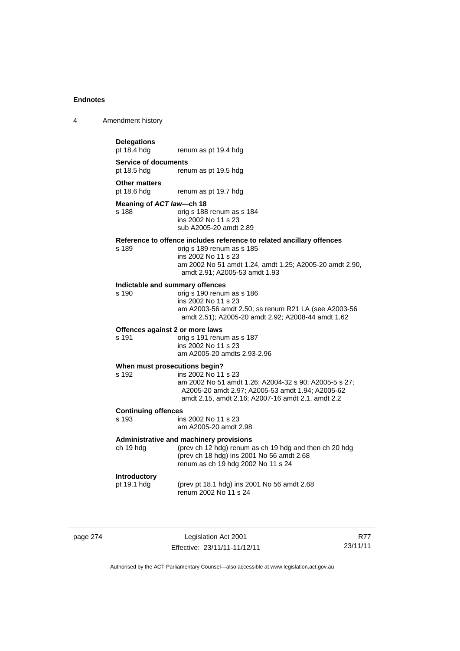|  | Amendment history |
|--|-------------------|
|--|-------------------|

## **Delegations**

renum as pt 19.4 hdg

**Service of documents**  pt 18.5 hdg renum as pt 19.5 hdg

#### **Other matters**

pt 18.6 hdg renum as pt 19.7 hdg

#### **Meaning of** *ACT law***—ch 18**

s 188 orig s 188 renum as s 184 ins 2002 No 11 s 23 sub A2005-20 amdt 2.89

## **Reference to offence includes reference to related ancillary offences**

orig s 189 renum as s 185 ins 2002 No 11 s 23 am 2002 No 51 amdt 1.24, amdt 1.25; A2005-20 amdt 2.90, amdt 2.91; A2005-53 amdt 1.93

## **Indictable and summary offences**

orig s 190 renum as s 186 ins 2002 No 11 s 23 am A2003-56 amdt 2.50; ss renum R21 LA (see A2003-56 amdt 2.51); A2005-20 amdt 2.92; A2008-44 amdt 1.62

#### **Offences against 2 or more laws**

s 191 orig s 191 renum as s 187 ins 2002 No 11 s 23 am A2005-20 amdts 2.93-2.96

#### **When must prosecutions begin?**

s 192 ins 2002 No 11 s 23 am 2002 No 51 amdt 1.26; A2004-32 s 90; A2005-5 s 27; A2005-20 amdt 2.97; A2005-53 amdt 1.94; A2005-62 amdt 2.15, amdt 2.16; A2007-16 amdt 2.1, amdt 2.2

## **Continuing offences**

ins 2002 No 11 s 23 am A2005-20 amdt 2.98

#### **Administrative and machinery provisions**

ch 19 hdg (prev ch 12 hdg) renum as ch 19 hdg and then ch 20 hdg (prev ch 18 hdg) ins 2001 No 56 amdt 2.68 renum as ch 19 hdg 2002 No 11 s 24

### **Introductory**

pt 19.1 hdg (prev pt 18.1 hdg) ins 2001 No 56 amdt 2.68 renum 2002 No 11 s 24

page 274 Legislation Act 2001 Effective: 23/11/11-11/12/11

R77 23/11/11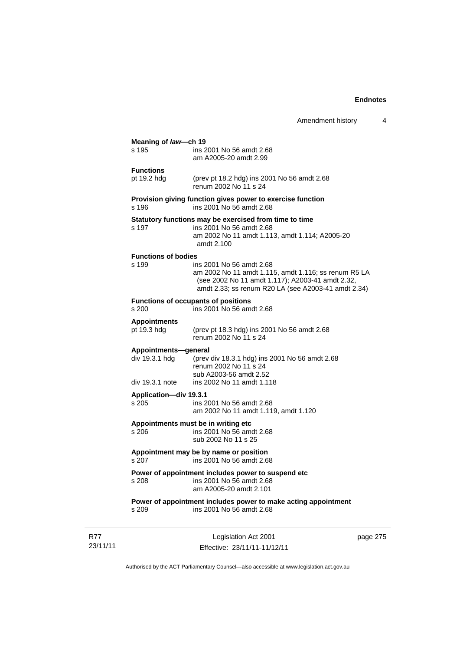|                                        | Amendment history                                                                                                                                                                           | 4        |
|----------------------------------------|---------------------------------------------------------------------------------------------------------------------------------------------------------------------------------------------|----------|
| Meaning of law-ch 19<br>s 195          | ins 2001 No 56 amdt 2.68                                                                                                                                                                    |          |
|                                        | am A2005-20 amdt 2.99                                                                                                                                                                       |          |
| <b>Functions</b><br>pt 19.2 hdg        | (prev pt 18.2 hdg) ins 2001 No 56 amdt 2.68<br>renum 2002 No 11 s 24                                                                                                                        |          |
| s 196                                  | Provision giving function gives power to exercise function<br>ins 2001 No 56 amdt 2.68                                                                                                      |          |
| s 197                                  | Statutory functions may be exercised from time to time<br>ins 2001 No 56 amdt 2.68<br>am 2002 No 11 amdt 1.113, amdt 1.114; A2005-20<br>amdt 2.100                                          |          |
| <b>Functions of bodies</b><br>s 199    | ins 2001 No 56 amdt 2.68<br>am 2002 No 11 amdt 1.115, amdt 1.116; ss renum R5 LA<br>(see 2002 No 11 amdt 1.117); A2003-41 amdt 2.32,<br>amdt 2.33; ss renum R20 LA (see A2003-41 amdt 2.34) |          |
| s 200                                  | <b>Functions of occupants of positions</b><br>ins 2001 No 56 amdt 2.68                                                                                                                      |          |
| <b>Appointments</b><br>pt 19.3 hdg     | (prev pt 18.3 hdg) ins 2001 No 56 amdt 2.68<br>renum 2002 No 11 s 24                                                                                                                        |          |
| Appointments-general<br>div 19.3.1 hdg | (prev div 18.3.1 hdg) ins 2001 No 56 amdt 2.68<br>renum 2002 No 11 s 24<br>sub A2003-56 amdt 2.52                                                                                           |          |
| div 19.3.1 note                        | ins 2002 No 11 amdt 1.118                                                                                                                                                                   |          |
| <b>Application-div 19.3.1</b><br>s 205 | ins 2001 No 56 amdt 2.68<br>am 2002 No 11 amdt 1.119, amdt 1.120                                                                                                                            |          |
| s 206                                  | Appointments must be in writing etc<br>ins 2001 No 56 amdt 2.68<br>sub 2002 No 11 s 25                                                                                                      |          |
|                                        | Appointment may be by name or position<br>s 207 ins 2001 No 56 amdt 2.68                                                                                                                    |          |
| s 208                                  | Power of appointment includes power to suspend etc<br>ins 2001 No 56 amdt 2.68<br>am A2005-20 amdt 2.101                                                                                    |          |
| s 209                                  | Power of appointment includes power to make acting appointment<br>ins 2001 No 56 amdt 2.68                                                                                                  |          |
|                                        | Logialation $\Lambda$ of 2004                                                                                                                                                               | nogo 275 |

R77 23/11/11

Legislation Act 2001 Effective: 23/11/11-11/12/11 page 275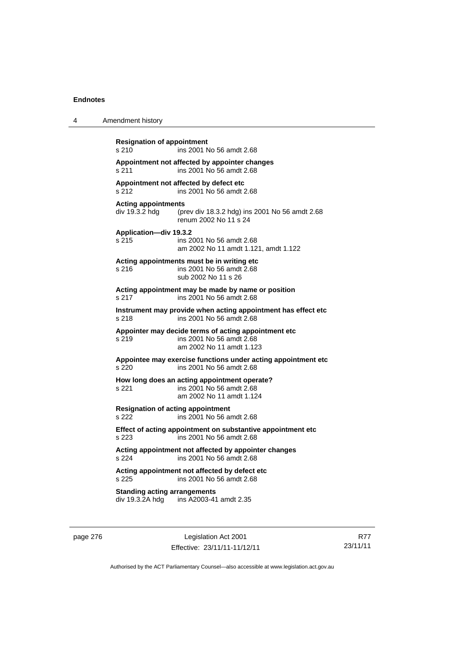4 Amendment history

| <b>Resignation of appointment</b><br>s <sub>210</sub><br>ins 2001 No 56 amdt 2.68                  |                                                                                                              |  |  |
|----------------------------------------------------------------------------------------------------|--------------------------------------------------------------------------------------------------------------|--|--|
| s 211                                                                                              | Appointment not affected by appointer changes<br>ins 2001 No 56 amdt 2.68                                    |  |  |
| s 212                                                                                              | Appointment not affected by defect etc<br>ins 2001 No 56 amdt 2.68                                           |  |  |
| <b>Acting appointments</b><br>div 19.3.2 hdg                                                       | (prev div 18.3.2 hdg) ins 2001 No 56 amdt 2.68<br>renum 2002 No 11 s 24                                      |  |  |
| Application-div 19.3.2<br>s 215                                                                    | ins 2001 No 56 amdt 2.68<br>am 2002 No 11 amdt 1.121, amdt 1.122                                             |  |  |
| s 216                                                                                              | Acting appointments must be in writing etc<br>ins 2001 No 56 amdt 2.68<br>sub 2002 No 11 s 26                |  |  |
| s 217                                                                                              | Acting appointment may be made by name or position<br>ins 2001 No 56 amdt 2.68                               |  |  |
| Instrument may provide when acting appointment has effect etc<br>s 218<br>ins 2001 No 56 amdt 2.68 |                                                                                                              |  |  |
| s 219                                                                                              | Appointer may decide terms of acting appointment etc<br>ins 2001 No 56 amdt 2.68<br>am 2002 No 11 amdt 1.123 |  |  |
| Appointee may exercise functions under acting appointment etc<br>ins 2001 No 56 amdt 2.68<br>s 220 |                                                                                                              |  |  |
| s 221                                                                                              | How long does an acting appointment operate?<br>ins 2001 No 56 amdt 2.68<br>am 2002 No 11 amdt 1.124         |  |  |
| <b>Resignation of acting appointment</b><br>s 222                                                  | ins 2001 No 56 amdt 2.68                                                                                     |  |  |
| Effect of acting appointment on substantive appointment etc<br>s 223<br>ins 2001 No 56 amdt 2.68   |                                                                                                              |  |  |
| s 224                                                                                              | Acting appointment not affected by appointer changes<br>ins 2001 No 56 amdt 2.68                             |  |  |
| Acting appointment not affected by defect etc<br>s 225<br>ins 2001 No 56 amdt 2.68                 |                                                                                                              |  |  |
| <b>Standing acting arrangements</b>                                                                | div 19.3.2A hdg ins A2003-41 amdt 2.35                                                                       |  |  |
|                                                                                                    |                                                                                                              |  |  |

page 276 Legislation Act 2001 Effective: 23/11/11-11/12/11

R77 23/11/11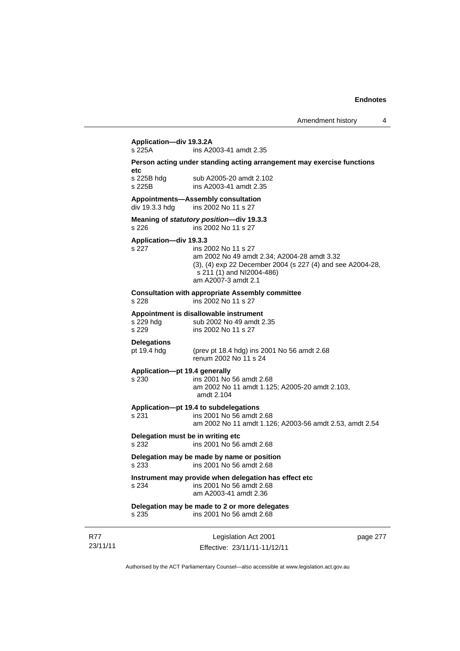# **Application—div 19.3.2A**

ins A2003-41 amdt 2.35

#### **Person acting under standing acting arrangement may exercise functions etc**

s 225B hdg sub A2005-20 amdt 2.102 s 225B ins A2003-41 amdt 2.35

#### **Appointments—Assembly consultation**

div 19.3.3 hdg ins 2002 No 11 s 27

#### **Meaning of** *statutory position***—div 19.3.3**  s 226 ins 2002 No 11 s 27

#### **Application—div 19.3.3**

#### s 227 ins 2002 No 11 s 27 am 2002 No 49 amdt 2.34; A2004-28 amdt 3.32 (3), (4) exp 22 December 2004 (s 227 (4) and see A2004-28, s 211 (1) and NI2004-486) am A2007-3 amdt 2.1

#### **Consultation with appropriate Assembly committee**

s 228 ins 2002 No 11 s 27

## **Appointment is disallowable instrument**

sub 2002 No 49 amdt 2.35 s 229 ins 2002 No 11 s 27

## **Delegations**

pt 19.4 hdg (prev pt 18.4 hdg) ins 2001 No 56 amdt 2.68 renum 2002 No 11 s 24

#### **Application—pt 19.4 generally**

s 230 ins 2001 No 56 amdt 2.68 am 2002 No 11 amdt 1.125; A2005-20 amdt 2.103, amdt 2.104

#### **Application—pt 19.4 to subdelegations**

s 231 ins 2001 No 56 amdt 2.68 am 2002 No 11 amdt 1.126; A2003-56 amdt 2.53, amdt 2.54

### **Delegation must be in writing etc**

s 232 ins 2001 No 56 amdt 2.68

#### **Delegation may be made by name or position**  s 233 ins 2001 No 56 amdt 2.68

## **Instrument may provide when delegation has effect etc**

s 234 ins 2001 No 56 amdt 2.68 am A2003-41 amdt 2.36

## **Delegation may be made to 2 or more delegates**

s 235 ins 2001 No 56 amdt 2.68

| R77      |  |
|----------|--|
| 23/11/11 |  |

Legislation Act 2001 Effective: 23/11/11-11/12/11 page 277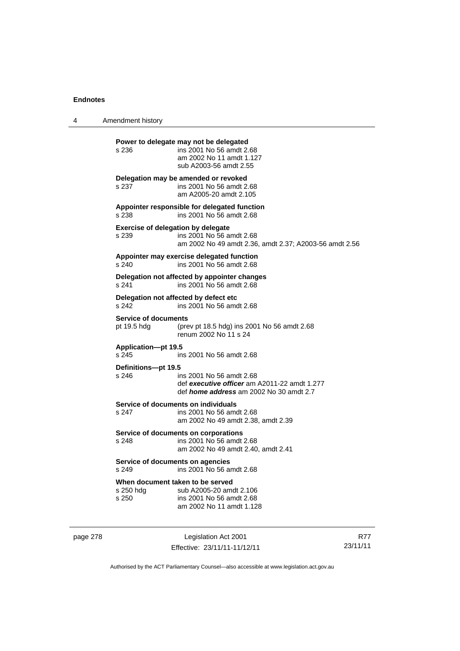| 4 | Amendment history                          |                                                                                                                                 |  |
|---|--------------------------------------------|---------------------------------------------------------------------------------------------------------------------------------|--|
|   | s 236                                      | Power to delegate may not be delegated<br>ins 2001 No 56 amdt 2.68<br>am 2002 No 11 amdt 1.127<br>sub A2003-56 amdt 2.55        |  |
|   | s 237                                      | Delegation may be amended or revoked<br>ins 2001 No 56 amdt 2.68<br>am A2005-20 amdt 2.105                                      |  |
|   | s 238                                      | Appointer responsible for delegated function<br>ins 2001 No 56 amdt 2.68                                                        |  |
|   | s 239                                      | <b>Exercise of delegation by delegate</b><br>ins 2001 No 56 amdt 2.68<br>am 2002 No 49 amdt 2.36, amdt 2.37; A2003-56 amdt 2.56 |  |
|   | s 240                                      | Appointer may exercise delegated function<br>ins 2001 No 56 amdt 2.68                                                           |  |
|   | s 241                                      | Delegation not affected by appointer changes<br>ins 2001 No 56 amdt 2.68                                                        |  |
|   | s 242                                      | Delegation not affected by defect etc<br>ins 2001 No 56 amdt 2.68                                                               |  |
|   | <b>Service of documents</b><br>pt 19.5 hdg | (prev pt 18.5 hdg) ins 2001 No 56 amdt 2.68<br>renum 2002 No 11 s 24                                                            |  |
|   | <b>Application-pt 19.5</b><br>s 245        | ins 2001 No 56 amdt 2.68                                                                                                        |  |
|   | Definitions-pt 19.5<br>s 246               | ins 2001 No 56 amdt 2.68<br>def executive officer am A2011-22 amdt 1.277<br>def <i>home address</i> am 2002 No 30 amdt 2.7      |  |
|   | s 247                                      | Service of documents on individuals<br>ins 2001 No 56 amdt 2.68<br>am 2002 No 49 amdt 2.38, amdt 2.39                           |  |
|   | s 248                                      | Service of documents on corporations<br>ins 2001 No 56 amdt 2.68<br>am 2002 No 49 amdt 2.40, amdt 2.41                          |  |
|   | s 249                                      | Service of documents on agencies<br>ins 2001 No 56 amdt 2.68                                                                    |  |
|   | s 250 hdg<br>s 250                         | When document taken to be served<br>sub A2005-20 amdt 2.106<br>ins 2001 No 56 amdt 2.68<br>am 2002 No 11 amdt 1.128             |  |

page 278 Legislation Act 2001 Effective: 23/11/11-11/12/11

R77 23/11/11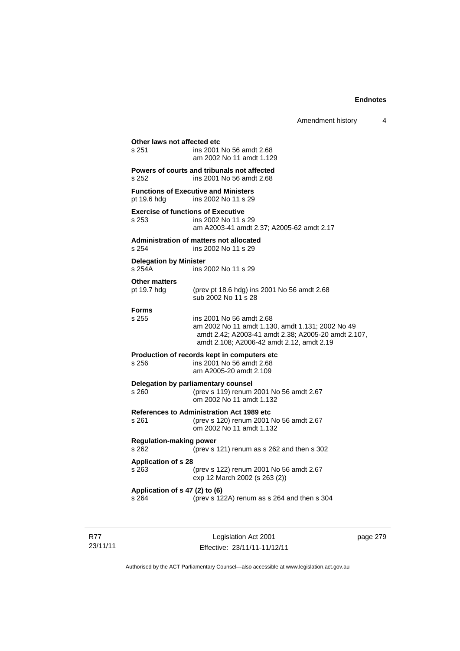### **Other laws not affected etc**<br>s 251 ins 2001 ins 2001 No 56 amdt 2.68 am 2002 No 11 amdt 1.129 **Powers of courts and tribunals not affected**  s 252 ins 2001 No 56 amdt 2.68 **Functions of Executive and Ministers**  pt 19.6 hdg ins 2002 No 11 s 29 **Exercise of functions of Executive**  s 253 ins 2002 No 11 s 29 am A2003-41 amdt 2.37; A2005-62 amdt 2.17 **Administration of matters not allocated**  s 254 ins 2002 No 11 s 29 **Delegation by Minister**  s 254A ins 2002 No 11 s 29 **Other matters**  pt 19.7 hdg (prev pt 18.6 hdg) ins 2001 No 56 amdt 2.68 sub 2002 No 11 s 28 **Forms**  s 255 ins 2001 No 56 amdt 2.68 am 2002 No 11 amdt 1.130, amdt 1.131; 2002 No 49 amdt 2.42; A2003-41 amdt 2.38; A2005-20 amdt 2.107, amdt 2.108; A2006-42 amdt 2.12, amdt 2.19 **Production of records kept in computers etc**  s 256 ins 2001 No 56 amdt 2.68 am A2005-20 amdt 2.109 **Delegation by parliamentary counsel**  s 260 (prev s 119) renum 2001 No 56 amdt 2.67 om 2002 No 11 amdt 1.132 **References to Administration Act 1989 etc**  s 261 (prev s 120) renum 2001 No 56 amdt 2.67 om 2002 No 11 amdt 1.132 **Regulation-making power**  s 262 (prev s 121) renum as s 262 and then s 302 **Application of s 28**  s 263 (prev s 122) renum 2001 No 56 amdt 2.67 exp 12 March 2002 (s 263 (2)) **Application of s 47 (2) to (6)** s 264 (prev s 12) (prev s 122A) renum as s 264 and then s 304

R77 23/11/11

Legislation Act 2001 Effective: 23/11/11-11/12/11 page 279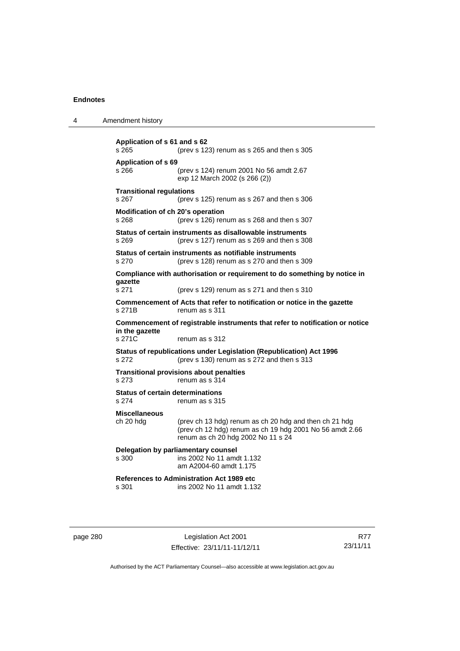| 4 | Amendment history                                |                                                                                                                                                          |
|---|--------------------------------------------------|----------------------------------------------------------------------------------------------------------------------------------------------------------|
|   | Application of s 61 and s 62<br>s 265            | (prev s 123) renum as s 265 and then s 305                                                                                                               |
|   | Application of s 69<br>s 266                     | (prev s 124) renum 2001 No 56 amdt 2.67<br>exp 12 March 2002 (s 266 (2))                                                                                 |
|   | <b>Transitional regulations</b><br>s 267         | (prev s $125$ ) renum as s 267 and then s 306                                                                                                            |
|   | Modification of ch 20's operation<br>s 268       | (prev s 126) renum as s 268 and then s 307                                                                                                               |
|   | s 269                                            | Status of certain instruments as disallowable instruments<br>(prev s 127) renum as s 269 and then s 308                                                  |
|   | s 270                                            | Status of certain instruments as notifiable instruments<br>(prev s 128) renum as s 270 and then s 309                                                    |
|   | gazette                                          | Compliance with authorisation or requirement to do something by notice in                                                                                |
|   | s 271                                            | (prev s 129) renum as s 271 and then s 310                                                                                                               |
|   | s 271B                                           | Commencement of Acts that refer to notification or notice in the gazette<br>renum as s 311                                                               |
|   | in the gazette                                   | Commencement of registrable instruments that refer to notification or notice                                                                             |
|   | s 271C                                           | renum as s 312                                                                                                                                           |
|   | s 272                                            | Status of republications under Legislation (Republication) Act 1996<br>(prev s 130) renum as s 272 and then s 313                                        |
|   | s 273                                            | <b>Transitional provisions about penalties</b><br>renum as s 314                                                                                         |
|   | <b>Status of certain determinations</b><br>s 274 | renum as s 315                                                                                                                                           |
|   | <b>Miscellaneous</b><br>ch 20 hdg                | (prev ch 13 hdg) renum as ch 20 hdg and then ch 21 hdg<br>(prev ch 12 hdg) renum as ch 19 hdg 2001 No 56 amdt 2.66<br>renum as ch 20 hdg 2002 No 11 s 24 |
|   | s 300                                            | Delegation by parliamentary counsel<br>ins 2002 No 11 amdt 1.132<br>am A2004-60 amdt 1.175                                                               |
|   | s 301                                            | <b>References to Administration Act 1989 etc</b><br>ins 2002 No 11 amdt 1.132                                                                            |

page 280 Legislation Act 2001 Effective: 23/11/11-11/12/11

R77 23/11/11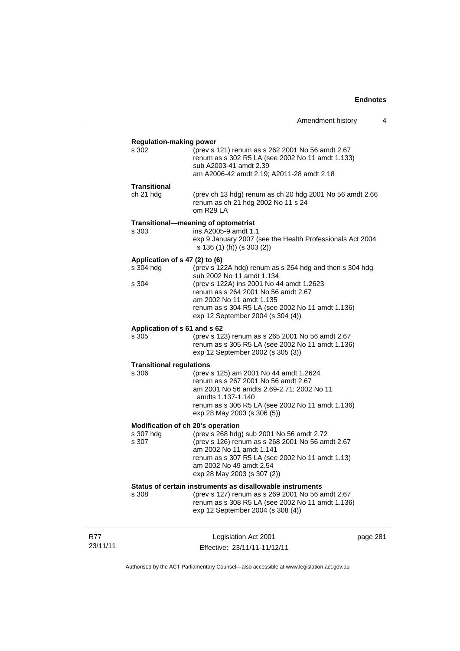|                                                         |                                                                                                                                                                                                                                                                                              | Amendment history | 4        |
|---------------------------------------------------------|----------------------------------------------------------------------------------------------------------------------------------------------------------------------------------------------------------------------------------------------------------------------------------------------|-------------------|----------|
| <b>Regulation-making power</b><br>s 302                 | (prev s 121) renum as s 262 2001 No 56 amdt 2.67<br>renum as s 302 R5 LA (see 2002 No 11 amdt 1.133)<br>sub A2003-41 amdt 2.39<br>am A2006-42 amdt 2.19; A2011-28 amdt 2.18                                                                                                                  |                   |          |
| <b>Transitional</b><br>ch 21 hdg                        | (prev ch 13 hdg) renum as ch 20 hdg 2001 No 56 amdt 2.66<br>renum as ch 21 hdg 2002 No 11 s 24<br>om R29 LA                                                                                                                                                                                  |                   |          |
| s 303                                                   | Transitional-meaning of optometrist<br>ins A2005-9 amdt 1.1<br>exp 9 January 2007 (see the Health Professionals Act 2004<br>s 136 (1) (h)) (s 303 (2))                                                                                                                                       |                   |          |
| Application of s 47 (2) to (6)<br>s 304 hdg<br>s 304    | (prev s 122A hdg) renum as s 264 hdg and then s 304 hdg<br>sub 2002 No 11 amdt 1.134<br>(prev s 122A) ins 2001 No 44 amdt 1.2623<br>renum as s 264 2001 No 56 amdt 2.67<br>am 2002 No 11 amdt 1.135<br>renum as s 304 R5 LA (see 2002 No 11 amdt 1.136)<br>exp 12 September 2004 (s 304 (4)) |                   |          |
| Application of s 61 and s 62<br>s 305                   | (prev s 123) renum as s 265 2001 No 56 amdt 2.67<br>renum as s 305 R5 LA (see 2002 No 11 amdt 1.136)<br>exp 12 September 2002 (s 305 (3))                                                                                                                                                    |                   |          |
| <b>Transitional regulations</b><br>s 306                | (prev s 125) am 2001 No 44 amdt 1.2624<br>renum as s 267 2001 No 56 amdt 2.67<br>am 2001 No 56 amdts 2.69-2.71; 2002 No 11<br>amdts 1.137-1.140<br>renum as s 306 R5 LA (see 2002 No 11 amdt 1.136)<br>exp 28 May 2003 (s 306 (5))                                                           |                   |          |
| Modification of ch 20's operation<br>s 307 hdg<br>s 307 | (prev s 268 hdg) sub 2001 No 56 amdt 2.72<br>(prev s 126) renum as s 268 2001 No 56 amdt 2.67<br>am 2002 No 11 amdt 1.141<br>renum as s 307 R5 LA (see 2002 No 11 amdt 1.13)<br>am 2002 No 49 amdt 2.54<br>exp 28 May 2003 (s 307 (2))                                                       |                   |          |
| s 308                                                   | Status of certain instruments as disallowable instruments<br>(prev s 127) renum as s 269 2001 No 56 amdt 2.67<br>renum as s 308 R5 LA (see 2002 No 11 amdt 1.136)<br>exp 12 September 2004 (s 308 (4))                                                                                       |                   |          |
|                                                         | Legislation Act 2001<br>Effective: 23/11/11-11/12/11                                                                                                                                                                                                                                         |                   | page 281 |

Authorised by the ACT Parliamentary Counsel—also accessible at www.legislation.act.gov.au

R77 23/11/11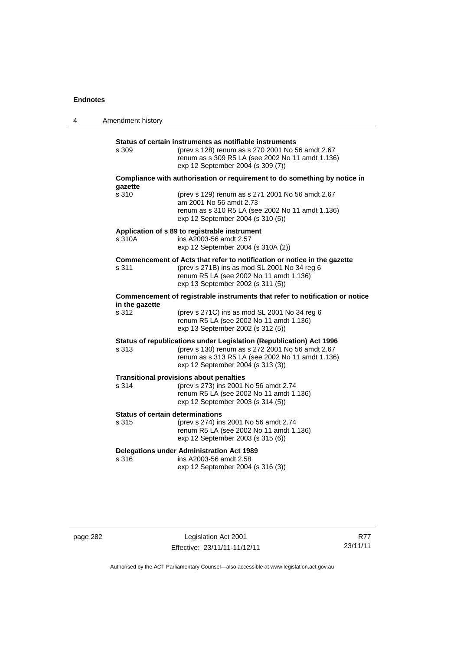| 4 | Amendment history                                |                                                                                                                                                                                                                  |
|---|--------------------------------------------------|------------------------------------------------------------------------------------------------------------------------------------------------------------------------------------------------------------------|
|   | s 309                                            | Status of certain instruments as notifiable instruments<br>(prev s 128) renum as s 270 2001 No 56 amdt 2.67<br>renum as s 309 R5 LA (see 2002 No 11 amdt 1.136)<br>exp 12 September 2004 (s 309 (7))             |
|   |                                                  | Compliance with authorisation or requirement to do something by notice in                                                                                                                                        |
|   | gazette<br>s 310                                 | (prev s 129) renum as s 271 2001 No 56 amdt 2.67<br>am 2001 No 56 amdt 2.73<br>renum as s 310 R5 LA (see 2002 No 11 amdt 1.136)<br>exp 12 September 2004 (s 310 (5))                                             |
|   | s 310A                                           | Application of s 89 to registrable instrument<br>ins A2003-56 amdt 2.57<br>exp 12 September 2004 (s 310A (2))                                                                                                    |
|   | s 311                                            | Commencement of Acts that refer to notification or notice in the gazette<br>(prev s 271B) ins as mod SL 2001 No 34 reg 6<br>renum R5 LA (see 2002 No 11 amdt 1.136)<br>exp 13 September 2002 (s 311 (5))         |
|   | in the gazette                                   | Commencement of registrable instruments that refer to notification or notice                                                                                                                                     |
|   | s 312                                            | (prev s 271C) ins as mod SL 2001 No 34 reg 6<br>renum R5 LA (see 2002 No 11 amdt 1.136)<br>exp 13 September 2002 (s 312 (5))                                                                                     |
|   | s 313                                            | Status of republications under Legislation (Republication) Act 1996<br>(prev s 130) renum as s 272 2001 No 56 amdt 2.67<br>renum as s 313 R5 LA (see 2002 No 11 amdt 1.136)<br>exp 12 September 2004 (s 313 (3)) |
|   | s 314                                            | <b>Transitional provisions about penalties</b><br>(prev s 273) ins 2001 No 56 amdt 2.74<br>renum R5 LA (see 2002 No 11 amdt 1.136)<br>exp 12 September 2003 (s 314 (5))                                          |
|   | <b>Status of certain determinations</b><br>s 315 | (prev s 274) ins 2001 No 56 amdt 2.74<br>renum R5 LA (see 2002 No 11 amdt 1.136)<br>exp 12 September 2003 (s 315 (6))                                                                                            |
|   | s 316                                            | <b>Delegations under Administration Act 1989</b><br>ins A2003-56 amdt 2.58<br>exp 12 September 2004 (s 316 (3))                                                                                                  |

page 282 Legislation Act 2001 Effective: 23/11/11-11/12/11

R77 23/11/11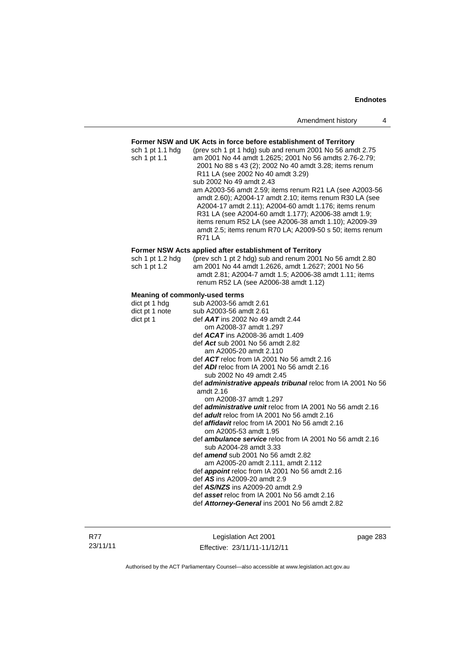### **Former NSW and UK Acts in force before establishment of Territory**

| sch 1 pt 1.1 hdg<br>sch 1 pt 1.1      | (prev sch 1 pt 1 hdg) sub and renum 2001 No 56 amdt 2.75<br>am 2001 No 44 amdt 1.2625; 2001 No 56 amdts 2.76-2.79;<br>2001 No 88 s 43 (2); 2002 No 40 amdt 3.28; items renum<br>R11 LA (see 2002 No 40 amdt 3.29)<br>sub 2002 No 49 amdt 2.43<br>am A2003-56 amdt 2.59; items renum R21 LA (see A2003-56<br>amdt 2.60); A2004-17 amdt 2.10; items renum R30 LA (see<br>A2004-17 amdt 2.11); A2004-60 amdt 1.176; items renum<br>R31 LA (see A2004-60 amdt 1.177); A2006-38 amdt 1.9;<br>items renum R52 LA (see A2006-38 amdt 1.10); A2009-39<br>amdt 2.5; items renum R70 LA; A2009-50 s 50; items renum<br><b>R71 LA</b> |
|---------------------------------------|----------------------------------------------------------------------------------------------------------------------------------------------------------------------------------------------------------------------------------------------------------------------------------------------------------------------------------------------------------------------------------------------------------------------------------------------------------------------------------------------------------------------------------------------------------------------------------------------------------------------------|
|                                       | Former NSW Acts applied after establishment of Territory                                                                                                                                                                                                                                                                                                                                                                                                                                                                                                                                                                   |
| sch 1 pt 1.2 hdg<br>sch 1 pt 1.2      | (prev sch 1 pt 2 hdg) sub and renum 2001 No 56 amdt 2.80<br>am 2001 No 44 amdt 1.2626, amdt 1.2627; 2001 No 56<br>amdt 2.81; A2004-7 amdt 1.5; A2006-38 amdt 1.11; items<br>renum R52 LA (see A2006-38 amdt 1.12)                                                                                                                                                                                                                                                                                                                                                                                                          |
| <b>Meaning of commonly-used terms</b> |                                                                                                                                                                                                                                                                                                                                                                                                                                                                                                                                                                                                                            |
| dict pt 1 hdg                         | sub A2003-56 amdt 2.61                                                                                                                                                                                                                                                                                                                                                                                                                                                                                                                                                                                                     |
| dict pt 1 note                        | sub A2003-56 amdt 2.61                                                                                                                                                                                                                                                                                                                                                                                                                                                                                                                                                                                                     |
| dict pt 1                             | def $AAT$ ins 2002 No 49 amdt 2.44                                                                                                                                                                                                                                                                                                                                                                                                                                                                                                                                                                                         |
|                                       | om A2008-37 amdt 1.297                                                                                                                                                                                                                                                                                                                                                                                                                                                                                                                                                                                                     |
|                                       | def ACAT ins A2008-36 amdt 1.409                                                                                                                                                                                                                                                                                                                                                                                                                                                                                                                                                                                           |
|                                       | def Act sub 2001 No 56 amdt 2.82                                                                                                                                                                                                                                                                                                                                                                                                                                                                                                                                                                                           |
|                                       | am A2005-20 amdt 2.110                                                                                                                                                                                                                                                                                                                                                                                                                                                                                                                                                                                                     |
|                                       | def ACT reloc from IA 2001 No 56 amdt 2.16                                                                                                                                                                                                                                                                                                                                                                                                                                                                                                                                                                                 |
|                                       | def ADI reloc from IA 2001 No 56 amdt 2.16                                                                                                                                                                                                                                                                                                                                                                                                                                                                                                                                                                                 |
|                                       | sub 2002 No 49 amdt 2.45                                                                                                                                                                                                                                                                                                                                                                                                                                                                                                                                                                                                   |
|                                       | def administrative appeals tribunal reloc from IA 2001 No 56<br>amdt 2.16                                                                                                                                                                                                                                                                                                                                                                                                                                                                                                                                                  |
|                                       | om A2008-37 amdt 1.297                                                                                                                                                                                                                                                                                                                                                                                                                                                                                                                                                                                                     |
|                                       | def <i>administrative unit</i> reloc from IA 2001 No 56 amdt 2.16                                                                                                                                                                                                                                                                                                                                                                                                                                                                                                                                                          |
|                                       | def adult reloc from IA 2001 No 56 amdt 2.16                                                                                                                                                                                                                                                                                                                                                                                                                                                                                                                                                                               |
|                                       | def <b>affidavit</b> reloc from IA 2001 No 56 amdt 2.16<br>om A2005-53 amdt 1.95                                                                                                                                                                                                                                                                                                                                                                                                                                                                                                                                           |
|                                       | def <i>ambulance service</i> reloc from IA 2001 No 56 amdt 2.16                                                                                                                                                                                                                                                                                                                                                                                                                                                                                                                                                            |
|                                       | sub A2004-28 amdt 3.33                                                                                                                                                                                                                                                                                                                                                                                                                                                                                                                                                                                                     |
|                                       | def <i>amend</i> sub 2001 No 56 amdt 2.82                                                                                                                                                                                                                                                                                                                                                                                                                                                                                                                                                                                  |
|                                       | am A2005-20 amdt 2.111, amdt 2.112                                                                                                                                                                                                                                                                                                                                                                                                                                                                                                                                                                                         |
|                                       | def appoint reloc from IA 2001 No 56 amdt 2.16                                                                                                                                                                                                                                                                                                                                                                                                                                                                                                                                                                             |
|                                       | def AS ins A2009-20 amdt 2.9                                                                                                                                                                                                                                                                                                                                                                                                                                                                                                                                                                                               |
|                                       | def AS/NZS ins A2009-20 amdt 2.9                                                                                                                                                                                                                                                                                                                                                                                                                                                                                                                                                                                           |
|                                       | def asset reloc from IA 2001 No 56 amdt 2.16                                                                                                                                                                                                                                                                                                                                                                                                                                                                                                                                                                               |
|                                       | def Attorney-General ins 2001 No 56 amdt 2.82                                                                                                                                                                                                                                                                                                                                                                                                                                                                                                                                                                              |

R77 23/11/11

Legislation Act 2001 Effective: 23/11/11-11/12/11 page 283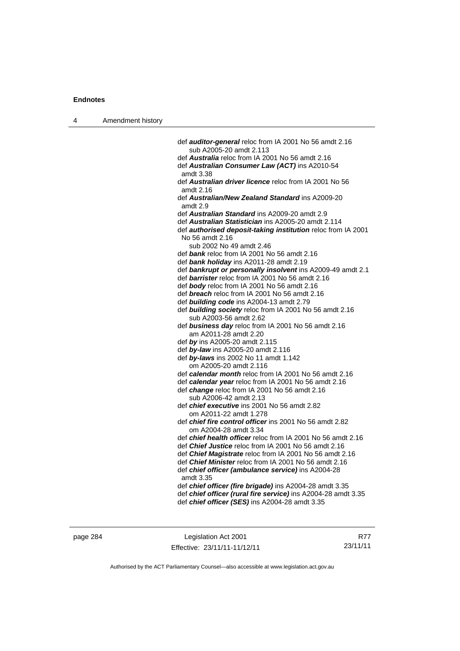| 4 | Amendment history |                                                                                                 |
|---|-------------------|-------------------------------------------------------------------------------------------------|
|   |                   |                                                                                                 |
|   |                   | def <b>auditor-general</b> reloc from IA 2001 No 56 amdt 2.16                                   |
|   |                   | sub A2005-20 amdt 2.113<br>def Australia reloc from IA 2001 No 56 amdt 2.16                     |
|   |                   | def Australian Consumer Law (ACT) ins A2010-54                                                  |
|   |                   | amdt 3.38                                                                                       |
|   |                   | def <b>Australian driver licence</b> reloc from IA 2001 No 56                                   |
|   |                   | amdt 2.16                                                                                       |
|   |                   | def Australian/New Zealand Standard ins A2009-20<br>amdt 2.9                                    |
|   |                   | def Australian Standard ins A2009-20 amdt 2.9                                                   |
|   |                   | def Australian Statistician ins A2005-20 amdt 2.114                                             |
|   |                   | def <b>authorised deposit-taking institution</b> reloc from IA 2001<br>No 56 amdt 2.16          |
|   |                   | sub 2002 No 49 amdt 2.46                                                                        |
|   |                   | def bank reloc from IA 2001 No 56 amdt 2.16                                                     |
|   |                   | def bank holiday ins A2011-28 amdt 2.19                                                         |
|   |                   | def bankrupt or personally insolvent ins A2009-49 amdt 2.1                                      |
|   |                   | def barrister reloc from IA 2001 No 56 amdt 2.16<br>def body reloc from IA 2001 No 56 amdt 2.16 |
|   |                   | def <b>breach</b> reloc from IA 2001 No 56 amdt 2.16                                            |
|   |                   | def <b>building code</b> ins A2004-13 amdt 2.79                                                 |
|   |                   | def building society reloc from IA 2001 No 56 amdt 2.16                                         |
|   |                   | sub A2003-56 amdt 2.62                                                                          |
|   |                   | def business day reloc from IA 2001 No 56 amdt 2.16                                             |
|   |                   | am A2011-28 amdt 2.20                                                                           |
|   |                   | def by ins A2005-20 amdt 2.115                                                                  |
|   |                   | def by-law ins A2005-20 amdt 2.116                                                              |
|   |                   | def by-laws ins 2002 No 11 amdt 1.142                                                           |
|   |                   | om A2005-20 amdt 2.116                                                                          |
|   |                   | def calendar month reloc from IA 2001 No 56 amdt 2.16                                           |
|   |                   | def calendar year reloc from IA 2001 No 56 amdt 2.16                                            |
|   |                   | def change reloc from IA 2001 No 56 amdt 2.16                                                   |
|   |                   | sub A2006-42 amdt 2.13                                                                          |
|   |                   | def <i>chief executive</i> ins 2001 No 56 amdt 2.82                                             |
|   |                   | om A2011-22 amdt 1.278                                                                          |
|   |                   | def <i>chief fire control officer</i> ins 2001 No 56 amdt 2.82                                  |
|   |                   | om A2004-28 amdt 3.34<br>def <i>chief health officer</i> reloc from IA 2001 No 56 amdt 2.16     |
|   |                   | def Chief Justice reloc from IA 2001 No 56 amdt 2.16                                            |
|   |                   | def Chief Magistrate reloc from IA 2001 No 56 amdt 2.16                                         |
|   |                   | def Chief Minister reloc from IA 2001 No 56 amdt 2.16                                           |
|   |                   | def chief officer (ambulance service) ins A2004-28<br>amdt 3.35                                 |
|   |                   | def chief officer (fire brigade) ins A2004-28 amdt 3.35                                         |
|   |                   | def chief officer (rural fire service) ins A2004-28 amdt 3.35                                   |
|   |                   | def chief officer (SES) ins A2004-28 amdt 3.35                                                  |
|   |                   |                                                                                                 |
|   |                   |                                                                                                 |

page 284 Legislation Act 2001 Effective: 23/11/11-11/12/11

R77 23/11/11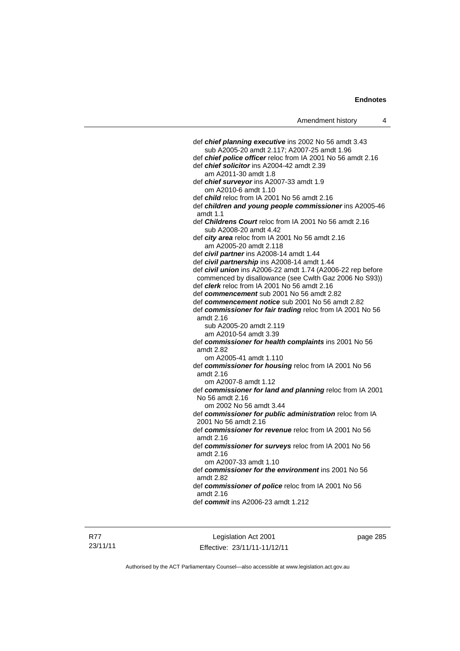def *chief planning executive* ins 2002 No 56 amdt 3.43 sub A2005-20 amdt 2.117; A2007-25 amdt 1.96 def *chief police officer* reloc from IA 2001 No 56 amdt 2.16 def *chief solicitor* ins A2004-42 amdt 2.39 am A2011-30 amdt 1.8 def *chief surveyor* ins A2007-33 amdt 1.9 om A2010-6 amdt 1.10 def *child* reloc from IA 2001 No 56 amdt 2.16 def *children and young people commissioner* ins A2005-46 amdt 1.1 def *Childrens Court* reloc from IA 2001 No 56 amdt 2.16 sub A2008-20 amdt 4.42 def *city area* reloc from IA 2001 No 56 amdt 2.16 am A2005-20 amdt 2.118 def *civil partner* ins A2008-14 amdt 1.44 def *civil partnership* ins A2008-14 amdt 1.44 def *civil union* ins A2006-22 amdt 1.74 (A2006-22 rep before commenced by disallowance (see Cwlth Gaz 2006 No S93)) def *clerk* reloc from IA 2001 No 56 amdt 2.16 def *commencement* sub 2001 No 56 amdt 2.82 def *commencement notice* sub 2001 No 56 amdt 2.82 def *commissioner for fair trading* reloc from IA 2001 No 56 amdt 2.16 sub A2005-20 amdt 2.119 am A2010-54 amdt 3.39 def *commissioner for health complaints* ins 2001 No 56 amdt 2.82 om A2005-41 amdt 1.110 def *commissioner for housing* reloc from IA 2001 No 56 amdt 2.16 om A2007-8 amdt 1.12 def *commissioner for land and planning* reloc from IA 2001 No 56 amdt 2.16 om 2002 No 56 amdt 3.44 def *commissioner for public administration* reloc from IA 2001 No 56 amdt 2.16 def *commissioner for revenue* reloc from IA 2001 No 56 amdt 2.16 def *commissioner for surveys* reloc from IA 2001 No 56 amdt 2.16 om A2007-33 amdt 1.10 def *commissioner for the environment* ins 2001 No 56 amdt 2.82 def *commissioner of police* reloc from IA 2001 No 56 amdt 2.16 def *commit* ins A2006-23 amdt 1.212

R77 23/11/11

Legislation Act 2001 Effective: 23/11/11-11/12/11 page 285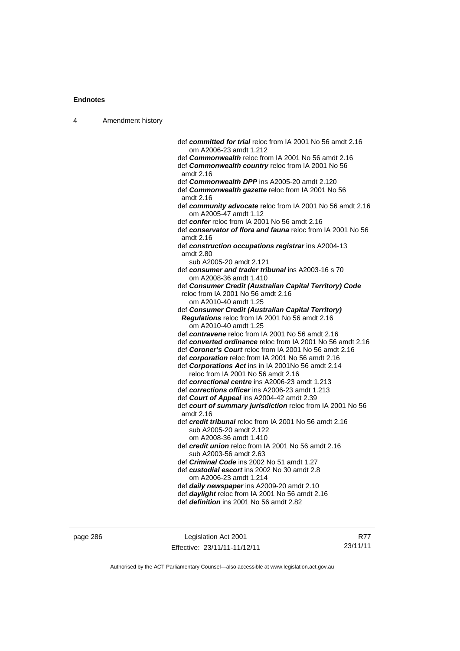| 4 | Amendment history |                                                                                               |
|---|-------------------|-----------------------------------------------------------------------------------------------|
|   |                   |                                                                                               |
|   |                   | def committed for trial reloc from IA 2001 No 56 amdt 2.16<br>om A2006-23 amdt 1.212          |
|   |                   | def <b>Commonwealth</b> reloc from IA 2001 No 56 amdt 2.16                                    |
|   |                   | def Commonwealth country reloc from IA 2001 No 56                                             |
|   |                   | amdt 2.16                                                                                     |
|   |                   | def Commonwealth DPP ins A2005-20 amdt 2.120                                                  |
|   |                   | def Commonwealth gazette reloc from IA 2001 No 56<br>amdt 2.16                                |
|   |                   | def community advocate reloc from IA 2001 No 56 amdt 2.16<br>om A2005-47 amdt 1.12            |
|   |                   | def confer reloc from IA 2001 No 56 amdt 2.16                                                 |
|   |                   | def conservator of flora and fauna reloc from IA 2001 No 56<br>amdt 2.16                      |
|   |                   | def construction occupations registrar ins A2004-13<br>amdt 2.80                              |
|   |                   | sub A2005-20 amdt 2.121                                                                       |
|   |                   | def consumer and trader tribunal ins A2003-16 s 70<br>om A2008-36 amdt 1.410                  |
|   |                   | def Consumer Credit (Australian Capital Territory) Code                                       |
|   |                   | reloc from IA 2001 No 56 amdt 2.16                                                            |
|   |                   | om A2010-40 amdt 1.25<br>def Consumer Credit (Australian Capital Territory)                   |
|   |                   | Regulations reloc from IA 2001 No 56 amdt 2.16<br>om A2010-40 amdt 1.25                       |
|   |                   | def contravene reloc from IA 2001 No 56 amdt 2.16                                             |
|   |                   | def converted ordinance reloc from IA 2001 No 56 amdt 2.16                                    |
|   |                   | def Coroner's Court reloc from IA 2001 No 56 amdt 2.16                                        |
|   |                   | def corporation reloc from IA 2001 No 56 amdt 2.16                                            |
|   |                   | def Corporations Act ins in IA 2001No 56 amdt 2.14<br>reloc from IA 2001 No 56 amdt 2.16      |
|   |                   | def correctional centre ins A2006-23 amdt 1.213                                               |
|   |                   | def corrections officer ins A2006-23 amdt 1.213                                               |
|   |                   | def Court of Appeal ins A2004-42 amdt 2.39                                                    |
|   |                   | def court of summary jurisdiction reloc from IA 2001 No 56                                    |
|   |                   | amdt 2.16                                                                                     |
|   |                   | def credit tribunal reloc from IA 2001 No 56 amdt 2.16<br>sub A2005-20 amdt 2.122             |
|   |                   | om A2008-36 amdt 1.410                                                                        |
|   |                   | def credit union reloc from IA 2001 No 56 amdt 2.16                                           |
|   |                   | sub A2003-56 amdt 2.63                                                                        |
|   |                   | def Criminal Code ins 2002 No 51 amdt 1.27                                                    |
|   |                   | def custodial escort ins 2002 No 30 amdt 2.8                                                  |
|   |                   | om A2006-23 amdt 1.214                                                                        |
|   |                   | def daily newspaper ins A2009-20 amdt 2.10<br>def daylight reloc from IA 2001 No 56 amdt 2.16 |
|   |                   | def <i>definition</i> ins 2001 No 56 amdt 2.82                                                |
|   |                   |                                                                                               |
|   |                   |                                                                                               |

page 286 Legislation Act 2001 Effective: 23/11/11-11/12/11

R77 23/11/11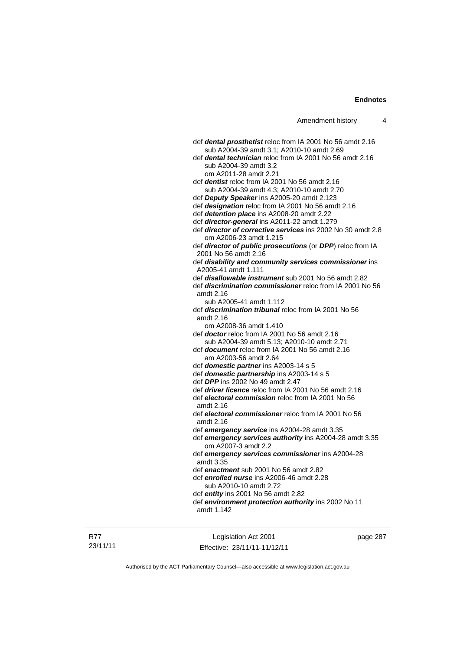def *dental prosthetist* reloc from IA 2001 No 56 amdt 2.16 sub A2004-39 amdt 3.1; A2010-10 amdt 2.69 def *dental technician* reloc from IA 2001 No 56 amdt 2.16 sub A2004-39 amdt 3.2 om A2011-28 amdt 2.21 def *dentist* reloc from IA 2001 No 56 amdt 2.16 sub A2004-39 amdt 4.3; A2010-10 amdt 2.70 def *Deputy Speaker* ins A2005-20 amdt 2.123 def *designation* reloc from IA 2001 No 56 amdt 2.16 def *detention place* ins A2008-20 amdt 2.22 def *director-general* ins A2011-22 amdt 1.279 def *director of corrective services* ins 2002 No 30 amdt 2.8 om A2006-23 amdt 1.215 def *director of public prosecutions* (or *DPP*) reloc from IA 2001 No 56 amdt 2.16 def *disability and community services commissioner* ins A2005-41 amdt 1.111 def *disallowable instrument* sub 2001 No 56 amdt 2.82 def *discrimination commissioner* reloc from IA 2001 No 56 amdt 2.16 sub A2005-41 amdt 1.112 def *discrimination tribunal* reloc from IA 2001 No 56 amdt 2.16 om A2008-36 amdt 1.410 def *doctor* reloc from IA 2001 No 56 amdt 2.16 sub A2004-39 amdt 5.13; A2010-10 amdt 2.71 def *document* reloc from IA 2001 No 56 amdt 2.16 am A2003-56 amdt 2.64 def *domestic partner* ins A2003-14 s 5 def *domestic partnership* ins A2003-14 s 5 def *DPP* ins 2002 No 49 amdt 2.47 def *driver licence* reloc from IA 2001 No 56 amdt 2.16 def *electoral commission* reloc from IA 2001 No 56 amdt 2.16 def *electoral commissioner* reloc from IA 2001 No 56 amdt 2.16 def *emergency service* ins A2004-28 amdt 3.35 def *emergency services authority* ins A2004-28 amdt 3.35 om A2007-3 amdt 2.2 def *emergency services commissioner* ins A2004-28 amdt 3.35 def *enactment* sub 2001 No 56 amdt 2.82 def *enrolled nurse* ins A2006-46 amdt 2.28 sub A2010-10 amdt 2.72 def *entity* ins 2001 No 56 amdt 2.82 def *environment protection authority* ins 2002 No 11 amdt 1.142

Legislation Act 2001 Effective: 23/11/11-11/12/11 page 287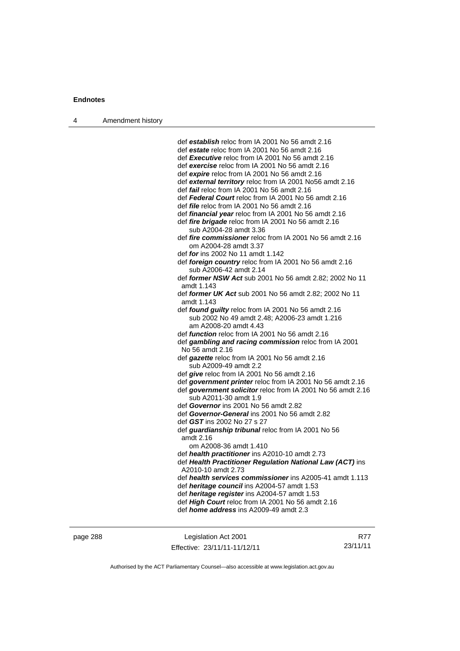| Amendment history<br>$\overline{4}$ |  |
|-------------------------------------|--|
|-------------------------------------|--|

 def *establish* reloc from IA 2001 No 56 amdt 2.16 def *estate* reloc from IA 2001 No 56 amdt 2.16 def *Executive* reloc from IA 2001 No 56 amdt 2.16 def *exercise* reloc from IA 2001 No 56 amdt 2.16 def *expire* reloc from IA 2001 No 56 amdt 2.16 def *external territory* reloc from IA 2001 No56 amdt 2.16 def *fail* reloc from IA 2001 No 56 amdt 2.16 def *Federal Court* reloc from IA 2001 No 56 amdt 2.16 def *file* reloc from IA 2001 No 56 amdt 2.16 def *financial year* reloc from IA 2001 No 56 amdt 2.16 def *fire brigade* reloc from IA 2001 No 56 amdt 2.16 sub A2004-28 amdt 3.36 def *fire commissioner* reloc from IA 2001 No 56 amdt 2.16 om A2004-28 amdt 3.37 def *for* ins 2002 No 11 amdt 1.142 def *foreign country* reloc from IA 2001 No 56 amdt 2.16 sub A2006-42 amdt 2.14 def *former NSW Act* sub 2001 No 56 amdt 2.82; 2002 No 11 amdt 1.143 def *former UK Act* sub 2001 No 56 amdt 2.82; 2002 No 11 amdt 1.143 def *found guilty* reloc from IA 2001 No 56 amdt 2.16 sub 2002 No 49 amdt 2.48; A2006-23 amdt 1.216 am A2008-20 amdt 4.43 def *function* reloc from IA 2001 No 56 amdt 2.16 def *gambling and racing commission* reloc from IA 2001 No 56 amdt 2.16 def *gazette* reloc from IA 2001 No 56 amdt 2.16 sub A2009-49 amdt 2.2 def *give* reloc from IA 2001 No 56 amdt 2.16 def *government printer* reloc from IA 2001 No 56 amdt 2.16 def *government solicitor* reloc from IA 2001 No 56 amdt 2.16 sub A2011-30 amdt 1.9 def *Governor* ins 2001 No 56 amdt 2.82 def *Governor-General* ins 2001 No 56 amdt 2.82 def *GST* ins 2002 No 27 s 27 def *guardianship tribunal* reloc from IA 2001 No 56 amdt 2.16 om A2008-36 amdt 1.410 def *health practitioner* ins A2010-10 amdt 2.73 def *Health Practitioner Regulation National Law (ACT)* ins A2010-10 amdt 2.73 def *health services commissioner* ins A2005-41 amdt 1.113 def *heritage council* ins A2004-57 amdt 1.53 def *heritage register* ins A2004-57 amdt 1.53 def *High Court* reloc from IA 2001 No 56 amdt 2.16 def *home address* ins A2009-49 amdt 2.3

| page 288 |  |
|----------|--|
|----------|--|

page 288 Legislation Act 2001 Effective: 23/11/11-11/12/11

R77 23/11/11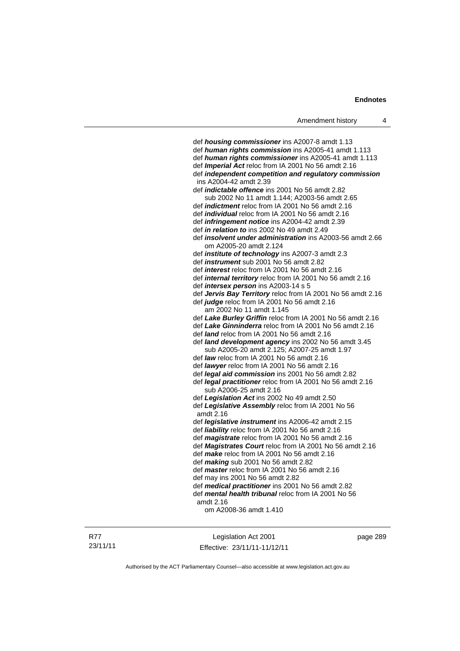def *housing commissioner* ins A2007-8 amdt 1.13 def *human rights commission* ins A2005-41 amdt 1.113 def *human rights commissioner* ins A2005-41 amdt 1.113 def *Imperial Act* reloc from IA 2001 No 56 amdt 2.16 def *independent competition and regulatory commission* ins A2004-42 amdt 2.39 def *indictable offence* ins 2001 No 56 amdt 2.82 sub 2002 No 11 amdt 1.144; A2003-56 amdt 2.65 def *indictment* reloc from IA 2001 No 56 amdt 2.16 def *individual* reloc from IA 2001 No 56 amdt 2.16 def *infringement notice* ins A2004-42 amdt 2.39 def *in relation to* ins 2002 No 49 amdt 2.49 def *insolvent under administration* ins A2003-56 amdt 2.66 om A2005-20 amdt 2.124 def *institute of technology* ins A2007-3 amdt 2.3 def *instrument* sub 2001 No 56 amdt 2.82 def *interest* reloc from IA 2001 No 56 amdt 2.16 def *internal territory* reloc from IA 2001 No 56 amdt 2.16 def *intersex person* ins A2003-14 s 5 def *Jervis Bay Territory* reloc from IA 2001 No 56 amdt 2.16 def *judge* reloc from IA 2001 No 56 amdt 2.16 am 2002 No 11 amdt 1.145 def *Lake Burley Griffin* reloc from IA 2001 No 56 amdt 2.16 def *Lake Ginninderra* reloc from IA 2001 No 56 amdt 2.16 def *land* reloc from IA 2001 No 56 amdt 2.16 def *land development agency* ins 2002 No 56 amdt 3.45 sub A2005-20 amdt 2.125; A2007-25 amdt 1.97 def *law* reloc from IA 2001 No 56 amdt 2.16 def *lawyer* reloc from IA 2001 No 56 amdt 2.16 def *legal aid commission* ins 2001 No 56 amdt 2.82 def *legal practitioner* reloc from IA 2001 No 56 amdt 2.16 sub A2006-25 amdt 2.16 def *Legislation Act* ins 2002 No 49 amdt 2.50 def *Legislative Assembly* reloc from IA 2001 No 56 amdt 2.16 def *legislative instrument* ins A2006-42 amdt 2.15 def *liability* reloc from IA 2001 No 56 amdt 2.16 def *magistrate* reloc from IA 2001 No 56 amdt 2.16 def *Magistrates Court* reloc from IA 2001 No 56 amdt 2.16 def *make* reloc from IA 2001 No 56 amdt 2.16 def *making* sub 2001 No 56 amdt 2.82 def *master* reloc from IA 2001 No 56 amdt 2.16 def may ins 2001 No 56 amdt 2.82 def *medical practitioner* ins 2001 No 56 amdt 2.82 def *mental health tribunal* reloc from IA 2001 No 56 amdt 2.16 om A2008-36 amdt 1.410

Legislation Act 2001 Effective: 23/11/11-11/12/11 page 289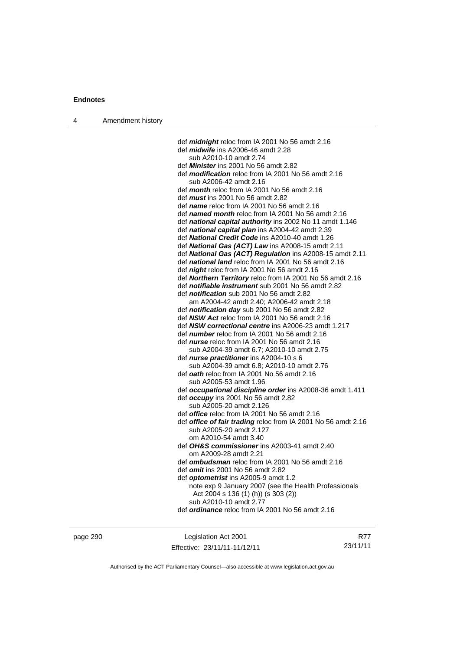| Amendment history |
|-------------------|
|                   |

 def *midnight* reloc from IA 2001 No 56 amdt 2.16 def *midwife* ins A2006-46 amdt 2.28 sub A2010-10 amdt 2.74 def *Minister* ins 2001 No 56 amdt 2.82 def *modification* reloc from IA 2001 No 56 amdt 2.16 sub A2006-42 amdt 2.16 def *month* reloc from IA 2001 No 56 amdt 2.16 def *must* ins 2001 No 56 amdt 2.82 def *name* reloc from IA 2001 No 56 amdt 2.16 def *named month* reloc from IA 2001 No 56 amdt 2.16 def *national capital authority* ins 2002 No 11 amdt 1.146 def *national capital plan* ins A2004-42 amdt 2.39 def *National Credit Code* ins A2010-40 amdt 1.26 def *National Gas (ACT) Law* ins A2008-15 amdt 2.11 def *National Gas (ACT) Regulation* ins A2008-15 amdt 2.11 def *national land* reloc from IA 2001 No 56 amdt 2.16 def *night* reloc from IA 2001 No 56 amdt 2.16 def *Northern Territory* reloc from IA 2001 No 56 amdt 2.16 def *notifiable instrument* sub 2001 No 56 amdt 2.82 def *notification* sub 2001 No 56 amdt 2.82 am A2004-42 amdt 2.40; A2006-42 amdt 2.18 def *notification day* sub 2001 No 56 amdt 2.82 def *NSW Act* reloc from IA 2001 No 56 amdt 2.16 def *NSW correctional centre* ins A2006-23 amdt 1.217 def *number* reloc from IA 2001 No 56 amdt 2.16 def *nurse* reloc from IA 2001 No 56 amdt 2.16 sub A2004-39 amdt 6.7; A2010-10 amdt 2.75 def *nurse practitioner* ins A2004-10 s 6 sub A2004-39 amdt 6.8; A2010-10 amdt 2.76 def *oath* reloc from IA 2001 No 56 amdt 2.16 sub A2005-53 amdt 1.96 def *occupational discipline order* ins A2008-36 amdt 1.411 def *occupy* ins 2001 No 56 amdt 2.82 sub A2005-20 amdt 2.126 def *office* reloc from IA 2001 No 56 amdt 2.16 def *office of fair trading* reloc from IA 2001 No 56 amdt 2.16 sub A2005-20 amdt 2.127 om A2010-54 amdt 3.40 def *OH&S commissioner* ins A2003-41 amdt 2.40 om A2009-28 amdt 2.21 def *ombudsman* reloc from IA 2001 No 56 amdt 2.16 def *omit* ins 2001 No 56 amdt 2.82 def *optometrist* ins A2005-9 amdt 1.2 note exp 9 January 2007 (see the Health Professionals Act 2004 s 136 (1) (h)) (s 303 (2)) sub A2010-10 amdt 2.77 def *ordinance* reloc from IA 2001 No 56 amdt 2.16

page 290 Legislation Act 2001 Effective: 23/11/11-11/12/11

R77 23/11/11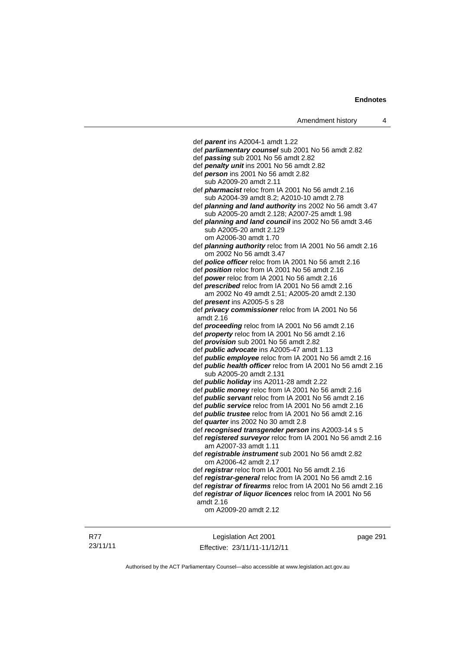| Amendment history |  |
|-------------------|--|
|-------------------|--|

 def *parent* ins A2004-1 amdt 1.22 def *parliamentary counsel* sub 2001 No 56 amdt 2.82 def *passing* sub 2001 No 56 amdt 2.82 def *penalty unit* ins 2001 No 56 amdt 2.82 def *person* ins 2001 No 56 amdt 2.82 sub A2009-20 amdt 2.11 def *pharmacist* reloc from IA 2001 No 56 amdt 2.16 sub A2004-39 amdt 8.2; A2010-10 amdt 2.78 def *planning and land authority* ins 2002 No 56 amdt 3.47 sub A2005-20 amdt 2.128; A2007-25 amdt 1.98 def *planning and land council* ins 2002 No 56 amdt 3.46 sub A2005-20 amdt 2.129 om A2006-30 amdt 1.70 def *planning authority* reloc from IA 2001 No 56 amdt 2.16 om 2002 No 56 amdt 3.47 def *police officer* reloc from IA 2001 No 56 amdt 2.16 def *position* reloc from IA 2001 No 56 amdt 2.16 def *power* reloc from IA 2001 No 56 amdt 2.16 def *prescribed* reloc from IA 2001 No 56 amdt 2.16 am 2002 No 49 amdt 2.51; A2005-20 amdt 2.130 def *present* ins A2005-5 s 28 def *privacy commissioner* reloc from IA 2001 No 56 amdt 2.16 def *proceeding* reloc from IA 2001 No 56 amdt 2.16 def *property* reloc from IA 2001 No 56 amdt 2.16 def *provision* sub 2001 No 56 amdt 2.82 def *public advocate* ins A2005-47 amdt 1.13 def *public employee* reloc from IA 2001 No 56 amdt 2.16 def *public health officer* reloc from IA 2001 No 56 amdt 2.16 sub A2005-20 amdt 2.131 def *public holiday* ins A2011-28 amdt 2.22 def *public money* reloc from IA 2001 No 56 amdt 2.16 def *public servant* reloc from IA 2001 No 56 amdt 2.16 def *public service* reloc from IA 2001 No 56 amdt 2.16 def *public trustee* reloc from IA 2001 No 56 amdt 2.16 def *quarter* ins 2002 No 30 amdt 2.8 def *recognised transgender person* ins A2003-14 s 5 def *registered surveyor* reloc from IA 2001 No 56 amdt 2.16 am A2007-33 amdt 1.11 def *registrable instrument* sub 2001 No 56 amdt 2.82 om A2006-42 amdt 2.17 def *registrar* reloc from IA 2001 No 56 amdt 2.16 def *registrar-general* reloc from IA 2001 No 56 amdt 2.16 def *registrar of firearms* reloc from IA 2001 No 56 amdt 2.16 def *registrar of liquor licences* reloc from IA 2001 No 56 amdt 2.16 om A2009-20 amdt 2.12

R77 23/11/11

Legislation Act 2001 Effective: 23/11/11-11/12/11 page 291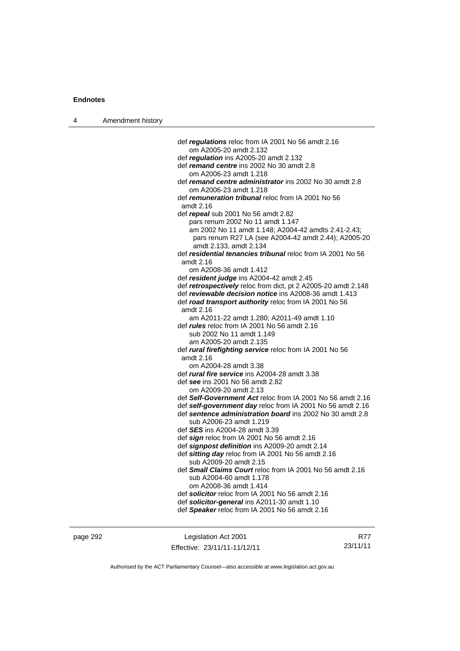| 4 | Amendment history |                                                                                             |
|---|-------------------|---------------------------------------------------------------------------------------------|
|   |                   |                                                                                             |
|   |                   | def regulations reloc from IA 2001 No 56 amdt 2.16                                          |
|   |                   | om A2005-20 amdt 2.132                                                                      |
|   |                   | def regulation ins A2005-20 amdt 2.132                                                      |
|   |                   | def remand centre ins 2002 No 30 amdt 2.8                                                   |
|   |                   | om A2006-23 amdt 1.218                                                                      |
|   |                   | def remand centre administrator ins 2002 No 30 amdt 2.8                                     |
|   |                   | om A2006-23 amdt 1.218                                                                      |
|   |                   | def <i>remuneration tribunal</i> reloc from IA 2001 No 56<br>amdt 2.16                      |
|   |                   | def repeal sub 2001 No 56 amdt 2.82                                                         |
|   |                   | pars renum 2002 No 11 amdt 1.147                                                            |
|   |                   | am 2002 No 11 amdt 1.148; A2004-42 amdts 2.41-2.43;                                         |
|   |                   | pars renum R27 LA (see A2004-42 amdt 2.44); A2005-20<br>amdt 2.133, amdt 2.134              |
|   |                   | def residential tenancies tribunal reloc from IA 2001 No 56                                 |
|   |                   | amdt 2.16                                                                                   |
|   |                   | om A2008-36 amdt 1.412                                                                      |
|   |                   | def resident judge ins A2004-42 amdt 2.45                                                   |
|   |                   | def retrospectively reloc from dict, pt 2 A2005-20 amdt 2.148                               |
|   |                   | def reviewable decision notice ins A2008-36 amdt 1.413                                      |
|   |                   | def road transport authority reloc from IA 2001 No 56                                       |
|   |                   | amdt 2.16                                                                                   |
|   |                   | am A2011-22 amdt 1.280; A2011-49 amdt 1.10                                                  |
|   |                   | def <i>rules</i> reloc from IA 2001 No 56 amdt 2.16                                         |
|   |                   | sub 2002 No 11 amdt 1.149<br>am A2005-20 amdt 2.135                                         |
|   |                   | def rural firefighting service reloc from IA 2001 No 56                                     |
|   |                   | amdt 2.16                                                                                   |
|   |                   | om A2004-28 amdt 3.38                                                                       |
|   |                   | def <i>rural fire service</i> ins A2004-28 amdt 3.38<br>def see ins 2001 No 56 amdt 2.82    |
|   |                   | om A2009-20 amdt 2.13                                                                       |
|   |                   | def Self-Government Act reloc from IA 2001 No 56 amdt 2.16                                  |
|   |                   | def self-government day reloc from IA 2001 No 56 amdt 2.16                                  |
|   |                   | def sentence administration board ins 2002 No 30 amdt 2.8<br>sub A2006-23 amdt 1.219        |
|   |                   | def <b>SES</b> ins A2004-28 amdt 3.39                                                       |
|   |                   | def sign reloc from IA 2001 No 56 amdt 2.16                                                 |
|   |                   | def signpost definition ins A2009-20 amdt 2.14                                              |
|   |                   | def sitting day reloc from IA 2001 No 56 amdt 2.16                                          |
|   |                   | sub A2009-20 amdt 2.15                                                                      |
|   |                   | def <b>Small Claims Court</b> reloc from IA 2001 No 56 amdt 2.16<br>sub A2004-60 amdt 1.178 |
|   |                   | om A2008-36 amdt 1.414                                                                      |
|   |                   | def solicitor reloc from IA 2001 No 56 amdt 2.16                                            |
|   |                   | def solicitor-general ins A2011-30 amdt 1.10                                                |
|   |                   | def Speaker reloc from IA 2001 No 56 amdt 2.16                                              |
|   |                   |                                                                                             |
|   |                   |                                                                                             |

page 292 Legislation Act 2001 Effective: 23/11/11-11/12/11

R77 23/11/11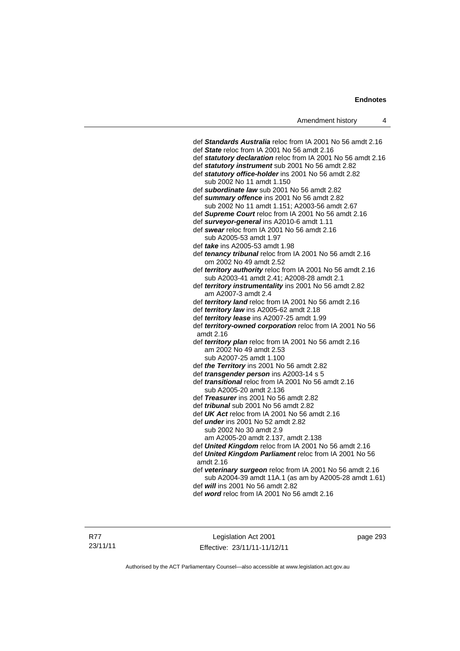| def Standards Australia reloc from IA 2001 No 56 amdt 2.16                                            |
|-------------------------------------------------------------------------------------------------------|
| def State reloc from IA 2001 No 56 amdt 2.16                                                          |
| def statutory declaration reloc from IA 2001 No 56 amdt 2.16                                          |
| def statutory instrument sub 2001 No 56 amdt 2.82                                                     |
| def statutory office-holder ins 2001 No 56 amdt 2.82                                                  |
| sub 2002 No 11 amdt 1.150                                                                             |
| def subordinate law sub 2001 No 56 amdt 2.82                                                          |
| def summary offence ins 2001 No 56 amdt 2.82                                                          |
| sub 2002 No 11 amdt 1.151; A2003-56 amdt 2.67<br>def Supreme Court reloc from IA 2001 No 56 amdt 2.16 |
| def surveyor-general ins A2010-6 amdt 1.11                                                            |
| def swear reloc from IA 2001 No 56 amdt 2.16                                                          |
| sub A2005-53 amdt 1.97                                                                                |
| def <i>take</i> ins A2005-53 amdt 1.98                                                                |
| def tenancy tribunal reloc from IA 2001 No 56 amdt 2.16                                               |
| om 2002 No 49 amdt 2.52                                                                               |
| def territory authority reloc from IA 2001 No 56 amdt 2.16                                            |
| sub A2003-41 amdt 2.41; A2008-28 amdt 2.1                                                             |
| def territory instrumentality ins 2001 No 56 amdt 2.82                                                |
| am A2007-3 amdt 2.4                                                                                   |
| def territory land reloc from IA 2001 No 56 amdt 2.16                                                 |
| def territory law ins A2005-62 amdt 2.18                                                              |
| def territory lease ins A2007-25 amdt 1.99                                                            |
| def territory-owned corporation reloc from IA 2001 No 56<br>amdt 2.16                                 |
| def territory plan reloc from IA 2001 No 56 amdt 2.16                                                 |
| am 2002 No 49 amdt 2.53                                                                               |
| sub A2007-25 amdt 1.100                                                                               |
| def the Territory ins 2001 No 56 amdt 2.82                                                            |
| def transgender person ins A2003-14 s 5                                                               |
| def <i>transitional</i> reloc from IA 2001 No 56 amdt 2.16                                            |
| sub A2005-20 amdt 2.136                                                                               |
| def Treasurer ins 2001 No 56 amdt 2.82                                                                |
| def tribunal sub 2001 No 56 amdt 2.82                                                                 |
| def UK Act reloc from IA 2001 No 56 amdt 2.16                                                         |
| def <i>under</i> ins 2001 No 52 amdt 2.82                                                             |
| sub 2002 No 30 amdt 2.9<br>am A2005-20 amdt 2.137, amdt 2.138                                         |
| def United Kingdom reloc from IA 2001 No 56 amdt 2.16                                                 |
| def United Kingdom Parliament reloc from IA 2001 No 56                                                |
| amdt 2.16                                                                                             |
| def veterinary surgeon reloc from IA 2001 No 56 amdt 2.16                                             |
| sub A2004-39 amdt 11A.1 (as am by A2005-28 amdt 1.61)                                                 |
| def <i>will</i> ins 2001 No 56 amdt 2.82                                                              |
| def word reloc from IA 2001 No 56 amdt 2.16                                                           |
|                                                                                                       |
|                                                                                                       |

Legislation Act 2001 Effective: 23/11/11-11/12/11 page 293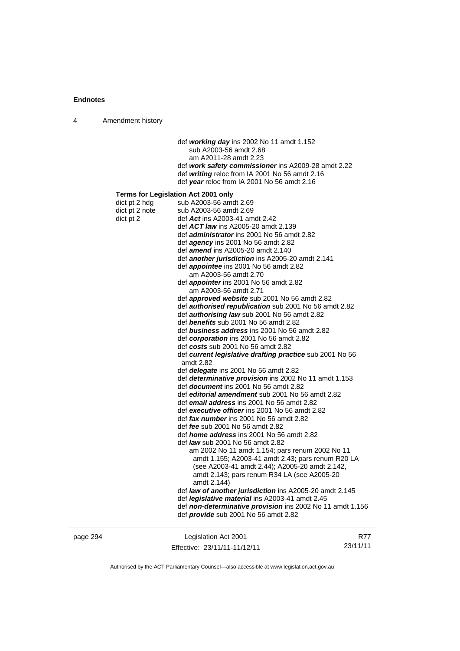4 Amendment history

|                                              | def working day ins 2002 No 11 amdt 1.152<br>sub A2003-56 amdt 2.68<br>am A2011-28 amdt 2.23<br>def work safety commissioner ins A2009-28 amdt 2.22<br>def writing reloc from IA 2001 No 56 amdt 2.16<br>def year reloc from IA 2001 No 56 amdt 2.16                                                                                                                                                                                                                                                                                                                                                                                                                                                                                                                                                                                                                                                                                                                                                                                                                                                                                                                                                                                                                                                                                                                                                                                                                                                                                                                                                                                                                                                                                                                                                                                                                                              |            |
|----------------------------------------------|---------------------------------------------------------------------------------------------------------------------------------------------------------------------------------------------------------------------------------------------------------------------------------------------------------------------------------------------------------------------------------------------------------------------------------------------------------------------------------------------------------------------------------------------------------------------------------------------------------------------------------------------------------------------------------------------------------------------------------------------------------------------------------------------------------------------------------------------------------------------------------------------------------------------------------------------------------------------------------------------------------------------------------------------------------------------------------------------------------------------------------------------------------------------------------------------------------------------------------------------------------------------------------------------------------------------------------------------------------------------------------------------------------------------------------------------------------------------------------------------------------------------------------------------------------------------------------------------------------------------------------------------------------------------------------------------------------------------------------------------------------------------------------------------------------------------------------------------------------------------------------------------------|------------|
| dict pt 2 hdg<br>dict pt 2 note<br>dict pt 2 | <b>Terms for Legislation Act 2001 only</b><br>sub A2003-56 amdt 2.69<br>sub A2003-56 amdt 2.69<br>def Act ins A2003-41 amdt 2.42<br>def <b>ACT law</b> ins A2005-20 amdt 2.139<br>def <i>administrator</i> ins 2001 No 56 amdt 2.82<br>def agency ins 2001 No 56 amdt 2.82<br>def <i>amend</i> ins A2005-20 amdt 2.140<br>def <b>another jurisdiction</b> ins A2005-20 amdt 2.141<br>def <i>appointee</i> ins 2001 No 56 amdt 2.82<br>am A2003-56 amdt 2.70<br>def appointer ins 2001 No 56 amdt 2.82<br>am A2003-56 amdt 2.71<br>def <i>approved website</i> sub 2001 No 56 amdt 2.82<br>def authorised republication sub 2001 No 56 amdt 2.82<br>def <b>authorising law</b> sub 2001 No 56 amdt 2.82<br>def benefits sub 2001 No 56 amdt 2.82<br>def business address ins 2001 No 56 amdt 2.82<br>def corporation ins 2001 No 56 amdt 2.82<br>def costs sub 2001 No 56 amdt 2.82<br>def current legislative drafting practice sub 2001 No 56<br>amdt 2.82<br>def <i>delegate</i> ins 2001 No 56 amdt 2.82<br>def determinative provision ins 2002 No 11 amdt 1.153<br>def document ins 2001 No 56 amdt 2.82<br>def editorial amendment sub 2001 No 56 amdt 2.82<br>def email address ins 2001 No 56 amdt 2.82<br>def executive officer ins 2001 No 56 amdt 2.82<br>def fax number ins 2001 No 56 amdt 2.82<br>def <i>fee</i> sub 2001 No 56 amdt 2.82<br>def <i>home address</i> ins 2001 No 56 amdt 2.82<br>def <i>law</i> sub 2001 No 56 amdt 2.82<br>am 2002 No 11 amdt 1.154; pars renum 2002 No 11<br>amdt 1.155; A2003-41 amdt 2.43; pars renum R20 LA<br>(see A2003-41 amdt 2.44); A2005-20 amdt 2.142,<br>amdt 2.143; pars renum R34 LA (see A2005-20<br>amdt 2.144)<br>def law of another jurisdiction ins A2005-20 amdt 2.145<br>def legislative material ins A2003-41 amdt 2.45<br>def non-determinative provision ins 2002 No 11 amdt 1.156<br>def provide sub 2001 No 56 amdt 2.82 |            |
| page 294                                     | Legislation Act 2001                                                                                                                                                                                                                                                                                                                                                                                                                                                                                                                                                                                                                                                                                                                                                                                                                                                                                                                                                                                                                                                                                                                                                                                                                                                                                                                                                                                                                                                                                                                                                                                                                                                                                                                                                                                                                                                                              | <b>R77</b> |

Authorised by the ACT Parliamentary Counsel—also accessible at www.legislation.act.gov.au

23/11/11

Effective: 23/11/11-11/12/11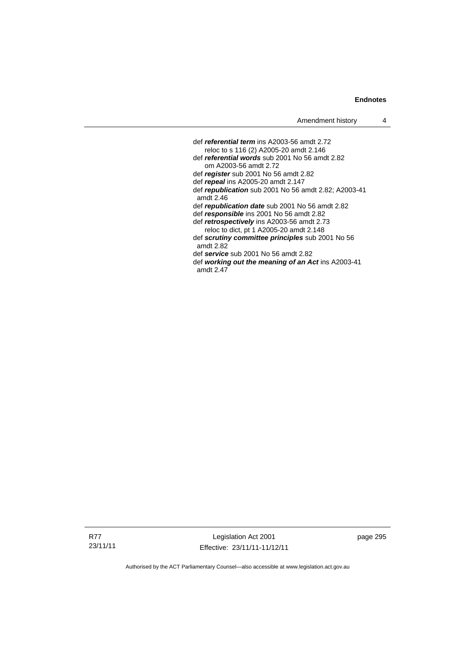def *referential term* ins A2003-56 amdt 2.72 reloc to s 116 (2) A2005-20 amdt 2.146 def *referential words* sub 2001 No 56 amdt 2.82 om A2003-56 amdt 2.72 def *register* sub 2001 No 56 amdt 2.82 def *repeal* ins A2005-20 amdt 2.147 def *republication* sub 2001 No 56 amdt 2.82; A2003-41 amdt 2.46 def *republication date* sub 2001 No 56 amdt 2.82 def *responsible* ins 2001 No 56 amdt 2.82 def *retrospectively* ins A2003-56 amdt 2.73 reloc to dict, pt 1 A2005-20 amdt 2.148 def *scrutiny committee principles* sub 2001 No 56 amdt 2.82 def *service* sub 2001 No 56 amdt 2.82 def *working out the meaning of an Act* ins A2003-41 amdt 2.47

R77 23/11/11

Legislation Act 2001 Effective: 23/11/11-11/12/11 page 295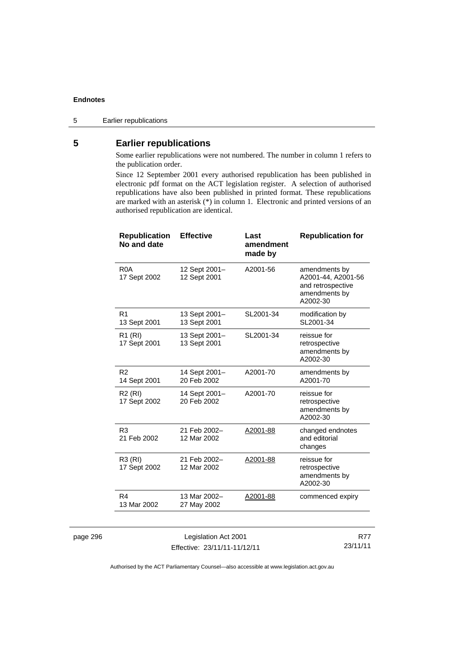### **5 Earlier republications**

Some earlier republications were not numbered. The number in column 1 refers to the publication order.

Since 12 September 2001 every authorised republication has been published in electronic pdf format on the ACT legislation register. A selection of authorised republications have also been published in printed format. These republications are marked with an asterisk (\*) in column 1. Electronic and printed versions of an authorised republication are identical.

| <b>Republication</b><br>No and date | <b>Effective</b>              | Last<br>amendment<br>made by | <b>Republication for</b>                                                              |
|-------------------------------------|-------------------------------|------------------------------|---------------------------------------------------------------------------------------|
| R <sub>0</sub> A<br>17 Sept 2002    | 12 Sept 2001-<br>12 Sept 2001 | A2001-56                     | amendments by<br>A2001-44, A2001-56<br>and retrospective<br>amendments by<br>A2002-30 |
| R <sub>1</sub><br>13 Sept 2001      | 13 Sept 2001-<br>13 Sept 2001 | SL2001-34                    | modification by<br>SL2001-34                                                          |
| R1 (RI)<br>17 Sept 2001             | 13 Sept 2001-<br>13 Sept 2001 | SL2001-34                    | reissue for<br>retrospective<br>amendments by<br>A2002-30                             |
| R <sub>2</sub><br>14 Sept 2001      | 14 Sept 2001-<br>20 Feb 2002  | A2001-70                     | amendments by<br>A2001-70                                                             |
| R <sub>2</sub> (RI)<br>17 Sept 2002 | 14 Sept 2001-<br>20 Feb 2002  | A2001-70                     | reissue for<br>retrospective<br>amendments by<br>A2002-30                             |
| R <sub>3</sub><br>21 Feb 2002       | 21 Feb 2002-<br>12 Mar 2002   | A2001-88                     | changed endnotes<br>and editorial<br>changes                                          |
| R3 (RI)<br>17 Sept 2002             | 21 Feb 2002-<br>12 Mar 2002   | A2001-88                     | reissue for<br>retrospective<br>amendments by<br>A2002-30                             |
| R4<br>13 Mar 2002                   | 13 Mar 2002-<br>27 May 2002   | A2001-88                     | commenced expiry                                                                      |
|                                     |                               |                              |                                                                                       |

| page 296 |  |
|----------|--|
|----------|--|

Legislation Act 2001 Effective: 23/11/11-11/12/11

R77 23/11/11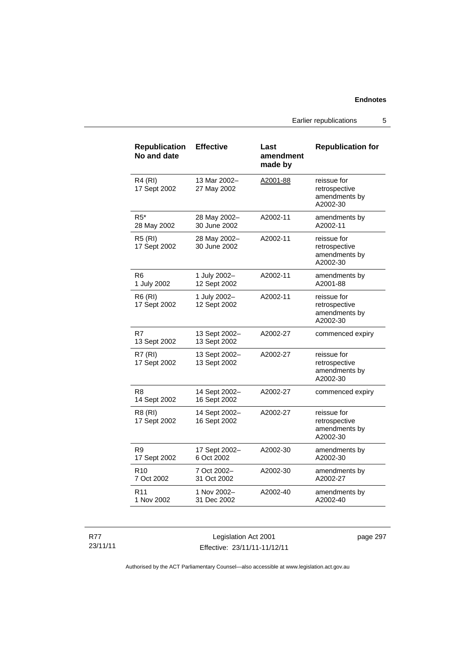Earlier republications 5

| <b>Republication</b><br>No and date | <b>Effective</b>              | Last<br>amendment<br>made by | <b>Republication for</b>                                  |
|-------------------------------------|-------------------------------|------------------------------|-----------------------------------------------------------|
| R4 (RI)<br>17 Sept 2002             | 13 Mar 2002-<br>27 May 2002   | A2001-88                     | reissue for<br>retrospective<br>amendments by<br>A2002-30 |
| R5*<br>28 May 2002                  | 28 May 2002-<br>30 June 2002  | A2002-11                     | amendments by<br>A2002-11                                 |
| <b>R5 (RI)</b><br>17 Sept 2002      | 28 May 2002-<br>30 June 2002  | A2002-11                     | reissue for<br>retrospective<br>amendments by<br>A2002-30 |
| R6<br>1 July 2002                   | 1 July 2002-<br>12 Sept 2002  | A2002-11                     | amendments by<br>A2001-88                                 |
| R6 (RI)<br>17 Sept 2002             | 1 July 2002-<br>12 Sept 2002  | A2002-11                     | reissue for<br>retrospective<br>amendments by<br>A2002-30 |
| R7<br>13 Sept 2002                  | 13 Sept 2002–<br>13 Sept 2002 | A2002-27                     | commenced expiry                                          |
| <b>R7 (RI)</b><br>17 Sept 2002      | 13 Sept 2002-<br>13 Sept 2002 | A2002-27                     | reissue for<br>retrospective<br>amendments by<br>A2002-30 |
| R8<br>14 Sept 2002                  | 14 Sept 2002-<br>16 Sept 2002 | A2002-27                     | commenced expiry                                          |
| R8 (RI)<br>17 Sept 2002             | 14 Sept 2002-<br>16 Sept 2002 | A2002-27                     | reissue for<br>retrospective<br>amendments by<br>A2002-30 |
| R <sub>9</sub><br>17 Sept 2002      | 17 Sept 2002-<br>6 Oct 2002   | A2002-30                     | amendments by<br>A2002-30                                 |
| R <sub>10</sub><br>7 Oct 2002       | 7 Oct 2002-<br>31 Oct 2002    | A2002-30                     | amendments by<br>A2002-27                                 |
| R11<br>1 Nov 2002                   | 1 Nov 2002-<br>31 Dec 2002    | A2002-40                     | amendments by<br>A2002-40                                 |

R77 23/11/11

Legislation Act 2001 Effective: 23/11/11-11/12/11 page 297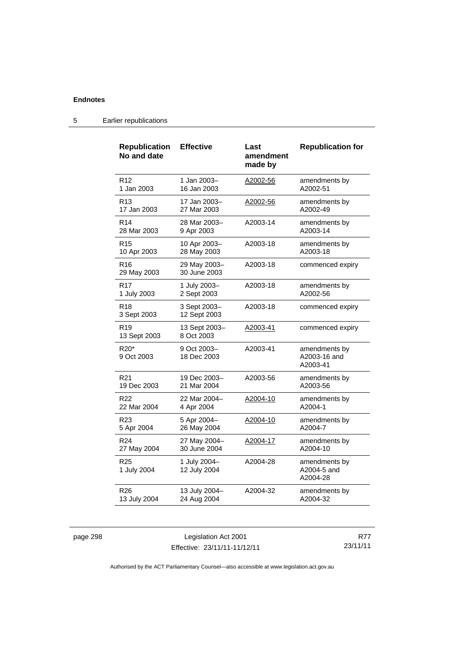| <b>Republication</b><br>No and date        | <b>Effective</b>             | Last<br>amendment<br>made by | <b>Republication for</b>                  |
|--------------------------------------------|------------------------------|------------------------------|-------------------------------------------|
| R <sub>12</sub>                            | 1 Jan 2003-                  | A2002-56                     | amendments by                             |
| 1 Jan 2003                                 | 16 Jan 2003                  |                              | A2002-51                                  |
| R13                                        | 17 Jan 2003-                 | A2002-56                     | amendments by                             |
| 17 Jan 2003                                | 27 Mar 2003                  |                              | A2002-49                                  |
| R <sub>14</sub>                            | 28 Mar 2003-                 | A2003-14                     | amendments by                             |
| 28 Mar 2003                                | 9 Apr 2003                   |                              | A2003-14                                  |
| R <sub>15</sub>                            | 10 Apr 2003-                 | A2003-18                     | amendments by                             |
| 10 Apr 2003                                | 28 May 2003                  |                              | A2003-18                                  |
| R <sub>16</sub><br>29 May 2003             | 29 May 2003-<br>30 June 2003 | A2003-18                     | commenced expiry                          |
| R <sub>17</sub>                            | 1 July 2003-                 | A2003-18                     | amendments by                             |
| 1 July 2003                                | 2 Sept 2003                  |                              | A2002-56                                  |
| R <sub>18</sub><br>3 Sept 2003             | 3 Sept 2003-<br>12 Sept 2003 | A2003-18                     | commenced expiry                          |
| R <sub>19</sub><br>13 Sept 2003            | 13 Sept 2003-<br>8 Oct 2003  | A2003-41                     | commenced expiry                          |
| R <sub>20</sub> <sup>*</sup><br>9 Oct 2003 | 9 Oct 2003-<br>18 Dec 2003   | A2003-41                     | amendments by<br>A2003-16 and<br>A2003-41 |
| R <sub>21</sub>                            | 19 Dec 2003-                 | A2003-56                     | amendments by                             |
| 19 Dec 2003                                | 21 Mar 2004                  |                              | A2003-56                                  |
| R <sub>22</sub>                            | 22 Mar 2004–                 | A2004-10                     | amendments by                             |
| 22 Mar 2004                                | 4 Apr 2004                   |                              | A2004-1                                   |
| R <sub>23</sub>                            | 5 Apr 2004-                  | A2004-10                     | amendments by                             |
| 5 Apr 2004                                 | 26 May 2004                  |                              | A2004-7                                   |
| R24                                        | 27 May 2004-                 | A2004-17                     | amendments by                             |
| 27 May 2004                                | 30 June 2004                 |                              | A2004-10                                  |
| R <sub>25</sub><br>1 July 2004             | 1 July 2004-<br>12 July 2004 | A2004-28                     | amendments by<br>A2004-5 and<br>A2004-28  |
| R26                                        | 13 July 2004-                | A2004-32                     | amendments by                             |
| 13 July 2004                               | 24 Aug 2004                  |                              | A2004-32                                  |

5 Earlier republications

page 298 Legislation Act 2001 Effective: 23/11/11-11/12/11

R77 23/11/11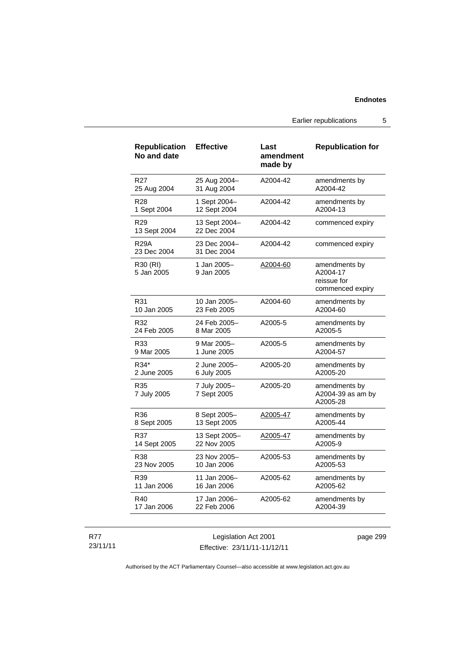Earlier republications 5

| <b>Republication</b><br>No and date | <b>Effective</b>             | Last<br>amendment<br>made by | <b>Republication for</b>                                     |
|-------------------------------------|------------------------------|------------------------------|--------------------------------------------------------------|
| R <sub>27</sub>                     | 25 Aug 2004-                 | A2004-42                     | amendments by                                                |
| 25 Aug 2004                         | 31 Aug 2004                  |                              | A2004-42                                                     |
| R <sub>28</sub>                     | 1 Sept 2004-                 | A2004-42                     | amendments by                                                |
| 1 Sept 2004                         | 12 Sept 2004                 |                              | A2004-13                                                     |
| R <sub>29</sub><br>13 Sept 2004     | 13 Sept 2004-<br>22 Dec 2004 | A2004-42                     | commenced expiry                                             |
| <b>R29A</b><br>23 Dec 2004          | 23 Dec 2004-<br>31 Dec 2004  | A2004-42                     | commenced expiry                                             |
| R30 (RI)<br>5 Jan 2005              | 1 Jan 2005-<br>9 Jan 2005    | A2004-60                     | amendments by<br>A2004-17<br>reissue for<br>commenced expiry |
| R31                                 | 10 Jan 2005-                 | A2004-60                     | amendments by                                                |
| 10 Jan 2005                         | 23 Feb 2005                  |                              | A2004-60                                                     |
| R32                                 | 24 Feb 2005-                 | A2005-5                      | amendments by                                                |
| 24 Feb 2005                         | 8 Mar 2005                   |                              | A2005-5                                                      |
| R33                                 | 9 Mar 2005-                  | A2005-5                      | amendments by                                                |
| 9 Mar 2005                          | 1 June 2005                  |                              | A2004-57                                                     |
| R34*                                | 2 June 2005-                 | A2005-20                     | amendments by                                                |
| 2 June 2005                         | 6 July 2005                  |                              | A2005-20                                                     |
| R35<br>7 July 2005                  | 7 July 2005-<br>7 Sept 2005  | A2005-20                     | amendments by<br>A2004-39 as am by<br>A2005-28               |
| R36                                 | 8 Sept 2005-                 | A2005-47                     | amendments by                                                |
| 8 Sept 2005                         | 13 Sept 2005                 |                              | A2005-44                                                     |
| R37                                 | 13 Sept 2005-                | A2005-47                     | amendments by                                                |
| 14 Sept 2005                        | 22 Nov 2005                  |                              | A2005-9                                                      |
| R38                                 | 23 Nov 2005-                 | A2005-53                     | amendments by                                                |
| 23 Nov 2005                         | 10 Jan 2006                  |                              | A2005-53                                                     |
| R39                                 | 11 Jan 2006-                 | A2005-62                     | amendments by                                                |
| 11 Jan 2006                         | 16 Jan 2006                  |                              | A2005-62                                                     |
| R40                                 | 17 Jan 2006-                 | A2005-62                     | amendments by                                                |
| 17 Jan 2006                         | 22 Feb 2006                  |                              | A2004-39                                                     |

R77 23/11/11

Legislation Act 2001 Effective: 23/11/11-11/12/11 page 299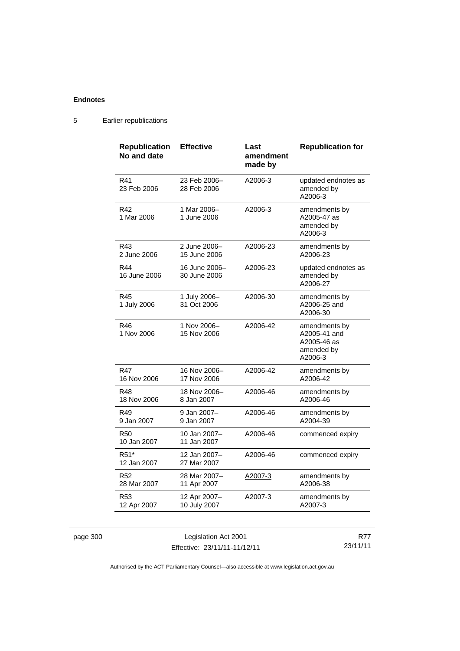| <b>Republication</b><br>No and date | <b>Effective</b>              | Last<br>amendment<br>made by | <b>Republication for</b>                                              |
|-------------------------------------|-------------------------------|------------------------------|-----------------------------------------------------------------------|
| R41<br>23 Feb 2006                  | 23 Feb 2006-<br>28 Feb 2006   | A2006-3                      | updated endnotes as<br>amended by<br>A2006-3                          |
| R42<br>1 Mar 2006                   | 1 Mar 2006-<br>1 June 2006    | A2006-3                      | amendments by<br>A2005-47 as<br>amended by<br>A2006-3                 |
| R43<br>2 June 2006                  | 2 June 2006-<br>15 June 2006  | A2006-23                     | amendments by<br>A2006-23                                             |
| R44<br>16 June 2006                 | 16 June 2006-<br>30 June 2006 | A2006-23                     | updated endnotes as<br>amended by<br>A2006-27                         |
| R45<br>1 July 2006                  | 1 July 2006-<br>31 Oct 2006   | A2006-30                     | amendments by<br>A2006-25 and<br>A2006-30                             |
| R46<br>1 Nov 2006                   | 1 Nov 2006–<br>15 Nov 2006    | A2006-42                     | amendments by<br>A2005-41 and<br>A2005-46 as<br>amended by<br>A2006-3 |
| R47<br>16 Nov 2006                  | 16 Nov 2006-<br>17 Nov 2006   | A2006-42                     | amendments by<br>A2006-42                                             |
| R48<br>18 Nov 2006                  | 18 Nov 2006-<br>8 Jan 2007    | A2006-46                     | amendments by<br>A2006-46                                             |
| R49<br>9 Jan 2007                   | 9 Jan 2007-<br>9 Jan 2007     | A2006-46                     | amendments by<br>A2004-39                                             |
| <b>R50</b><br>10 Jan 2007           | 10 Jan 2007-<br>11 Jan 2007   | A2006-46                     | commenced expiry                                                      |
| R51*<br>12 Jan 2007                 | 12 Jan 2007-<br>27 Mar 2007   | A2006-46                     | commenced expiry                                                      |
| R <sub>52</sub><br>28 Mar 2007      | 28 Mar 2007-<br>11 Apr 2007   | A2007-3                      | amendments by<br>A2006-38                                             |
| R <sub>53</sub><br>12 Apr 2007      | 12 Apr 2007-<br>10 July 2007  | A2007-3                      | amendments by<br>A2007-3                                              |

### 5 Earlier republications

| page 300 |  |
|----------|--|
|          |  |

page 300 Legislation Act 2001 Effective: 23/11/11-11/12/11

R77 23/11/11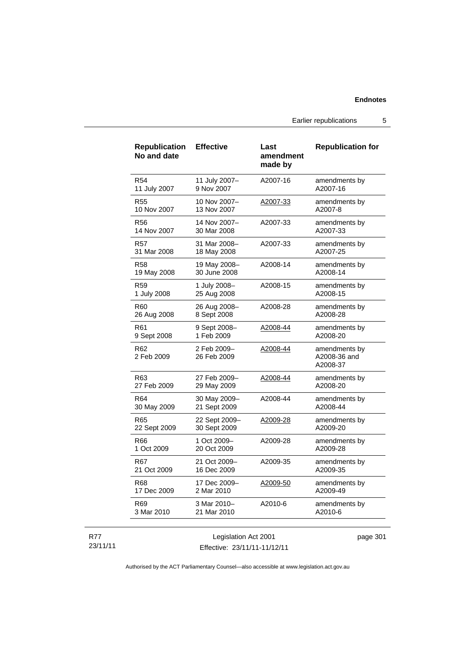Earlier republications 5

| <b>Republication</b><br>No and date | <b>Effective</b>           | Last<br>amendment<br>made by | <b>Republication for</b>                  |
|-------------------------------------|----------------------------|------------------------------|-------------------------------------------|
| <b>R54</b>                          | 11 July 2007-              | A2007-16                     | amendments by                             |
| 11 July 2007                        | 9 Nov 2007                 |                              | A2007-16                                  |
| <b>R55</b>                          | 10 Nov 2007-               | A2007-33                     | amendments by                             |
| 10 Nov 2007                         | 13 Nov 2007                |                              | A2007-8                                   |
| <b>R56</b>                          | 14 Nov 2007-               | A2007-33                     | amendments by                             |
| 14 Nov 2007                         | 30 Mar 2008                |                              | A2007-33                                  |
| <b>R57</b>                          | 31 Mar 2008-               | A2007-33                     | amendments by                             |
| 31 Mar 2008                         | 18 May 2008                |                              | A2007-25                                  |
| <b>R58</b>                          | 19 May 2008-               | A2008-14                     | amendments by                             |
| 19 May 2008                         | 30 June 2008               |                              | A2008-14                                  |
| R59                                 | 1 July 2008-               | A2008-15                     | amendments by                             |
| 1 July 2008                         | 25 Aug 2008                |                              | A2008-15                                  |
| R60                                 | 26 Aug 2008-               | A2008-28                     | amendments by                             |
| 26 Aug 2008                         | 8 Sept 2008                |                              | A2008-28                                  |
| R61                                 | 9 Sept 2008-               | A2008-44                     | amendments by                             |
| 9 Sept 2008                         | 1 Feb 2009                 |                              | A2008-20                                  |
| R62<br>2 Feb 2009                   | 2 Feb 2009-<br>26 Feb 2009 | A2008-44                     | amendments by<br>A2008-36 and<br>A2008-37 |
| R63                                 | 27 Feb 2009-               | <u>A2008-44</u>              | amendments by                             |
| 27 Feb 2009                         | 29 May 2009                |                              | A2008-20                                  |
| R64                                 | 30 May 2009-               | A2008-44                     | amendments by                             |
| 30 May 2009                         | 21 Sept 2009               |                              | A2008-44                                  |
| R65                                 | 22 Sept 2009-              | A2009-28                     | amendments by                             |
| 22 Sept 2009                        | 30 Sept 2009               |                              | A2009-20                                  |
| R66                                 | 1 Oct 2009-                | A2009-28                     | amendments by                             |
| 1 Oct 2009                          | 20 Oct 2009                |                              | A2009-28                                  |
| R67                                 | 21 Oct 2009-               | A2009-35                     | amendments by                             |
| 21 Oct 2009                         | 16 Dec 2009                |                              | A2009-35                                  |
| R68                                 | 17 Dec 2009-               | <u>A2009-50</u>              | amendments by                             |
| 17 Dec 2009                         | 2 Mar 2010                 |                              | A2009-49                                  |
| R69                                 | 3 Mar 2010-                | A2010-6                      | amendments by                             |
| 3 Mar 2010                          | 21 Mar 2010                |                              | A2010-6                                   |
|                                     |                            |                              |                                           |

| 23/11/11 |  |
|----------|--|
|----------|--|

R77

Legislation Act 2001 Effective: 23/11/11-11/12/11 page 301